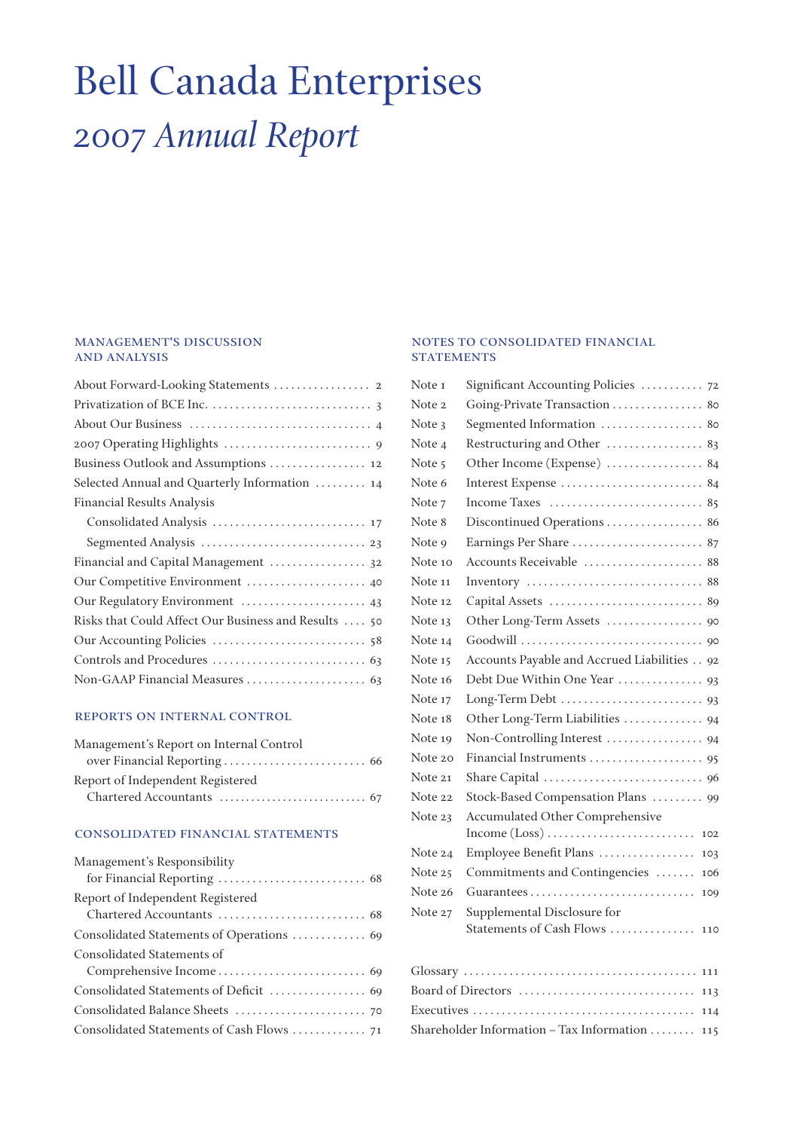# Bell Canada Enterprises *2007 Annual Report*

# management's discussion and analysis

| Business Outlook and Assumptions  12                 |
|------------------------------------------------------|
| Selected Annual and Quarterly Information  14        |
| Financial Results Analysis                           |
|                                                      |
|                                                      |
| Financial and Capital Management  32                 |
| Our Competitive Environment  40                      |
| Our Regulatory Environment  43                       |
| Risks that Could Affect Our Business and Results  50 |
|                                                      |
|                                                      |
| Non-GAAP Financial Measures  63                      |
|                                                      |

# reports on internal control

| Management's Report on Internal Control |  |
|-----------------------------------------|--|
|                                         |  |
| Report of Independent Registered        |  |
|                                         |  |

# consolidated financial statements

| Management's Responsibility            |  |
|----------------------------------------|--|
|                                        |  |
| Report of Independent Registered       |  |
|                                        |  |
|                                        |  |
| Consolidated Statements of             |  |
|                                        |  |
| Consolidated Statements of Deficit  69 |  |
|                                        |  |
|                                        |  |
|                                        |  |

# notes to consolidated financial **STATEMENTS**

| Note 1  | Significant Accounting Policies  72         |
|---------|---------------------------------------------|
| Note 2  | Going-Private Transaction  80               |
| Note 3  | Segmented Information  80                   |
| Note 4  | Restructuring and Other  83                 |
| Note 5  | Other Income (Expense)  84                  |
| Note 6  | Interest Expense  84                        |
| Note 7  |                                             |
| Note 8  | Discontinued Operations  86                 |
| Note 9  | Earnings Per Share  87                      |
| Note 10 | Accounts Receivable  88                     |
| Note 11 |                                             |
| Note 12 |                                             |
| Note 13 | Other Long-Term Assets  90                  |
| Note 14 |                                             |
| Note 15 | Accounts Payable and Accrued Liabilities 92 |
| Note 16 | Debt Due Within One Year  93                |
| Note 17 |                                             |
| Note 18 | Other Long-Term Liabilities  94             |
| Note 19 | Non-Controlling Interest  94                |
| Note 20 |                                             |
| Note 21 |                                             |
| Note 22 | Stock-Based Compensation Plans  99          |
| Note 23 | Accumulated Other Comprehensive             |
|         | $Income (Loss) \dots$<br>102                |
| Note 24 | Employee Benefit Plans<br>103               |
| Note 25 | Commitments and Contingencies<br>106        |
| Note 26 | Guarantees<br>109                           |
| Note 27 | Supplemental Disclosure for                 |
|         | Statements of Cash Flows<br>110             |
|         |                                             |
|         |                                             |

| Shareholder Information – Tax Information  115 |  |
|------------------------------------------------|--|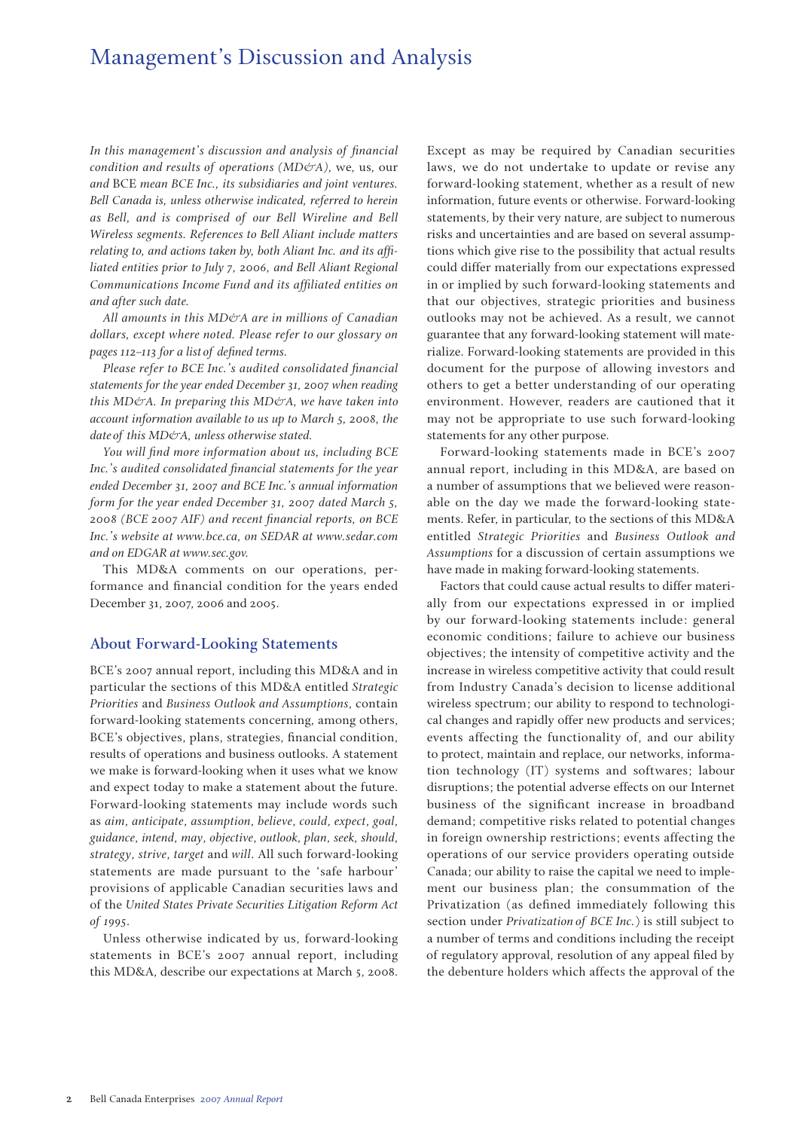# Management's Discussion and Analysis

*In this management's discussion and analysis of financial condition and results of operations (MD&A),* we*,* us*,* our *and* BCE *mean BCE Inc., its subsidiaries and joint ventures. Bell Canada is, unless otherwise indicated, referred to herein as Bell, and is comprised of our Bell Wireline and Bell Wireless segments. References to Bell Aliant include matters relating to, and actions taken by, both Aliant Inc. and its affiliated entities prior to July 7, 2006, and Bell Aliant Regional Communications Income Fund and its affiliated entities on and after such date.*

*All amounts in this MD&A are in millions of Canadian dollars, except where noted. Please refer to our glossary on pages 112–113 for a list of defined terms.*

*Please refer to BCE Inc.'s audited consolidated financial statements for the year ended December 31, 2007 when reading this MD&A. In preparing this MD&A, we have taken into account information available to us up to March 5, 2008, the date of this MD&A, unless otherwise stated.*

*You will find more information about us, including BCE Inc.'s audited consolidated financial statements for the year ended December 31, 2007 and BCE Inc.'s annual information form for the year ended December 31, 2007 dated March 5, 2008 (BCE 2007 AIF) and recent financial reports, on BCE Inc.'s website at www.bce.ca, on SEDAR at www.sedar.com and on EDGAR at www.sec.gov.*

This MD&A comments on our operations, performance and financial condition for the years ended December 31, 2007, 2006 and 2005.

# **About Forward-Looking Statements**

BCE's 2007 annual report, including this MD&A and in particular the sections of this MD&A entitled *Strategic Priorities* and *Business Outlook and Assumptions*, contain forward-looking statements concerning, among others, BCE's objectives, plans, strategies, financial condition, results of operations and business outlooks. A statement we make is forward-looking when it uses what we know and expect today to make a statement about the future. Forward-looking statements may include words such as *aim*, *anticipate*, *assumption*, *believe*, *could*, *expect*, *goal*, *guidance*, *intend*, *may*, *objective*, *outlook*, *plan*, *seek*, *should*, *strategy*, *strive*, *target* and *will*. All such forward-looking statements are made pursuant to the 'safe harbour' provisions of applicable Canadian securities laws and of the *United States Private Securities Litigation Reform Act of 1995*.

Unless otherwise indicated by us, forward-looking statements in BCE's 2007 annual report, including this MD&A, describe our expectations at March 5, 2008.

Except as may be required by Canadian securities laws, we do not undertake to update or revise any forward-looking statement, whether as a result of new information, future events or otherwise. Forward-looking statements, by their very nature, are subject to numerous risks and uncertainties and are based on several assumptions which give rise to the possibility that actual results could differ materially from our expectations expressed in or implied by such forward-looking statements and that our objectives, strategic priorities and business outlooks may not be achieved. As a result, we cannot guarantee that any forward-looking statement will materialize. Forward-looking statements are provided in this document for the purpose of allowing investors and others to get a better understanding of our operating environment. However, readers are cautioned that it may not be appropriate to use such forward-looking statements for any other purpose.

Forward-looking statements made in BCE's 2007 annual report, including in this MD&A, are based on a number of assumptions that we believed were reasonable on the day we made the forward-looking statements. Refer, in particular, to the sections of this MD&A entitled *Strategic Priorities* and *Business Outlook and Assumptions* for a discussion of certain assumptions we have made in making forward-looking statements.

Factors that could cause actual results to differ materially from our expectations expressed in or implied by our forward-looking statements include: general economic conditions; failure to achieve our business objectives; the intensity of competitive activity and the increase in wireless competitive activity that could result from Industry Canada's decision to license additional wireless spectrum; our ability to respond to technological changes and rapidly offer new products and services; events affecting the functionality of, and our ability to protect, maintain and replace, our networks, information technology (IT) systems and softwares; labour disruptions; the potential adverse effects on our Internet business of the significant increase in broadband demand; competitive risks related to potential changes in foreign ownership restrictions; events affecting the operations of our service providers operating outside Canada; our ability to raise the capital we need to implement our business plan; the consummation of the Privatization (as defined immediately following this section under *Privatization of BCE Inc.*) is still subject to a number of terms and conditions including the receipt of regulatory approval, resolution of any appeal filed by the debenture holders which affects the approval of the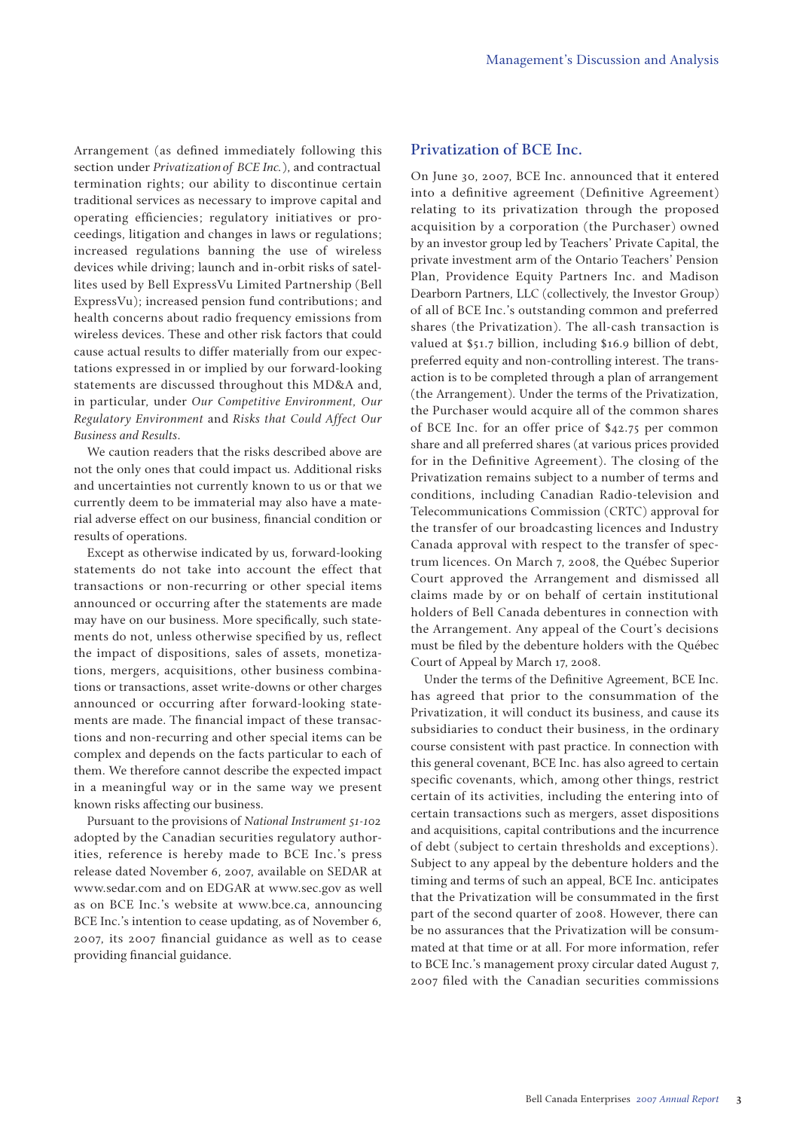Arrangement (as defined immediately following this section under *Privatization of BCE Inc.*), and contractual termination rights; our ability to discontinue certain traditional services as necessary to improve capital and operating efficiencies; regulatory initiatives or proceedings, litigation and changes in laws or regulations; increased regulations banning the use of wireless devices while driving; launch and in-orbit risks of satellites used by Bell ExpressVu Limited Partnership (Bell ExpressVu); increased pension fund contributions; and health concerns about radio frequency emissions from wireless devices. These and other risk factors that could cause actual results to differ materially from our expectations expressed in or implied by our forward-looking statements are discussed throughout this MD&A and, in particular, under *Our Competitive Environment, Our Regulatory Environment* and *Risks that Could Affect Our Business and Results*.

We caution readers that the risks described above are not the only ones that could impact us. Additional risks and uncertainties not currently known to us or that we currently deem to be immaterial may also have a material adverse effect on our business, financial condition or results of operations.

Except as otherwise indicated by us, forward-looking statements do not take into account the effect that transactions or non-recurring or other special items announced or occurring after the statements are made may have on our business. More specifically, such statements do not, unless otherwise specified by us, reflect the impact of dispositions, sales of assets, monetizations, mergers, acquisitions, other business combinations or transactions, asset write-downs or other charges announced or occurring after forward-looking statements are made. The financial impact of these transactions and non-recurring and other special items can be complex and depends on the facts particular to each of them. We therefore cannot describe the expected impact in a meaningful way or in the same way we present known risks affecting our business.

Pursuant to the provisions of *National Instrument 51-102* adopted by the Canadian securities regulatory authorities, reference is hereby made to BCE Inc.'s press release dated November 6, 2007, available on SEDAR at www.sedar.com and on EDGAR at www.sec.gov as well as on BCE Inc.'s website at www.bce.ca, announcing BCE Inc.'s intention to cease updating, as of November 6, 2007, its 2007 financial guidance as well as to cease providing financial guidance.

# **Privatization of BCE Inc.**

On June 30, 2007, BCE Inc. announced that it entered into a definitive agreement (Definitive Agreement) relating to its privatization through the proposed acquisition by a corporation (the Purchaser) owned by an investor group led by Teachers' Private Capital, the private investment arm of the Ontario Teachers' Pension Plan, Providence Equity Partners Inc. and Madison Dearborn Partners, LLC (collectively, the Investor Group) of all of BCE Inc.'s outstanding common and preferred shares (the Privatization). The all-cash transaction is valued at \$51.7 billion, including \$16.9 billion of debt, preferred equity and non-controlling interest. The transaction is to be completed through a plan of arrangement (the Arrangement). Under the terms of the Privatization, the Purchaser would acquire all of the common shares of BCE Inc. for an offer price of \$42.75 per common share and all preferred shares (at various prices provided for in the Definitive Agreement). The closing of the Privatization remains subject to a number of terms and conditions, including Canadian Radio-television and Telecommunications Commission (CRTC) approval for the transfer of our broadcasting licences and Industry Canada approval with respect to the transfer of spectrum licences. On March 7, 2008, the Québec Superior Court approved the Arrangement and dismissed all claims made by or on behalf of certain institutional holders of Bell Canada debentures in connection with the Arrangement. Any appeal of the Court's decisions must be filed by the debenture holders with the Québec Court of Appeal by March 17, 2008.

Under the terms of the Definitive Agreement, BCE Inc. has agreed that prior to the consummation of the Privatization, it will conduct its business, and cause its subsidiaries to conduct their business, in the ordinary course consistent with past practice. In connection with this general covenant, BCE Inc. has also agreed to certain specific covenants, which, among other things, restrict certain of its activities, including the entering into of certain transactions such as mergers, asset dispositions and acquisitions, capital contributions and the incurrence of debt (subject to certain thresholds and exceptions). Subject to any appeal by the debenture holders and the timing and terms of such an appeal, BCE Inc. anticipates that the Privatization will be consummated in the first part of the second quarter of 2008. However, there can be no assurances that the Privatization will be consummated at that time or at all. For more information, refer to BCE Inc.'s management proxy circular dated August 7, 2007 filed with the Canadian securities commissions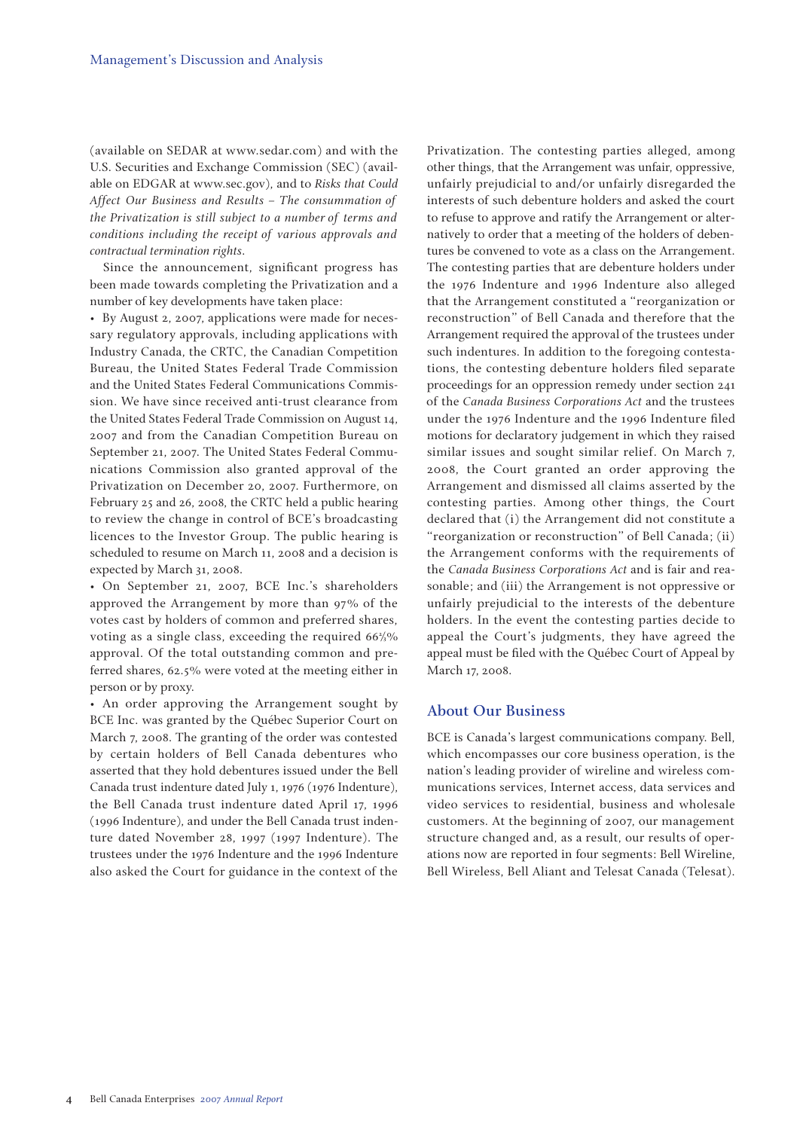(available on SEDAR at www.sedar.com) and with the U.S. Securities and Exchange Commission (SEC) (available on EDGAR at www.sec.gov), and to *Risks that Could Affect Our Business and Results – The consummation of the Privatization is still subject to a number of terms and conditions including the receipt of various approvals and contractual termination rights*.

Since the announcement, significant progress has been made towards completing the Privatization and a number of key developments have taken place:

• By August 2, 2007, applications were made for necessary regulatory approvals, including applications with Industry Canada, the CRTC, the Canadian Competition Bureau, the United States Federal Trade Commission and the United States Federal Communications Commission. We have since received anti-trust clearance from the United States Federal Trade Commission on August 14, 2007 and from the Canadian Competition Bureau on September 21, 2007. The United States Federal Communications Commission also granted approval of the Privatization on December 20, 2007. Furthermore, on February 25 and 26, 2008, the CRTC held a public hearing to review the change in control of BCE's broadcasting licences to the Investor Group. The public hearing is scheduled to resume on March 11, 2008 and a decision is expected by March 31, 2008.

• On September 21, 2007, BCE Inc.'s shareholders approved the Arrangement by more than 97% of the votes cast by holders of common and preferred shares, voting as a single class, exceeding the required 66**<sup>2</sup> ⁄3**% approval. Of the total outstanding common and preferred shares, 62.5% were voted at the meeting either in person or by proxy.

• An order approving the Arrangement sought by BCE Inc. was granted by the Québec Superior Court on March 7, 2008. The granting of the order was contested by certain holders of Bell Canada debentures who asserted that they hold debentures issued under the Bell Canada trust indenture dated July 1, 1976 (1976 Indenture), the Bell Canada trust indenture dated April 17, 1996 (1996 Indenture), and under the Bell Canada trust indenture dated November 28, 1997 (1997 Indenture). The trustees under the 1976 Indenture and the 1996 Indenture also asked the Court for guidance in the context of the

Privatization. The contesting parties alleged, among other things, that the Arrangement was unfair, oppressive, unfairly prejudicial to and/or unfairly disregarded the interests of such debenture holders and asked the court to refuse to approve and ratify the Arrangement or alternatively to order that a meeting of the holders of debentures be convened to vote as a class on the Arrangement. The contesting parties that are debenture holders under the 1976 Indenture and 1996 Indenture also alleged that the Arrangement constituted a "reorganization or reconstruction" of Bell Canada and therefore that the Arrangement required the approval of the trustees under such indentures. In addition to the foregoing contestations, the contesting debenture holders filed separate proceedings for an oppression remedy under section 241 of the *Canada Business Corporations Act* and the trustees under the 1976 Indenture and the 1996 Indenture filed motions for declaratory judgement in which they raised similar issues and sought similar relief. On March 7, 2008, the Court granted an order approving the Arrangement and dismissed all claims asserted by the contesting parties. Among other things, the Court declared that (i) the Arrangement did not constitute a "reorganization or reconstruction" of Bell Canada; (ii) the Arrangement conforms with the requirements of the *Canada Business Corporations Act* and is fair and reasonable; and (iii) the Arrangement is not oppressive or unfairly prejudicial to the interests of the debenture holders. In the event the contesting parties decide to appeal the Court's judgments, they have agreed the appeal must be filed with the Québec Court of Appeal by March 17, 2008.

# **About Our Business**

BCE is Canada's largest communications company. Bell, which encompasses our core business operation, is the nation's leading provider of wireline and wireless communications services, Internet access, data services and video services to residential, business and wholesale customers. At the beginning of 2007, our management structure changed and, as a result, our results of operations now are reported in four segments: Bell Wireline, Bell Wireless, Bell Aliant and Telesat Canada (Telesat).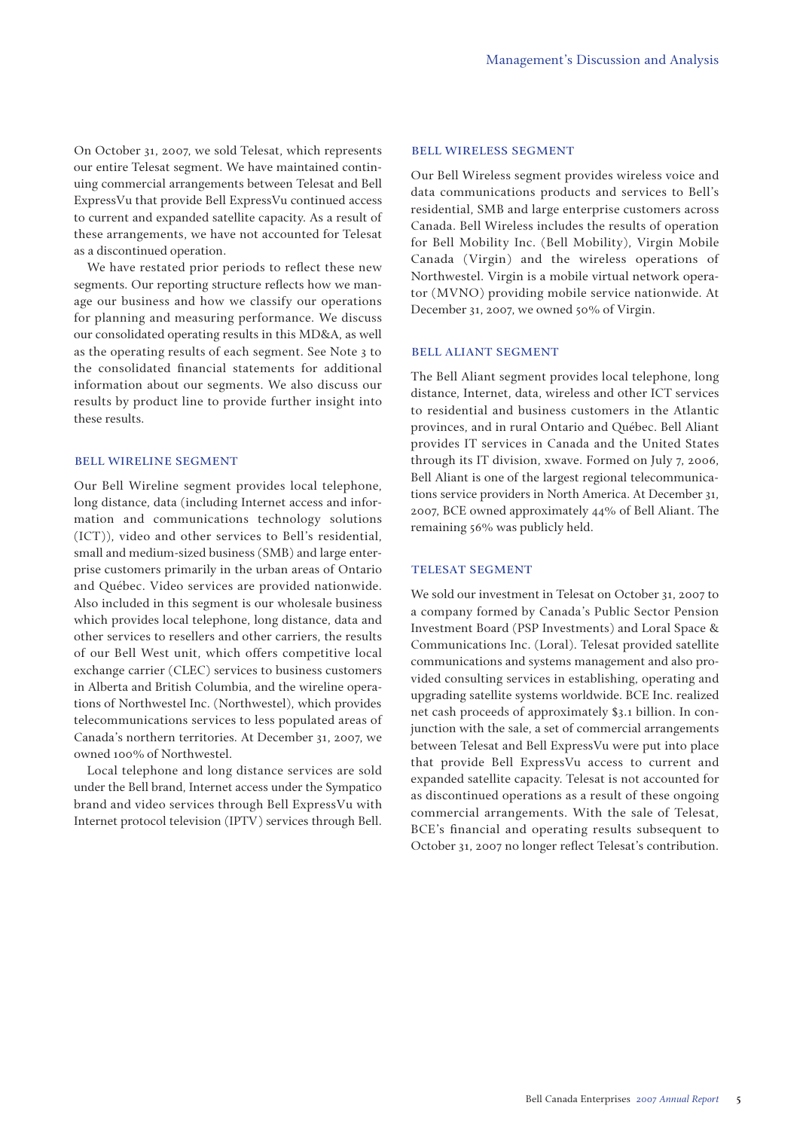On October 31, 2007, we sold Telesat, which represents our entire Telesat segment. We have maintained continuing commercial arrangements between Telesat and Bell ExpressVu that provide Bell ExpressVu continued access to current and expanded satellite capacity. As a result of these arrangements, we have not accounted for Telesat as a discontinued operation.

We have restated prior periods to reflect these new segments. Our reporting structure reflects how we manage our business and how we classify our operations for planning and measuring performance. We discuss our consolidated operating results in this MD&A, as well as the operating results of each segment. See Note 3 to the consolidated financial statements for additional information about our segments. We also discuss our results by product line to provide further insight into these results.

#### bell wireline segment

Our Bell Wireline segment provides local telephone, long distance, data (including Internet access and information and communications technology solutions (ICT)), video and other services to Bell's residential, small and medium-sized business (SMB) and large enterprise customers primarily in the urban areas of Ontario and Québec. Video services are provided nationwide. Also included in this segment is our wholesale business which provides local telephone, long distance, data and other services to resellers and other carriers, the results of our Bell West unit, which offers competitive local exchange carrier (CLEC) services to business customers in Alberta and British Columbia, and the wireline operations of Northwestel Inc. (Northwestel), which provides telecommunications services to less populated areas of Canada's northern territories. At December 31, 2007, we owned 100% of Northwestel.

Local telephone and long distance services are sold under the Bell brand, Internet access under the Sympatico brand and video services through Bell ExpressVu with Internet protocol television (IPTV) services through Bell.

# bell wireless segment

Our Bell Wireless segment provides wireless voice and data communications products and services to Bell's residential, SMB and large enterprise customers across Canada. Bell Wireless includes the results of operation for Bell Mobility Inc. (Bell Mobility), Virgin Mobile Canada (Virgin) and the wireless operations of Northwestel. Virgin is a mobile virtual network operator (MVNO) providing mobile service nationwide. At December 31, 2007, we owned 50% of Virgin.

# bell aliant segment

The Bell Aliant segment provides local telephone, long distance, Internet, data, wireless and other ICT services to residential and business customers in the Atlantic provinces, and in rural Ontario and Québec. Bell Aliant provides IT services in Canada and the United States through its IT division, xwave. Formed on July 7, 2006, Bell Aliant is one of the largest regional telecommunications service providers in North America. At December 31, 2007, BCE owned approximately 44% of Bell Aliant. The remaining 56% was publicly held.

#### telesat segment

We sold our investment in Telesat on October 31, 2007 to a company formed by Canada's Public Sector Pension Investment Board (PSP Investments) and Loral Space & Communications Inc. (Loral). Telesat provided satellite communications and systems management and also provided consulting services in establishing, operating and upgrading satellite systems worldwide. BCE Inc. realized net cash proceeds of approximately \$3.1 billion. In conjunction with the sale, a set of commercial arrangements between Telesat and Bell ExpressVu were put into place that provide Bell ExpressVu access to current and expanded satellite capacity. Telesat is not accounted for as discontinued operations as a result of these ongoing commercial arrangements. With the sale of Telesat, BCE's financial and operating results subsequent to October 31, 2007 no longer reflect Telesat's contribution.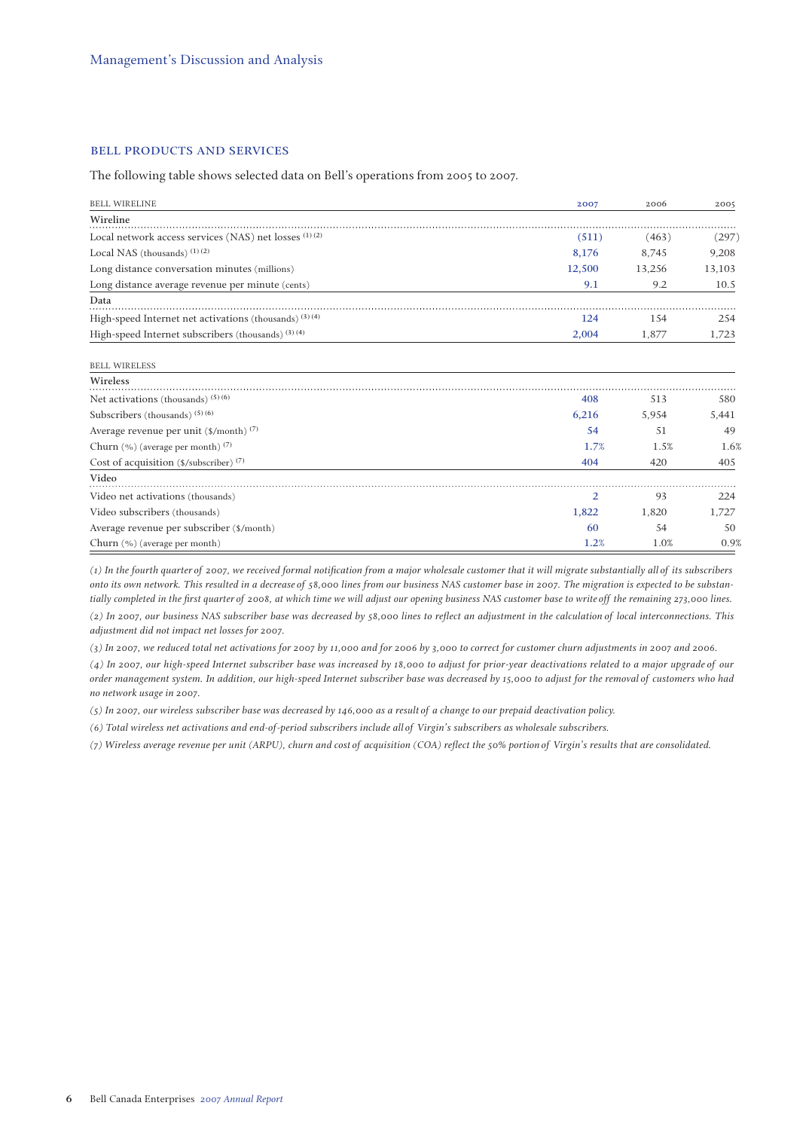# bell products and services

#### The following table shows selected data on Bell's operations from 2005 to 2007.

| <b>BELL WIRELINE</b>                                          | 2007           | 2006   | 2005   |
|---------------------------------------------------------------|----------------|--------|--------|
| Wireline                                                      |                |        |        |
| Local network access services (NAS) net losses (1)(2)         | (511)          | (463)  | (297)  |
| Local NAS (thousands) $(1)(2)$                                | 8,176          | 8,745  | 9,208  |
| Long distance conversation minutes (millions)                 | 12.500         | 13,256 | 13,103 |
| Long distance average revenue per minute (cents)              | 9.1            | 9.2    | 10.5   |
| Data                                                          |                |        |        |
| High-speed Internet net activations (thousands) $(3)(4)$      | 124            | 154    | 254    |
| High-speed Internet subscribers (thousands) <sup>(3)(4)</sup> | 2,004          | 1,877  | 1,723  |
| <b>BELL WIRELESS</b>                                          |                |        |        |
| Wireless                                                      |                |        |        |
| Net activations (thousands) $(5)(6)$                          | 408            | 513    | 580    |
| Subscribers (thousands) (5) (6)                               | 6,216          | 5,954  | 5,441  |
| Average revenue per unit (\$/month) <sup>(7)</sup>            | 54             | .51    | 49     |
| Churn $(\% )$ (average per month) $(7)$                       | 1.7%           | 1.5%   | 1.6%   |
| Cost of acquisition (\$/subscriber) <sup>(7)</sup>            | 404            | 420    | 405    |
| Video                                                         |                |        |        |
| Video net activations (thousands)                             | $\overline{2}$ | 93     | 224    |
| Video subscribers (thousands)                                 | 1,822          | 1.820  | 1,727  |
| Average revenue per subscriber (\$/month)                     | 60             | 54     | 50     |
| Churn (%) (average per month)                                 | 1.2%           | 1.0%   | 0.9%   |

*(1) In the fourth quarter of 2007, we received formal notification from a major wholesale customer that it will migrate substantially all of its subscribers onto its own network. This resulted in a decrease of 58,000 lines from our business NAS customer base in 2007. The migration is expected to be substantially completed in the first quarter of 2008, at which time we will adjust our opening business NAS customer base to write off the remaining 273,000 lines. (2) In 2007, our business NAS subscriber base was decreased by 58,000 lines to reflect an adjustment in the calculation of local interconnections. This adjustment did not impact net losses for 2007.*

*(3) In 2007, we reduced total net activations for 2007 by 11,000 and for 2006 by 3,000 to correct for customer churn adjustments in 2007 and 2006.*

*(4) In 2007, our high-speed Internet subscriber base was increased by 18,000 to adjust for prior-year deactivations related to a major upgrade of our order management system. In addition, our high-speed Internet subscriber base was decreased by 15,000 to adjust for the removal of customers who had no network usage in 2007.*

*(5) In 2007, our wireless subscriber base was decreased by 146,000 as a result of a change to our prepaid deactivation policy.*

*(6) Total wireless net activations and end-of-period subscribers include all of Virgin's subscribers as wholesale subscribers.*

*(7) Wireless average revenue per unit (ARPU), churn and cost of acquisition (COA) reflect the 50% portion of Virgin's results that are consolidated.*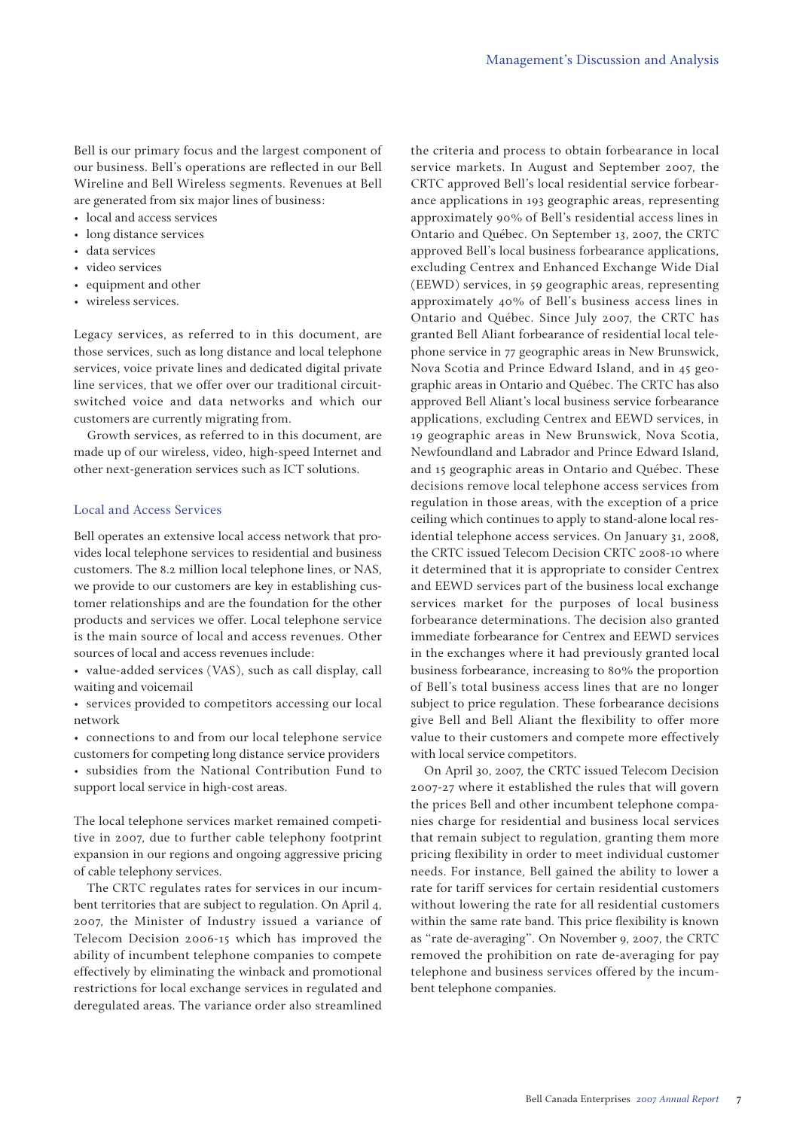Bell is our primary focus and the largest component of our business. Bell's operations are reflected in our Bell Wireline and Bell Wireless segments. Revenues at Bell are generated from six major lines of business:

- local and access services
- long distance services
- data services
- video services
- equipment and other
- wireless services.

Legacy services, as referred to in this document, are those services, such as long distance and local telephone services, voice private lines and dedicated digital private line services, that we offer over our traditional circuitswitched voice and data networks and which our customers are currently migrating from.

Growth services, as referred to in this document, are made up of our wireless, video, high-speed Internet and other next-generation services such as ICT solutions.

# Local and Access Services

Bell operates an extensive local access network that provides local telephone services to residential and business customers. The 8.2 million local telephone lines, or NAS, we provide to our customers are key in establishing customer relationships and are the foundation for the other products and services we offer. Local telephone service is the main source of local and access revenues. Other sources of local and access revenues include:

• value-added services (VAS), such as call display, call waiting and voicemail

• services provided to competitors accessing our local network

• connections to and from our local telephone service customers for competing long distance service providers • subsidies from the National Contribution Fund to support local service in high-cost areas.

The local telephone services market remained competitive in 2007, due to further cable telephony footprint expansion in our regions and ongoing aggressive pricing of cable telephony services.

The CRTC regulates rates for services in our incumbent territories that are subject to regulation. On April 4, 2007, the Minister of Industry issued a variance of Telecom Decision 2006-15 which has improved the ability of incumbent telephone companies to compete effectively by eliminating the winback and promotional restrictions for local exchange services in regulated and deregulated areas. The variance order also streamlined

the criteria and process to obtain forbearance in local service markets. In August and September 2007, the CRTC approved Bell's local residential service forbearance applications in 193 geographic areas, representing approximately 90% of Bell's residential access lines in Ontario and Québec. On September 13, 2007, the CRTC approved Bell's local business forbearance applications, excluding Centrex and Enhanced Exchange Wide Dial (EEWD) services, in 59 geographic areas, representing approximately 40% of Bell's business access lines in Ontario and Québec. Since July 2007, the CRTC has granted Bell Aliant forbearance of residential local telephone service in 77 geographic areas in New Brunswick, Nova Scotia and Prince Edward Island, and in 45 geographic areas in Ontario and Québec. The CRTC has also approved Bell Aliant's local business service forbearance applications, excluding Centrex and EEWD services, in 19 geographic areas in New Brunswick, Nova Scotia, Newfoundland and Labrador and Prince Edward Island, and 15 geographic areas in Ontario and Québec. These decisions remove local telephone access services from regulation in those areas, with the exception of a price ceiling which continues to apply to stand-alone local residential telephone access services. On January 31, 2008, the CRTC issued Telecom Decision CRTC 2008-10 where it determined that it is appropriate to consider Centrex and EEWD services part of the business local exchange services market for the purposes of local business forbearance determinations. The decision also granted immediate forbearance for Centrex and EEWD services in the exchanges where it had previously granted local business forbearance, increasing to 80% the proportion of Bell's total business access lines that are no longer subject to price regulation. These forbearance decisions give Bell and Bell Aliant the flexibility to offer more value to their customers and compete more effectively with local service competitors.

On April 30, 2007, the CRTC issued Telecom Decision 2007-27 where it established the rules that will govern the prices Bell and other incumbent telephone companies charge for residential and business local services that remain subject to regulation, granting them more pricing flexibility in order to meet individual customer needs. For instance, Bell gained the ability to lower a rate for tariff services for certain residential customers without lowering the rate for all residential customers within the same rate band. This price flexibility is known as "rate de-averaging". On November 9, 2007, the CRTC removed the prohibition on rate de-averaging for pay telephone and business services offered by the incumbent telephone companies.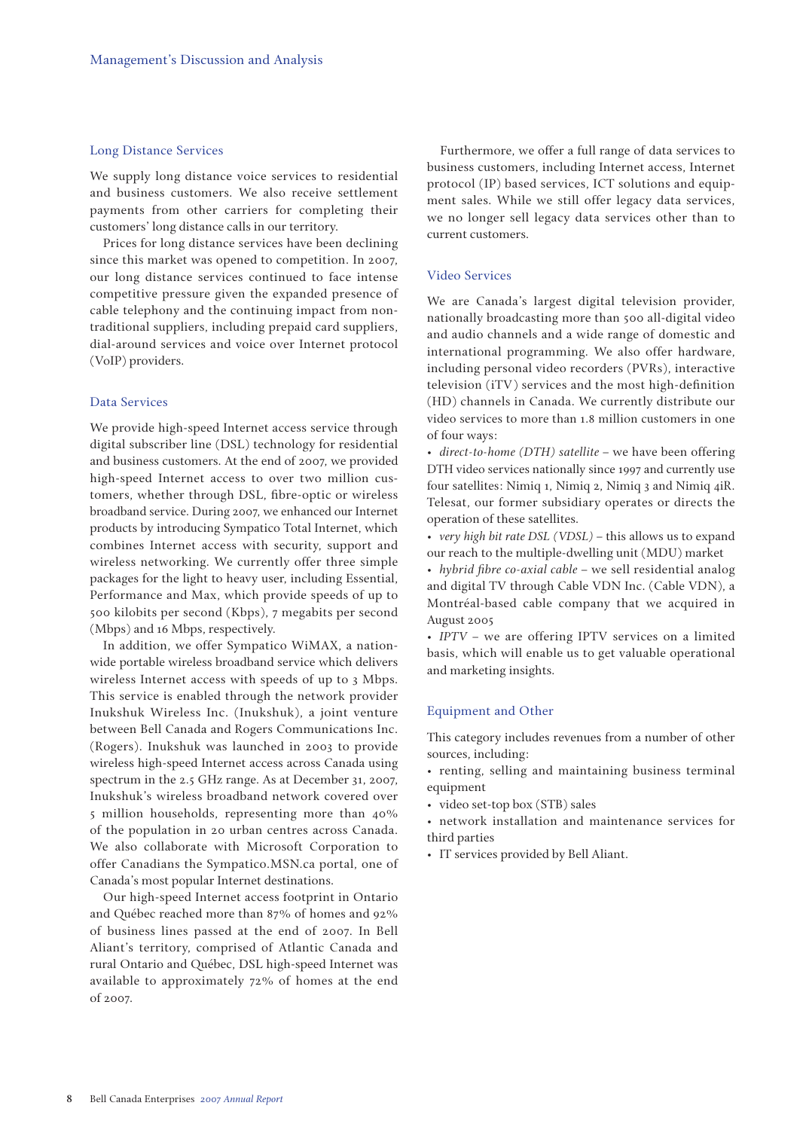#### Long Distance Services

We supply long distance voice services to residential and business customers. We also receive settlement payments from other carriers for completing their customers' long distance calls in our territory.

Prices for long distance services have been declining since this market was opened to competition. In 2007, our long distance services continued to face intense competitive pressure given the expanded presence of cable telephony and the continuing impact from nontraditional suppliers, including prepaid card suppliers, dial-around services and voice over Internet protocol (VoIP) providers.

#### Data Services

We provide high-speed Internet access service through digital subscriber line (DSL) technology for residential and business customers. At the end of 2007, we provided high-speed Internet access to over two million customers, whether through DSL, fibre-optic or wireless broadband service. During 2007, we enhanced our Internet products by introducing Sympatico Total Internet, which combines Internet access with security, support and wireless networking. We currently offer three simple packages for the light to heavy user, including Essential, Performance and Max, which provide speeds of up to 500 kilobits per second (Kbps), 7 megabits per second (Mbps) and 16 Mbps, respectively.

In addition, we offer Sympatico WiMAX, a nationwide portable wireless broadband service which delivers wireless Internet access with speeds of up to 3 Mbps. This service is enabled through the network provider Inukshuk Wireless Inc. (Inukshuk), a joint venture between Bell Canada and Rogers Communications Inc. (Rogers). Inukshuk was launched in 2003 to provide wireless high-speed Internet access across Canada using spectrum in the 2.5 GHz range. As at December 31, 2007, Inukshuk's wireless broadband network covered over 5 million households, representing more than 40% of the population in 20 urban centres across Canada. We also collaborate with Microsoft Corporation to offer Canadians the Sympatico.MSN.ca portal, one of Canada's most popular Internet destinations.

Our high-speed Internet access footprint in Ontario and Québec reached more than 87% of homes and 92% of business lines passed at the end of 2007. In Bell Aliant's territory, comprised of Atlantic Canada and rural Ontario and Québec, DSL high-speed Internet was available to approximately 72% of homes at the end of 2007.

Furthermore, we offer a full range of data services to business customers, including Internet access, Internet protocol (IP) based services, ICT solutions and equipment sales. While we still offer legacy data services, we no longer sell legacy data services other than to current customers.

# Video Services

We are Canada's largest digital television provider, nationally broadcasting more than 500 all-digital video and audio channels and a wide range of domestic and international programming. We also offer hardware, including personal video recorders (PVRs), interactive television (iTV) services and the most high-definition (HD) channels in Canada. We currently distribute our video services to more than 1.8 million customers in one of four ways:

• *direct-to-home (DTH) satellite* – we have been offering DTH video services nationally since 1997 and currently use four satellites: Nimiq 1, Nimiq 2, Nimiq 3 and Nimiq 4iR. Telesat, our former subsidiary operates or directs the operation of these satellites.

• *very high bit rate DSL (VDSL)* – this allows us to expand our reach to the multiple-dwelling unit (MDU) market

• *hybrid fibre co-axial cable* – we sell residential analog and digital TV through Cable VDN Inc. (Cable VDN), a Montréal-based cable company that we acquired in August 2005

• *IPTV* – we are offering IPTV services on a limited basis, which will enable us to get valuable operational and marketing insights.

# Equipment and Other

This category includes revenues from a number of other sources, including:

• renting, selling and maintaining business terminal equipment

• video set-top box (STB) sales

• network installation and maintenance services for third parties

• IT services provided by Bell Aliant.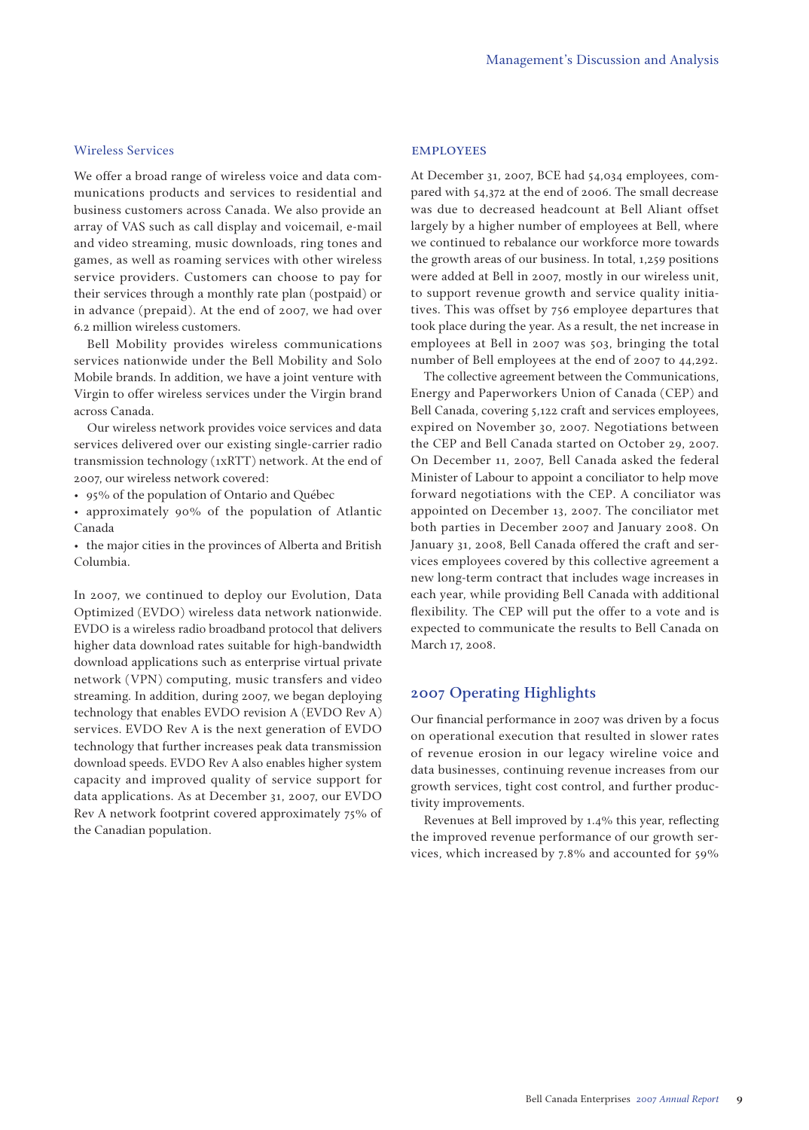# Wireless Services

We offer a broad range of wireless voice and data communications products and services to residential and business customers across Canada. We also provide an array of VAS such as call display and voicemail, e-mail and video streaming, music downloads, ring tones and games, as well as roaming services with other wireless service providers. Customers can choose to pay for their services through a monthly rate plan (postpaid) or in advance (prepaid). At the end of 2007, we had over 6.2 million wireless customers.

Bell Mobility provides wireless communications services nationwide under the Bell Mobility and Solo Mobile brands. In addition, we have a joint venture with Virgin to offer wireless services under the Virgin brand across Canada.

Our wireless network provides voice services and data services delivered over our existing single-carrier radio transmission technology (1xRTT) network. At the end of 2007, our wireless network covered:

• 95% of the population of Ontario and Québec

• approximately 90% of the population of Atlantic Canada

• the major cities in the provinces of Alberta and British Columbia.

In 2007, we continued to deploy our Evolution, Data Optimized (EVDO) wireless data network nationwide. EVDO is a wireless radio broadband protocol that delivers higher data download rates suitable for high-bandwidth download applications such as enterprise virtual private network (VPN) computing, music transfers and video streaming. In addition, during 2007, we began deploying technology that enables EVDO revision A (EVDO Rev A) services. EVDO Rev A is the next generation of EVDO technology that further increases peak data transmission download speeds. EVDO Rev A also enables higher system capacity and improved quality of service support for data applications. As at December 31, 2007, our EVDO Rev A network footprint covered approximately 75% of the Canadian population.

#### **EMPLOYEES**

At December 31, 2007, BCE had 54,034 employees, compared with 54,372 at the end of 2006. The small decrease was due to decreased headcount at Bell Aliant offset largely by a higher number of employees at Bell, where we continued to rebalance our workforce more towards the growth areas of our business. In total, 1,259 positions were added at Bell in 2007, mostly in our wireless unit, to support revenue growth and service quality initiatives. This was offset by 756 employee departures that took place during the year. As a result, the net increase in employees at Bell in 2007 was 503, bringing the total number of Bell employees at the end of 2007 to 44,292.

The collective agreement between the Communications, Energy and Paperworkers Union of Canada (CEP) and Bell Canada, covering 5,122 craft and services employees, expired on November 30, 2007. Negotiations between the CEP and Bell Canada started on October 29, 2007. On December 11, 2007, Bell Canada asked the federal Minister of Labour to appoint a conciliator to help move forward negotiations with the CEP. A conciliator was appointed on December 13, 2007. The conciliator met both parties in December 2007 and January 2008. On January 31, 2008, Bell Canada offered the craft and services employees covered by this collective agreement a new long-term contract that includes wage increases in each year, while providing Bell Canada with additional flexibility. The CEP will put the offer to a vote and is expected to communicate the results to Bell Canada on March 17, 2008.

# **2007 Operating Highlights**

Our financial performance in 2007 was driven by a focus on operational execution that resulted in slower rates of revenue erosion in our legacy wireline voice and data businesses, continuing revenue increases from our growth services, tight cost control, and further productivity improvements.

Revenues at Bell improved by 1.4% this year, reflecting the improved revenue performance of our growth services, which increased by 7.8% and accounted for 59%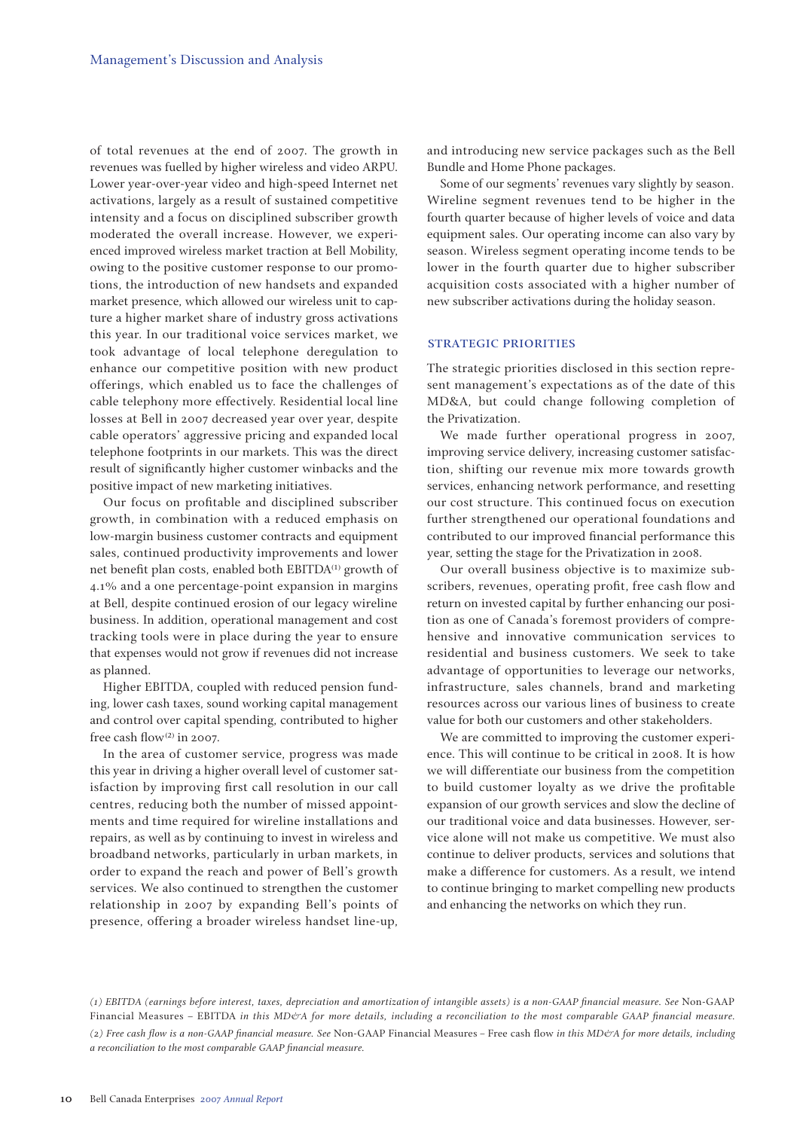of total revenues at the end of 2007. The growth in revenues was fuelled by higher wireless and video ARPU. Lower year-over-year video and high-speed Internet net activations, largely as a result of sustained competitive intensity and a focus on disciplined subscriber growth moderated the overall increase. However, we experienced improved wireless market traction at Bell Mobility, owing to the positive customer response to our promotions, the introduction of new handsets and expanded market presence, which allowed our wireless unit to capture a higher market share of industry gross activations this year. In our traditional voice services market, we took advantage of local telephone deregulation to enhance our competitive position with new product offerings, which enabled us to face the challenges of cable telephony more effectively. Residential local line losses at Bell in 2007 decreased year over year, despite cable operators' aggressive pricing and expanded local telephone footprints in our markets. This was the direct result of significantly higher customer winbacks and the positive impact of new marketing initiatives.

Our focus on profitable and disciplined subscriber growth, in combination with a reduced emphasis on low-margin business customer contracts and equipment sales, continued productivity improvements and lower net benefit plan costs, enabled both EBITDA**(1)** growth of 4.1% and a one percentage-point expansion in margins at Bell, despite continued erosion of our legacy wireline business. In addition, operational management and cost tracking tools were in place during the year to ensure that expenses would not grow if revenues did not increase as planned.

Higher EBITDA, coupled with reduced pension funding, lower cash taxes, sound working capital management and control over capital spending, contributed to higher free cash flow**(2)** in 2007.

In the area of customer service, progress was made this year in driving a higher overall level of customer satisfaction by improving first call resolution in our call centres, reducing both the number of missed appointments and time required for wireline installations and repairs, as well as by continuing to invest in wireless and broadband networks, particularly in urban markets, in order to expand the reach and power of Bell's growth services. We also continued to strengthen the customer relationship in 2007 by expanding Bell's points of presence, offering a broader wireless handset line-up,

and introducing new service packages such as the Bell Bundle and Home Phone packages.

Some of our segments' revenues vary slightly by season. Wireline segment revenues tend to be higher in the fourth quarter because of higher levels of voice and data equipment sales. Our operating income can also vary by season. Wireless segment operating income tends to be lower in the fourth quarter due to higher subscriber acquisition costs associated with a higher number of new subscriber activations during the holiday season.

# strategic priorities

The strategic priorities disclosed in this section represent management's expectations as of the date of this MD&A, but could change following completion of the Privatization.

We made further operational progress in 2007, improving service delivery, increasing customer satisfaction, shifting our revenue mix more towards growth services, enhancing network performance, and resetting our cost structure. This continued focus on execution further strengthened our operational foundations and contributed to our improved financial performance this year, setting the stage for the Privatization in 2008.

Our overall business objective is to maximize subscribers, revenues, operating profit, free cash flow and return on invested capital by further enhancing our position as one of Canada's foremost providers of comprehensive and innovative communication services to residential and business customers. We seek to take advantage of opportunities to leverage our networks, infrastructure, sales channels, brand and marketing resources across our various lines of business to create value for both our customers and other stakeholders.

We are committed to improving the customer experience. This will continue to be critical in 2008. It is how we will differentiate our business from the competition to build customer loyalty as we drive the profitable expansion of our growth services and slow the decline of our traditional voice and data businesses. However, service alone will not make us competitive. We must also continue to deliver products, services and solutions that make a difference for customers. As a result, we intend to continue bringing to market compelling new products and enhancing the networks on which they run.

*<sup>(1)</sup> EBITDA (earnings before interest, taxes, depreciation and amortization of intangible assets) is a non-GAAP financial measure. See* Non-GAAP Financial Measures - EBITDA in this MD&A for more details, including a reconciliation to the most comparable GAAP financial measure. *(2) Free cash flow is a non-GAAP financial measure. See* Non-GAAP Financial Measures *–* Free cash flow *in this MD&A for more details, including a reconciliation to the most comparable GAAP financial measure.*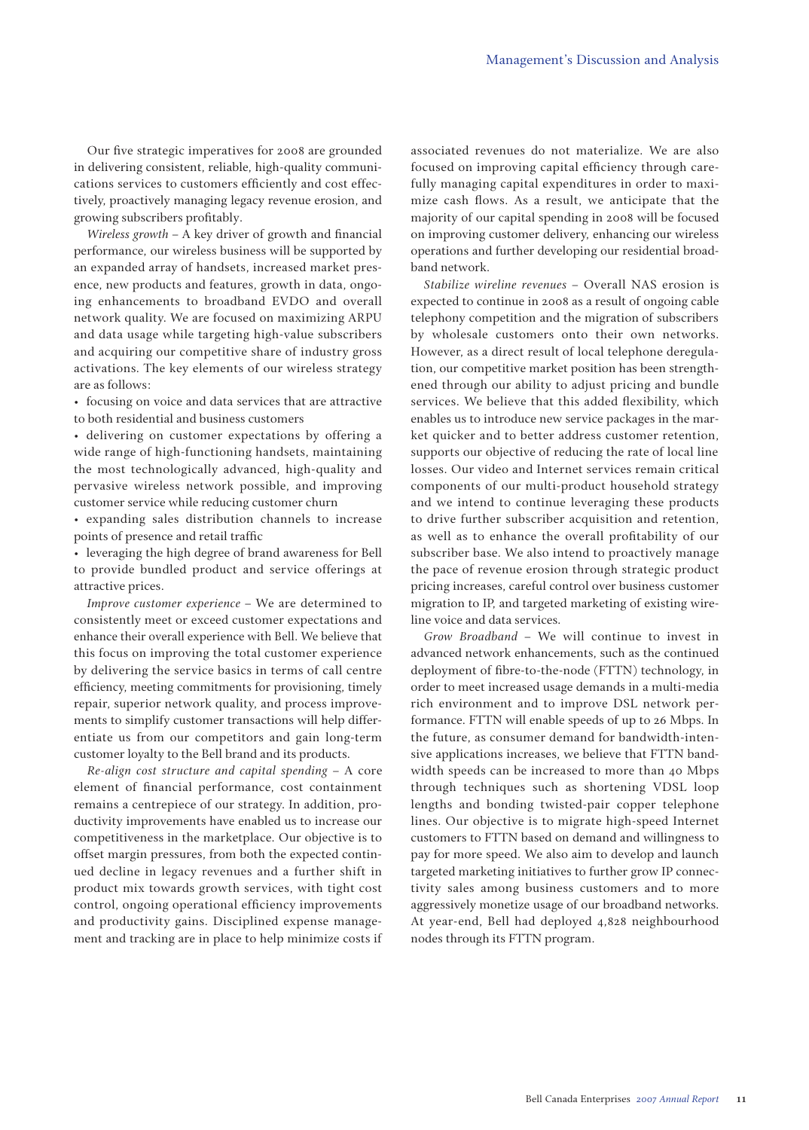Our five strategic imperatives for 2008 are grounded in delivering consistent, reliable, high-quality communications services to customers efficiently and cost effectively, proactively managing legacy revenue erosion, and growing subscribers profitably.

*Wireless growth* – A key driver of growth and financial performance, our wireless business will be supported by an expanded array of handsets, increased market presence, new products and features, growth in data, ongoing enhancements to broadband EVDO and overall network quality. We are focused on maximizing ARPU and data usage while targeting high-value subscribers and acquiring our competitive share of industry gross activations. The key elements of our wireless strategy are as follows:

• focusing on voice and data services that are attractive to both residential and business customers

• delivering on customer expectations by offering a wide range of high-functioning handsets, maintaining the most technologically advanced, high-quality and pervasive wireless network possible, and improving customer service while reducing customer churn

• expanding sales distribution channels to increase points of presence and retail traffic

• leveraging the high degree of brand awareness for Bell to provide bundled product and service offerings at attractive prices.

*Improve customer experience* – We are determined to consistently meet or exceed customer expectations and enhance their overall experience with Bell. We believe that this focus on improving the total customer experience by delivering the service basics in terms of call centre efficiency, meeting commitments for provisioning, timely repair, superior network quality, and process improvements to simplify customer transactions will help differentiate us from our competitors and gain long-term customer loyalty to the Bell brand and its products.

*Re-align cost structure and capital spending* – A core element of financial performance, cost containment remains a centrepiece of our strategy. In addition, productivity improvements have enabled us to increase our competitiveness in the marketplace. Our objective is to offset margin pressures, from both the expected continued decline in legacy revenues and a further shift in product mix towards growth services, with tight cost control, ongoing operational efficiency improvements and productivity gains. Disciplined expense management and tracking are in place to help minimize costs if

associated revenues do not materialize. We are also focused on improving capital efficiency through carefully managing capital expenditures in order to maximize cash flows. As a result, we anticipate that the majority of our capital spending in 2008 will be focused on improving customer delivery, enhancing our wireless operations and further developing our residential broadband network.

*Stabilize wireline revenues* – Overall NAS erosion is expected to continue in 2008 as a result of ongoing cable telephony competition and the migration of subscribers by wholesale customers onto their own networks. However, as a direct result of local telephone deregulation, our competitive market position has been strengthened through our ability to adjust pricing and bundle services. We believe that this added flexibility, which enables us to introduce new service packages in the market quicker and to better address customer retention, supports our objective of reducing the rate of local line losses. Our video and Internet services remain critical components of our multi-product household strategy and we intend to continue leveraging these products to drive further subscriber acquisition and retention, as well as to enhance the overall profitability of our subscriber base. We also intend to proactively manage the pace of revenue erosion through strategic product pricing increases, careful control over business customer migration to IP, and targeted marketing of existing wireline voice and data services.

*Grow Broadband* – We will continue to invest in advanced network enhancements, such as the continued deployment of fibre-to-the-node (FTTN) technology, in order to meet increased usage demands in a multi-media rich environment and to improve DSL network performance. FTTN will enable speeds of up to 26 Mbps. In the future, as consumer demand for bandwidth-intensive applications increases, we believe that FTTN bandwidth speeds can be increased to more than 40 Mbps through techniques such as shortening VDSL loop lengths and bonding twisted-pair copper telephone lines. Our objective is to migrate high-speed Internet customers to FTTN based on demand and willingness to pay for more speed. We also aim to develop and launch targeted marketing initiatives to further grow IP connectivity sales among business customers and to more aggressively monetize usage of our broadband networks. At year-end, Bell had deployed 4,828 neighbourhood nodes through its FTTN program.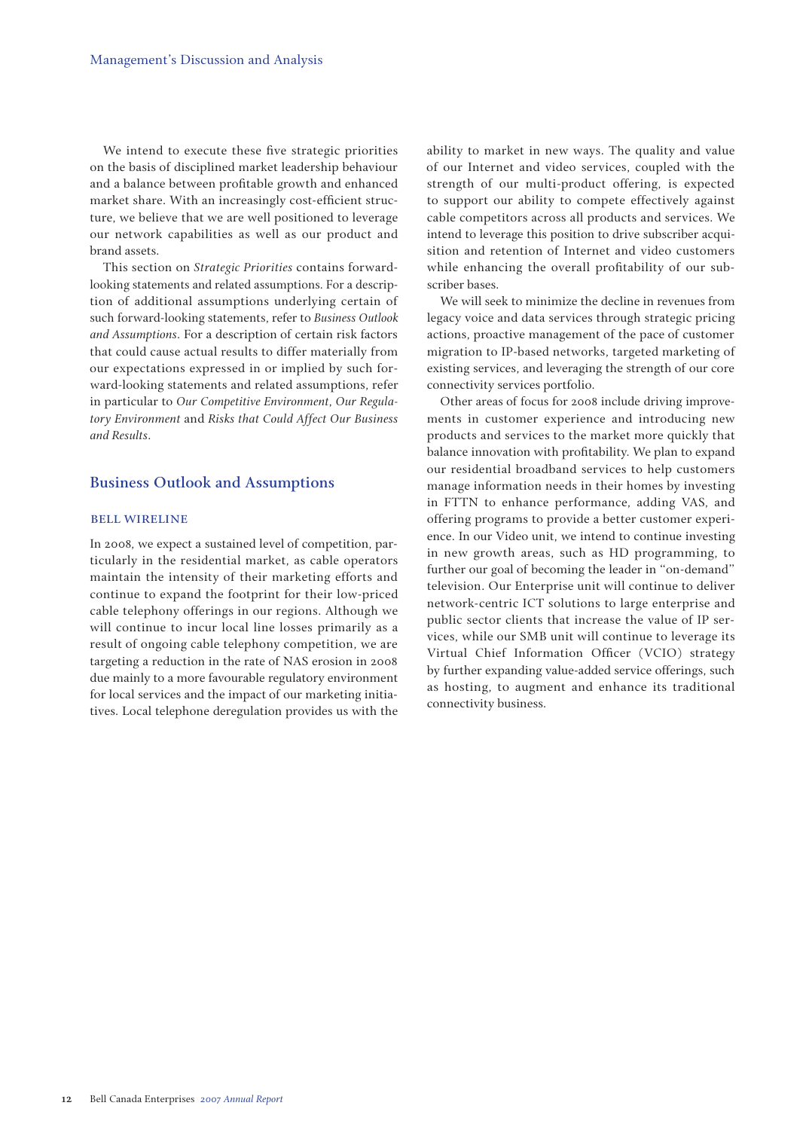We intend to execute these five strategic priorities on the basis of disciplined market leadership behaviour and a balance between profitable growth and enhanced market share. With an increasingly cost-efficient structure, we believe that we are well positioned to leverage our network capabilities as well as our product and brand assets.

This section on *Strategic Priorities* contains forwardlooking statements and related assumptions. For a description of additional assumptions underlying certain of such forward-looking statements, refer to *Business Outlook and Assumptions*. For a description of certain risk factors that could cause actual results to differ materially from our expectations expressed in or implied by such forward-looking statements and related assumptions, refer in particular to *Our Competitive Environment*, *Our Regulatory Environment* and *Risks that Could Affect Our Business and Results*.

# **Business Outlook and Assumptions**

#### bell wireline

In 2008, we expect a sustained level of competition, particularly in the residential market, as cable operators maintain the intensity of their marketing efforts and continue to expand the footprint for their low-priced cable telephony offerings in our regions. Although we will continue to incur local line losses primarily as a result of ongoing cable telephony competition, we are targeting a reduction in the rate of NAS erosion in 2008 due mainly to a more favourable regulatory environment for local services and the impact of our marketing initiatives. Local telephone deregulation provides us with the ability to market in new ways. The quality and value of our Internet and video services, coupled with the strength of our multi-product offering, is expected to support our ability to compete effectively against cable competitors across all products and services. We intend to leverage this position to drive subscriber acquisition and retention of Internet and video customers while enhancing the overall profitability of our subscriber bases.

We will seek to minimize the decline in revenues from legacy voice and data services through strategic pricing actions, proactive management of the pace of customer migration to IP-based networks, targeted marketing of existing services, and leveraging the strength of our core connectivity services portfolio.

Other areas of focus for 2008 include driving improvements in customer experience and introducing new products and services to the market more quickly that balance innovation with profitability. We plan to expand our residential broadband services to help customers manage information needs in their homes by investing in FTTN to enhance performance, adding VAS, and offering programs to provide a better customer experience. In our Video unit, we intend to continue investing in new growth areas, such as HD programming, to further our goal of becoming the leader in "on-demand" television. Our Enterprise unit will continue to deliver network-centric ICT solutions to large enterprise and public sector clients that increase the value of IP services, while our SMB unit will continue to leverage its Virtual Chief Information Officer (VCIO) strategy by further expanding value-added service offerings, such as hosting, to augment and enhance its traditional connectivity business.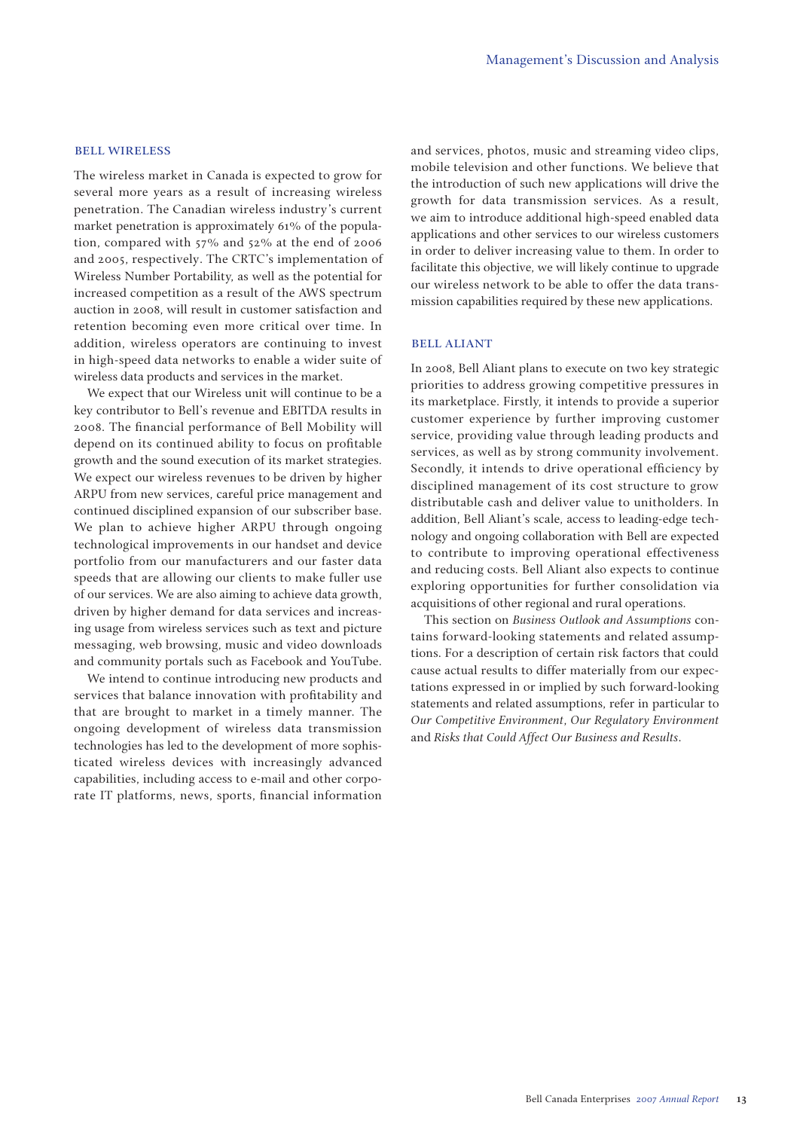# bell wireless

The wireless market in Canada is expected to grow for several more years as a result of increasing wireless penetration. The Canadian wireless industry's current market penetration is approximately 61% of the population, compared with 57% and 52% at the end of 2006 and 2005, respectively. The CRTC's implementation of Wireless Number Portability, as well as the potential for increased competition as a result of the AWS spectrum auction in 2008, will result in customer satisfaction and retention becoming even more critical over time. In addition, wireless operators are continuing to invest in high-speed data networks to enable a wider suite of wireless data products and services in the market.

We expect that our Wireless unit will continue to be a key contributor to Bell's revenue and EBITDA results in 2008. The financial performance of Bell Mobility will depend on its continued ability to focus on profitable growth and the sound execution of its market strategies. We expect our wireless revenues to be driven by higher ARPU from new services, careful price management and continued disciplined expansion of our subscriber base. We plan to achieve higher ARPU through ongoing technological improvements in our handset and device portfolio from our manufacturers and our faster data speeds that are allowing our clients to make fuller use of our services. We are also aiming to achieve data growth, driven by higher demand for data services and increasing usage from wireless services such as text and picture messaging, web browsing, music and video downloads and community portals such as Facebook and YouTube.

We intend to continue introducing new products and services that balance innovation with profitability and that are brought to market in a timely manner. The ongoing development of wireless data transmission technologies has led to the development of more sophisticated wireless devices with increasingly advanced capabilities, including access to e-mail and other corporate IT platforms, news, sports, financial information

and services, photos, music and streaming video clips, mobile television and other functions. We believe that the introduction of such new applications will drive the growth for data transmission services. As a result, we aim to introduce additional high-speed enabled data applications and other services to our wireless customers in order to deliver increasing value to them. In order to facilitate this objective, we will likely continue to upgrade our wireless network to be able to offer the data transmission capabilities required by these new applications.

# bell aliant

In 2008, Bell Aliant plans to execute on two key strategic priorities to address growing competitive pressures in its marketplace. Firstly, it intends to provide a superior customer experience by further improving customer service, providing value through leading products and services, as well as by strong community involvement. Secondly, it intends to drive operational efficiency by disciplined management of its cost structure to grow distributable cash and deliver value to unitholders. In addition, Bell Aliant's scale, access to leading-edge technology and ongoing collaboration with Bell are expected to contribute to improving operational effectiveness and reducing costs. Bell Aliant also expects to continue exploring opportunities for further consolidation via acquisitions of other regional and rural operations.

This section on *Business Outlook and Assumptions* contains forward-looking statements and related assumptions. For a description of certain risk factors that could cause actual results to differ materially from our expectations expressed in or implied by such forward-looking statements and related assumptions, refer in particular to *Our Competitive Environment*, *Our Regulatory Environment*  and *Risks that Could Affect Our Business and Results*.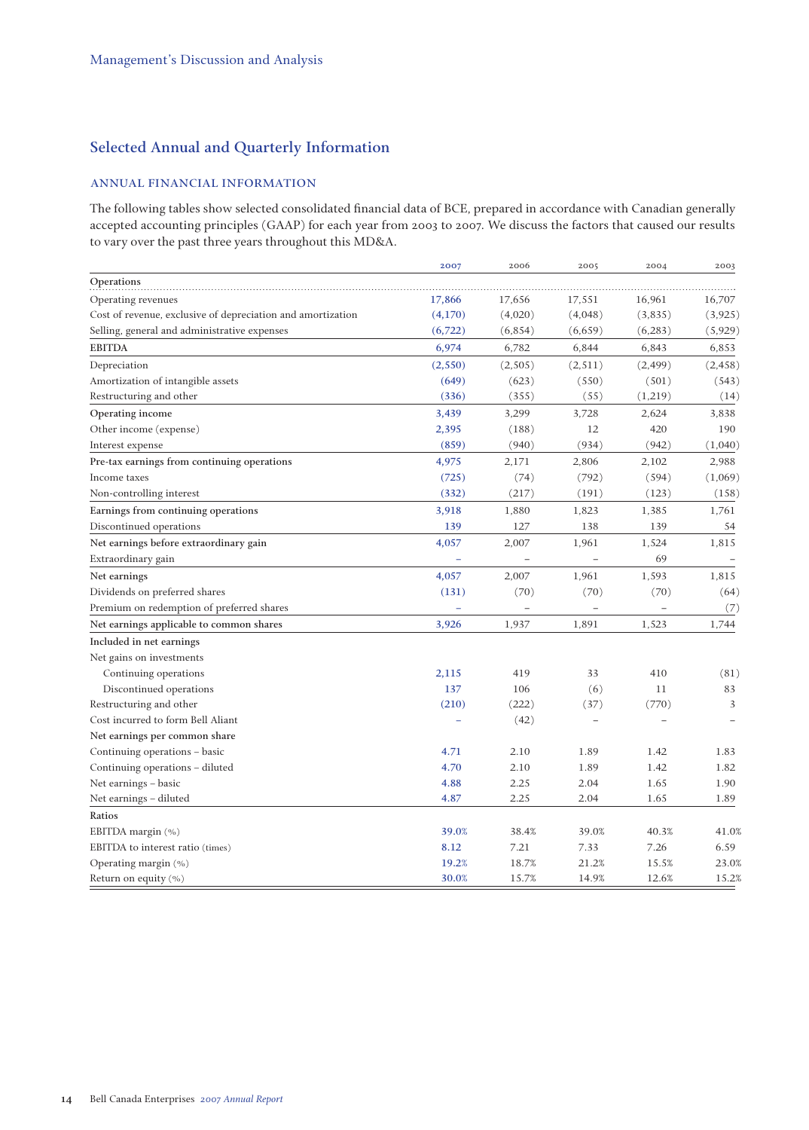# **Selected Annual and Quarterly Information**

# annual financial information

The following tables show selected consolidated financial data of BCE, prepared in accordance with Canadian generally accepted accounting principles (GAAP) for each year from 2003 to 2007. We discuss the factors that caused our results to vary over the past three years throughout this MD&A.

|                                                             | 2007                     | 2006              | 2005                     | 2004     | 2003    |
|-------------------------------------------------------------|--------------------------|-------------------|--------------------------|----------|---------|
| Operations                                                  |                          |                   |                          |          |         |
| Operating revenues                                          | 17,866                   | 17,656            | 17,551                   | 16,961   | 16,707  |
| Cost of revenue, exclusive of depreciation and amortization | (4,170)                  | (4,020)           | (4,048)                  | (3,835)  | (3,925) |
| Selling, general and administrative expenses                | (6,722)                  | (6, 854)          | (6,659)                  | (6,283)  | (5,929) |
| <b>EBITDA</b>                                               | 6,974                    | 6,782             | 6,844                    | 6,843    | 6,853   |
| Depreciation                                                | (2,550)                  | (2,505)           | (2,511)                  | (2, 499) | (2,458) |
| Amortization of intangible assets                           | (649)                    | (623)             | (550)                    | (501)    | (543)   |
| Restructuring and other                                     | (336)                    | (355)             | (55)                     | (1,219)  | (14)    |
| Operating income                                            | 3,439                    | 3,299             | 3,728                    | 2,624    | 3,838   |
| Other income (expense)                                      | 2,395                    | (188)             | 12                       | 420      | 190     |
| Interest expense                                            | (859)                    | (940)             | (934)                    | (942)    | (1,040) |
| Pre-tax earnings from continuing operations                 | 4,975                    | 2,171             | 2,806                    | 2,102    | 2,988   |
| Income taxes                                                | (725)                    | (74)              | (792)                    | (594)    | (1,069) |
| Non-controlling interest                                    | (332)                    | (217)             | (191)                    | (123)    | (158)   |
| Earnings from continuing operations                         | 3,918                    | 1,880             | 1,823                    | 1,385    | 1,761   |
| Discontinued operations                                     | 139                      | 127               | 138                      | 139      | 54      |
| Net earnings before extraordinary gain                      | 4,057                    | 2,007             | 1,961                    | 1,524    | 1,815   |
| Extraordinary gain                                          | $\overline{\phantom{a}}$ | $\qquad \qquad -$ | $\overline{\phantom{m}}$ | 69       |         |
| Net earnings                                                | 4,057                    | 2,007             | 1,961                    | 1,593    | 1,815   |
| Dividends on preferred shares                               | (131)                    | (70)              | (70)                     | (70)     | (64)    |
| Premium on redemption of preferred shares                   |                          |                   |                          |          | (7)     |
| Net earnings applicable to common shares                    | 3,926                    | 1,937             | 1,891                    | 1,523    | 1,744   |
| Included in net earnings                                    |                          |                   |                          |          |         |
| Net gains on investments                                    |                          |                   |                          |          |         |
| Continuing operations                                       | 2,115                    | 419               | 33                       | 410      | (81)    |
| Discontinued operations                                     | 137                      | 106               | (6)                      | 11       | 83      |
| Restructuring and other                                     | (210)                    | (222)             | (37)                     | (770)    | 3       |
| Cost incurred to form Bell Aliant                           |                          | (42)              | $\overline{\phantom{0}}$ |          |         |
| Net earnings per common share                               |                          |                   |                          |          |         |
| Continuing operations - basic                               | 4.71                     | 2.10              | 1.89                     | 1.42     | 1.83    |
| Continuing operations - diluted                             | 4.70                     | 2.10              | 1.89                     | 1.42     | 1.82    |
| Net earnings - basic                                        | 4.88                     | 2.25              | 2.04                     | 1.65     | 1.90    |
| Net earnings - diluted                                      | 4.87                     | 2.25              | 2.04                     | 1.65     | 1.89    |
| Ratios                                                      |                          |                   |                          |          |         |
| EBITDA margin (%)                                           | 39.0%                    | 38.4%             | 39.0%                    | 40.3%    | 41.0%   |
| EBITDA to interest ratio (times)                            | 8.12                     | 7.21              | 7.33                     | 7.26     | 6.59    |
| Operating margin (%)                                        | 19.2%                    | 18.7%             | 21.2%                    | 15.5%    | 23.0%   |
| Return on equity (%)                                        | 30.0%                    | 15.7%             | 14.9%                    | 12.6%    | 15.2%   |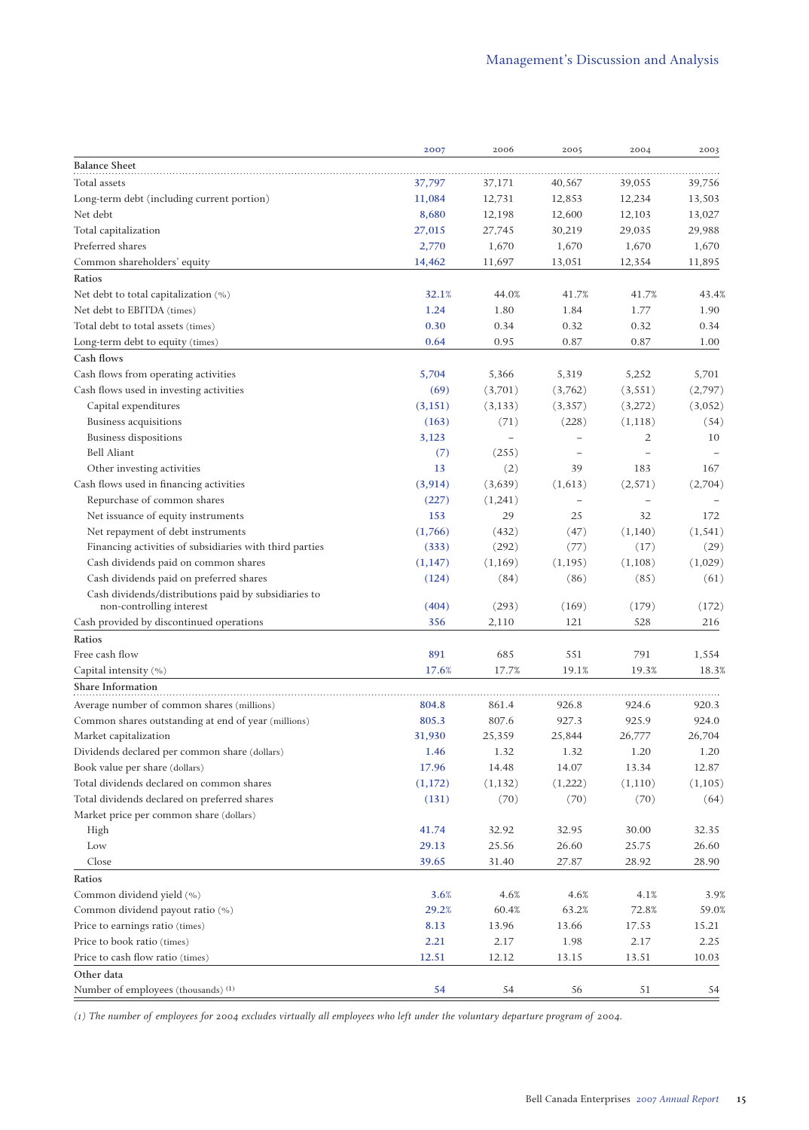|                                                         | 2007    | 2006    | 2005    | 2004           | 2003     |
|---------------------------------------------------------|---------|---------|---------|----------------|----------|
| <b>Balance Sheet</b>                                    |         |         |         |                |          |
| Total assets                                            | 37,797  | 37,171  | 40,567  | 39,055         | 39,756   |
| Long-term debt (including current portion)              | 11,084  | 12,731  | 12,853  | 12,234         | 13,503   |
| Net debt                                                | 8,680   | 12,198  | 12,600  | 12,103         | 13,027   |
| Total capitalization                                    | 27,015  | 27,745  | 30,219  | 29,035         | 29,988   |
| Preferred shares                                        | 2,770   | 1,670   | 1,670   | 1,670          | 1,670    |
| Common shareholders' equity                             | 14,462  | 11,697  | 13,051  | 12,354         | 11,895   |
| Ratios                                                  |         |         |         |                |          |
| Net debt to total capitalization (%)                    | 32.1%   | 44.0%   | 41.7%   | 41.7%          | 43.4%    |
| Net debt to EBITDA (times)                              | 1.24    | 1.80    | 1.84    | 1.77           | 1.90     |
| Total debt to total assets (times)                      | 0.30    | 0.34    | 0.32    | 0.32           | 0.34     |
| Long-term debt to equity (times)                        | 0.64    | 0.95    | 0.87    | 0.87           | 1.00     |
| Cash flows                                              |         |         |         |                |          |
| Cash flows from operating activities                    | 5,704   | 5,366   | 5,319   | 5,252          | 5,701    |
| Cash flows used in investing activities                 | (69)    | (3,701) | (3,762) | (3,551)        | (2,797)  |
| Capital expenditures                                    | (3,151) | (3,133) | (3,357) | (3,272)        | (3,052)  |
| Business acquisitions                                   | (163)   | (71)    | (228)   | (1,118)        | (54)     |
| Business dispositions                                   | 3,123   |         |         | $\overline{2}$ | 10       |
| <b>Bell Aliant</b>                                      | (7)     | (255)   |         |                |          |
| Other investing activities                              | 13      | (2)     | 39      | 183            | 167      |
| Cash flows used in financing activities                 | (3,914) | (3,639) | (1,613) | (2,571)        | (2,704)  |
| Repurchase of common shares                             | (227)   | (1,241) |         |                |          |
| Net issuance of equity instruments                      | 153     | 29      | 25      | 32             | 172      |
| Net repayment of debt instruments                       | (1,766) | (432)   | (47)    | (1,140)        | (1, 541) |
| Financing activities of subsidiaries with third parties | (333)   | (292)   | (77)    | (17)           | (29)     |
| Cash dividends paid on common shares                    | (1,147) | (1,169) | (1,195) | (1,108)        | (1,029)  |
| Cash dividends paid on preferred shares                 | (124)   | (84)    | (86)    | (85)           | (61)     |
| Cash dividends/distributions paid by subsidiaries to    |         |         |         |                |          |
| non-controlling interest                                | (404)   | (293)   | (169)   | (179)          | (172)    |
| Cash provided by discontinued operations                | 356     | 2,110   | 121     | 528            | 216      |
| Ratios                                                  |         |         |         |                |          |
| Free cash flow                                          | 891     | 685     | 551     | 791            | 1,554    |
| Capital intensity (%)                                   | 17.6%   | 17.7%   | 19.1%   | 19.3%          | 18.3%    |
| <b>Share Information</b>                                |         |         |         |                |          |
| Average number of common shares (millions)              | 804.8   | 861.4   | 926.8   | 924.6          | 920.3    |
| Common shares outstanding at end of year (millions)     | 805.3   | 807.6   | 927.3   | 925.9          | 924.0    |
| Market capitalization                                   | 31,930  | 25,359  | 25,844  | 26,777         | 26,704   |
| Dividends declared per common share (dollars)           | 1.46    | 1.32    | 1.32    | 1.20           | 1.20     |
| Book value per share (dollars)                          | 17.96   | 14.48   | 14.07   | 13.34          | 12.87    |
| Total dividends declared on common shares               | (1,172) | (1,132) | (1,222) | (1,110)        | (1,105)  |
| Total dividends declared on preferred shares            | (131)   | (70)    | (70)    | (70)           | (64)     |
| Market price per common share (dollars)                 |         |         |         |                |          |
| High                                                    | 41.74   | 32.92   | 32.95   | 30.00          | 32.35    |
| Low                                                     | 29.13   | 25.56   | 26.60   | 25.75          | 26.60    |
| Close                                                   | 39.65   | 31.40   | 27.87   | 28.92          | 28.90    |
| Ratios                                                  |         |         |         |                |          |
| Common dividend yield (%)                               | 3.6%    | 4.6%    | 4.6%    | 4.1%           | 3.9%     |
| Common dividend payout ratio (%)                        | 29.2%   | 60.4%   | 63.2%   | 72.8%          | 59.0%    |
| Price to earnings ratio (times)                         | 8.13    | 13.96   | 13.66   | 17.53          | 15.21    |
| Price to book ratio (times)                             | 2.21    | 2.17    | 1.98    | 2.17           | 2.25     |
| Price to cash flow ratio (times)                        | 12.51   | 12.12   | 13.15   | 13.51          | 10.03    |
| Other data                                              |         |         |         |                |          |
| Number of employees (thousands) <sup>(1)</sup>          | 54      | 54      | 56      | 51             | 54       |
|                                                         |         |         |         |                |          |

*(1) The number of employees for 2004 excludes virtually all employees who left under the voluntary departure program of 2004.*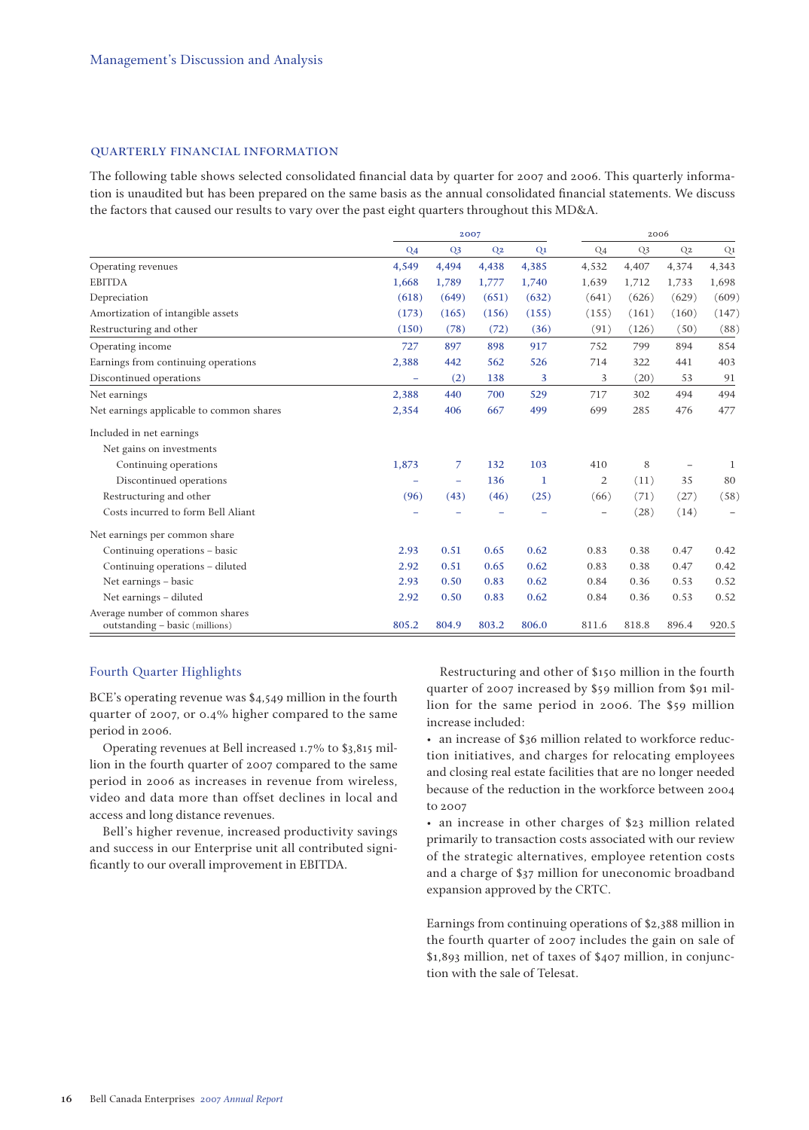# quarterly financial information

The following table shows selected consolidated financial data by quarter for 2007 and 2006. This quarterly information is unaudited but has been prepared on the same basis as the annual consolidated financial statements. We discuss the factors that caused our results to vary over the past eight quarters throughout this MD&A.

|                                          |                | 2007                     |                |       | 2006                     |       |       |       |
|------------------------------------------|----------------|--------------------------|----------------|-------|--------------------------|-------|-------|-------|
|                                          | Q <sub>4</sub> | Q <sub>3</sub>           | Q <sub>2</sub> | $Q_1$ | $Q_4$                    | $Q_3$ | Q2    | Q1    |
| Operating revenues                       | 4,549          | 4,494                    | 4,438          | 4,385 | 4,532                    | 4,407 | 4,374 | 4,343 |
| <b>EBITDA</b>                            | 1,668          | 1,789                    | 1,777          | 1,740 | 1,639                    | 1,712 | 1,733 | 1,698 |
| Depreciation                             | (618)          | (649)                    | (651)          | (632) | (641)                    | (626) | (629) | (609) |
| Amortization of intangible assets        | (173)          | (165)                    | (156)          | (155) | (155)                    | (161) | (160) | (147) |
| Restructuring and other                  | (150)          | (78)                     | (72)           | (36)  | (91)                     | (126) | (50)  | (88)  |
| Operating income                         | 727            | 897                      | 898            | 917   | 752                      | 799   | 894   | 854   |
| Earnings from continuing operations      | 2,388          | 442                      | 562            | 526   | 714                      | 322   | 441   | 403   |
| Discontinued operations                  | ÷              | (2)                      | 138            | 3     | 3                        | (20)  | 53    | 91    |
| Net earnings                             | 2,388          | 440                      | 700            | 529   | 717                      | 302   | 494   | 494   |
| Net earnings applicable to common shares | 2,354          | 406                      | 667            | 499   | 699                      | 285   | 476   | 477   |
| Included in net earnings                 |                |                          |                |       |                          |       |       |       |
| Net gains on investments                 |                |                          |                |       |                          |       |       |       |
| Continuing operations                    | 1,873          | 7                        | 132            | 103   | 410                      | 8     |       | 1     |
| Discontinued operations                  | -              | $\overline{\phantom{0}}$ | 136            | 1     | $\overline{2}$           | (11)  | 35    | 80    |
| Restructuring and other                  | (96)           | (43)                     | (46)           | (25)  | (66)                     | (71)  | (27)  | (58)  |
| Costs incurred to form Bell Aliant       |                |                          |                |       | $\overline{\phantom{0}}$ | (28)  | (14)  |       |
| Net earnings per common share            |                |                          |                |       |                          |       |       |       |
| Continuing operations - basic            | 2.93           | 0.51                     | 0.65           | 0.62  | 0.83                     | 0.38  | 0.47  | 0.42  |
| Continuing operations - diluted          | 2.92           | 0.51                     | 0.65           | 0.62  | 0.83                     | 0.38  | 0.47  | 0.42  |
| Net earnings - basic                     | 2.93           | 0.50                     | 0.83           | 0.62  | 0.84                     | 0.36  | 0.53  | 0.52  |
| Net earnings - diluted                   | 2.92           | 0.50                     | 0.83           | 0.62  | 0.84                     | 0.36  | 0.53  | 0.52  |
| Average number of common shares          |                |                          |                |       |                          |       |       |       |
| outstanding - basic (millions)           | 805.2          | 804.9                    | 803.2          | 806.0 | 811.6                    | 818.8 | 896.4 | 920.5 |

# Fourth Quarter Highlights

BCE's operating revenue was \$4,549 million in the fourth quarter of 2007, or 0.4% higher compared to the same period in 2006.

Operating revenues at Bell increased 1.7% to \$3,815 million in the fourth quarter of 2007 compared to the same period in 2006 as increases in revenue from wireless, video and data more than offset declines in local and access and long distance revenues.

Bell's higher revenue, increased productivity savings and success in our Enterprise unit all contributed significantly to our overall improvement in EBITDA.

Restructuring and other of \$150 million in the fourth quarter of 2007 increased by \$59 million from \$91 million for the same period in 2006. The \$59 million increase included:

• an increase of \$36 million related to workforce reduction initiatives, and charges for relocating employees and closing real estate facilities that are no longer needed because of the reduction in the workforce between 2004 to 2007

• an increase in other charges of \$23 million related primarily to transaction costs associated with our review of the strategic alternatives, employee retention costs and a charge of \$37 million for uneconomic broadband expansion approved by the CRTC.

Earnings from continuing operations of \$2,388 million in the fourth quarter of 2007 includes the gain on sale of \$1,893 million, net of taxes of \$407 million, in conjunction with the sale of Telesat.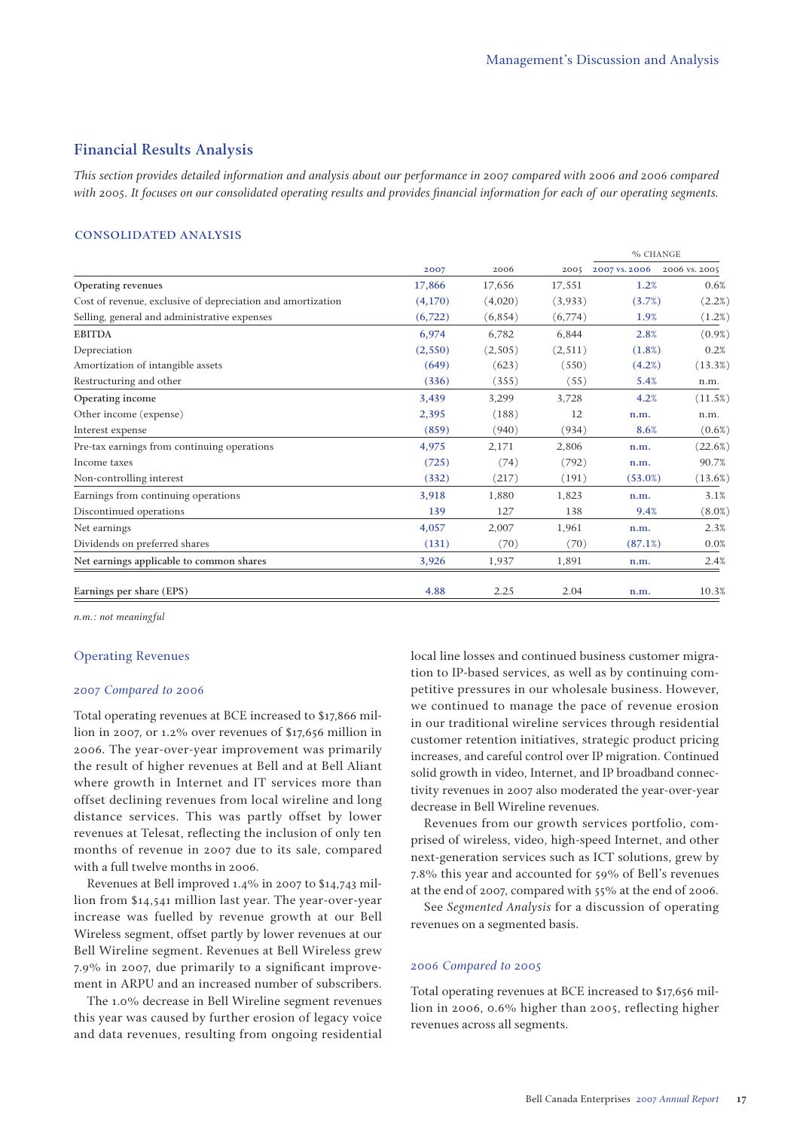# **Financial Results Analysis**

*This section provides detailed information and analysis about our performance in 2007 compared with 2006 and 2006 compared with 2005. It focuses on our consolidated operating results and provides financial information for each of our operating segments.*

# consolidated analysis

|                                                             |         |          | % CHANGE |               |               |
|-------------------------------------------------------------|---------|----------|----------|---------------|---------------|
|                                                             | 2007    | 2006     | 2005     | 2007 vs. 2006 | 2006 vs. 2005 |
| <b>Operating revenues</b>                                   | 17,866  | 17,656   | 17,551   | 1.2%          | 0.6%          |
| Cost of revenue, exclusive of depreciation and amortization | (4,170) | (4,020)  | (3,933)  | (3.7%)        | (2.2%)        |
| Selling, general and administrative expenses                | (6,722) | (6, 854) | (6,774)  | 1.9%          | (1.2%)        |
| <b>EBITDA</b>                                               | 6,974   | 6,782    | 6,844    | 2.8%          | $(0.9\%)$     |
| Depreciation                                                | (2,550) | (2,505)  | (2,511)  | (1.8%)        | 0.2%          |
| Amortization of intangible assets                           | (649)   | (623)    | (550)    | (4.2%)        | (13.3%)       |
| Restructuring and other                                     | (336)   | (355)    | (55)     | 5.4%          | n.m.          |
| Operating income                                            | 3,439   | 3,299    | 3,728    | 4.2%          | (11.5%)       |
| Other income (expense)                                      | 2,395   | (188)    | 12       | n.m.          | n.m.          |
| Interest expense                                            | (859)   | (940)    | (934)    | 8.6%          | $(0.6\%)$     |
| Pre-tax earnings from continuing operations                 | 4,975   | 2,171    | 2,806    | n.m.          | (22.6%)       |
| Income taxes                                                | (725)   | (74)     | (792)    | n.m.          | 90.7%         |
| Non-controlling interest                                    | (332)   | (217)    | (191)    | $(53.0\%)$    | (13.6%)       |
| Earnings from continuing operations                         | 3,918   | 1,880    | 1,823    | n.m.          | 3.1%          |
| Discontinued operations                                     | 139     | 127      | 138      | 9.4%          | $(8.0\%)$     |
| Net earnings                                                | 4,057   | 2,007    | 1,961    | n.m.          | 2.3%          |
| Dividends on preferred shares                               | (131)   | (70)     | (70)     | (87.1%)       | 0.0%          |
| Net earnings applicable to common shares                    | 3,926   | 1,937    | 1,891    | n.m.          | 2.4%          |
| Earnings per share (EPS)                                    | 4.88    | 2.25     | 2.04     | n.m.          | 10.3%         |

*n.m.: not meaningful*

#### Operating Revenues

#### *2007 Compared to 2006*

Total operating revenues at BCE increased to \$17,866 million in 2007, or 1.2% over revenues of \$17,656 million in 2006. The year-over-year improvement was primarily the result of higher revenues at Bell and at Bell Aliant where growth in Internet and IT services more than offset declining revenues from local wireline and long distance services. This was partly offset by lower revenues at Telesat, reflecting the inclusion of only ten months of revenue in 2007 due to its sale, compared with a full twelve months in 2006.

Revenues at Bell improved 1.4% in 2007 to \$14,743 million from \$14,541 million last year. The year-over-year increase was fuelled by revenue growth at our Bell Wireless segment, offset partly by lower revenues at our Bell Wireline segment. Revenues at Bell Wireless grew 7.9% in 2007, due primarily to a significant improvement in ARPU and an increased number of subscribers.

The 1.0% decrease in Bell Wireline segment revenues this year was caused by further erosion of legacy voice and data revenues, resulting from ongoing residential

local line losses and continued business customer migration to IP-based services, as well as by continuing competitive pressures in our wholesale business. However, we continued to manage the pace of revenue erosion in our traditional wireline services through residential customer retention initiatives, strategic product pricing increases, and careful control over IP migration. Continued solid growth in video, Internet, and IP broadband connectivity revenues in 2007 also moderated the year-over-year decrease in Bell Wireline revenues.

Revenues from our growth services portfolio, comprised of wireless, video, high-speed Internet, and other next-generation services such as ICT solutions, grew by 7.8% this year and accounted for 59% of Bell's revenues at the end of 2007, compared with 55% at the end of 2006.

See *Segmented Analysis* for a discussion of operating revenues on a segmented basis.

#### *2006 Compared to 2005*

Total operating revenues at BCE increased to \$17,656 million in 2006, 0.6% higher than 2005, reflecting higher revenues across all segments.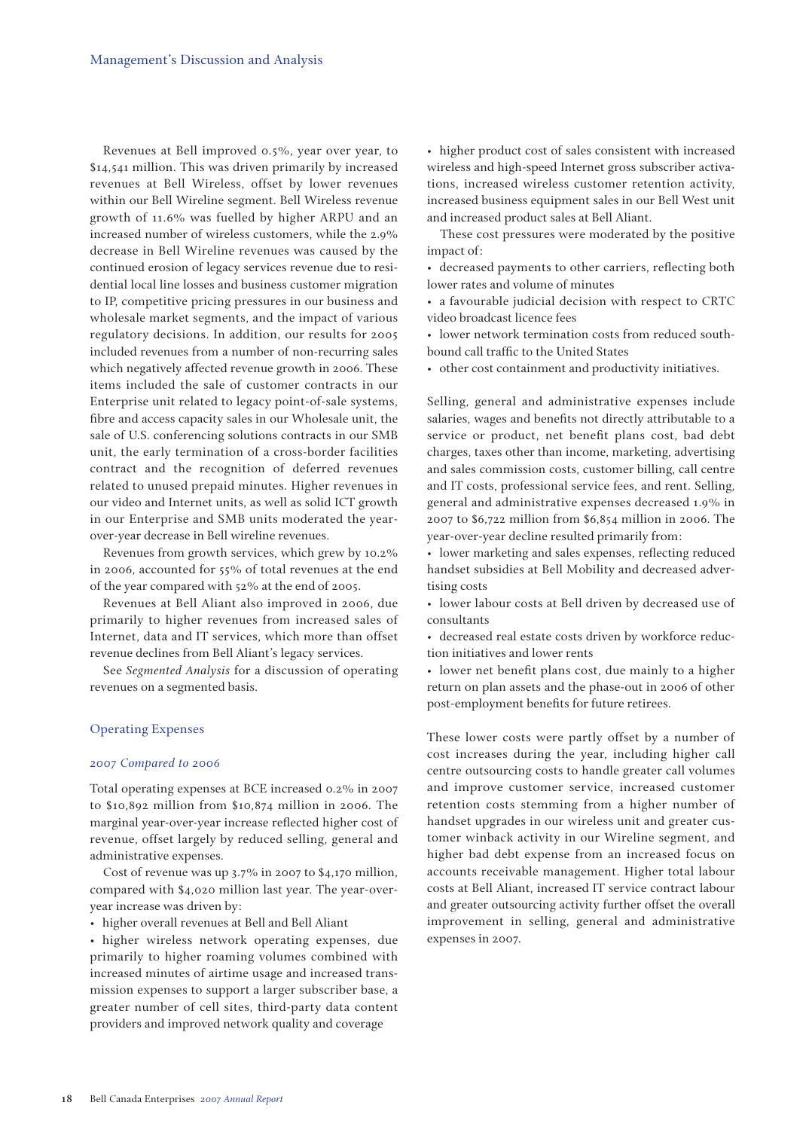Revenues at Bell improved 0.5%, year over year, to \$14,541 million. This was driven primarily by increased revenues at Bell Wireless, offset by lower revenues within our Bell Wireline segment. Bell Wireless revenue growth of 11.6% was fuelled by higher ARPU and an increased number of wireless customers, while the 2.9% decrease in Bell Wireline revenues was caused by the continued erosion of legacy services revenue due to residential local line losses and business customer migration to IP, competitive pricing pressures in our business and wholesale market segments, and the impact of various regulatory decisions. In addition, our results for 2005 included revenues from a number of non-recurring sales which negatively affected revenue growth in 2006. These items included the sale of customer contracts in our Enterprise unit related to legacy point-of-sale systems, fibre and access capacity sales in our Wholesale unit, the sale of U.S. conferencing solutions contracts in our SMB unit, the early termination of a cross-border facilities contract and the recognition of deferred revenues related to unused prepaid minutes. Higher revenues in our video and Internet units, as well as solid ICT growth in our Enterprise and SMB units moderated the yearover-year decrease in Bell wireline revenues.

Revenues from growth services, which grew by 10.2% in 2006, accounted for 55% of total revenues at the end of the year compared with 52% at the end of 2005.

Revenues at Bell Aliant also improved in 2006, due primarily to higher revenues from increased sales of Internet, data and IT services, which more than offset revenue declines from Bell Aliant's legacy services.

See *Segmented Analysis* for a discussion of operating revenues on a segmented basis.

#### Operating Expenses

#### *2007 Compared to 2006*

Total operating expenses at BCE increased 0.2% in 2007 to \$10,892 million from \$10,874 million in 2006. The marginal year-over-year increase reflected higher cost of revenue, offset largely by reduced selling, general and administrative expenses.

Cost of revenue was up 3.7% in 2007 to \$4,170 million, compared with \$4,020 million last year. The year-overyear increase was driven by:

• higher overall revenues at Bell and Bell Aliant

• higher wireless network operating expenses, due primarily to higher roaming volumes combined with increased minutes of airtime usage and increased transmission expenses to support a larger subscriber base, a greater number of cell sites, third-party data content providers and improved network quality and coverage

• higher product cost of sales consistent with increased wireless and high-speed Internet gross subscriber activations, increased wireless customer retention activity, increased business equipment sales in our Bell West unit and increased product sales at Bell Aliant.

These cost pressures were moderated by the positive impact of:

• decreased payments to other carriers, reflecting both lower rates and volume of minutes

• a favourable judicial decision with respect to CRTC video broadcast licence fees

• lower network termination costs from reduced southbound call traffic to the United States

• other cost containment and productivity initiatives.

Selling, general and administrative expenses include salaries, wages and benefits not directly attributable to a service or product, net benefit plans cost, bad debt charges, taxes other than income, marketing, advertising and sales commission costs, customer billing, call centre and IT costs, professional service fees, and rent. Selling, general and administrative expenses decreased 1.9% in 2007 to \$6,722 million from \$6,854 million in 2006. The year-over-year decline resulted primarily from:

• lower marketing and sales expenses, reflecting reduced handset subsidies at Bell Mobility and decreased advertising costs

• lower labour costs at Bell driven by decreased use of consultants

• decreased real estate costs driven by workforce reduction initiatives and lower rents

• lower net benefit plans cost, due mainly to a higher return on plan assets and the phase-out in 2006 of other post-employment benefits for future retirees.

These lower costs were partly offset by a number of cost increases during the year, including higher call centre outsourcing costs to handle greater call volumes and improve customer service, increased customer retention costs stemming from a higher number of handset upgrades in our wireless unit and greater customer winback activity in our Wireline segment, and higher bad debt expense from an increased focus on accounts receivable management. Higher total labour costs at Bell Aliant, increased IT service contract labour and greater outsourcing activity further offset the overall improvement in selling, general and administrative expenses in 2007.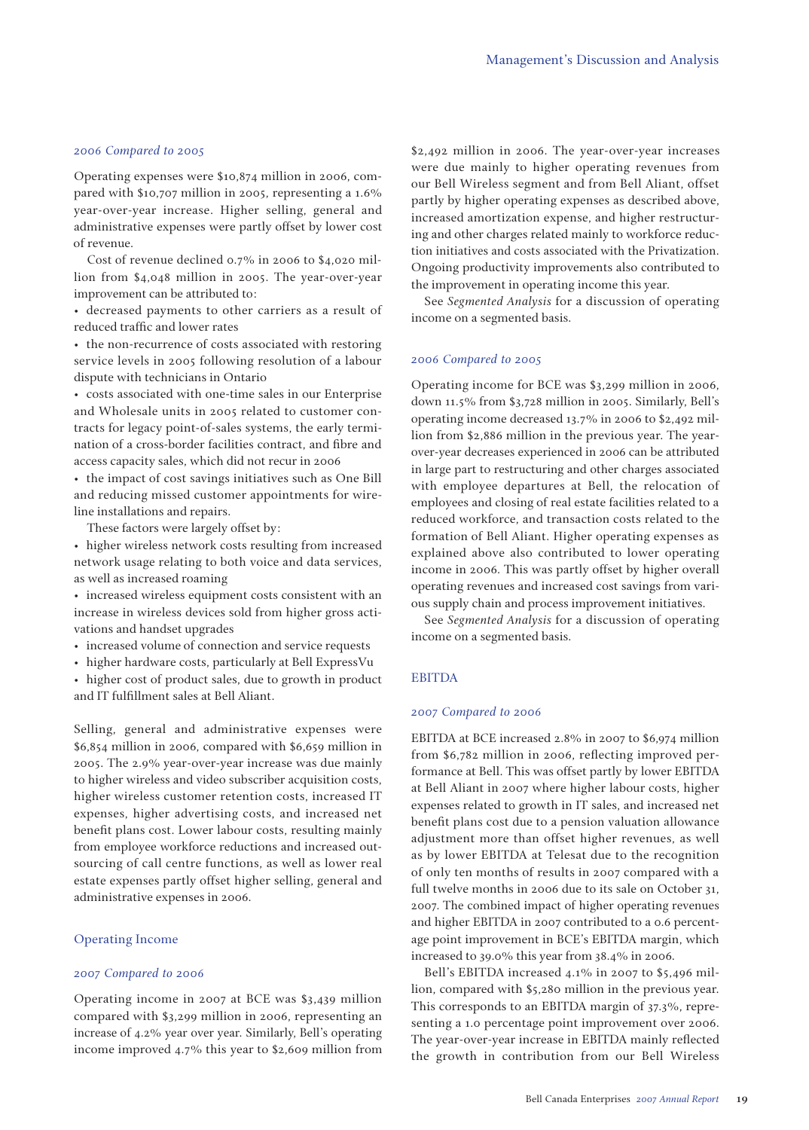# *2006 Compared to 2005*

Operating expenses were \$10,874 million in 2006, compared with \$10,707 million in 2005, representing a 1.6% year-over-year increase. Higher selling, general and administrative expenses were partly offset by lower cost of revenue.

Cost of revenue declined 0.7% in 2006 to \$4,020 million from \$4,048 million in 2005. The year-over-year improvement can be attributed to:

• decreased payments to other carriers as a result of reduced traffic and lower rates

• the non-recurrence of costs associated with restoring service levels in 2005 following resolution of a labour dispute with technicians in Ontario

• costs associated with one-time sales in our Enterprise and Wholesale units in 2005 related to customer contracts for legacy point-of-sales systems, the early termination of a cross-border facilities contract, and fibre and access capacity sales, which did not recur in 2006

• the impact of cost savings initiatives such as One Bill and reducing missed customer appointments for wireline installations and repairs.

These factors were largely offset by:

• higher wireless network costs resulting from increased network usage relating to both voice and data services, as well as increased roaming

• increased wireless equipment costs consistent with an increase in wireless devices sold from higher gross activations and handset upgrades

• increased volume of connection and service requests

• higher hardware costs, particularly at Bell ExpressVu

• higher cost of product sales, due to growth in product and IT fulfillment sales at Bell Aliant.

Selling, general and administrative expenses were \$6,854 million in 2006, compared with \$6,659 million in 2005. The 2.9% year-over-year increase was due mainly to higher wireless and video subscriber acquisition costs, higher wireless customer retention costs, increased IT expenses, higher advertising costs, and increased net benefit plans cost. Lower labour costs, resulting mainly from employee workforce reductions and increased outsourcing of call centre functions, as well as lower real estate expenses partly offset higher selling, general and administrative expenses in 2006.

#### Operating Income

#### *2007 Compared to 2006*

Operating income in 2007 at BCE was \$3,439 million compared with \$3,299 million in 2006, representing an increase of 4.2% year over year. Similarly, Bell's operating income improved 4.7% this year to \$2,609 million from

\$2,492 million in 2006. The year-over-year increases were due mainly to higher operating revenues from our Bell Wireless segment and from Bell Aliant, offset partly by higher operating expenses as described above, increased amortization expense, and higher restructuring and other charges related mainly to workforce reduction initiatives and costs associated with the Privatization. Ongoing productivity improvements also contributed to the improvement in operating income this year.

See *Segmented Analysis* for a discussion of operating income on a segmented basis.

#### *2006 Compared to 2005*

Operating income for BCE was \$3,299 million in 2006, down 11.5% from \$3,728 million in 2005. Similarly, Bell's operating income decreased 13.7% in 2006 to \$2,492 million from \$2,886 million in the previous year. The yearover-year decreases experienced in 2006 can be attributed in large part to restructuring and other charges associated with employee departures at Bell, the relocation of employees and closing of real estate facilities related to a reduced workforce, and transaction costs related to the formation of Bell Aliant. Higher operating expenses as explained above also contributed to lower operating income in 2006. This was partly offset by higher overall operating revenues and increased cost savings from various supply chain and process improvement initiatives.

See *Segmented Analysis* for a discussion of operating income on a segmented basis.

#### EBITDA

#### *2007 Compared to 2006*

EBITDA at BCE increased 2.8% in 2007 to \$6,974 million from \$6,782 million in 2006, reflecting improved performance at Bell. This was offset partly by lower EBITDA at Bell Aliant in 2007 where higher labour costs, higher expenses related to growth in IT sales, and increased net benefit plans cost due to a pension valuation allowance adjustment more than offset higher revenues, as well as by lower EBITDA at Telesat due to the recognition of only ten months of results in 2007 compared with a full twelve months in 2006 due to its sale on October 31, 2007. The combined impact of higher operating revenues and higher EBITDA in 2007 contributed to a 0.6 percentage point improvement in BCE's EBITDA margin, which increased to 39.0% this year from 38.4% in 2006.

Bell's EBITDA increased 4.1% in 2007 to \$5,496 million, compared with \$5,280 million in the previous year. This corresponds to an EBITDA margin of 37.3%, representing a 1.0 percentage point improvement over 2006. The year-over-year increase in EBITDA mainly reflected the growth in contribution from our Bell Wireless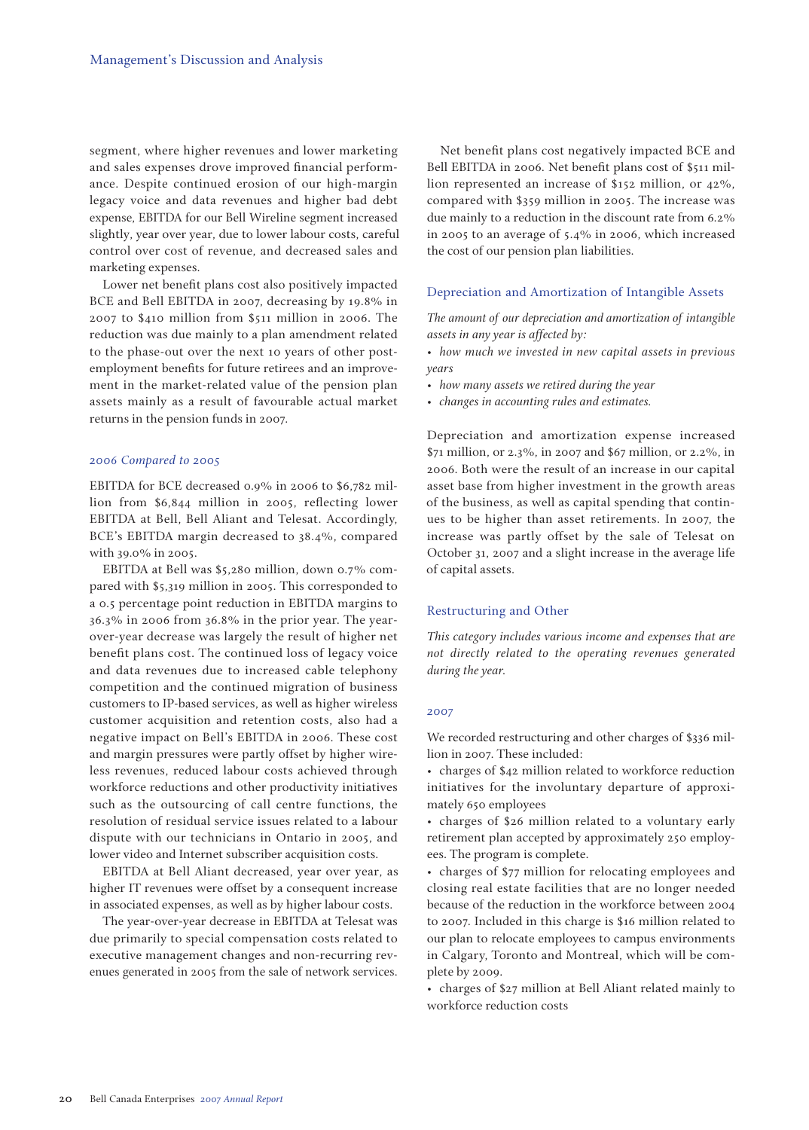segment, where higher revenues and lower marketing and sales expenses drove improved financial performance. Despite continued erosion of our high-margin legacy voice and data revenues and higher bad debt expense, EBITDA for our Bell Wireline segment increased slightly, year over year, due to lower labour costs, careful control over cost of revenue, and decreased sales and marketing expenses.

Lower net benefit plans cost also positively impacted BCE and Bell EBITDA in 2007, decreasing by 19.8% in 2007 to \$410 million from \$511 million in 2006. The reduction was due mainly to a plan amendment related to the phase-out over the next 10 years of other postemployment benefits for future retirees and an improvement in the market-related value of the pension plan assets mainly as a result of favourable actual market returns in the pension funds in 2007.

#### *2006 Compared to 2005*

EBITDA for BCE decreased 0.9% in 2006 to \$6,782 million from \$6,844 million in 2005, reflecting lower EBITDA at Bell, Bell Aliant and Telesat. Accordingly, BCE's EBITDA margin decreased to 38.4%, compared with 39.0% in 2005.

EBITDA at Bell was \$5,280 million, down 0.7% compared with \$5,319 million in 2005. This corresponded to a 0.5 percentage point reduction in EBITDA margins to 36.3% in 2006 from 36.8% in the prior year. The yearover-year decrease was largely the result of higher net benefit plans cost. The continued loss of legacy voice and data revenues due to increased cable telephony competition and the continued migration of business customers to IP-based services, as well as higher wireless customer acquisition and retention costs, also had a negative impact on Bell's EBITDA in 2006. These cost and margin pressures were partly offset by higher wireless revenues, reduced labour costs achieved through workforce reductions and other productivity initiatives such as the outsourcing of call centre functions, the resolution of residual service issues related to a labour dispute with our technicians in Ontario in 2005, and lower video and Internet subscriber acquisition costs.

EBITDA at Bell Aliant decreased, year over year, as higher IT revenues were offset by a consequent increase in associated expenses, as well as by higher labour costs.

The year-over-year decrease in EBITDA at Telesat was due primarily to special compensation costs related to executive management changes and non-recurring revenues generated in 2005 from the sale of network services.

Net benefit plans cost negatively impacted BCE and Bell EBITDA in 2006. Net benefit plans cost of \$511 million represented an increase of \$152 million, or 42%, compared with \$359 million in 2005. The increase was due mainly to a reduction in the discount rate from 6.2% in 2005 to an average of 5.4% in 2006, which increased the cost of our pension plan liabilities.

#### Depreciation and Amortization of Intangible Assets

*The amount of our depreciation and amortization of intangible assets in any year is affected by:*

• *how much we invested in new capital assets in previous years* 

• *how many assets we retired during the year* 

• *changes in accounting rules and estimates.*

Depreciation and amortization expense increased \$71 million, or 2.3%, in 2007 and \$67 million, or 2.2%, in 2006. Both were the result of an increase in our capital asset base from higher investment in the growth areas of the business, as well as capital spending that continues to be higher than asset retirements. In 2007, the increase was partly offset by the sale of Telesat on October 31, 2007 and a slight increase in the average life of capital assets.

# Restructuring and Other

*This category includes various income and expenses that are not directly related to the operating revenues generated during the year.*

#### *2007*

We recorded restructuring and other charges of \$336 million in 2007. These included:

• charges of \$42 million related to workforce reduction initiatives for the involuntary departure of approximately 650 employees

• charges of \$26 million related to a voluntary early retirement plan accepted by approximately 250 employees. The program is complete.

• charges of \$77 million for relocating employees and closing real estate facilities that are no longer needed because of the reduction in the workforce between 2004 to 2007. Included in this charge is \$16 million related to our plan to relocate employees to campus environments in Calgary, Toronto and Montreal, which will be complete by 2009.

• charges of \$27 million at Bell Aliant related mainly to workforce reduction costs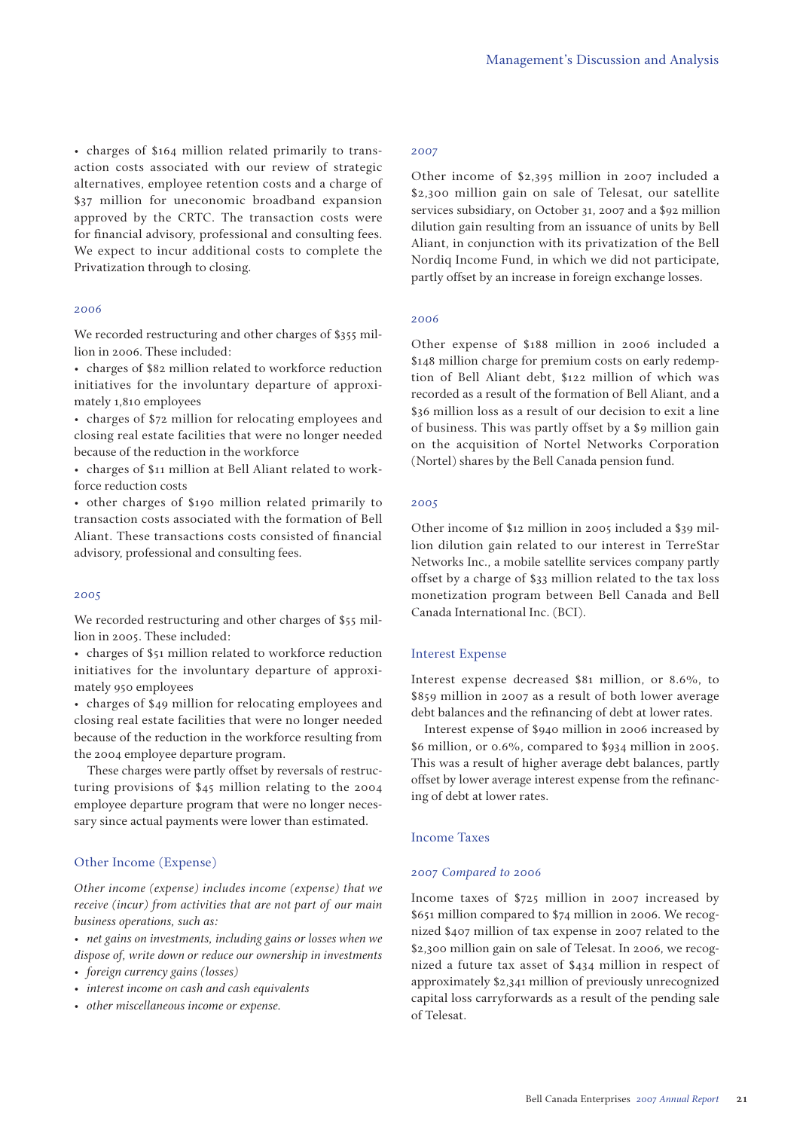• charges of \$164 million related primarily to transaction costs associated with our review of strategic alternatives, employee retention costs and a charge of \$37 million for uneconomic broadband expansion approved by the CRTC. The transaction costs were for financial advisory, professional and consulting fees. We expect to incur additional costs to complete the Privatization through to closing.

#### *2006*

We recorded restructuring and other charges of \$355 million in 2006. These included:

• charges of \$82 million related to workforce reduction initiatives for the involuntary departure of approximately 1,810 employees

• charges of \$72 million for relocating employees and closing real estate facilities that were no longer needed because of the reduction in the workforce

• charges of \$11 million at Bell Aliant related to workforce reduction costs

• other charges of \$190 million related primarily to transaction costs associated with the formation of Bell Aliant. These transactions costs consisted of financial advisory, professional and consulting fees.

## *2005*

We recorded restructuring and other charges of \$55 million in 2005. These included:

• charges of \$51 million related to workforce reduction initiatives for the involuntary departure of approximately 950 employees

• charges of \$49 million for relocating employees and closing real estate facilities that were no longer needed because of the reduction in the workforce resulting from the 2004 employee departure program.

These charges were partly offset by reversals of restructuring provisions of \$45 million relating to the 2004 employee departure program that were no longer necessary since actual payments were lower than estimated.

# Other Income (Expense)

*Other income (expense) includes income (expense) that we receive (incur) from activities that are not part of our main business operations, such as:* 

• *net gains on investments, including gains or losses when we dispose of, write down or reduce our ownership in investments*

- *foreign currency gains (losses)*
- *interest income on cash and cash equivalents*
- *other miscellaneous income or expense.*

#### *2007*

Other income of \$2,395 million in 2007 included a \$2,300 million gain on sale of Telesat, our satellite services subsidiary, on October 31, 2007 and a \$92 million dilution gain resulting from an issuance of units by Bell Aliant, in conjunction with its privatization of the Bell Nordiq Income Fund, in which we did not participate, partly offset by an increase in foreign exchange losses.

#### *2006*

Other expense of \$188 million in 2006 included a \$148 million charge for premium costs on early redemption of Bell Aliant debt, \$122 million of which was recorded as a result of the formation of Bell Aliant, and a \$36 million loss as a result of our decision to exit a line of business. This was partly offset by a \$9 million gain on the acquisition of Nortel Networks Corporation (Nortel) shares by the Bell Canada pension fund.

#### *2005*

Other income of \$12 million in 2005 included a \$39 million dilution gain related to our interest in TerreStar Networks Inc., a mobile satellite services company partly offset by a charge of \$33 million related to the tax loss monetization program between Bell Canada and Bell Canada International Inc. (BCI).

#### Interest Expense

Interest expense decreased \$81 million, or 8.6%, to \$859 million in 2007 as a result of both lower average debt balances and the refinancing of debt at lower rates.

Interest expense of \$940 million in 2006 increased by \$6 million, or 0.6%, compared to \$934 million in 2005. This was a result of higher average debt balances, partly offset by lower average interest expense from the refinancing of debt at lower rates.

#### Income Taxes

#### *2007 Compared to 2006*

Income taxes of \$725 million in 2007 increased by \$651 million compared to \$74 million in 2006. We recognized \$407 million of tax expense in 2007 related to the \$2,300 million gain on sale of Telesat. In 2006, we recognized a future tax asset of \$434 million in respect of approximately \$2,341 million of previously unrecognized capital loss carryforwards as a result of the pending sale of Telesat.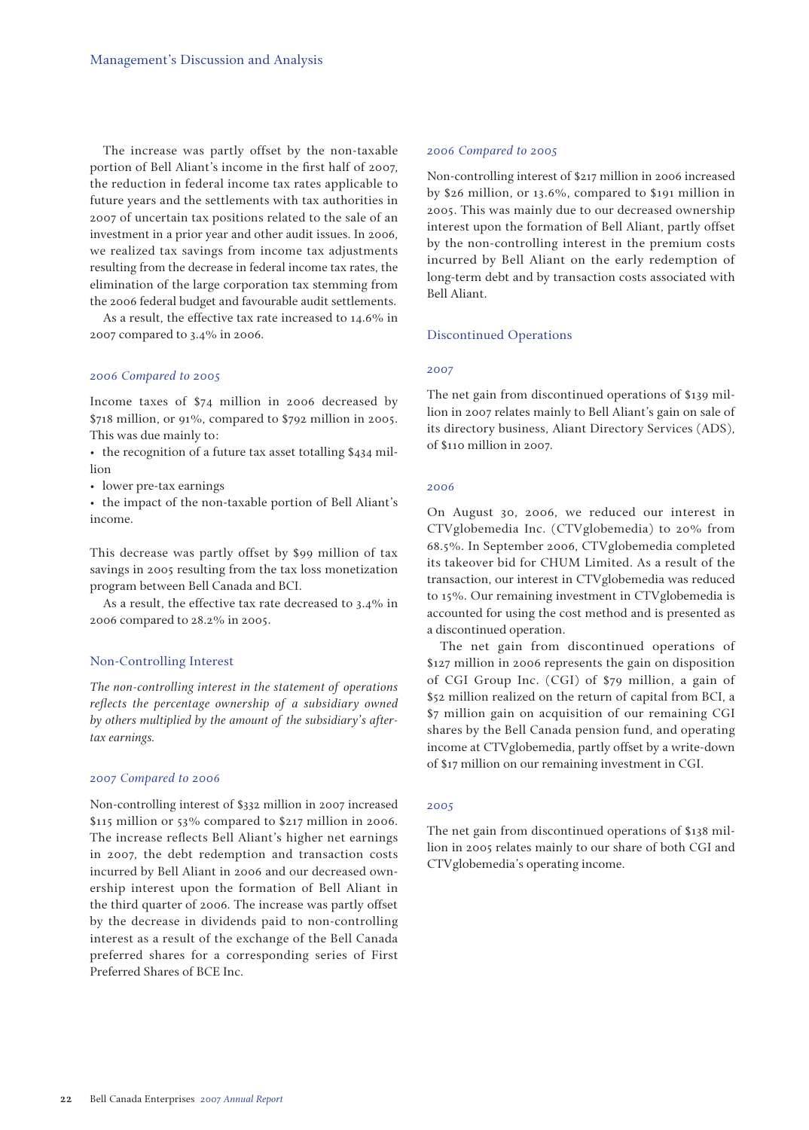The increase was partly offset by the non-taxable portion of Bell Aliant's income in the first half of 2007, the reduction in federal income tax rates applicable to future years and the settlements with tax authorities in 2007 of uncertain tax positions related to the sale of an investment in a prior year and other audit issues. In 2006, we realized tax savings from income tax adjustments resulting from the decrease in federal income tax rates, the elimination of the large corporation tax stemming from the 2006 federal budget and favourable audit settlements.

As a result, the effective tax rate increased to 14.6% in 2007 compared to 3.4% in 2006.

#### *2006 Compared to 2005*

Income taxes of \$74 million in 2006 decreased by \$718 million, or 91%, compared to \$792 million in 2005. This was due mainly to:

• the recognition of a future tax asset totalling \$434 million

• lower pre-tax earnings

• the impact of the non-taxable portion of Bell Aliant's income.

This decrease was partly offset by \$99 million of tax savings in 2005 resulting from the tax loss monetization program between Bell Canada and BCI.

As a result, the effective tax rate decreased to 3.4% in 2006 compared to 28.2% in 2005.

#### Non-Controlling Interest

*The non-controlling interest in the statement of operations reflects the percentage ownership of a subsidiary owned by others multiplied by the amount of the subsidiary's aftertax earnings.*

#### *2007 Compared to 2006*

Non-controlling interest of \$332 million in 2007 increased \$115 million or 53% compared to \$217 million in 2006. The increase reflects Bell Aliant's higher net earnings in 2007, the debt redemption and transaction costs incurred by Bell Aliant in 2006 and our decreased ownership interest upon the formation of Bell Aliant in the third quarter of 2006. The increase was partly offset by the decrease in dividends paid to non-controlling interest as a result of the exchange of the Bell Canada preferred shares for a corresponding series of First Preferred Shares of BCE Inc.

#### *2006 Compared to 2005*

Non-controlling interest of \$217 million in 2006 increased by \$26 million, or 13.6%, compared to \$191 million in 2005. This was mainly due to our decreased ownership interest upon the formation of Bell Aliant, partly offset by the non-controlling interest in the premium costs incurred by Bell Aliant on the early redemption of long-term debt and by transaction costs associated with Bell Aliant.

#### Discontinued Operations

# *2007*

The net gain from discontinued operations of \$139 million in 2007 relates mainly to Bell Aliant's gain on sale of its directory business, Aliant Directory Services (ADS), of \$110 million in 2007.

#### *2006*

On August 30, 2006, we reduced our interest in CTVglobemedia Inc. (CTVglobemedia) to 20% from 68.5%. In September 2006, CTVglobemedia completed its takeover bid for CHUM Limited. As a result of the transaction, our interest in CTVglobemedia was reduced to 15%. Our remaining investment in CTVglobemedia is accounted for using the cost method and is presented as a discontinued operation.

The net gain from discontinued operations of \$127 million in 2006 represents the gain on disposition of CGI Group Inc. (CGI) of \$79 million, a gain of \$52 million realized on the return of capital from BCI, a \$7 million gain on acquisition of our remaining CGI shares by the Bell Canada pension fund, and operating income at CTVglobemedia, partly offset by a write-down of \$17 million on our remaining investment in CGI.

#### *2005*

The net gain from discontinued operations of \$138 million in 2005 relates mainly to our share of both CGI and CTVglobemedia's operating income.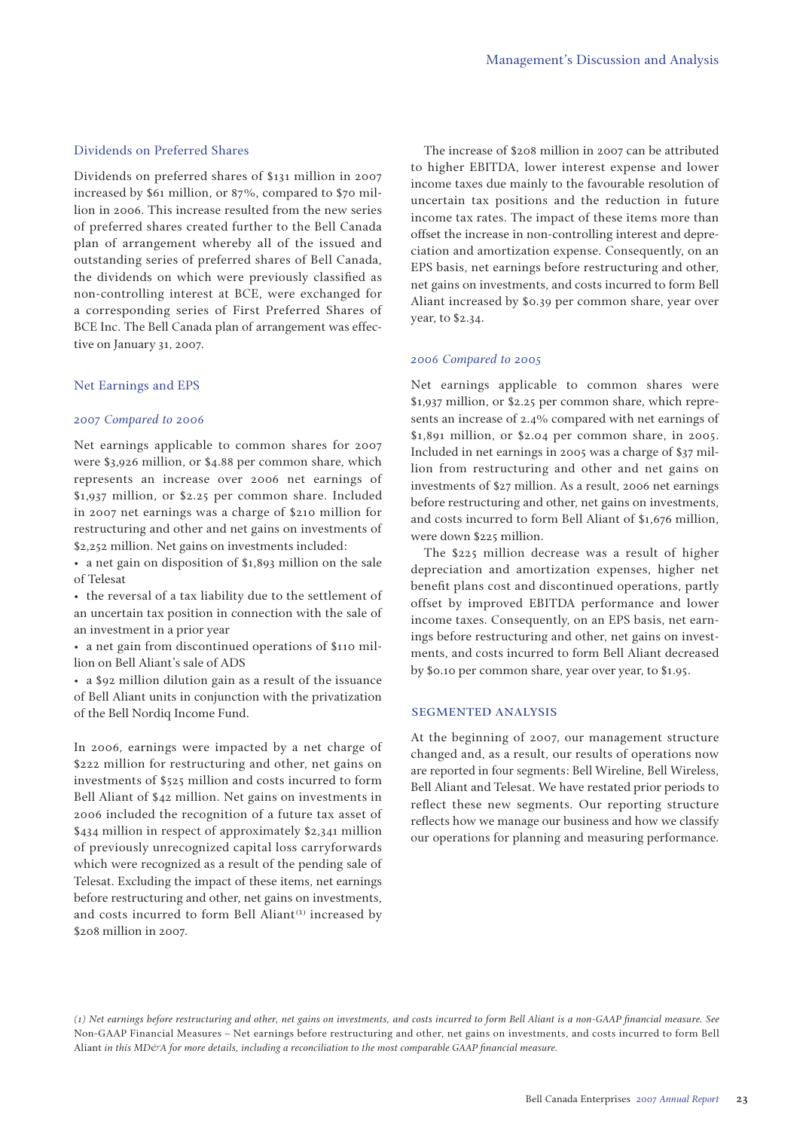# Dividends on Preferred Shares

Dividends on preferred shares of \$131 million in 2007 increased by \$61 million, or 87%, compared to \$70 million in 2006. This increase resulted from the new series of preferred shares created further to the Bell Canada plan of arrangement whereby all of the issued and outstanding series of preferred shares of Bell Canada, the dividends on which were previously classified as non-controlling interest at BCE, were exchanged for a corresponding series of First Preferred Shares of BCE Inc. The Bell Canada plan of arrangement was effective on January 31, 2007.

# Net Earnings and EPS

#### *2007 Compared to 2006*

Net earnings applicable to common shares for 2007 were \$3,926 million, or \$4.88 per common share, which represents an increase over 2006 net earnings of \$1,937 million, or \$2.25 per common share. Included in 2007 net earnings was a charge of \$210 million for restructuring and other and net gains on investments of \$2,252 million. Net gains on investments included:

• a net gain on disposition of \$1,893 million on the sale of Telesat

• the reversal of a tax liability due to the settlement of an uncertain tax position in connection with the sale of an investment in a prior year

• a net gain from discontinued operations of \$110 million on Bell Aliant's sale of ADS

• a \$92 million dilution gain as a result of the issuance of Bell Aliant units in conjunction with the privatization of the Bell Nordiq Income Fund.

In 2006, earnings were impacted by a net charge of \$222 million for restructuring and other, net gains on investments of \$525 million and costs incurred to form Bell Aliant of \$42 million. Net gains on investments in 2006 included the recognition of a future tax asset of \$434 million in respect of approximately \$2,341 million of previously unrecognized capital loss carryforwards which were recognized as a result of the pending sale of Telesat. Excluding the impact of these items, net earnings before restructuring and other, net gains on investments, and costs incurred to form Bell Aliant**(1)** increased by \$208 million in 2007.

The increase of \$208 million in 2007 can be attributed to higher EBITDA, lower interest expense and lower income taxes due mainly to the favourable resolution of uncertain tax positions and the reduction in future income tax rates. The impact of these items more than offset the increase in non-controlling interest and depreciation and amortization expense. Consequently, on an EPS basis, net earnings before restructuring and other, net gains on investments, and costs incurred to form Bell Aliant increased by \$0.39 per common share, year over year, to \$2.34.

#### *2006 Compared to 2005*

Net earnings applicable to common shares were \$1,937 million, or \$2.25 per common share, which represents an increase of 2.4% compared with net earnings of \$1,891 million, or \$2.04 per common share, in 2005. Included in net earnings in 2005 was a charge of \$37 million from restructuring and other and net gains on investments of \$27 million. As a result, 2006 net earnings before restructuring and other, net gains on investments, and costs incurred to form Bell Aliant of \$1,676 million, were down \$225 million.

The \$225 million decrease was a result of higher depreciation and amortization expenses, higher net benefit plans cost and discontinued operations, partly offset by improved EBITDA performance and lower income taxes. Consequently, on an EPS basis, net earnings before restructuring and other, net gains on investments, and costs incurred to form Bell Aliant decreased by \$0.10 per common share, year over year, to \$1.95.

#### segmented analysis

At the beginning of 2007, our management structure changed and, as a result, our results of operations now are reported in four segments: Bell Wireline, Bell Wireless, Bell Aliant and Telesat. We have restated prior periods to reflect these new segments. Our reporting structure reflects how we manage our business and how we classify our operations for planning and measuring performance.

*(1) Net earnings before restructuring and other, net gains on investments, and costs incurred to form Bell Aliant is a non-GAAP financial measure. See* Non-GAAP Financial Measures – Net earnings before restructuring and other, net gains on investments, and costs incurred to form Bell Aliant *in this MD&A for more details, including a reconciliation to the most comparable GAAP financial measure.*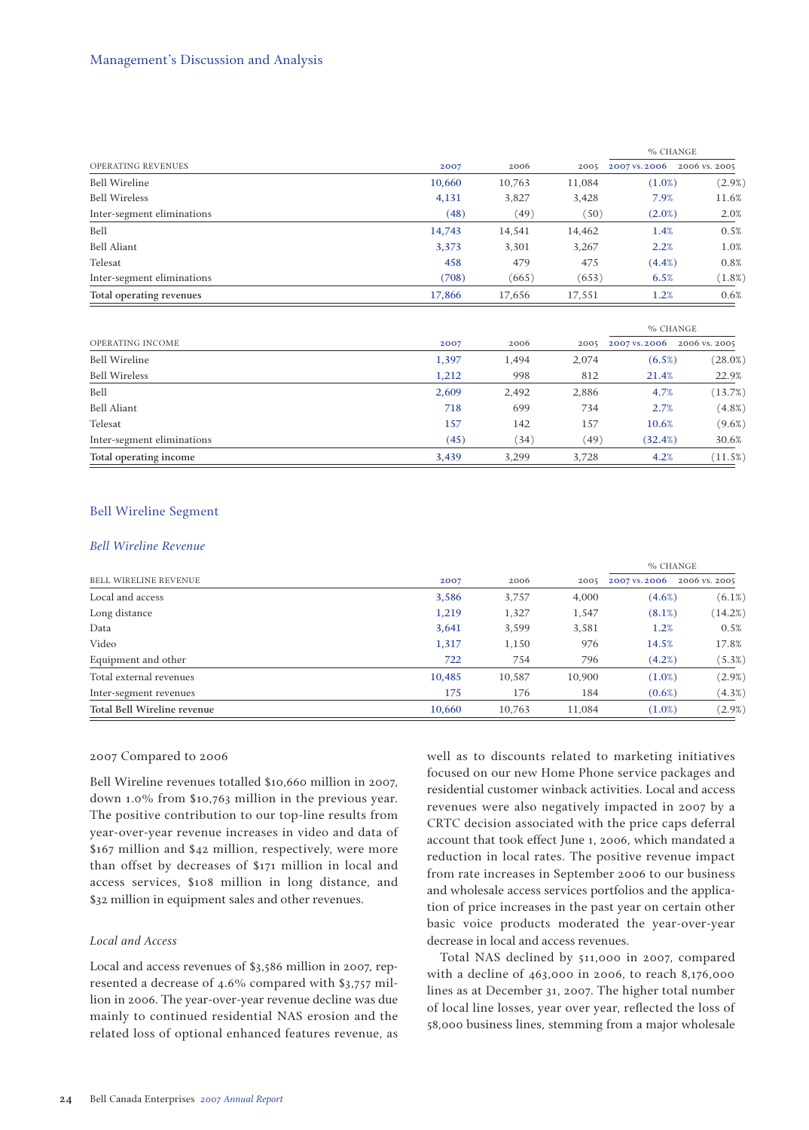|                            |        |        |        | % CHANGE      |               |  |
|----------------------------|--------|--------|--------|---------------|---------------|--|
| <b>OPERATING REVENUES</b>  | 2007   | 2006   | 2005   | 2007 vs. 2006 | 2006 vs. 2005 |  |
| <b>Bell Wireline</b>       | 10,660 | 10,763 | 11,084 | (1.0%)        | $(2.9\%)$     |  |
| <b>Bell Wireless</b>       | 4,131  | 3,827  | 3,428  | 7.9%          | 11.6%         |  |
| Inter-segment eliminations | (48)   | (49)   | (50)   | $(2.0\%)$     | 2.0%          |  |
| Bell                       | 14,743 | 14,541 | 14,462 | 1.4%          | 0.5%          |  |
| Bell Aliant                | 3,373  | 3,301  | 3,267  | 2.2%          | 1.0%          |  |
| Telesat                    | 458    | 479    | 475    | $(4.4\%)$     | 0.8%          |  |
| Inter-segment eliminations | (708)  | (665)  | (653)  | 6.5%          | (1.8%)        |  |
| Total operating revenues   | 17,866 | 17,656 | 17,551 | 1.2%          | 0.6%          |  |

|                            |       |       |       | % CHANGE      |               |
|----------------------------|-------|-------|-------|---------------|---------------|
| OPERATING INCOME           | 2007  | 2006  | 2005  | 2007 vs. 2006 | 2006 vs. 2005 |
| <b>Bell Wireline</b>       | 1,397 | 1,494 | 2,074 | (6.5%)        | $(28.0\%)$    |
| <b>Bell Wireless</b>       | 1,212 | 998   | 812   | 21.4%         | 22.9%         |
| Bell                       | 2,609 | 2,492 | 2,886 | 4.7%          | (13.7%)       |
| <b>Bell Aliant</b>         | 718   | 699   | 734   | 2.7%          | $(4.8\%)$     |
| Telesat                    | 157   | 142   | 157   | 10.6%         | $(9.6\%)$     |
| Inter-segment eliminations | (45)  | (34)  | (49)  | (32.4%)       | 30.6%         |
| Total operating income     | 3,439 | 3,299 | 3,728 | 4.2%          | (11.5%)       |

#### Bell Wireline Segment

#### *Bell Wireline Revenue*

|                             |        |        | 2005   | % CHANGE      |               |
|-----------------------------|--------|--------|--------|---------------|---------------|
| BELL WIRELINE REVENUE       | 2007   | 2006   |        | 2007 vs. 2006 | 2006 vs. 2005 |
| Local and access            | 3,586  | 3,757  | 4,000  | (4.6%)        | $(6.1\%)$     |
| Long distance               | 1,219  | 1,327  | 1,547  | (8.1%)        | (14.2%)       |
| Data                        | 3,641  | 3,599  | 3,581  | 1.2%          | 0.5%          |
| Video                       | 1,317  | 1,150  | 976    | 14.5%         | 17.8%         |
| Equipment and other         | 722    | 754    | 796    | (4.2%)        | (5.3%)        |
| Total external revenues     | 10,485 | 10,587 | 10.900 | $(1.0\%)$     | $(2.9\%)$     |
| Inter-segment revenues      | 175    | 176    | 184    | (0.6%)        | (4.3%)        |
| Total Bell Wireline revenue | 10,660 | 10,763 | 11,084 | $(1.0\%)$     | $(2.9\%)$     |

# 2007 Compared to 2006

Bell Wireline revenues totalled \$10,660 million in 2007, down 1.0% from \$10,763 million in the previous year. The positive contribution to our top-line results from year-over-year revenue increases in video and data of \$167 million and \$42 million, respectively, were more than offset by decreases of \$171 million in local and access services, \$108 million in long distance, and \$32 million in equipment sales and other revenues.

# *Local and Access*

Local and access revenues of \$3,586 million in 2007, represented a decrease of 4.6% compared with \$3,757 million in 2006. The year-over-year revenue decline was due mainly to continued residential NAS erosion and the related loss of optional enhanced features revenue, as well as to discounts related to marketing initiatives focused on our new Home Phone service packages and residential customer winback activities. Local and access revenues were also negatively impacted in 2007 by a CRTC decision associated with the price caps deferral account that took effect June 1, 2006, which mandated a reduction in local rates. The positive revenue impact from rate increases in September 2006 to our business and wholesale access services portfolios and the application of price increases in the past year on certain other basic voice products moderated the year-over-year decrease in local and access revenues.

Total NAS declined by 511,000 in 2007, compared with a decline of 463,000 in 2006, to reach 8,176,000 lines as at December 31, 2007. The higher total number of local line losses, year over year, reflected the loss of 58,000 business lines, stemming from a major wholesale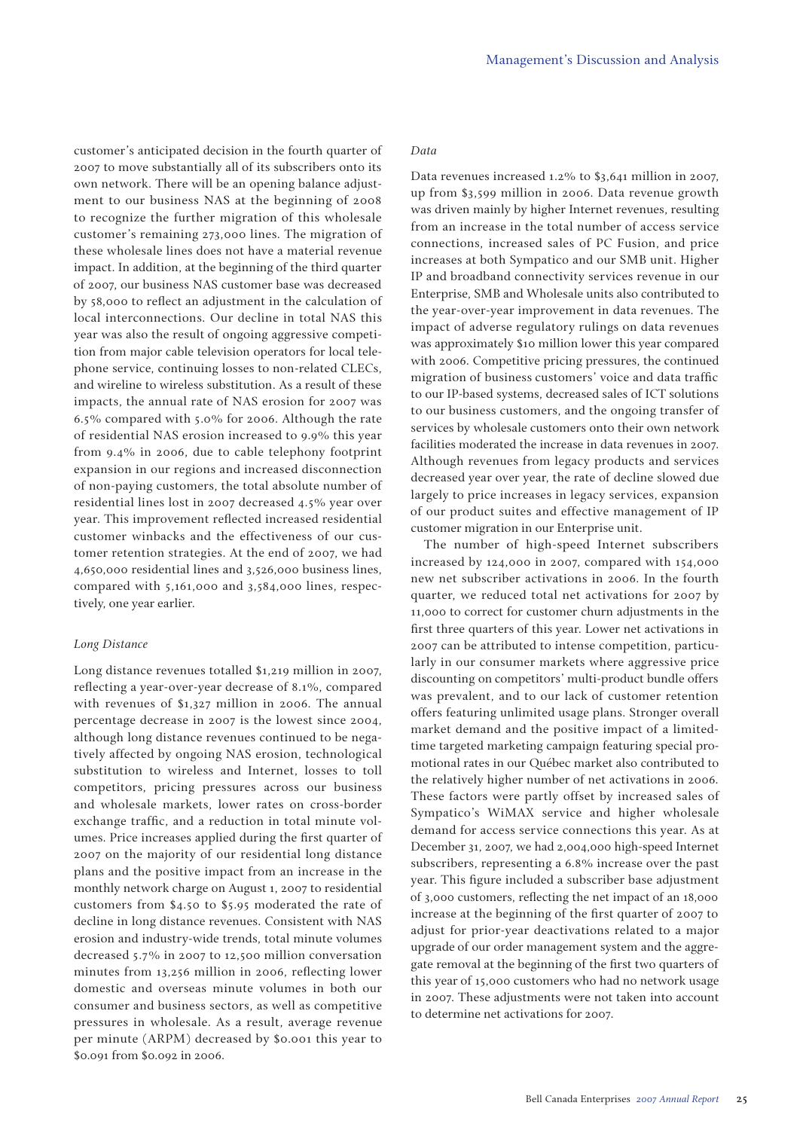customer's anticipated decision in the fourth quarter of 2007 to move substantially all of its subscribers onto its own network. There will be an opening balance adjustment to our business NAS at the beginning of 2008 to recognize the further migration of this wholesale customer's remaining 273,000 lines. The migration of these wholesale lines does not have a material revenue impact. In addition, at the beginning of the third quarter of 2007, our business NAS customer base was decreased by 58,000 to reflect an adjustment in the calculation of local interconnections. Our decline in total NAS this year was also the result of ongoing aggressive competition from major cable television operators for local telephone service, continuing losses to non-related CLECs, and wireline to wireless substitution. As a result of these impacts, the annual rate of NAS erosion for 2007 was 6.5% compared with 5.0% for 2006. Although the rate of residential NAS erosion increased to 9.9% this year from 9.4% in 2006, due to cable telephony footprint expansion in our regions and increased disconnection of non-paying customers, the total absolute number of residential lines lost in 2007 decreased 4.5% year over year. This improvement reflected increased residential customer winbacks and the effectiveness of our customer retention strategies. At the end of 2007, we had 4,650,000 residential lines and 3,526,000 business lines, compared with 5,161,000 and 3,584,000 lines, respectively, one year earlier.

#### *Long Distance*

Long distance revenues totalled \$1,219 million in 2007, reflecting a year-over-year decrease of 8.1%, compared with revenues of \$1,327 million in 2006. The annual percentage decrease in 2007 is the lowest since 2004, although long distance revenues continued to be negatively affected by ongoing NAS erosion, technological substitution to wireless and Internet, losses to toll competitors, pricing pressures across our business and wholesale markets, lower rates on cross-border exchange traffic, and a reduction in total minute volumes. Price increases applied during the first quarter of 2007 on the majority of our residential long distance plans and the positive impact from an increase in the monthly network charge on August 1, 2007 to residential customers from \$4.50 to \$5.95 moderated the rate of decline in long distance revenues. Consistent with NAS erosion and industry-wide trends, total minute volumes decreased 5.7% in 2007 to 12,500 million conversation minutes from 13,256 million in 2006, reflecting lower domestic and overseas minute volumes in both our consumer and business sectors, as well as competitive pressures in wholesale. As a result, average revenue per minute (ARPM) decreased by \$0.001 this year to \$0.091 from \$0.092 in 2006.

# *Data*

Data revenues increased 1.2% to \$3,641 million in 2007, up from \$3,599 million in 2006. Data revenue growth was driven mainly by higher Internet revenues, resulting from an increase in the total number of access service connections, increased sales of PC Fusion, and price increases at both Sympatico and our SMB unit. Higher IP and broadband connectivity services revenue in our Enterprise, SMB and Wholesale units also contributed to the year-over-year improvement in data revenues. The impact of adverse regulatory rulings on data revenues was approximately \$10 million lower this year compared with 2006. Competitive pricing pressures, the continued migration of business customers' voice and data traffic to our IP-based systems, decreased sales of ICT solutions to our business customers, and the ongoing transfer of services by wholesale customers onto their own network facilities moderated the increase in data revenues in 2007. Although revenues from legacy products and services decreased year over year, the rate of decline slowed due largely to price increases in legacy services, expansion of our product suites and effective management of IP customer migration in our Enterprise unit.

The number of high-speed Internet subscribers increased by 124,000 in 2007, compared with 154,000 new net subscriber activations in 2006. In the fourth quarter, we reduced total net activations for 2007 by 11,000 to correct for customer churn adjustments in the first three quarters of this year. Lower net activations in 2007 can be attributed to intense competition, particularly in our consumer markets where aggressive price discounting on competitors' multi-product bundle offers was prevalent, and to our lack of customer retention offers featuring unlimited usage plans. Stronger overall market demand and the positive impact of a limitedtime targeted marketing campaign featuring special promotional rates in our Québec market also contributed to the relatively higher number of net activations in 2006. These factors were partly offset by increased sales of Sympatico's WiMAX service and higher wholesale demand for access service connections this year. As at December 31, 2007, we had 2,004,000 high-speed Internet subscribers, representing a 6.8% increase over the past year. This figure included a subscriber base adjustment of 3,000 customers, reflecting the net impact of an 18,000 increase at the beginning of the first quarter of 2007 to adjust for prior-year deactivations related to a major upgrade of our order management system and the aggregate removal at the beginning of the first two quarters of this year of 15,000 customers who had no network usage in 2007. These adjustments were not taken into account to determine net activations for 2007.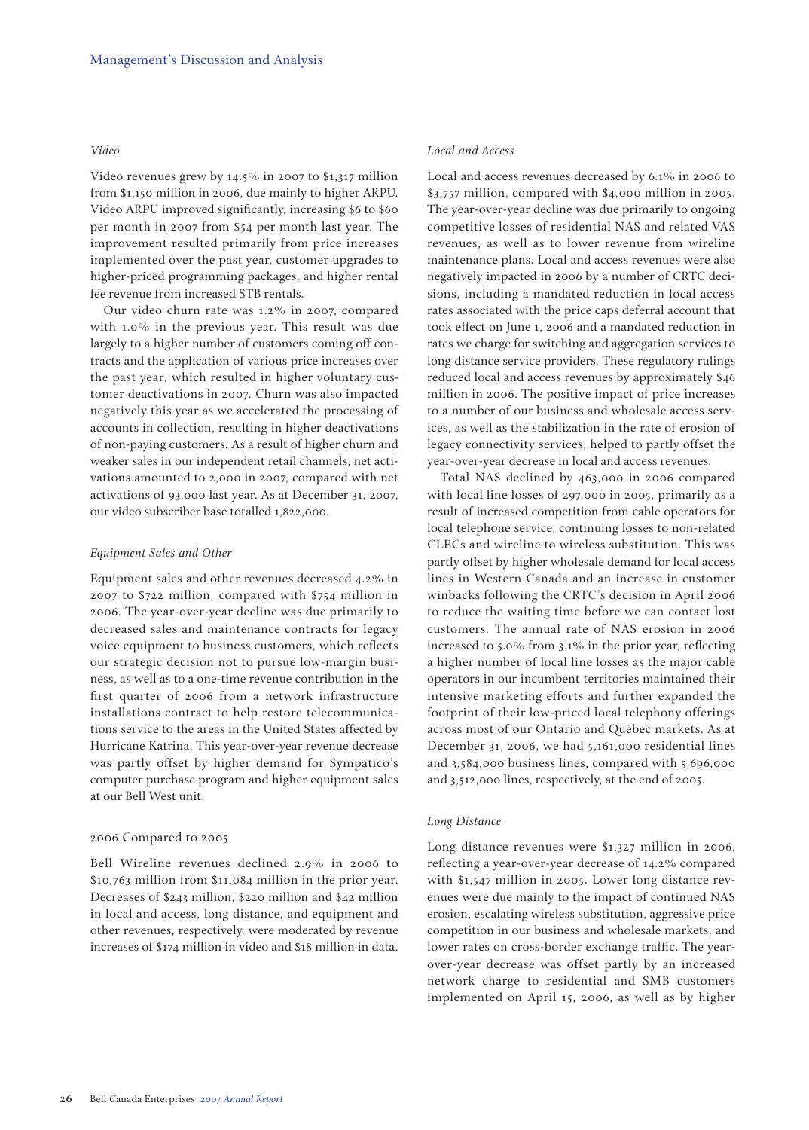#### *Video*

Video revenues grew by 14.5% in 2007 to \$1,317 million from \$1,150 million in 2006, due mainly to higher ARPU. Video ARPU improved significantly, increasing \$6 to \$60 per month in 2007 from \$54 per month last year. The improvement resulted primarily from price increases implemented over the past year, customer upgrades to higher-priced programming packages, and higher rental fee revenue from increased STB rentals.

Our video churn rate was 1.2% in 2007, compared with 1.0% in the previous year. This result was due largely to a higher number of customers coming off contracts and the application of various price increases over the past year, which resulted in higher voluntary customer deactivations in 2007. Churn was also impacted negatively this year as we accelerated the processing of accounts in collection, resulting in higher deactivations of non-paying customers. As a result of higher churn and weaker sales in our independent retail channels, net activations amounted to 2,000 in 2007, compared with net activations of 93,000 last year. As at December 31, 2007, our video subscriber base totalled 1,822,000.

#### *Equipment Sales and Other*

Equipment sales and other revenues decreased 4.2% in 2007 to \$722 million, compared with \$754 million in 2006. The year-over-year decline was due primarily to decreased sales and maintenance contracts for legacy voice equipment to business customers, which reflects our strategic decision not to pursue low-margin business, as well as to a one-time revenue contribution in the first quarter of 2006 from a network infrastructure installations contract to help restore telecommunications service to the areas in the United States affected by Hurricane Katrina. This year-over-year revenue decrease was partly offset by higher demand for Sympatico's computer purchase program and higher equipment sales at our Bell West unit.

#### 2006 Compared to 2005

Bell Wireline revenues declined 2.9% in 2006 to \$10,763 million from \$11,084 million in the prior year. Decreases of \$243 million, \$220 million and \$42 million in local and access, long distance, and equipment and other revenues, respectively, were moderated by revenue increases of \$174 million in video and \$18 million in data.

#### *Local and Access*

Local and access revenues decreased by 6.1% in 2006 to \$3,757 million, compared with \$4,000 million in 2005. The year-over-year decline was due primarily to ongoing competitive losses of residential NAS and related VAS revenues, as well as to lower revenue from wireline maintenance plans. Local and access revenues were also negatively impacted in 2006 by a number of CRTC decisions, including a mandated reduction in local access rates associated with the price caps deferral account that took effect on June 1, 2006 and a mandated reduction in rates we charge for switching and aggregation services to long distance service providers. These regulatory rulings reduced local and access revenues by approximately \$46 million in 2006. The positive impact of price increases to a number of our business and wholesale access services, as well as the stabilization in the rate of erosion of legacy connectivity services, helped to partly offset the year-over-year decrease in local and access revenues.

Total NAS declined by 463,000 in 2006 compared with local line losses of 297,000 in 2005, primarily as a result of increased competition from cable operators for local telephone service, continuing losses to non-related CLECs and wireline to wireless substitution. This was partly offset by higher wholesale demand for local access lines in Western Canada and an increase in customer winbacks following the CRTC's decision in April 2006 to reduce the waiting time before we can contact lost customers. The annual rate of NAS erosion in 2006 increased to 5.0% from 3.1% in the prior year, reflecting a higher number of local line losses as the major cable operators in our incumbent territories maintained their intensive marketing efforts and further expanded the footprint of their low-priced local telephony offerings across most of our Ontario and Québec markets. As at December 31, 2006, we had 5,161,000 residential lines and 3,584,000 business lines, compared with 5,696,000 and 3,512,000 lines, respectively, at the end of 2005.

#### *Long Distance*

Long distance revenues were \$1,327 million in 2006, reflecting a year-over-year decrease of 14.2% compared with \$1,547 million in 2005. Lower long distance revenues were due mainly to the impact of continued NAS erosion, escalating wireless substitution, aggressive price competition in our business and wholesale markets, and lower rates on cross-border exchange traffic. The yearover-year decrease was offset partly by an increased network charge to residential and SMB customers implemented on April 15, 2006, as well as by higher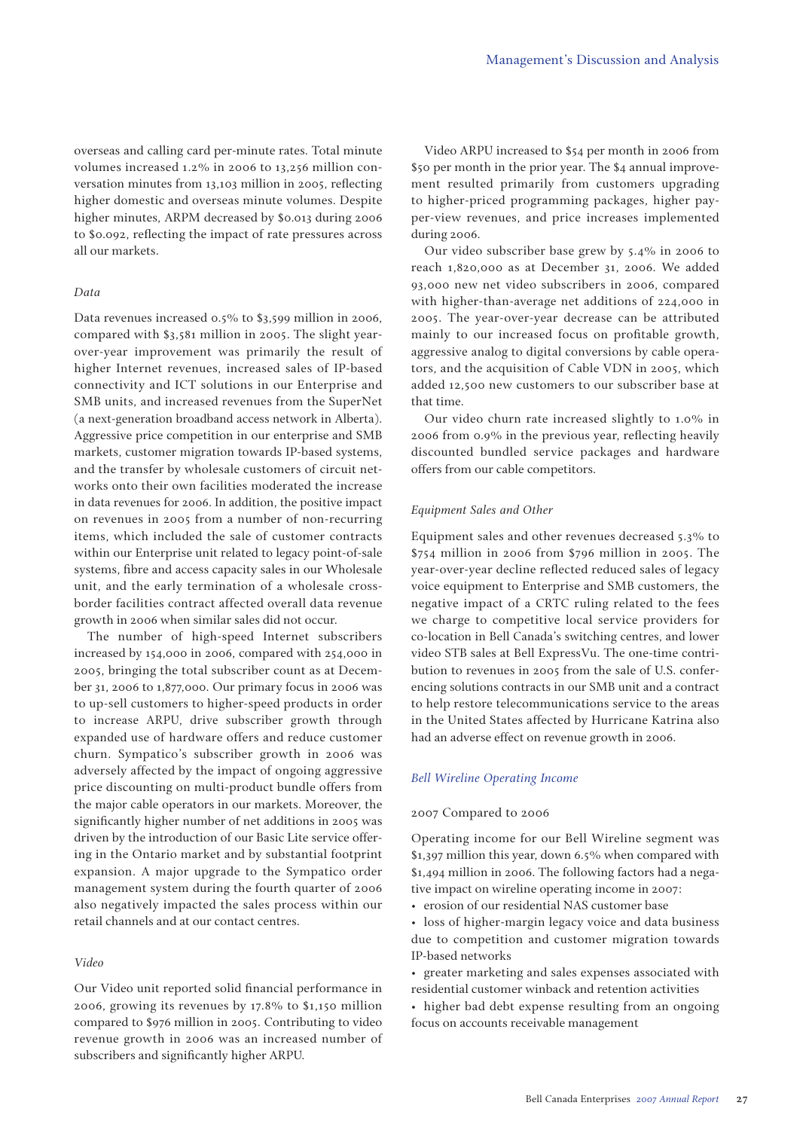overseas and calling card per-minute rates. Total minute volumes increased 1.2% in 2006 to 13,256 million conversation minutes from 13,103 million in 2005, reflecting higher domestic and overseas minute volumes. Despite higher minutes, ARPM decreased by \$0.013 during 2006 to \$0.092, reflecting the impact of rate pressures across all our markets.

#### *Data*

Data revenues increased 0.5% to \$3,599 million in 2006, compared with \$3,581 million in 2005. The slight yearover-year improvement was primarily the result of higher Internet revenues, increased sales of IP-based connectivity and ICT solutions in our Enterprise and SMB units, and increased revenues from the SuperNet (a next-generation broadband access network in Alberta). Aggressive price competition in our enterprise and SMB markets, customer migration towards IP-based systems, and the transfer by wholesale customers of circuit networks onto their own facilities moderated the increase in data revenues for 2006. In addition, the positive impact on revenues in 2005 from a number of non-recurring items, which included the sale of customer contracts within our Enterprise unit related to legacy point-of-sale systems, fibre and access capacity sales in our Wholesale unit, and the early termination of a wholesale crossborder facilities contract affected overall data revenue growth in 2006 when similar sales did not occur.

The number of high-speed Internet subscribers increased by 154,000 in 2006, compared with 254,000 in 2005, bringing the total subscriber count as at December 31, 2006 to 1,877,000. Our primary focus in 2006 was to up-sell customers to higher-speed products in order to increase ARPU, drive subscriber growth through expanded use of hardware offers and reduce customer churn. Sympatico's subscriber growth in 2006 was adversely affected by the impact of ongoing aggressive price discounting on multi-product bundle offers from the major cable operators in our markets. Moreover, the significantly higher number of net additions in 2005 was driven by the introduction of our Basic Lite service offering in the Ontario market and by substantial footprint expansion. A major upgrade to the Sympatico order management system during the fourth quarter of 2006 also negatively impacted the sales process within our retail channels and at our contact centres.

# *Video*

Our Video unit reported solid financial performance in 2006, growing its revenues by 17.8% to \$1,150 million compared to \$976 million in 2005. Contributing to video revenue growth in 2006 was an increased number of subscribers and significantly higher ARPU.

Video ARPU increased to \$54 per month in 2006 from \$50 per month in the prior year. The \$4 annual improvement resulted primarily from customers upgrading to higher-priced programming packages, higher payper-view revenues, and price increases implemented during 2006.

Our video subscriber base grew by 5.4% in 2006 to reach 1,820,000 as at December 31, 2006. We added 93,000 new net video subscribers in 2006, compared with higher-than-average net additions of 224,000 in 2005. The year-over-year decrease can be attributed mainly to our increased focus on profitable growth, aggressive analog to digital conversions by cable operators, and the acquisition of Cable VDN in 2005, which added 12,500 new customers to our subscriber base at that time.

Our video churn rate increased slightly to 1.0% in 2006 from 0.9% in the previous year, reflecting heavily discounted bundled service packages and hardware offers from our cable competitors.

#### *Equipment Sales and Other*

Equipment sales and other revenues decreased 5.3% to \$754 million in 2006 from \$796 million in 2005. The year-over-year decline reflected reduced sales of legacy voice equipment to Enterprise and SMB customers, the negative impact of a CRTC ruling related to the fees we charge to competitive local service providers for co-location in Bell Canada's switching centres, and lower video STB sales at Bell ExpressVu. The one-time contribution to revenues in 2005 from the sale of U.S. conferencing solutions contracts in our SMB unit and a contract to help restore telecommunications service to the areas in the United States affected by Hurricane Katrina also had an adverse effect on revenue growth in 2006.

#### *Bell Wireline Operating Income*

#### 2007 Compared to 2006

Operating income for our Bell Wireline segment was \$1,397 million this year, down 6.5% when compared with \$1,494 million in 2006. The following factors had a negative impact on wireline operating income in 2007:

• erosion of our residential NAS customer base

• loss of higher-margin legacy voice and data business due to competition and customer migration towards IP-based networks

• greater marketing and sales expenses associated with residential customer winback and retention activities

• higher bad debt expense resulting from an ongoing focus on accounts receivable management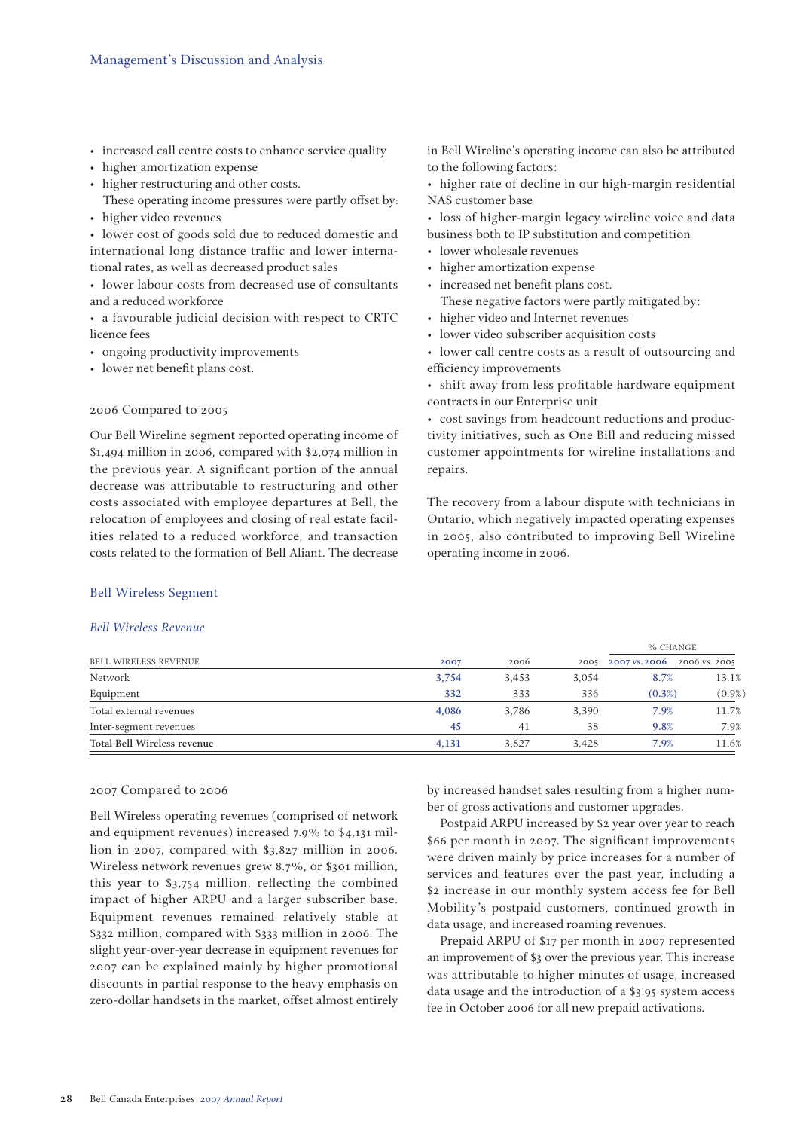- increased call centre costs to enhance service quality
- higher amortization expense
- higher restructuring and other costs.

These operating income pressures were partly offset by:

• higher video revenues

• lower cost of goods sold due to reduced domestic and international long distance traffic and lower international rates, as well as decreased product sales

• lower labour costs from decreased use of consultants and a reduced workforce

• a favourable judicial decision with respect to CRTC licence fees

- ongoing productivity improvements
- lower net benefit plans cost.

#### 2006 Compared to 2005

Our Bell Wireline segment reported operating income of \$1,494 million in 2006, compared with \$2,074 million in the previous year. A significant portion of the annual decrease was attributable to restructuring and other costs associated with employee departures at Bell, the relocation of employees and closing of real estate facilities related to a reduced workforce, and transaction costs related to the formation of Bell Aliant. The decrease

# Bell Wireless Segment

# *Bell Wireless Revenue*

in Bell Wireline's operating income can also be attributed to the following factors:

• higher rate of decline in our high-margin residential NAS customer base

- loss of higher-margin legacy wireline voice and data business both to IP substitution and competition
- lower wholesale revenues
- higher amortization expense
- increased net benefit plans cost.
	- These negative factors were partly mitigated by:
- higher video and Internet revenues
- lower video subscriber acquisition costs
- lower call centre costs as a result of outsourcing and efficiency improvements
- shift away from less profitable hardware equipment contracts in our Enterprise unit

• cost savings from headcount reductions and productivity initiatives, such as One Bill and reducing missed customer appointments for wireline installations and repairs.

The recovery from a labour dispute with technicians in Ontario, which negatively impacted operating expenses in 2005, also contributed to improving Bell Wireline operating income in 2006.

|                              |       |       |       | % CHANGE      |               |
|------------------------------|-------|-------|-------|---------------|---------------|
| <b>BELL WIRELESS REVENUE</b> | 2007  | 2006  | 2005  | 2007 vs. 2006 | 2006 vs. 2005 |
| Network                      | 3,754 | 3,453 | 3,054 | 8.7%          | 13.1%         |
| Equipment                    | 332   | 333   | 336   | (0.3%)        | $(0.9\%)$     |
| Total external revenues      | 4.086 | 3.786 | 3,390 | 7.9%          | 11.7%         |
| Inter-segment revenues       | 45    | 41    | 38    | 9.8%          | 7.9%          |
| Total Bell Wireless revenue  | 4.131 | 3,827 | 3.428 | 7.9%          | 11.6%         |

#### 2007 Compared to 2006

Bell Wireless operating revenues (comprised of network and equipment revenues) increased 7.9% to \$4,131 million in 2007, compared with \$3,827 million in 2006. Wireless network revenues grew 8.7%, or \$301 million, this year to \$3,754 million, reflecting the combined impact of higher ARPU and a larger subscriber base. Equipment revenues remained relatively stable at \$332 million, compared with \$333 million in 2006. The slight year-over-year decrease in equipment revenues for 2007 can be explained mainly by higher promotional discounts in partial response to the heavy emphasis on zero-dollar handsets in the market, offset almost entirely

by increased handset sales resulting from a higher number of gross activations and customer upgrades.

Postpaid ARPU increased by \$2 year over year to reach \$66 per month in 2007. The significant improvements were driven mainly by price increases for a number of services and features over the past year, including a \$2 increase in our monthly system access fee for Bell Mobility's postpaid customers, continued growth in data usage, and increased roaming revenues.

Prepaid ARPU of \$17 per month in 2007 represented an improvement of \$3 over the previous year. This increase was attributable to higher minutes of usage, increased data usage and the introduction of a \$3.95 system access fee in October 2006 for all new prepaid activations.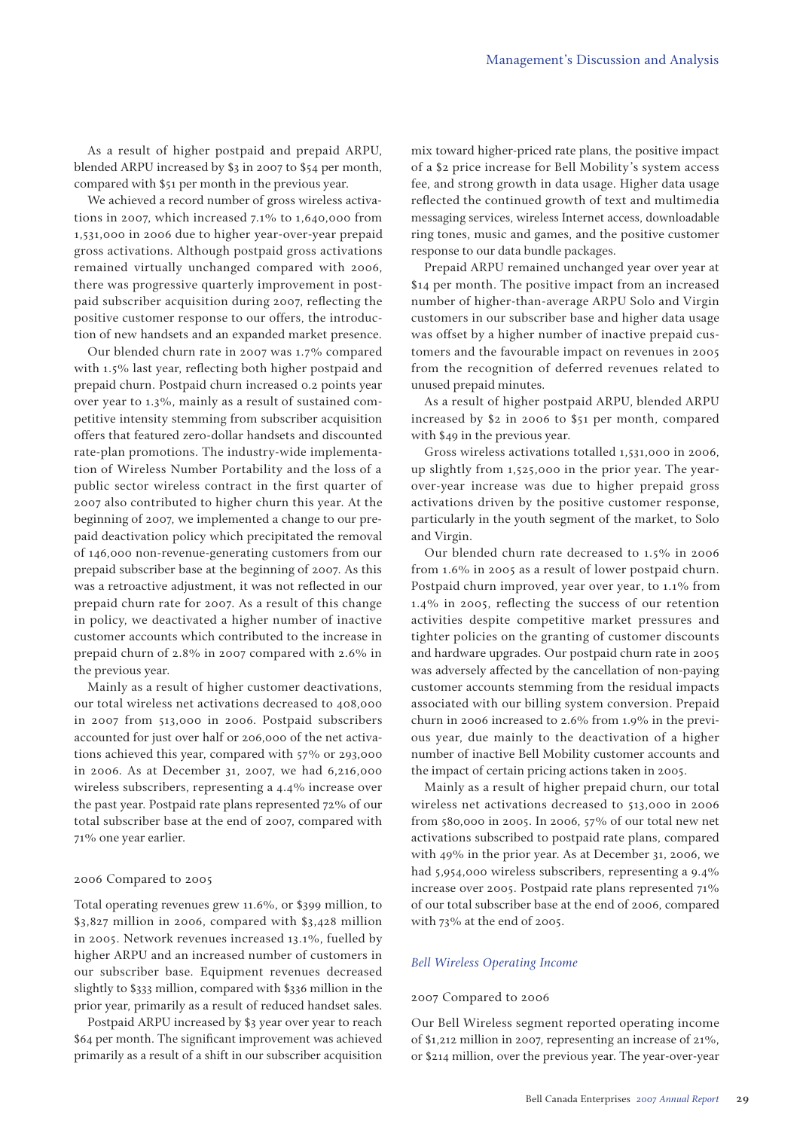As a result of higher postpaid and prepaid ARPU, blended ARPU increased by \$3 in 2007 to \$54 per month, compared with \$51 per month in the previous year.

We achieved a record number of gross wireless activations in 2007, which increased 7.1% to 1,640,000 from 1,531,000 in 2006 due to higher year-over-year prepaid gross activations. Although postpaid gross activations remained virtually unchanged compared with 2006, there was progressive quarterly improvement in postpaid subscriber acquisition during 2007, reflecting the positive customer response to our offers, the introduction of new handsets and an expanded market presence.

Our blended churn rate in 2007 was 1.7% compared with 1.5% last year, reflecting both higher postpaid and prepaid churn. Postpaid churn increased 0.2 points year over year to 1.3%, mainly as a result of sustained competitive intensity stemming from subscriber acquisition offers that featured zero-dollar handsets and discounted rate-plan promotions. The industry-wide implementation of Wireless Number Portability and the loss of a public sector wireless contract in the first quarter of 2007 also contributed to higher churn this year. At the beginning of 2007, we implemented a change to our prepaid deactivation policy which precipitated the removal of 146,000 non-revenue-generating customers from our prepaid subscriber base at the beginning of 2007. As this was a retroactive adjustment, it was not reflected in our prepaid churn rate for 2007. As a result of this change in policy, we deactivated a higher number of inactive customer accounts which contributed to the increase in prepaid churn of 2.8% in 2007 compared with 2.6% in the previous year.

Mainly as a result of higher customer deactivations, our total wireless net activations decreased to 408,000 in 2007 from 513,000 in 2006. Postpaid subscribers accounted for just over half or 206,000 of the net activations achieved this year, compared with 57% or 293,000 in 2006. As at December 31, 2007, we had 6,216,000 wireless subscribers, representing a 4.4% increase over the past year. Postpaid rate plans represented 72% of our total subscriber base at the end of 2007, compared with 71% one year earlier.

#### 2006 Compared to 2005

Total operating revenues grew 11.6%, or \$399 million, to \$3,827 million in 2006, compared with \$3,428 million in 2005. Network revenues increased 13.1%, fuelled by higher ARPU and an increased number of customers in our subscriber base. Equipment revenues decreased slightly to \$333 million, compared with \$336 million in the prior year, primarily as a result of reduced handset sales.

Postpaid ARPU increased by \$3 year over year to reach \$64 per month. The significant improvement was achieved primarily as a result of a shift in our subscriber acquisition

mix toward higher-priced rate plans, the positive impact of a \$2 price increase for Bell Mobility's system access fee, and strong growth in data usage. Higher data usage reflected the continued growth of text and multimedia messaging services, wireless Internet access, downloadable ring tones, music and games, and the positive customer response to our data bundle packages.

Prepaid ARPU remained unchanged year over year at \$14 per month. The positive impact from an increased number of higher-than-average ARPU Solo and Virgin customers in our subscriber base and higher data usage was offset by a higher number of inactive prepaid customers and the favourable impact on revenues in 2005 from the recognition of deferred revenues related to unused prepaid minutes.

As a result of higher postpaid ARPU, blended ARPU increased by \$2 in 2006 to \$51 per month, compared with \$49 in the previous year.

Gross wireless activations totalled 1,531,000 in 2006, up slightly from 1,525,000 in the prior year. The yearover-year increase was due to higher prepaid gross activations driven by the positive customer response, particularly in the youth segment of the market, to Solo and Virgin.

Our blended churn rate decreased to 1.5% in 2006 from 1.6% in 2005 as a result of lower postpaid churn. Postpaid churn improved, year over year, to 1.1% from 1.4% in 2005, reflecting the success of our retention activities despite competitive market pressures and tighter policies on the granting of customer discounts and hardware upgrades. Our postpaid churn rate in 2005 was adversely affected by the cancellation of non-paying customer accounts stemming from the residual impacts associated with our billing system conversion. Prepaid churn in 2006 increased to 2.6% from 1.9% in the previous year, due mainly to the deactivation of a higher number of inactive Bell Mobility customer accounts and the impact of certain pricing actions taken in 2005.

Mainly as a result of higher prepaid churn, our total wireless net activations decreased to 513,000 in 2006 from 580,000 in 2005. In 2006, 57% of our total new net activations subscribed to postpaid rate plans, compared with 49% in the prior year. As at December 31, 2006, we had 5,954,000 wireless subscribers, representing a 9.4% increase over 2005. Postpaid rate plans represented 71% of our total subscriber base at the end of 2006, compared with 73% at the end of 2005.

#### *Bell Wireless Operating Income*

#### 2007 Compared to 2006

Our Bell Wireless segment reported operating income of \$1,212 million in 2007, representing an increase of 21%, or \$214 million, over the previous year. The year-over-year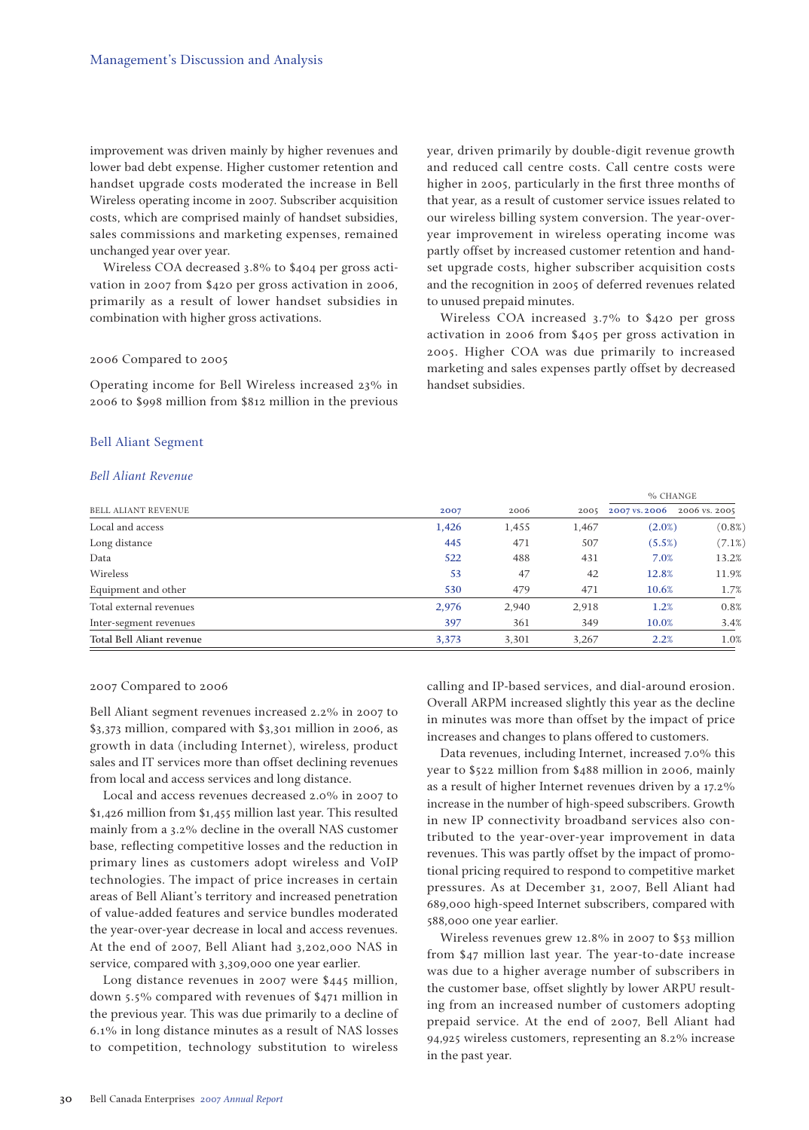improvement was driven mainly by higher revenues and lower bad debt expense. Higher customer retention and handset upgrade costs moderated the increase in Bell Wireless operating income in 2007. Subscriber acquisition costs, which are comprised mainly of handset subsidies, sales commissions and marketing expenses, remained unchanged year over year.

Wireless COA decreased 3.8% to \$404 per gross activation in 2007 from \$420 per gross activation in 2006, primarily as a result of lower handset subsidies in combination with higher gross activations.

# 2006 Compared to 2005

Operating income for Bell Wireless increased 23% in 2006 to \$998 million from \$812 million in the previous

# Bell Aliant Segment

#### *Bell Aliant Revenue*

year, driven primarily by double-digit revenue growth and reduced call centre costs. Call centre costs were higher in 2005, particularly in the first three months of that year, as a result of customer service issues related to our wireless billing system conversion. The year-overyear improvement in wireless operating income was partly offset by increased customer retention and handset upgrade costs, higher subscriber acquisition costs and the recognition in 2005 of deferred revenues related to unused prepaid minutes.

Wireless COA increased 3.7% to \$420 per gross activation in 2006 from \$405 per gross activation in 2005. Higher COA was due primarily to increased marketing and sales expenses partly offset by decreased handset subsidies.

|                            |       |       |       | % CHANGE      |               |
|----------------------------|-------|-------|-------|---------------|---------------|
| <b>BELL ALIANT REVENUE</b> | 2007  | 2006  | 2005  | 2007 vs. 2006 | 2006 vs. 2005 |
| Local and access           | 1,426 | 1,455 | 1,467 | $(2.0\%)$     | $(0.8\%)$     |
| Long distance              | 445   | 471   | 507   | (5.5%)        | (7.1%)        |
| Data                       | 522   | 488   | 431   | 7.0%          | 13.2%         |
| Wireless                   | 53    | 47    | 42    | 12.8%         | 11.9%         |
| Equipment and other        | 530   | 479   | 471   | 10.6%         | 1.7%          |
| Total external revenues    | 2,976 | 2,940 | 2,918 | 1.2%          | 0.8%          |
| Inter-segment revenues     | 397   | 361   | 349   | 10.0%         | 3.4%          |
| Total Bell Aliant revenue  | 3,373 | 3,301 | 3,267 | 2.2%          | 1.0%          |

#### 2007 Compared to 2006

Bell Aliant segment revenues increased 2.2% in 2007 to \$3,373 million, compared with \$3,301 million in 2006, as growth in data (including Internet), wireless, product sales and IT services more than offset declining revenues from local and access services and long distance.

Local and access revenues decreased 2.0% in 2007 to \$1,426 million from \$1,455 million last year. This resulted mainly from a 3.2% decline in the overall NAS customer base, reflecting competitive losses and the reduction in primary lines as customers adopt wireless and VoIP technologies. The impact of price increases in certain areas of Bell Aliant's territory and increased penetration of value-added features and service bundles moderated the year-over-year decrease in local and access revenues. At the end of 2007, Bell Aliant had 3,202,000 NAS in service, compared with 3,309,000 one year earlier.

Long distance revenues in 2007 were \$445 million, down 5.5% compared with revenues of \$471 million in the previous year. This was due primarily to a decline of 6.1% in long distance minutes as a result of NAS losses to competition, technology substitution to wireless calling and IP-based services, and dial-around erosion. Overall ARPM increased slightly this year as the decline in minutes was more than offset by the impact of price increases and changes to plans offered to customers.

Data revenues, including Internet, increased 7.0% this year to \$522 million from \$488 million in 2006, mainly as a result of higher Internet revenues driven by a 17.2% increase in the number of high-speed subscribers. Growth in new IP connectivity broadband services also contributed to the year-over-year improvement in data revenues. This was partly offset by the impact of promotional pricing required to respond to competitive market pressures. As at December 31, 2007, Bell Aliant had 689,000 high-speed Internet subscribers, compared with 588,000 one year earlier.

Wireless revenues grew 12.8% in 2007 to \$53 million from \$47 million last year. The year-to-date increase was due to a higher average number of subscribers in the customer base, offset slightly by lower ARPU resulting from an increased number of customers adopting prepaid service. At the end of 2007, Bell Aliant had 94,925 wireless customers, representing an 8.2% increase in the past year.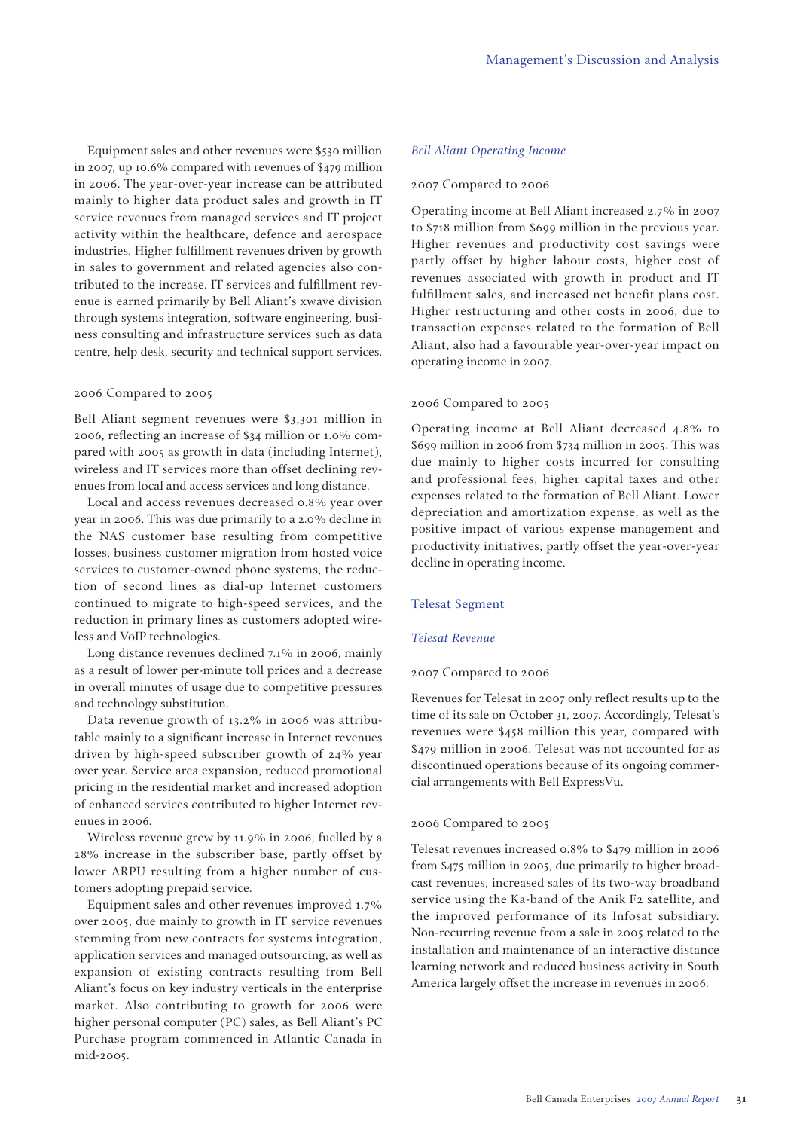Equipment sales and other revenues were \$530 million in 2007, up 10.6% compared with revenues of \$479 million in 2006. The year-over-year increase can be attributed mainly to higher data product sales and growth in IT service revenues from managed services and IT project activity within the healthcare, defence and aerospace industries. Higher fulfillment revenues driven by growth in sales to government and related agencies also contributed to the increase. IT services and fulfillment revenue is earned primarily by Bell Aliant's xwave division through systems integration, software engineering, business consulting and infrastructure services such as data centre, help desk, security and technical support services.

#### 2006 Compared to 2005

Bell Aliant segment revenues were \$3,301 million in 2006, reflecting an increase of \$34 million or 1.0% compared with 2005 as growth in data (including Internet), wireless and IT services more than offset declining revenues from local and access services and long distance.

Local and access revenues decreased 0.8% year over year in 2006. This was due primarily to a 2.0% decline in the NAS customer base resulting from competitive losses, business customer migration from hosted voice services to customer-owned phone systems, the reduction of second lines as dial-up Internet customers continued to migrate to high-speed services, and the reduction in primary lines as customers adopted wireless and VoIP technologies.

Long distance revenues declined 7.1% in 2006, mainly as a result of lower per-minute toll prices and a decrease in overall minutes of usage due to competitive pressures and technology substitution.

Data revenue growth of 13.2% in 2006 was attributable mainly to a significant increase in Internet revenues driven by high-speed subscriber growth of 24% year over year. Service area expansion, reduced promotional pricing in the residential market and increased adoption of enhanced services contributed to higher Internet revenues in 2006.

Wireless revenue grew by 11.9% in 2006, fuelled by a 28% increase in the subscriber base, partly offset by lower ARPU resulting from a higher number of customers adopting prepaid service.

Equipment sales and other revenues improved 1.7% over 2005, due mainly to growth in IT service revenues stemming from new contracts for systems integration, application services and managed outsourcing, as well as expansion of existing contracts resulting from Bell Aliant's focus on key industry verticals in the enterprise market. Also contributing to growth for 2006 were higher personal computer (PC) sales, as Bell Aliant's PC Purchase program commenced in Atlantic Canada in mid-2005.

#### *Bell Aliant Operating Income*

#### 2007 Compared to 2006

Operating income at Bell Aliant increased 2.7% in 2007 to \$718 million from \$699 million in the previous year. Higher revenues and productivity cost savings were partly offset by higher labour costs, higher cost of revenues associated with growth in product and IT fulfillment sales, and increased net benefit plans cost. Higher restructuring and other costs in 2006, due to transaction expenses related to the formation of Bell Aliant, also had a favourable year-over-year impact on operating income in 2007.

#### 2006 Compared to 2005

Operating income at Bell Aliant decreased 4.8% to \$699 million in 2006 from \$734 million in 2005. This was due mainly to higher costs incurred for consulting and professional fees, higher capital taxes and other expenses related to the formation of Bell Aliant. Lower depreciation and amortization expense, as well as the positive impact of various expense management and productivity initiatives, partly offset the year-over-year decline in operating income.

# Telesat Segment

#### *Telesat Revenue*

#### 2007 Compared to 2006

Revenues for Telesat in 2007 only reflect results up to the time of its sale on October 31, 2007. Accordingly, Telesat's revenues were \$458 million this year, compared with \$479 million in 2006. Telesat was not accounted for as discontinued operations because of its ongoing commercial arrangements with Bell ExpressVu.

#### 2006 Compared to 2005

Telesat revenues increased 0.8% to \$479 million in 2006 from \$475 million in 2005, due primarily to higher broadcast revenues, increased sales of its two-way broadband service using the Ka-band of the Anik F2 satellite, and the improved performance of its Infosat subsidiary. Non-recurring revenue from a sale in 2005 related to the installation and maintenance of an interactive distance learning network and reduced business activity in South America largely offset the increase in revenues in 2006.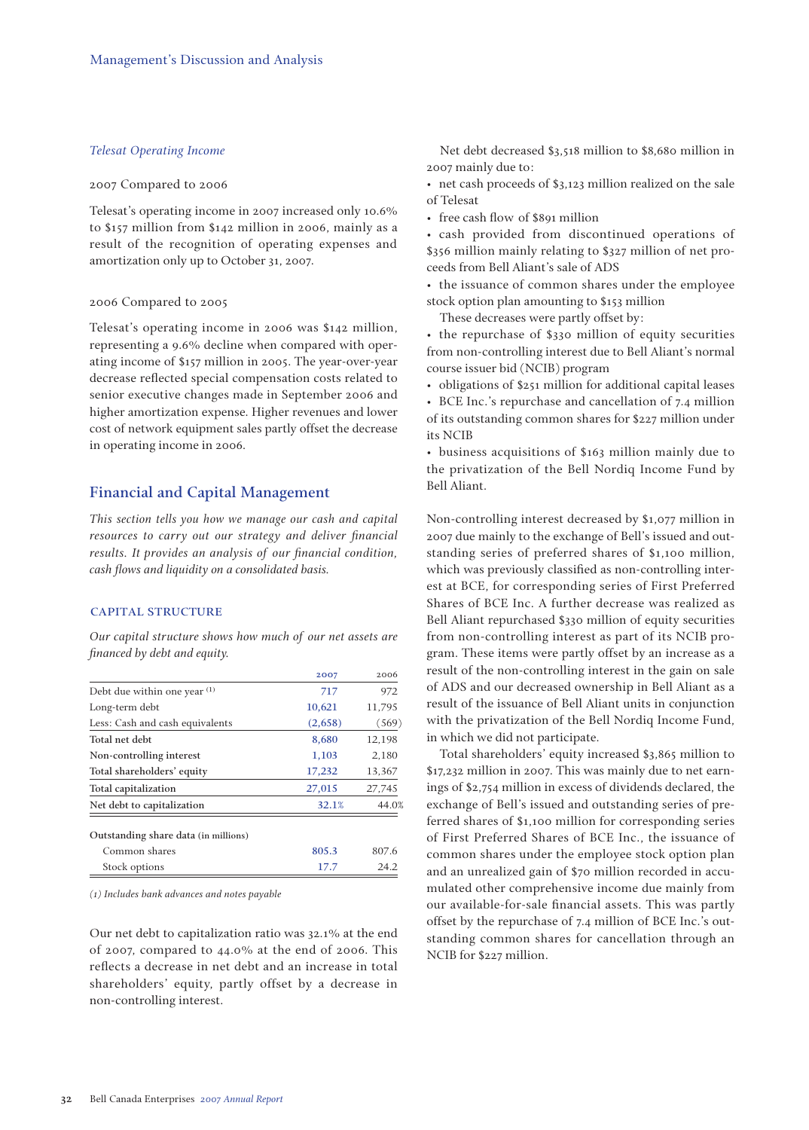# *Telesat Operating Income*

#### 2007 Compared to 2006

Telesat's operating income in 2007 increased only 10.6% to \$157 million from \$142 million in 2006, mainly as a result of the recognition of operating expenses and amortization only up to October 31, 2007.

#### 2006 Compared to 2005

Telesat's operating income in 2006 was \$142 million, representing a 9.6% decline when compared with operating income of \$157 million in 2005. The year-over-year decrease reflected special compensation costs related to senior executive changes made in September 2006 and higher amortization expense. Higher revenues and lower cost of network equipment sales partly offset the decrease in operating income in 2006.

# **Financial and Capital Management**

*This section tells you how we manage our cash and capital resources to carry out our strategy and deliver financial results. It provides an analysis of our financial condition, cash flows and liquidity on a consolidated basis.*

#### capital structure

*Our capital structure shows how much of our net assets are financed by debt and equity.*

|                                      | 2007    | 2006   |
|--------------------------------------|---------|--------|
| Debt due within one year (1)         | 717     | 972    |
| Long-term debt                       | 10,621  | 11,795 |
| Less: Cash and cash equivalents      | (2,658) | (569)  |
| Total net debt                       | 8,680   | 12,198 |
| Non-controlling interest             | 1,103   | 2,180  |
| Total shareholders' equity           | 17,232  | 13,367 |
| Total capitalization                 | 27,015  | 27,745 |
| Net debt to capitalization           | 32.1%   | 44.0%  |
| Outstanding share data (in millions) |         |        |
| Common shares                        | 805.3   | 807.6  |
| Stock options                        | 17.7    | 24.2   |

*(1) Includes bank advances and notes payable*

Our net debt to capitalization ratio was 32.1% at the end of 2007, compared to 44.0% at the end of 2006. This reflects a decrease in net debt and an increase in total shareholders' equity, partly offset by a decrease in non-controlling interest.

Net debt decreased \$3,518 million to \$8,680 million in 2007 mainly due to:

• net cash proceeds of \$3,123 million realized on the sale of Telesat

• free cash flow of \$891 million

• cash provided from discontinued operations of \$356 million mainly relating to \$327 million of net proceeds from Bell Aliant's sale of ADS

• the issuance of common shares under the employee stock option plan amounting to \$153 million

These decreases were partly offset by:

• the repurchase of \$330 million of equity securities from non-controlling interest due to Bell Aliant's normal course issuer bid (NCIB) program

• obligations of \$251 million for additional capital leases • BCE Inc.'s repurchase and cancellation of 7.4 million of its outstanding common shares for \$227 million under its NCIB

• business acquisitions of \$163 million mainly due to the privatization of the Bell Nordiq Income Fund by Bell Aliant.

Non-controlling interest decreased by \$1,077 million in 2007 due mainly to the exchange of Bell's issued and outstanding series of preferred shares of \$1,100 million, which was previously classified as non-controlling interest at BCE, for corresponding series of First Preferred Shares of BCE Inc. A further decrease was realized as Bell Aliant repurchased \$330 million of equity securities from non-controlling interest as part of its NCIB program. These items were partly offset by an increase as a result of the non-controlling interest in the gain on sale of ADS and our decreased ownership in Bell Aliant as a result of the issuance of Bell Aliant units in conjunction with the privatization of the Bell Nordiq Income Fund, in which we did not participate.

Total shareholders' equity increased \$3,865 million to \$17,232 million in 2007. This was mainly due to net earnings of \$2,754 million in excess of dividends declared, the exchange of Bell's issued and outstanding series of preferred shares of \$1,100 million for corresponding series of First Preferred Shares of BCE Inc., the issuance of common shares under the employee stock option plan and an unrealized gain of \$70 million recorded in accumulated other comprehensive income due mainly from our available-for-sale financial assets. This was partly offset by the repurchase of 7.4 million of BCE Inc.'s outstanding common shares for cancellation through an NCIB for \$227 million.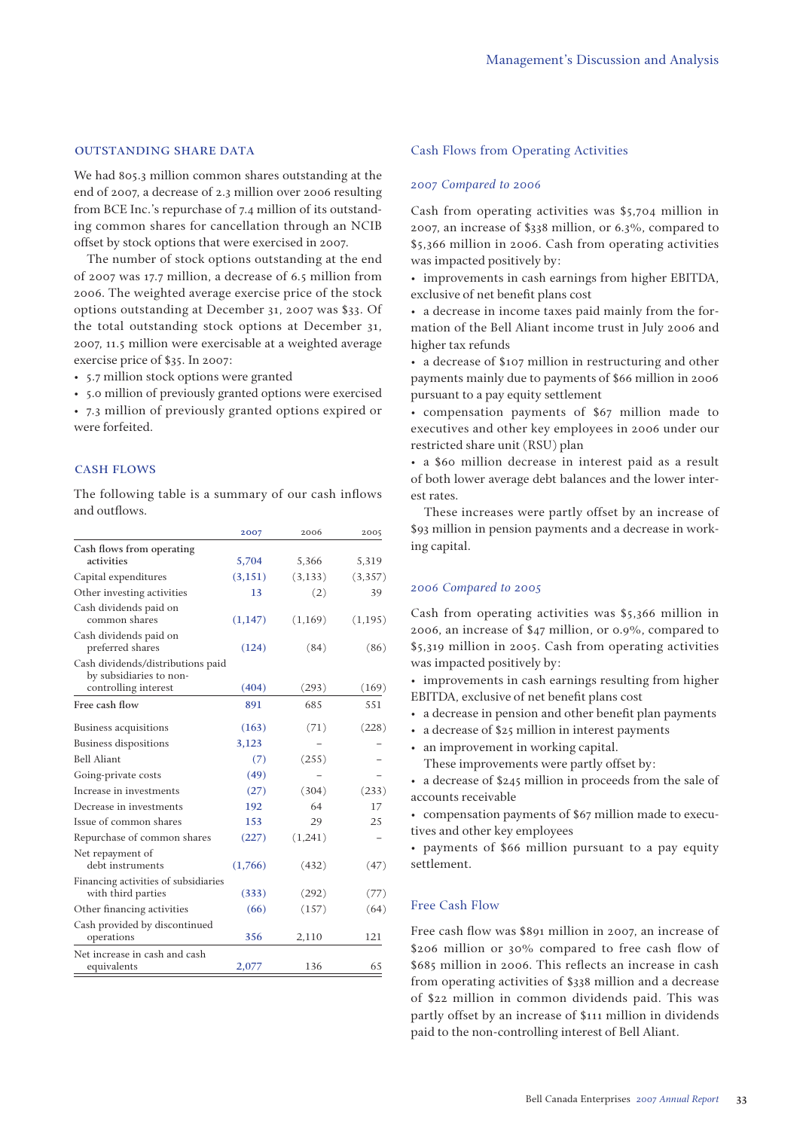# outstanding share data

We had 805.3 million common shares outstanding at the end of 2007, a decrease of 2.3 million over 2006 resulting from BCE Inc.'s repurchase of 7.4 million of its outstanding common shares for cancellation through an NCIB offset by stock options that were exercised in 2007.

The number of stock options outstanding at the end of 2007 was 17.7 million, a decrease of 6.5 million from 2006. The weighted average exercise price of the stock options outstanding at December 31, 2007 was \$33. Of the total outstanding stock options at December 31, 2007, 11.5 million were exercisable at a weighted average exercise price of \$35. In 2007:

• 5.7 million stock options were granted

• 5.0 million of previously granted options were exercised

• 7.3 million of previously granted options expired or were forfeited.

#### **CASH FLOWS**

The following table is a summary of our cash inflows and outflows.

|                                                              | 2007    | 2006     | 2005    |
|--------------------------------------------------------------|---------|----------|---------|
| Cash flows from operating                                    |         |          |         |
| activities                                                   | 5,704   | 5,366    | 5,319   |
| Capital expenditures                                         | (3,151) | (3, 133) | (3,357) |
| Other investing activities                                   | 13      | (2)      | 39      |
| Cash dividends paid on<br>common shares                      | (1,147) | (1,169)  | (1,195) |
| Cash dividends paid on<br>preferred shares                   | (124)   | (84)     | (86)    |
| Cash dividends/distributions paid<br>by subsidiaries to non- |         |          |         |
| controlling interest                                         | (404)   | (293)    | (169)   |
| Free cash flow                                               | 891     | 685      | 551     |
| Business acquisitions                                        | (163)   | (71)     | (228)   |
| <b>Business dispositions</b>                                 | 3,123   |          |         |
| <b>Bell Aliant</b>                                           | (7)     | (255)    |         |
| Going-private costs                                          | (49)    |          |         |
| Increase in investments                                      | (27)    | (304)    | (233)   |
| Decrease in investments                                      | 192     | 64       | 17      |
| Issue of common shares                                       | 153     | 29       | 25      |
| Repurchase of common shares                                  | (227)   | (1,241)  |         |
| Net repayment of<br>debt instruments                         | (1,766) | (432)    | (47)    |
| Financing activities of subsidiaries<br>with third parties   | (333)   | (292)    | (77)    |
| Other financing activities                                   | (66)    | (157)    | (64)    |
| Cash provided by discontinued<br>operations                  | 356     | 2,110    | 121     |
| Net increase in cash and cash<br>equivalents                 | 2,077   | 136      | 65      |

# Cash Flows from Operating Activities

#### *2007 Compared to 2006*

Cash from operating activities was \$5,704 million in 2007, an increase of \$338 million, or 6.3%, compared to \$5,366 million in 2006. Cash from operating activities was impacted positively by:

• improvements in cash earnings from higher EBITDA, exclusive of net benefit plans cost

• a decrease in income taxes paid mainly from the formation of the Bell Aliant income trust in July 2006 and higher tax refunds

• a decrease of \$107 million in restructuring and other payments mainly due to payments of \$66 million in 2006 pursuant to a pay equity settlement

• compensation payments of \$67 million made to executives and other key employees in 2006 under our restricted share unit (RSU) plan

• a \$60 million decrease in interest paid as a result of both lower average debt balances and the lower interest rates.

These increases were partly offset by an increase of \$93 million in pension payments and a decrease in working capital.

#### *2006 Compared to 2005*

Cash from operating activities was \$5,366 million in 2006, an increase of \$47 million, or 0.9%, compared to \$5,319 million in 2005. Cash from operating activities was impacted positively by:

• improvements in cash earnings resulting from higher EBITDA, exclusive of net benefit plans cost

• a decrease in pension and other benefit plan payments

• a decrease of \$25 million in interest payments

• an improvement in working capital.

These improvements were partly offset by:

• a decrease of \$245 million in proceeds from the sale of accounts receivable

• compensation payments of \$67 million made to executives and other key employees

• payments of \$66 million pursuant to a pay equity settlement.

#### Free Cash Flow

Free cash flow was \$891 million in 2007, an increase of \$206 million or 30% compared to free cash flow of \$685 million in 2006. This reflects an increase in cash from operating activities of \$338 million and a decrease of \$22 million in common dividends paid. This was partly offset by an increase of \$111 million in dividends paid to the non-controlling interest of Bell Aliant.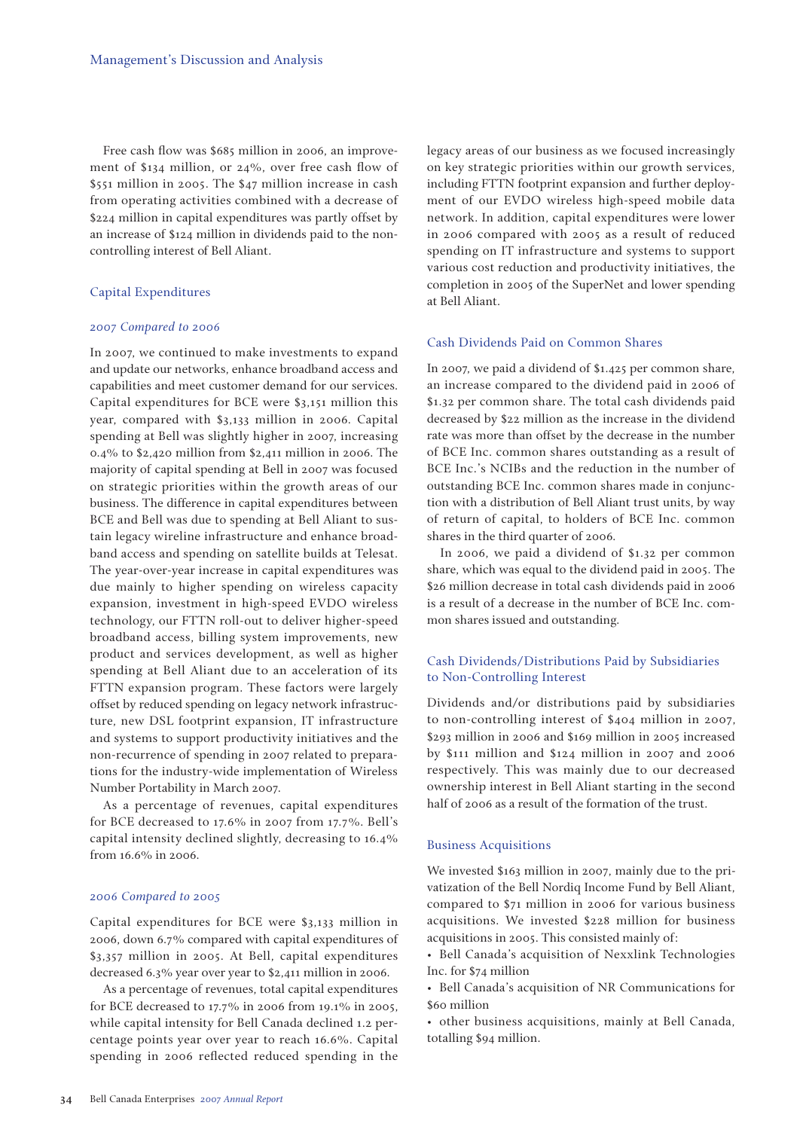Free cash flow was \$685 million in 2006, an improvement of \$134 million, or 24%, over free cash flow of \$551 million in 2005. The \$47 million increase in cash from operating activities combined with a decrease of \$224 million in capital expenditures was partly offset by an increase of \$124 million in dividends paid to the noncontrolling interest of Bell Aliant.

# Capital Expenditures

#### *2007 Compared to 2006*

In 2007, we continued to make investments to expand and update our networks, enhance broadband access and capabilities and meet customer demand for our services. Capital expenditures for BCE were \$3,151 million this year, compared with \$3,133 million in 2006. Capital spending at Bell was slightly higher in 2007, increasing 0.4% to \$2,420 million from \$2,411 million in 2006. The majority of capital spending at Bell in 2007 was focused on strategic priorities within the growth areas of our business. The difference in capital expenditures between BCE and Bell was due to spending at Bell Aliant to sustain legacy wireline infrastructure and enhance broadband access and spending on satellite builds at Telesat. The year-over-year increase in capital expenditures was due mainly to higher spending on wireless capacity expansion, investment in high-speed EVDO wireless technology, our FTTN roll-out to deliver higher-speed broadband access, billing system improvements, new product and services development, as well as higher spending at Bell Aliant due to an acceleration of its FTTN expansion program. These factors were largely offset by reduced spending on legacy network infrastructure, new DSL footprint expansion, IT infrastructure and systems to support productivity initiatives and the non-recurrence of spending in 2007 related to preparations for the industry-wide implementation of Wireless Number Portability in March 2007.

As a percentage of revenues, capital expenditures for BCE decreased to 17.6% in 2007 from 17.7%. Bell's capital intensity declined slightly, decreasing to 16.4% from 16.6% in 2006.

# *2006 Compared to 2005*

Capital expenditures for BCE were \$3,133 million in 2006, down 6.7% compared with capital expenditures of \$3,357 million in 2005. At Bell, capital expenditures decreased 6.3% year over year to \$2,411 million in 2006.

As a percentage of revenues, total capital expenditures for BCE decreased to 17.7% in 2006 from 19.1% in 2005, while capital intensity for Bell Canada declined 1.2 percentage points year over year to reach 16.6%. Capital spending in 2006 reflected reduced spending in the

legacy areas of our business as we focused increasingly on key strategic priorities within our growth services, including FTTN footprint expansion and further deployment of our EVDO wireless high-speed mobile data network. In addition, capital expenditures were lower in 2006 compared with 2005 as a result of reduced spending on IT infrastructure and systems to support various cost reduction and productivity initiatives, the completion in 2005 of the SuperNet and lower spending at Bell Aliant.

#### Cash Dividends Paid on Common Shares

In 2007, we paid a dividend of \$1.425 per common share, an increase compared to the dividend paid in 2006 of \$1.32 per common share. The total cash dividends paid decreased by \$22 million as the increase in the dividend rate was more than offset by the decrease in the number of BCE Inc. common shares outstanding as a result of BCE Inc.'s NCIBs and the reduction in the number of outstanding BCE Inc. common shares made in conjunction with a distribution of Bell Aliant trust units, by way of return of capital, to holders of BCE Inc. common shares in the third quarter of 2006.

In 2006, we paid a dividend of \$1.32 per common share, which was equal to the dividend paid in 2005. The \$26 million decrease in total cash dividends paid in 2006 is a result of a decrease in the number of BCE Inc. common shares issued and outstanding.

# Cash Dividends/Distributions Paid by Subsidiaries to Non-Controlling Interest

Dividends and/or distributions paid by subsidiaries to non-controlling interest of \$404 million in 2007, \$293 million in 2006 and \$169 million in 2005 increased by \$111 million and \$124 million in 2007 and 2006 respectively. This was mainly due to our decreased ownership interest in Bell Aliant starting in the second half of 2006 as a result of the formation of the trust.

#### Business Acquisitions

We invested \$163 million in 2007, mainly due to the privatization of the Bell Nordiq Income Fund by Bell Aliant, compared to \$71 million in 2006 for various business acquisitions. We invested \$228 million for business acquisitions in 2005. This consisted mainly of:

• Bell Canada's acquisition of Nexxlink Technologies Inc. for \$74 million

• Bell Canada's acquisition of NR Communications for \$60 million

• other business acquisitions, mainly at Bell Canada, totalling \$94 million.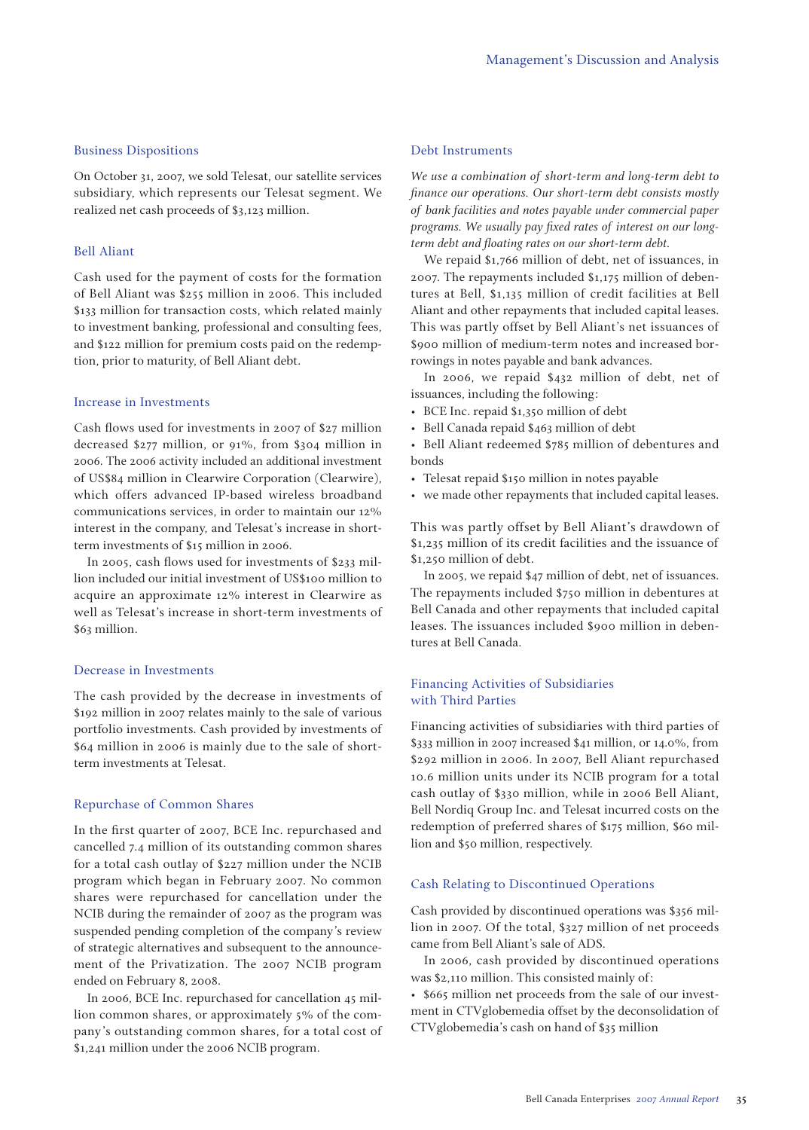# Business Dispositions

On October 31, 2007, we sold Telesat, our satellite services subsidiary, which represents our Telesat segment. We realized net cash proceeds of \$3,123 million.

# Bell Aliant

Cash used for the payment of costs for the formation of Bell Aliant was \$255 million in 2006. This included \$133 million for transaction costs, which related mainly to investment banking, professional and consulting fees, and \$122 million for premium costs paid on the redemption, prior to maturity, of Bell Aliant debt.

#### Increase in Investments

Cash flows used for investments in 2007 of \$27 million decreased \$277 million, or 91%, from \$304 million in 2006. The 2006 activity included an additional investment of US\$84 million in Clearwire Corporation (Clearwire), which offers advanced IP-based wireless broadband communications services, in order to maintain our 12% interest in the company, and Telesat's increase in shortterm investments of \$15 million in 2006.

In 2005, cash flows used for investments of \$233 million included our initial investment of US\$100 million to acquire an approximate 12% interest in Clearwire as well as Telesat's increase in short-term investments of \$63 million.

#### Decrease in Investments

The cash provided by the decrease in investments of \$192 million in 2007 relates mainly to the sale of various portfolio investments. Cash provided by investments of \$64 million in 2006 is mainly due to the sale of shortterm investments at Telesat.

#### Repurchase of Common Shares

In the first quarter of 2007, BCE Inc. repurchased and cancelled 7.4 million of its outstanding common shares for a total cash outlay of \$227 million under the NCIB program which began in February 2007. No common shares were repurchased for cancellation under the NCIB during the remainder of 2007 as the program was suspended pending completion of the company's review of strategic alternatives and subsequent to the announcement of the Privatization. The 2007 NCIB program ended on February 8, 2008.

In 2006, BCE Inc. repurchased for cancellation 45 million common shares, or approximately 5% of the company's outstanding common shares, for a total cost of \$1,241 million under the 2006 NCIB program.

# Debt Instruments

*We use a combination of short-term and long-term debt to finance our operations. Our short-term debt consists mostly of bank facilities and notes payable under commercial paper programs. We usually pay fixed rates of interest on our longterm debt and floating rates on our short-term debt.*

We repaid \$1,766 million of debt, net of issuances, in 2007. The repayments included \$1,175 million of debentures at Bell, \$1,135 million of credit facilities at Bell Aliant and other repayments that included capital leases. This was partly offset by Bell Aliant's net issuances of \$900 million of medium-term notes and increased borrowings in notes payable and bank advances.

In 2006, we repaid \$432 million of debt, net of issuances, including the following:

- BCE Inc. repaid \$1,350 million of debt
- Bell Canada repaid \$463 million of debt

• Bell Aliant redeemed \$785 million of debentures and bonds

- Telesat repaid \$150 million in notes payable
- we made other repayments that included capital leases.

This was partly offset by Bell Aliant's drawdown of \$1,235 million of its credit facilities and the issuance of \$1,250 million of debt.

In 2005, we repaid \$47 million of debt, net of issuances. The repayments included \$750 million in debentures at Bell Canada and other repayments that included capital leases. The issuances included \$900 million in debentures at Bell Canada.

# Financing Activities of Subsidiaries with Third Parties

Financing activities of subsidiaries with third parties of \$333 million in 2007 increased \$41 million, or 14.0%, from \$292 million in 2006. In 2007, Bell Aliant repurchased 10.6 million units under its NCIB program for a total cash outlay of \$330 million, while in 2006 Bell Aliant, Bell Nordiq Group Inc. and Telesat incurred costs on the redemption of preferred shares of \$175 million, \$60 million and \$50 million, respectively.

# Cash Relating to Discontinued Operations

Cash provided by discontinued operations was \$356 million in 2007. Of the total, \$327 million of net proceeds came from Bell Aliant's sale of ADS.

In 2006, cash provided by discontinued operations was \$2,110 million. This consisted mainly of:

• \$665 million net proceeds from the sale of our investment in CTVglobemedia offset by the deconsolidation of CTVglobemedia's cash on hand of \$35 million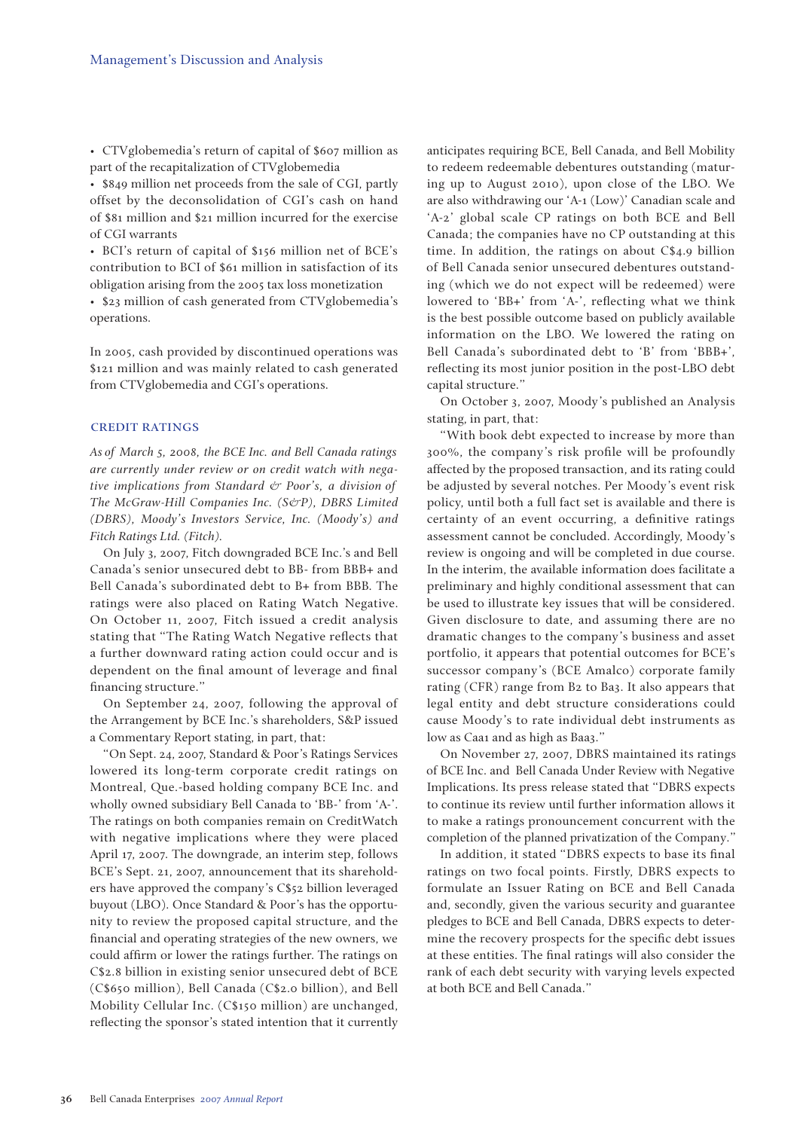• CTVglobemedia's return of capital of \$607 million as part of the recapitalization of CTVglobemedia

• \$849 million net proceeds from the sale of CGI, partly offset by the deconsolidation of CGI's cash on hand of \$81 million and \$21 million incurred for the exercise of CGI warrants

• BCI's return of capital of \$156 million net of BCE's contribution to BCI of \$61 million in satisfaction of its obligation arising from the 2005 tax loss monetization

• \$23 million of cash generated from CTVglobemedia's operations.

In 2005, cash provided by discontinued operations was \$121 million and was mainly related to cash generated from CTVglobemedia and CGI's operations.

# credit ratings

*As of March 5, 2008, the BCE Inc. and Bell Canada ratings are currently under review or on credit watch with negative implications from Standard & Poor's, a division of The McGraw-Hill Companies Inc. (S&P), DBRS Limited (DBRS), Moody's Investors Service, Inc. (Moody's) and Fitch Ratings Ltd. (Fitch).*

On July 3, 2007, Fitch downgraded BCE Inc.'s and Bell Canada's senior unsecured debt to BB- from BBB+ and Bell Canada's subordinated debt to B+ from BBB. The ratings were also placed on Rating Watch Negative. On October 11, 2007, Fitch issued a credit analysis stating that "The Rating Watch Negative reflects that a further downward rating action could occur and is dependent on the final amount of leverage and final financing structure."

On September 24, 2007, following the approval of the Arrangement by BCE Inc.'s shareholders, S&P issued a Commentary Report stating, in part, that:

"On Sept. 24, 2007, Standard & Poor's Ratings Services lowered its long-term corporate credit ratings on Montreal, Que.-based holding company BCE Inc. and wholly owned subsidiary Bell Canada to 'BB-' from 'A-'. The ratings on both companies remain on CreditWatch with negative implications where they were placed April 17, 2007. The downgrade, an interim step, follows BCE's Sept. 21, 2007, announcement that its shareholders have approved the company's C\$52 billion leveraged buyout (LBO). Once Standard & Poor's has the opportunity to review the proposed capital structure, and the financial and operating strategies of the new owners, we could affirm or lower the ratings further. The ratings on C\$2.8 billion in existing senior unsecured debt of BCE (C\$650 million), Bell Canada (C\$2.0 billion), and Bell Mobility Cellular Inc. (C\$150 million) are unchanged, reflecting the sponsor's stated intention that it currently

anticipates requiring BCE, Bell Canada, and Bell Mobility to redeem redeemable debentures outstanding (maturing up to August 2010), upon close of the LBO. We are also withdrawing our 'A-1 (Low)' Canadian scale and 'A-2' global scale CP ratings on both BCE and Bell Canada; the companies have no CP outstanding at this time. In addition, the ratings on about C\$4.9 billion of Bell Canada senior unsecured debentures outstanding (which we do not expect will be redeemed) were lowered to 'BB+' from 'A-', reflecting what we think is the best possible outcome based on publicly available information on the LBO. We lowered the rating on Bell Canada's subordinated debt to 'B' from 'BBB+', reflecting its most junior position in the post-LBO debt capital structure."

On October 3, 2007, Moody's published an Analysis stating, in part, that:

"With book debt expected to increase by more than 300%, the company's risk profile will be profoundly affected by the proposed transaction, and its rating could be adjusted by several notches. Per Moody's event risk policy, until both a full fact set is available and there is certainty of an event occurring, a definitive ratings assessment cannot be concluded. Accordingly, Moody's review is ongoing and will be completed in due course. In the interim, the available information does facilitate a preliminary and highly conditional assessment that can be used to illustrate key issues that will be considered. Given disclosure to date, and assuming there are no dramatic changes to the company's business and asset portfolio, it appears that potential outcomes for BCE's successor company's (BCE Amalco) corporate family rating (CFR) range from B2 to Ba3. It also appears that legal entity and debt structure considerations could cause Moody's to rate individual debt instruments as low as Caa1 and as high as Baa3."

On November 27, 2007, DBRS maintained its ratings of BCE Inc. and Bell Canada Under Review with Negative Implications. Its press release stated that "DBRS expects to continue its review until further information allows it to make a ratings pronouncement concurrent with the completion of the planned privatization of the Company."

In addition, it stated "DBRS expects to base its final ratings on two focal points. Firstly, DBRS expects to formulate an Issuer Rating on BCE and Bell Canada and, secondly, given the various security and guarantee pledges to BCE and Bell Canada, DBRS expects to determine the recovery prospects for the specific debt issues at these entities. The final ratings will also consider the rank of each debt security with varying levels expected at both BCE and Bell Canada."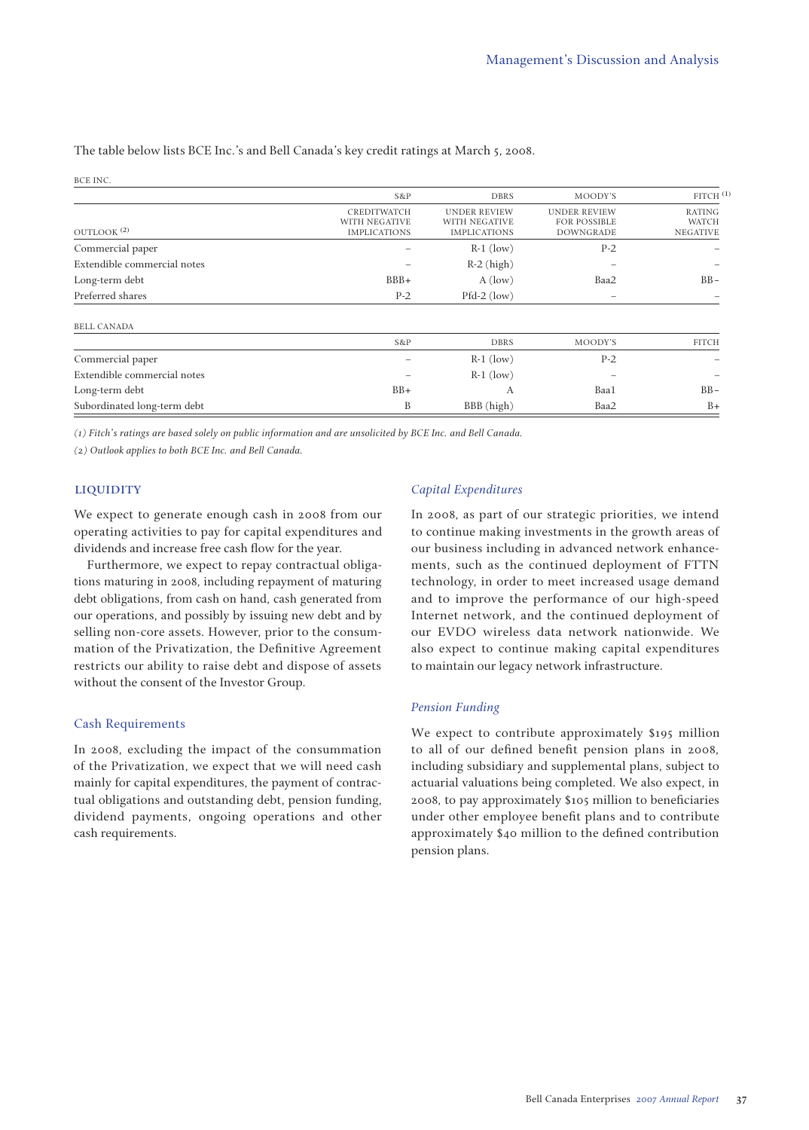| -----                       |                                                     |                                                             |                                                                |                                                  |
|-----------------------------|-----------------------------------------------------|-------------------------------------------------------------|----------------------------------------------------------------|--------------------------------------------------|
|                             | S&P                                                 | <b>DBRS</b>                                                 | MOODY'S                                                        | FITCH <sup>(1)</sup>                             |
| OUTLOOK <sup>(2)</sup>      | CREDITWATCH<br>WITH NEGATIVE<br><b>IMPLICATIONS</b> | <b>UNDER REVIEW</b><br>WITH NEGATIVE<br><b>IMPLICATIONS</b> | <b>UNDER REVIEW</b><br><b>FOR POSSIBLE</b><br><b>DOWNGRADE</b> | <b>RATING</b><br><b>WATCH</b><br><b>NEGATIVE</b> |
| Commercial paper            |                                                     | $R-1$ (low)                                                 | $P-2$                                                          |                                                  |
| Extendible commercial notes |                                                     | $R-2$ (high)                                                |                                                                |                                                  |
| Long-term debt              | $BBB+$                                              | $A$ (low)                                                   | Baa2                                                           | $BB -$                                           |
| Preferred shares            | $P-2$                                               | $Pfd-2$ (low)                                               | -                                                              |                                                  |
| <b>BELL CANADA</b>          |                                                     |                                                             |                                                                |                                                  |
|                             | S&P                                                 | <b>DBRS</b>                                                 | MOODY'S                                                        | <b>FITCH</b>                                     |
| Commercial paper            |                                                     | $R-1$ (low)                                                 | $P-2$                                                          |                                                  |
| Extendible commercial notes |                                                     | $R-1$ (low)                                                 |                                                                |                                                  |
| Long-term debt              | $BB+$                                               | А                                                           | Baa1                                                           | $BB -$                                           |
| Subordinated long-term debt | B                                                   | BBB (high)                                                  | Baa2                                                           | $B+$                                             |

The table below lists BCE Inc.'s and Bell Canada's key credit ratings at March 5, 2008.

*(1) Fitch's ratings are based solely on public information and are unsolicited by BCE Inc. and Bell Canada.*

*(2) Outlook applies to both BCE Inc. and Bell Canada.*

#### **LIQUIDITY**

BCE INC.

We expect to generate enough cash in 2008 from our operating activities to pay for capital expenditures and dividends and increase free cash flow for the year.

Furthermore, we expect to repay contractual obligations maturing in 2008, including repayment of maturing debt obligations, from cash on hand, cash generated from our operations, and possibly by issuing new debt and by selling non-core assets. However, prior to the consummation of the Privatization, the Definitive Agreement restricts our ability to raise debt and dispose of assets without the consent of the Investor Group.

#### Cash Requirements

In 2008, excluding the impact of the consummation of the Privatization, we expect that we will need cash mainly for capital expenditures, the payment of contractual obligations and outstanding debt, pension funding, dividend payments, ongoing operations and other cash requirements.

## *Capital Expenditures*

In 2008, as part of our strategic priorities, we intend to continue making investments in the growth areas of our business including in advanced network enhancements, such as the continued deployment of FTTN technology, in order to meet increased usage demand and to improve the performance of our high-speed Internet network, and the continued deployment of our EVDO wireless data network nationwide. We also expect to continue making capital expenditures to maintain our legacy network infrastructure.

#### *Pension Funding*

We expect to contribute approximately \$195 million to all of our defined benefit pension plans in 2008, including subsidiary and supplemental plans, subject to actuarial valuations being completed. We also expect, in 2008, to pay approximately \$105 million to beneficiaries under other employee benefit plans and to contribute approximately \$40 million to the defined contribution pension plans.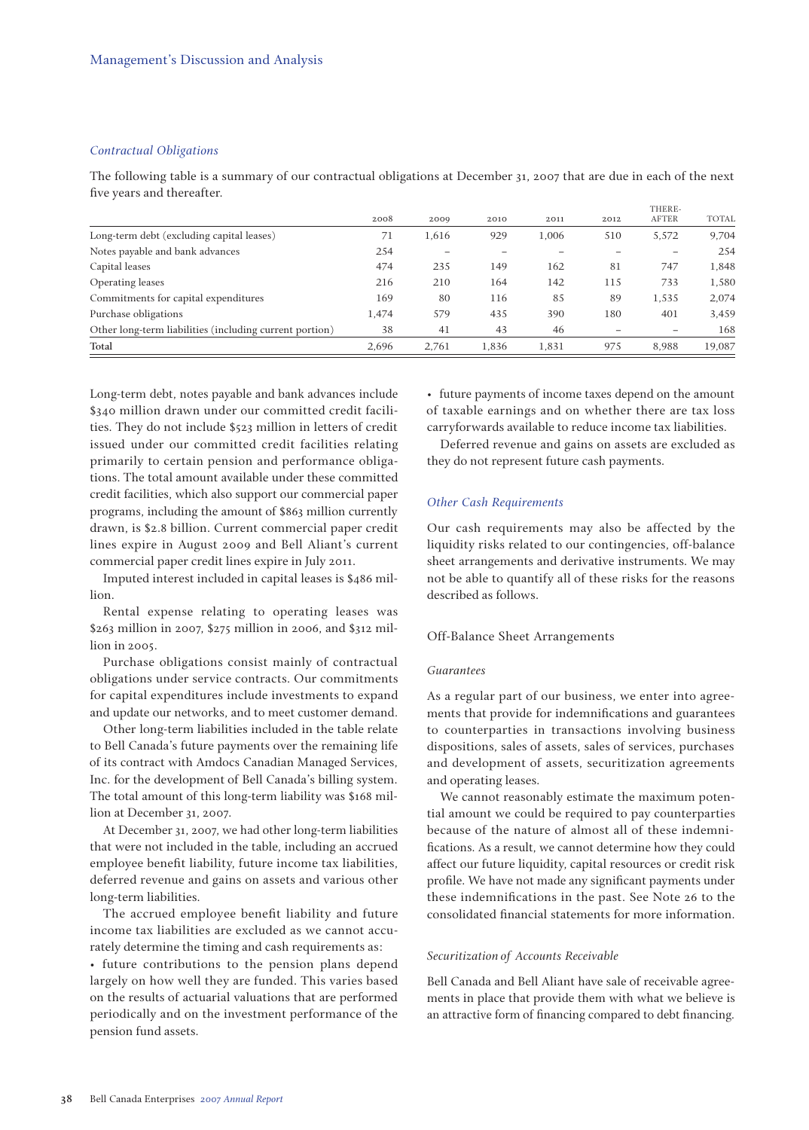## *Contractual Obligations*

The following table is a summary of our contractual obligations at December 31, 2007 that are due in each of the next five years and thereafter.

| <b>TOTAL</b> |
|--------------|
|              |
| 9,704        |
| 254          |
| 1,848        |
| 1,580        |
| 2,074        |
| 3,459        |
| 168          |
| 19,087       |
|              |

Long-term debt, notes payable and bank advances include \$340 million drawn under our committed credit facilities. They do not include \$523 million in letters of credit issued under our committed credit facilities relating primarily to certain pension and performance obligations. The total amount available under these committed credit facilities, which also support our commercial paper programs, including the amount of \$863 million currently drawn, is \$2.8 billion. Current commercial paper credit lines expire in August 2009 and Bell Aliant's current commercial paper credit lines expire in July 2011.

Imputed interest included in capital leases is \$486 million.

Rental expense relating to operating leases was \$263 million in 2007, \$275 million in 2006, and \$312 million in 2005.

Purchase obligations consist mainly of contractual obligations under service contracts. Our commitments for capital expenditures include investments to expand and update our networks, and to meet customer demand.

Other long-term liabilities included in the table relate to Bell Canada's future payments over the remaining life of its contract with Amdocs Canadian Managed Services, Inc. for the development of Bell Canada's billing system. The total amount of this long-term liability was \$168 million at December 31, 2007.

At December 31, 2007, we had other long-term liabilities that were not included in the table, including an accrued employee benefit liability, future income tax liabilities, deferred revenue and gains on assets and various other long-term liabilities.

The accrued employee benefit liability and future income tax liabilities are excluded as we cannot accurately determine the timing and cash requirements as:

• future contributions to the pension plans depend largely on how well they are funded. This varies based on the results of actuarial valuations that are performed periodically and on the investment performance of the pension fund assets.

• future payments of income taxes depend on the amount of taxable earnings and on whether there are tax loss carryforwards available to reduce income tax liabilities.

Deferred revenue and gains on assets are excluded as they do not represent future cash payments.

#### *Other Cash Requirements*

Our cash requirements may also be affected by the liquidity risks related to our contingencies, off-balance sheet arrangements and derivative instruments. We may not be able to quantify all of these risks for the reasons described as follows.

#### Off-Balance Sheet Arrangements

#### *Guarantees*

As a regular part of our business, we enter into agreements that provide for indemnifications and guarantees to counterparties in transactions involving business dispositions, sales of assets, sales of services, purchases and development of assets, securitization agreements and operating leases.

We cannot reasonably estimate the maximum potential amount we could be required to pay counterparties because of the nature of almost all of these indemnifications. As a result, we cannot determine how they could affect our future liquidity, capital resources or credit risk profile. We have not made any significant payments under these indemnifications in the past. See Note 26 to the consolidated financial statements for more information.

#### *Securitization of Accounts Receivable*

Bell Canada and Bell Aliant have sale of receivable agreements in place that provide them with what we believe is an attractive form of financing compared to debt financing.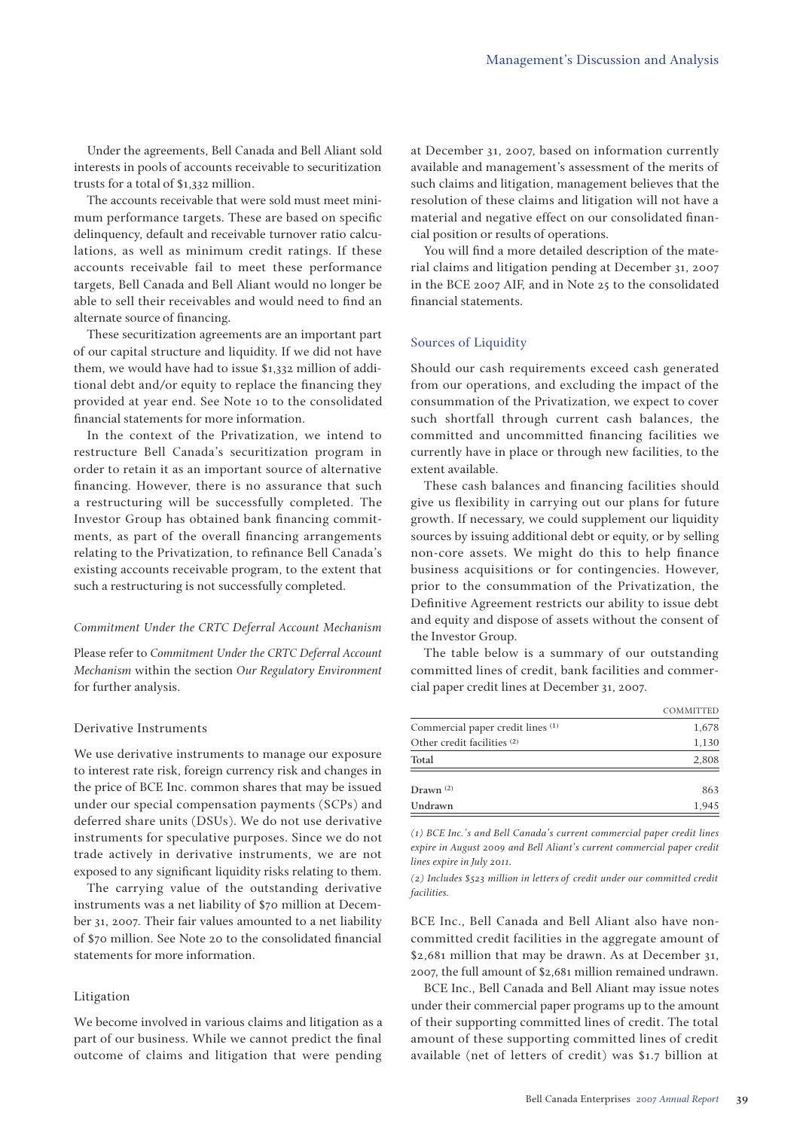Under the agreements, Bell Canada and Bell Aliant sold interests in pools of accounts receivable to securitization trusts for a total of \$1,332 million.

The accounts receivable that were sold must meet minimum performance targets. These are based on specific delinquency, default and receivable turnover ratio calculations, as well as minimum credit ratings. If these accounts receivable fail to meet these performance targets, Bell Canada and Bell Aliant would no longer be able to sell their receivables and would need to find an alternate source of financing.

These securitization agreements are an important part of our capital structure and liquidity. If we did not have them, we would have had to issue \$1,332 million of additional debt and/or equity to replace the financing they provided at year end. See Note 10 to the consolidated financial statements for more information.

In the context of the Privatization, we intend to restructure Bell Canada's securitization program in order to retain it as an important source of alternative financing. However, there is no assurance that such a restructuring will be successfully completed. The Investor Group has obtained bank financing commitments, as part of the overall financing arrangements relating to the Privatization, to refinance Bell Canada's existing accounts receivable program, to the extent that such a restructuring is not successfully completed.

## *Commitment Under the CRTC Deferral Account Mechanism*

Please refer to *Commitment Under the CRTC Deferral Account Mechanism* within the section *Our Regulatory Environment* for further analysis.

#### Derivative Instruments

We use derivative instruments to manage our exposure to interest rate risk, foreign currency risk and changes in the price of BCE Inc. common shares that may be issued under our special compensation payments (SCPs) and deferred share units (DSUs). We do not use derivative instruments for speculative purposes. Since we do not trade actively in derivative instruments, we are not exposed to any significant liquidity risks relating to them.

The carrying value of the outstanding derivative instruments was a net liability of \$70 million at December 31, 2007. Their fair values amounted to a net liability of \$70 million. See Note 20 to the consolidated financial statements for more information.

#### Litigation

We become involved in various claims and litigation as a part of our business. While we cannot predict the final outcome of claims and litigation that were pending

at December 31, 2007, based on information currently available and management's assessment of the merits of such claims and litigation, management believes that the resolution of these claims and litigation will not have a material and negative effect on our consolidated financial position or results of operations.

You will find a more detailed description of the material claims and litigation pending at December 31, 2007 in the BCE 2007 AIF, and in Note 25 to the consolidated financial statements.

#### Sources of Liquidity

Should our cash requirements exceed cash generated from our operations, and excluding the impact of the consummation of the Privatization, we expect to cover such shortfall through current cash balances, the committed and uncommitted financing facilities we currently have in place or through new facilities, to the extent available.

These cash balances and financing facilities should give us flexibility in carrying out our plans for future growth. If necessary, we could supplement our liquidity sources by issuing additional debt or equity, or by selling non-core assets. We might do this to help finance business acquisitions or for contingencies. However, prior to the consummation of the Privatization, the Definitive Agreement restricts our ability to issue debt and equity and dispose of assets without the consent of the Investor Group.

The table below is a summary of our outstanding committed lines of credit, bank facilities and commercial paper credit lines at December 31, 2007.

|                                        | COMMITTED |
|----------------------------------------|-----------|
| Commercial paper credit lines (1)      | 1,678     |
| Other credit facilities <sup>(2)</sup> | 1.130     |
| Total                                  | 2.808     |
|                                        |           |
| Drawn <sup>(2)</sup>                   | 863       |
| Undrawn                                | 1.945     |

*(1) BCE Inc.'s and Bell Canada's current commercial paper credit lines expire in August 2009 and Bell Aliant's current commercial paper credit lines expire in July 2011.*

*(2) Includes \$523 million in letters of credit under our committed credit facilities.*

BCE Inc., Bell Canada and Bell Aliant also have noncommitted credit facilities in the aggregate amount of \$2,681 million that may be drawn. As at December 31, 2007, the full amount of \$2,681 million remained undrawn.

BCE Inc., Bell Canada and Bell Aliant may issue notes under their commercial paper programs up to the amount of their supporting committed lines of credit. The total amount of these supporting committed lines of credit available (net of letters of credit) was \$1.7 billion at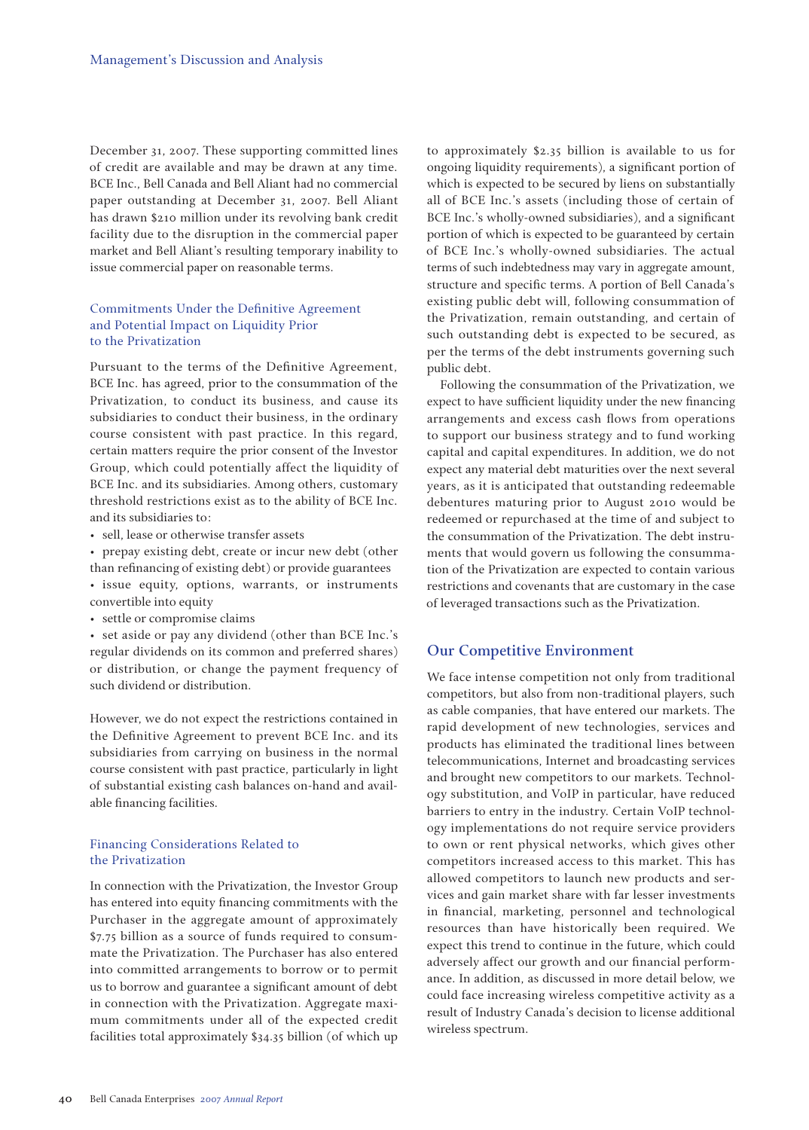December 31, 2007. These supporting committed lines of credit are available and may be drawn at any time. BCE Inc., Bell Canada and Bell Aliant had no commercial paper outstanding at December 31, 2007. Bell Aliant has drawn \$210 million under its revolving bank credit facility due to the disruption in the commercial paper market and Bell Aliant's resulting temporary inability to issue commercial paper on reasonable terms.

## Commitments Under the Definitive Agreement and Potential Impact on Liquidity Prior to the Privatization

Pursuant to the terms of the Definitive Agreement, BCE Inc. has agreed, prior to the consummation of the Privatization, to conduct its business, and cause its subsidiaries to conduct their business, in the ordinary course consistent with past practice. In this regard, certain matters require the prior consent of the Investor Group, which could potentially affect the liquidity of BCE Inc. and its subsidiaries. Among others, customary threshold restrictions exist as to the ability of BCE Inc. and its subsidiaries to:

• sell, lease or otherwise transfer assets

• prepay existing debt, create or incur new debt (other than refinancing of existing debt) or provide guarantees • issue equity, options, warrants, or instruments convertible into equity

• settle or compromise claims

• set aside or pay any dividend (other than BCE Inc.'s regular dividends on its common and preferred shares) or distribution, or change the payment frequency of such dividend or distribution.

However, we do not expect the restrictions contained in the Definitive Agreement to prevent BCE Inc. and its subsidiaries from carrying on business in the normal course consistent with past practice, particularly in light of substantial existing cash balances on-hand and available financing facilities.

### Financing Considerations Related to the Privatization

In connection with the Privatization, the Investor Group has entered into equity financing commitments with the Purchaser in the aggregate amount of approximately \$7.75 billion as a source of funds required to consummate the Privatization. The Purchaser has also entered into committed arrangements to borrow or to permit us to borrow and guarantee a significant amount of debt in connection with the Privatization. Aggregate maximum commitments under all of the expected credit facilities total approximately \$34.35 billion (of which up

to approximately \$2.35 billion is available to us for ongoing liquidity requirements), a significant portion of which is expected to be secured by liens on substantially all of BCE Inc.'s assets (including those of certain of BCE Inc.'s wholly-owned subsidiaries), and a significant portion of which is expected to be guaranteed by certain of BCE Inc.'s wholly-owned subsidiaries. The actual terms of such indebtedness may vary in aggregate amount, structure and specific terms. A portion of Bell Canada's existing public debt will, following consummation of the Privatization, remain outstanding, and certain of such outstanding debt is expected to be secured, as per the terms of the debt instruments governing such public debt.

Following the consummation of the Privatization, we expect to have sufficient liquidity under the new financing arrangements and excess cash flows from operations to support our business strategy and to fund working capital and capital expenditures. In addition, we do not expect any material debt maturities over the next several years, as it is anticipated that outstanding redeemable debentures maturing prior to August 2010 would be redeemed or repurchased at the time of and subject to the consummation of the Privatization. The debt instruments that would govern us following the consummation of the Privatization are expected to contain various restrictions and covenants that are customary in the case of leveraged transactions such as the Privatization.

## **Our Competitive Environment**

We face intense competition not only from traditional competitors, but also from non-traditional players, such as cable companies, that have entered our markets. The rapid development of new technologies, services and products has eliminated the traditional lines between telecommunications, Internet and broadcasting services and brought new competitors to our markets. Technology substitution, and VoIP in particular, have reduced barriers to entry in the industry. Certain VoIP technology implementations do not require service providers to own or rent physical networks, which gives other competitors increased access to this market. This has allowed competitors to launch new products and services and gain market share with far lesser investments in financial, marketing, personnel and technological resources than have historically been required. We expect this trend to continue in the future, which could adversely affect our growth and our financial performance. In addition, as discussed in more detail below, we could face increasing wireless competitive activity as a result of Industry Canada's decision to license additional wireless spectrum.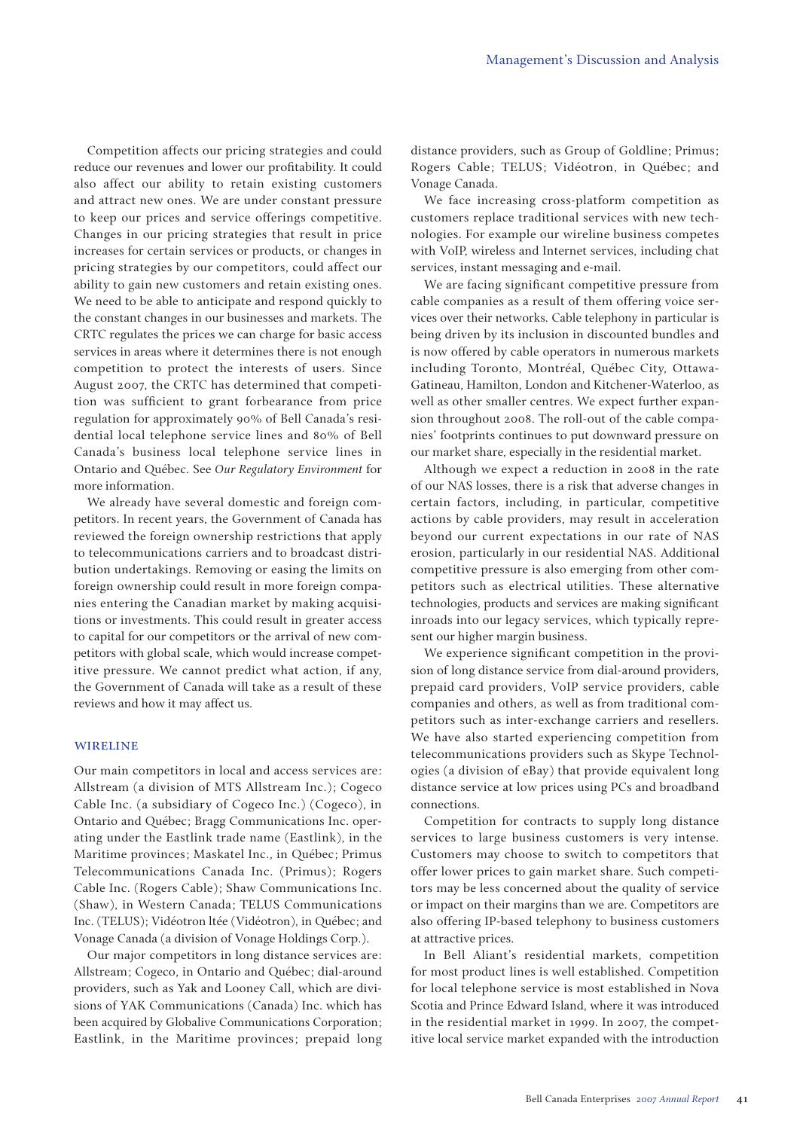Competition affects our pricing strategies and could reduce our revenues and lower our profitability. It could also affect our ability to retain existing customers and attract new ones. We are under constant pressure to keep our prices and service offerings competitive. Changes in our pricing strategies that result in price increases for certain services or products, or changes in pricing strategies by our competitors, could affect our ability to gain new customers and retain existing ones. We need to be able to anticipate and respond quickly to the constant changes in our businesses and markets. The CRTC regulates the prices we can charge for basic access services in areas where it determines there is not enough competition to protect the interests of users. Since August 2007, the CRTC has determined that competition was sufficient to grant forbearance from price regulation for approximately 90% of Bell Canada's residential local telephone service lines and 80% of Bell Canada's business local telephone service lines in Ontario and Québec. See *Our Regulatory Environment* for more information.

We already have several domestic and foreign competitors. In recent years, the Government of Canada has reviewed the foreign ownership restrictions that apply to telecommunications carriers and to broadcast distribution undertakings. Removing or easing the limits on foreign ownership could result in more foreign companies entering the Canadian market by making acquisitions or investments. This could result in greater access to capital for our competitors or the arrival of new competitors with global scale, which would increase competitive pressure. We cannot predict what action, if any, the Government of Canada will take as a result of these reviews and how it may affect us.

## wireline

Our main competitors in local and access services are: Allstream (a division of MTS Allstream Inc.); Cogeco Cable Inc. (a subsidiary of Cogeco Inc.) (Cogeco), in Ontario and Québec; Bragg Communications Inc. operating under the Eastlink trade name (Eastlink), in the Maritime provinces; Maskatel Inc., in Québec; Primus Telecommunications Canada Inc. (Primus); Rogers Cable Inc. (Rogers Cable); Shaw Communications Inc. (Shaw), in Western Canada; TELUS Communications Inc. (TELUS); Vidéotron ltée (Vidéotron), in Québec; and Vonage Canada (a division of Vonage Holdings Corp.).

Our major competitors in long distance services are: Allstream; Cogeco, in Ontario and Québec; dial-around providers, such as Yak and Looney Call, which are divisions of YAK Communications (Canada) Inc. which has been acquired by Globalive Communications Corporation; Eastlink, in the Maritime provinces; prepaid long distance providers, such as Group of Goldline; Primus; Rogers Cable; TELUS; Vidéotron, in Québec; and Vonage Canada.

We face increasing cross-platform competition as customers replace traditional services with new technologies. For example our wireline business competes with VoIP, wireless and Internet services, including chat services, instant messaging and e-mail.

We are facing significant competitive pressure from cable companies as a result of them offering voice services over their networks. Cable telephony in particular is being driven by its inclusion in discounted bundles and is now offered by cable operators in numerous markets including Toronto, Montréal, Québec City, Ottawa-Gatineau, Hamilton, London and Kitchener-Waterloo, as well as other smaller centres. We expect further expansion throughout 2008. The roll-out of the cable companies' footprints continues to put downward pressure on our market share, especially in the residential market.

Although we expect a reduction in 2008 in the rate of our NAS losses, there is a risk that adverse changes in certain factors, including, in particular, competitive actions by cable providers, may result in acceleration beyond our current expectations in our rate of NAS erosion, particularly in our residential NAS. Additional competitive pressure is also emerging from other competitors such as electrical utilities. These alternative technologies, products and services are making significant inroads into our legacy services, which typically represent our higher margin business.

We experience significant competition in the provision of long distance service from dial-around providers, prepaid card providers, VoIP service providers, cable companies and others, as well as from traditional competitors such as inter-exchange carriers and resellers. We have also started experiencing competition from telecommunications providers such as Skype Technologies (a division of eBay) that provide equivalent long distance service at low prices using PCs and broadband connections.

Competition for contracts to supply long distance services to large business customers is very intense. Customers may choose to switch to competitors that offer lower prices to gain market share. Such competitors may be less concerned about the quality of service or impact on their margins than we are. Competitors are also offering IP-based telephony to business customers at attractive prices.

In Bell Aliant's residential markets, competition for most product lines is well established. Competition for local telephone service is most established in Nova Scotia and Prince Edward Island, where it was introduced in the residential market in 1999. In 2007, the competitive local service market expanded with the introduction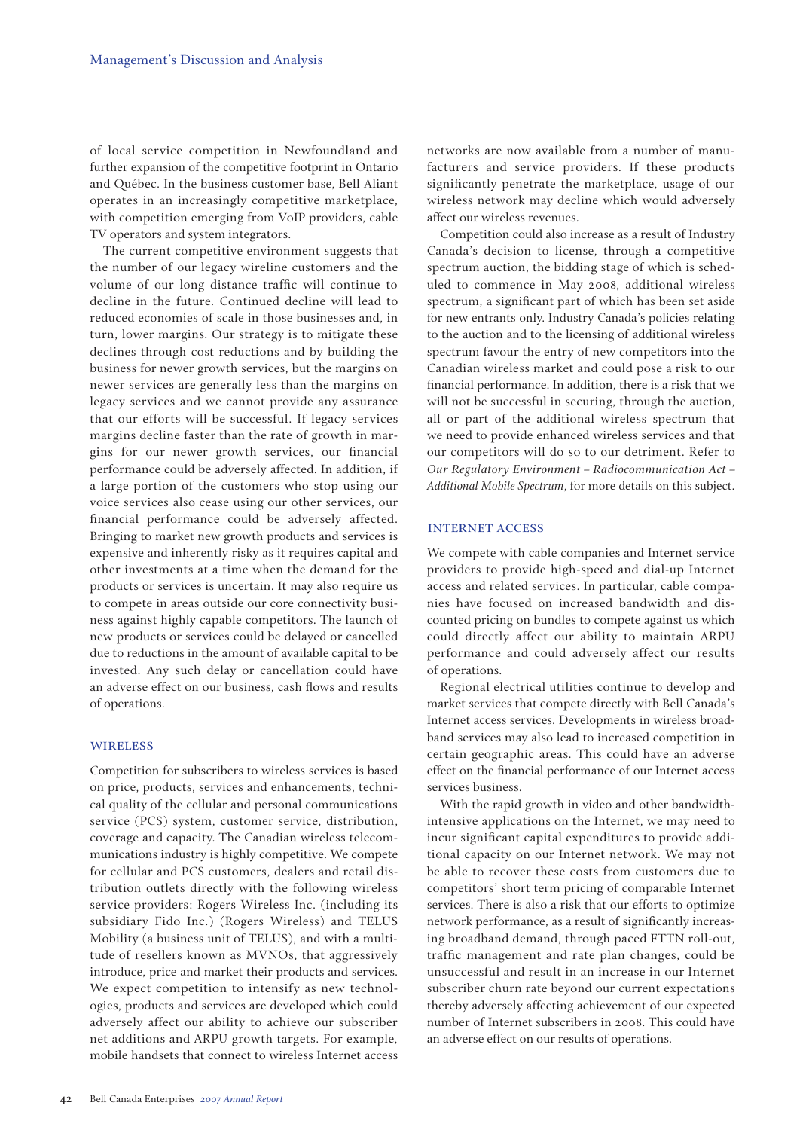of local service competition in Newfoundland and further expansion of the competitive footprint in Ontario and Québec. In the business customer base, Bell Aliant operates in an increasingly competitive marketplace, with competition emerging from VoIP providers, cable TV operators and system integrators.

The current competitive environment suggests that the number of our legacy wireline customers and the volume of our long distance traffic will continue to decline in the future. Continued decline will lead to reduced economies of scale in those businesses and, in turn, lower margins. Our strategy is to mitigate these declines through cost reductions and by building the business for newer growth services, but the margins on newer services are generally less than the margins on legacy services and we cannot provide any assurance that our efforts will be successful. If legacy services margins decline faster than the rate of growth in margins for our newer growth services, our financial performance could be adversely affected. In addition, if a large portion of the customers who stop using our voice services also cease using our other services, our financial performance could be adversely affected. Bringing to market new growth products and services is expensive and inherently risky as it requires capital and other investments at a time when the demand for the products or services is uncertain. It may also require us to compete in areas outside our core connectivity business against highly capable competitors. The launch of new products or services could be delayed or cancelled due to reductions in the amount of available capital to be invested. Any such delay or cancellation could have an adverse effect on our business, cash flows and results of operations.

## **WIRELESS**

Competition for subscribers to wireless services is based on price, products, services and enhancements, technical quality of the cellular and personal communications service (PCS) system, customer service, distribution, coverage and capacity. The Canadian wireless telecommunications industry is highly competitive. We compete for cellular and PCS customers, dealers and retail distribution outlets directly with the following wireless service providers: Rogers Wireless Inc. (including its subsidiary Fido Inc.) (Rogers Wireless) and TELUS Mobility (a business unit of TELUS), and with a multitude of resellers known as MVNOs, that aggressively introduce, price and market their products and services. We expect competition to intensify as new technologies, products and services are developed which could adversely affect our ability to achieve our subscriber net additions and ARPU growth targets. For example, mobile handsets that connect to wireless Internet access

networks are now available from a number of manufacturers and service providers. If these products significantly penetrate the marketplace, usage of our wireless network may decline which would adversely affect our wireless revenues.

Competition could also increase as a result of Industry Canada's decision to license, through a competitive spectrum auction, the bidding stage of which is scheduled to commence in May 2008, additional wireless spectrum, a significant part of which has been set aside for new entrants only. Industry Canada's policies relating to the auction and to the licensing of additional wireless spectrum favour the entry of new competitors into the Canadian wireless market and could pose a risk to our financial performance. In addition, there is a risk that we will not be successful in securing, through the auction, all or part of the additional wireless spectrum that we need to provide enhanced wireless services and that our competitors will do so to our detriment. Refer to *Our Regulatory Environment – Radiocommunication Act – Additional Mobile Spectrum*, for more details on this subject.

## internet access

We compete with cable companies and Internet service providers to provide high-speed and dial-up Internet access and related services. In particular, cable companies have focused on increased bandwidth and discounted pricing on bundles to compete against us which could directly affect our ability to maintain ARPU performance and could adversely affect our results of operations.

Regional electrical utilities continue to develop and market services that compete directly with Bell Canada's Internet access services. Developments in wireless broadband services may also lead to increased competition in certain geographic areas. This could have an adverse effect on the financial performance of our Internet access services business.

With the rapid growth in video and other bandwidthintensive applications on the Internet, we may need to incur significant capital expenditures to provide additional capacity on our Internet network. We may not be able to recover these costs from customers due to competitors' short term pricing of comparable Internet services. There is also a risk that our efforts to optimize network performance, as a result of significantly increasing broadband demand, through paced FTTN roll-out, traffic management and rate plan changes, could be unsuccessful and result in an increase in our Internet subscriber churn rate beyond our current expectations thereby adversely affecting achievement of our expected number of Internet subscribers in 2008. This could have an adverse effect on our results of operations.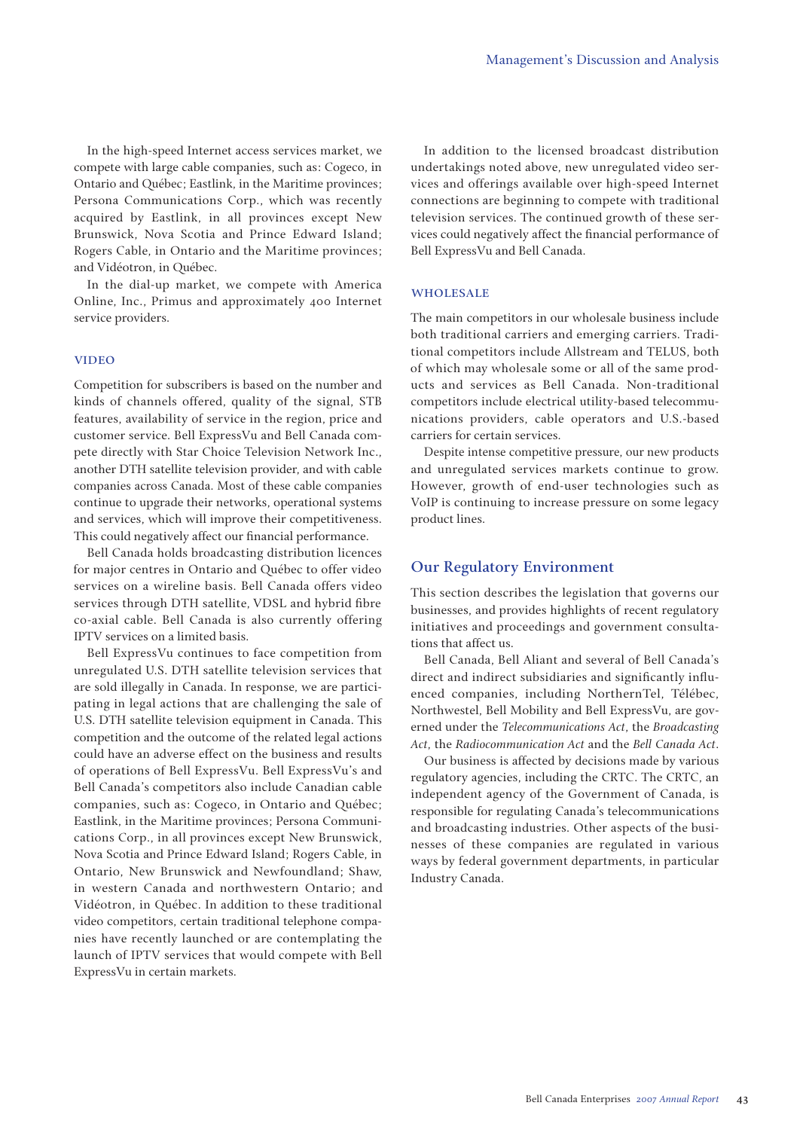In the high-speed Internet access services market, we compete with large cable companies, such as: Cogeco, in Ontario and Québec; Eastlink, in the Maritime provinces; Persona Communications Corp., which was recently acquired by Eastlink, in all provinces except New Brunswick, Nova Scotia and Prince Edward Island; Rogers Cable, in Ontario and the Maritime provinces; and Vidéotron, in Québec.

In the dial-up market, we compete with America Online, Inc., Primus and approximately 400 Internet service providers.

#### **VIDEO**

Competition for subscribers is based on the number and kinds of channels offered, quality of the signal, STB features, availability of service in the region, price and customer service. Bell ExpressVu and Bell Canada compete directly with Star Choice Television Network Inc., another DTH satellite television provider, and with cable companies across Canada. Most of these cable companies continue to upgrade their networks, operational systems and services, which will improve their competitiveness. This could negatively affect our financial performance.

Bell Canada holds broadcasting distribution licences for major centres in Ontario and Québec to offer video services on a wireline basis. Bell Canada offers video services through DTH satellite, VDSL and hybrid fibre co-axial cable. Bell Canada is also currently offering IPTV services on a limited basis.

Bell ExpressVu continues to face competition from unregulated U.S. DTH satellite television services that are sold illegally in Canada. In response, we are participating in legal actions that are challenging the sale of U.S. DTH satellite television equipment in Canada. This competition and the outcome of the related legal actions could have an adverse effect on the business and results of operations of Bell ExpressVu. Bell ExpressVu's and Bell Canada's competitors also include Canadian cable companies, such as: Cogeco, in Ontario and Québec; Eastlink, in the Maritime provinces; Persona Communications Corp., in all provinces except New Brunswick, Nova Scotia and Prince Edward Island; Rogers Cable, in Ontario, New Brunswick and Newfoundland; Shaw, in western Canada and northwestern Ontario; and Vidéotron, in Québec. In addition to these traditional video competitors, certain traditional telephone companies have recently launched or are contemplating the launch of IPTV services that would compete with Bell ExpressVu in certain markets.

In addition to the licensed broadcast distribution undertakings noted above, new unregulated video services and offerings available over high-speed Internet connections are beginning to compete with traditional television services. The continued growth of these services could negatively affect the financial performance of Bell ExpressVu and Bell Canada.

#### **WHOLESALE**

The main competitors in our wholesale business include both traditional carriers and emerging carriers. Traditional competitors include Allstream and TELUS, both of which may wholesale some or all of the same products and services as Bell Canada. Non-traditional competitors include electrical utility-based telecommunications providers, cable operators and U.S.-based carriers for certain services.

Despite intense competitive pressure, our new products and unregulated services markets continue to grow. However, growth of end-user technologies such as VoIP is continuing to increase pressure on some legacy product lines.

## **Our Regulatory Environment**

This section describes the legislation that governs our businesses, and provides highlights of recent regulatory initiatives and proceedings and government consultations that affect us.

Bell Canada, Bell Aliant and several of Bell Canada's direct and indirect subsidiaries and significantly influenced companies, including NorthernTel, Télébec, Northwestel, Bell Mobility and Bell ExpressVu, are governed under the *Telecommunications Act*, the *Broadcasting Act*, the *Radiocommunication Act* and the *Bell Canada Act*.

Our business is affected by decisions made by various regulatory agencies, including the CRTC. The CRTC, an independent agency of the Government of Canada, is responsible for regulating Canada's telecommunications and broadcasting industries. Other aspects of the businesses of these companies are regulated in various ways by federal government departments, in particular Industry Canada.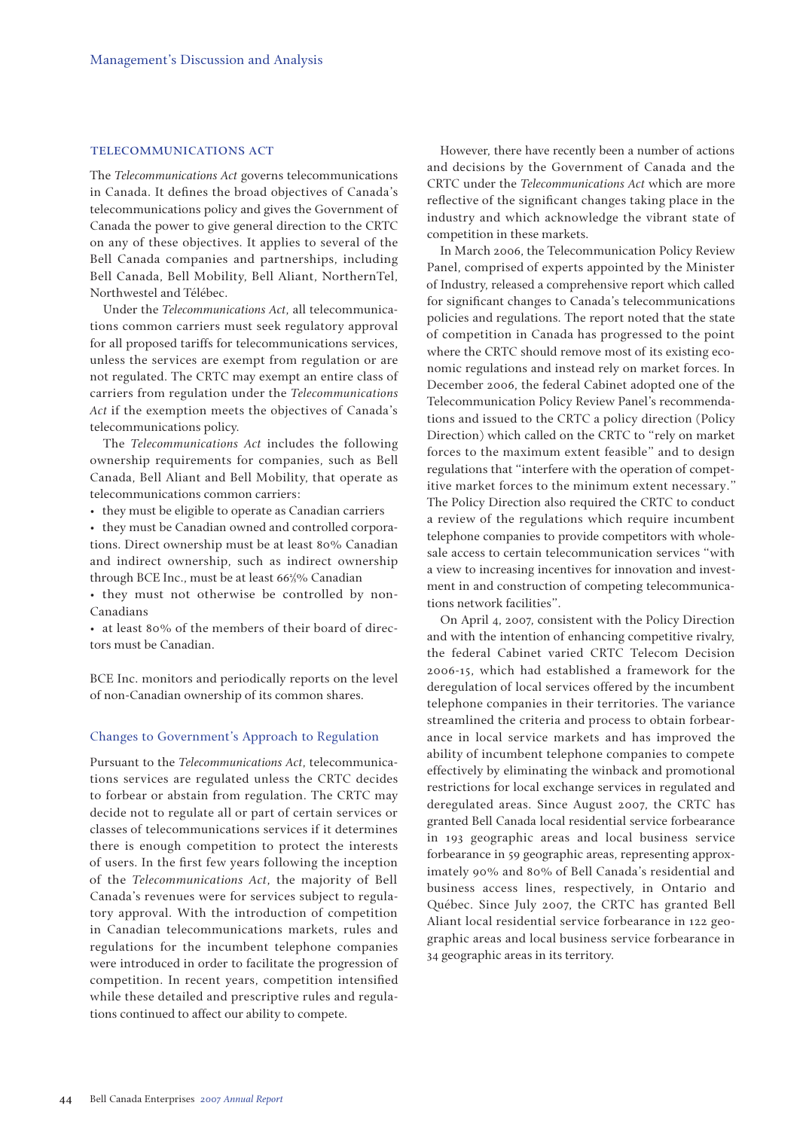## telecommunications act

The *Telecommunications Act* governs telecommunications in Canada. It defines the broad objectives of Canada's telecommunications policy and gives the Government of Canada the power to give general direction to the CRTC on any of these objectives. It applies to several of the Bell Canada companies and partnerships, including Bell Canada, Bell Mobility, Bell Aliant, NorthernTel, Northwestel and Télébec.

Under the *Telecommunications Act*, all telecommunications common carriers must seek regulatory approval for all proposed tariffs for telecommunications services, unless the services are exempt from regulation or are not regulated. The CRTC may exempt an entire class of carriers from regulation under the *Telecommunications Act* if the exemption meets the objectives of Canada's telecommunications policy.

The *Telecommunications Act* includes the following ownership requirements for companies, such as Bell Canada, Bell Aliant and Bell Mobility, that operate as telecommunications common carriers:

• they must be eligible to operate as Canadian carriers

• they must be Canadian owned and controlled corporations. Direct ownership must be at least 80% Canadian and indirect ownership, such as indirect ownership through BCE Inc., must be at least 66**<sup>2</sup>** ⁄**3**% Canadian

• they must not otherwise be controlled by non-Canadians

• at least 80% of the members of their board of directors must be Canadian.

BCE Inc. monitors and periodically reports on the level of non-Canadian ownership of its common shares.

#### Changes to Government's Approach to Regulation

Pursuant to the *Telecommunications Act*, telecommunications services are regulated unless the CRTC decides to forbear or abstain from regulation. The CRTC may decide not to regulate all or part of certain services or classes of telecommunications services if it determines there is enough competition to protect the interests of users. In the first few years following the inception of the *Telecommunications Act*, the majority of Bell Canada's revenues were for services subject to regulatory approval. With the introduction of competition in Canadian telecommunications markets, rules and regulations for the incumbent telephone companies were introduced in order to facilitate the progression of competition. In recent years, competition intensified while these detailed and prescriptive rules and regulations continued to affect our ability to compete.

However, there have recently been a number of actions and decisions by the Government of Canada and the CRTC under the *Telecommunications Act* which are more reflective of the significant changes taking place in the industry and which acknowledge the vibrant state of competition in these markets.

In March 2006, the Telecommunication Policy Review Panel, comprised of experts appointed by the Minister of Industry, released a comprehensive report which called for significant changes to Canada's telecommunications policies and regulations. The report noted that the state of competition in Canada has progressed to the point where the CRTC should remove most of its existing economic regulations and instead rely on market forces. In December 2006, the federal Cabinet adopted one of the Telecommunication Policy Review Panel's recommendations and issued to the CRTC a policy direction (Policy Direction) which called on the CRTC to "rely on market forces to the maximum extent feasible" and to design regulations that "interfere with the operation of competitive market forces to the minimum extent necessary." The Policy Direction also required the CRTC to conduct a review of the regulations which require incumbent telephone companies to provide competitors with wholesale access to certain telecommunication services "with a view to increasing incentives for innovation and investment in and construction of competing telecommunications network facilities".

On April 4, 2007, consistent with the Policy Direction and with the intention of enhancing competitive rivalry, the federal Cabinet varied CRTC Telecom Decision 2006-15, which had established a framework for the deregulation of local services offered by the incumbent telephone companies in their territories. The variance streamlined the criteria and process to obtain forbearance in local service markets and has improved the ability of incumbent telephone companies to compete effectively by eliminating the winback and promotional restrictions for local exchange services in regulated and deregulated areas. Since August 2007, the CRTC has granted Bell Canada local residential service forbearance in 193 geographic areas and local business service forbearance in 59 geographic areas, representing approximately 90% and 80% of Bell Canada's residential and business access lines, respectively, in Ontario and Québec. Since July 2007, the CRTC has granted Bell Aliant local residential service forbearance in 122 geographic areas and local business service forbearance in 34 geographic areas in its territory.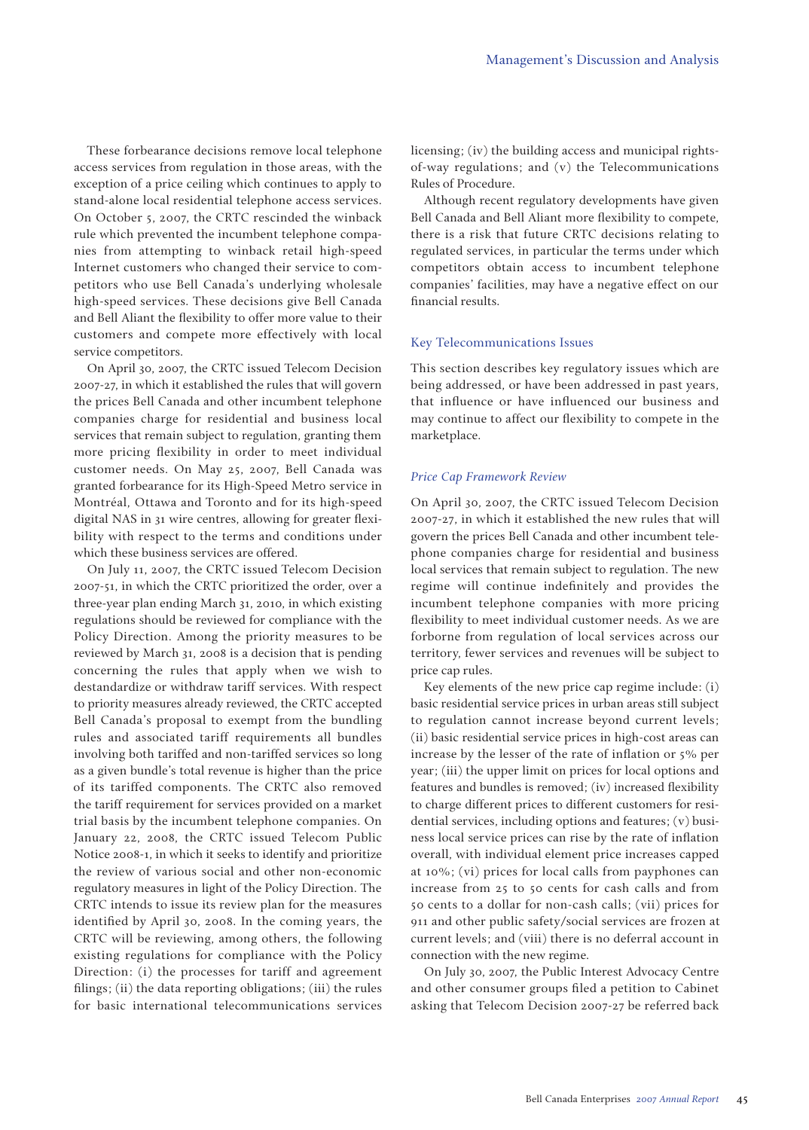These forbearance decisions remove local telephone access services from regulation in those areas, with the exception of a price ceiling which continues to apply to stand-alone local residential telephone access services. On October 5, 2007, the CRTC rescinded the winback rule which prevented the incumbent telephone companies from attempting to winback retail high-speed Internet customers who changed their service to competitors who use Bell Canada's underlying wholesale high-speed services. These decisions give Bell Canada and Bell Aliant the flexibility to offer more value to their customers and compete more effectively with local service competitors.

On April 30, 2007, the CRTC issued Telecom Decision 2007-27, in which it established the rules that will govern the prices Bell Canada and other incumbent telephone companies charge for residential and business local services that remain subject to regulation, granting them more pricing flexibility in order to meet individual customer needs. On May 25, 2007, Bell Canada was granted forbearance for its High-Speed Metro service in Montréal, Ottawa and Toronto and for its high-speed digital NAS in 31 wire centres, allowing for greater flexibility with respect to the terms and conditions under which these business services are offered.

On July 11, 2007, the CRTC issued Telecom Decision 2007-51, in which the CRTC prioritized the order, over a three-year plan ending March 31, 2010, in which existing regulations should be reviewed for compliance with the Policy Direction. Among the priority measures to be reviewed by March 31, 2008 is a decision that is pending concerning the rules that apply when we wish to destandardize or withdraw tariff services. With respect to priority measures already reviewed, the CRTC accepted Bell Canada's proposal to exempt from the bundling rules and associated tariff requirements all bundles involving both tariffed and non-tariffed services so long as a given bundle's total revenue is higher than the price of its tariffed components. The CRTC also removed the tariff requirement for services provided on a market trial basis by the incumbent telephone companies. On January 22, 2008, the CRTC issued Telecom Public Notice 2008-1, in which it seeks to identify and prioritize the review of various social and other non-economic regulatory measures in light of the Policy Direction. The CRTC intends to issue its review plan for the measures identified by April 30, 2008. In the coming years, the CRTC will be reviewing, among others, the following existing regulations for compliance with the Policy Direction: (i) the processes for tariff and agreement filings; (ii) the data reporting obligations; (iii) the rules for basic international telecommunications services

licensing; (iv) the building access and municipal rightsof-way regulations; and (v) the Telecommunications Rules of Procedure.

Although recent regulatory developments have given Bell Canada and Bell Aliant more flexibility to compete, there is a risk that future CRTC decisions relating to regulated services, in particular the terms under which competitors obtain access to incumbent telephone companies' facilities, may have a negative effect on our financial results.

#### Key Telecommunications Issues

This section describes key regulatory issues which are being addressed, or have been addressed in past years, that influence or have influenced our business and may continue to affect our flexibility to compete in the marketplace.

#### *Price Cap Framework Review*

On April 30, 2007, the CRTC issued Telecom Decision 2007-27, in which it established the new rules that will govern the prices Bell Canada and other incumbent telephone companies charge for residential and business local services that remain subject to regulation. The new regime will continue indefinitely and provides the incumbent telephone companies with more pricing flexibility to meet individual customer needs. As we are forborne from regulation of local services across our territory, fewer services and revenues will be subject to price cap rules.

Key elements of the new price cap regime include: (i) basic residential service prices in urban areas still subject to regulation cannot increase beyond current levels; (ii) basic residential service prices in high-cost areas can increase by the lesser of the rate of inflation or 5% per year; (iii) the upper limit on prices for local options and features and bundles is removed; (iv) increased flexibility to charge different prices to different customers for residential services, including options and features; (v) business local service prices can rise by the rate of inflation overall, with individual element price increases capped at 10%; (vi) prices for local calls from payphones can increase from 25 to 50 cents for cash calls and from 50 cents to a dollar for non-cash calls; (vii) prices for 911 and other public safety/social services are frozen at current levels; and (viii) there is no deferral account in connection with the new regime.

On July 30, 2007, the Public Interest Advocacy Centre and other consumer groups filed a petition to Cabinet asking that Telecom Decision 2007-27 be referred back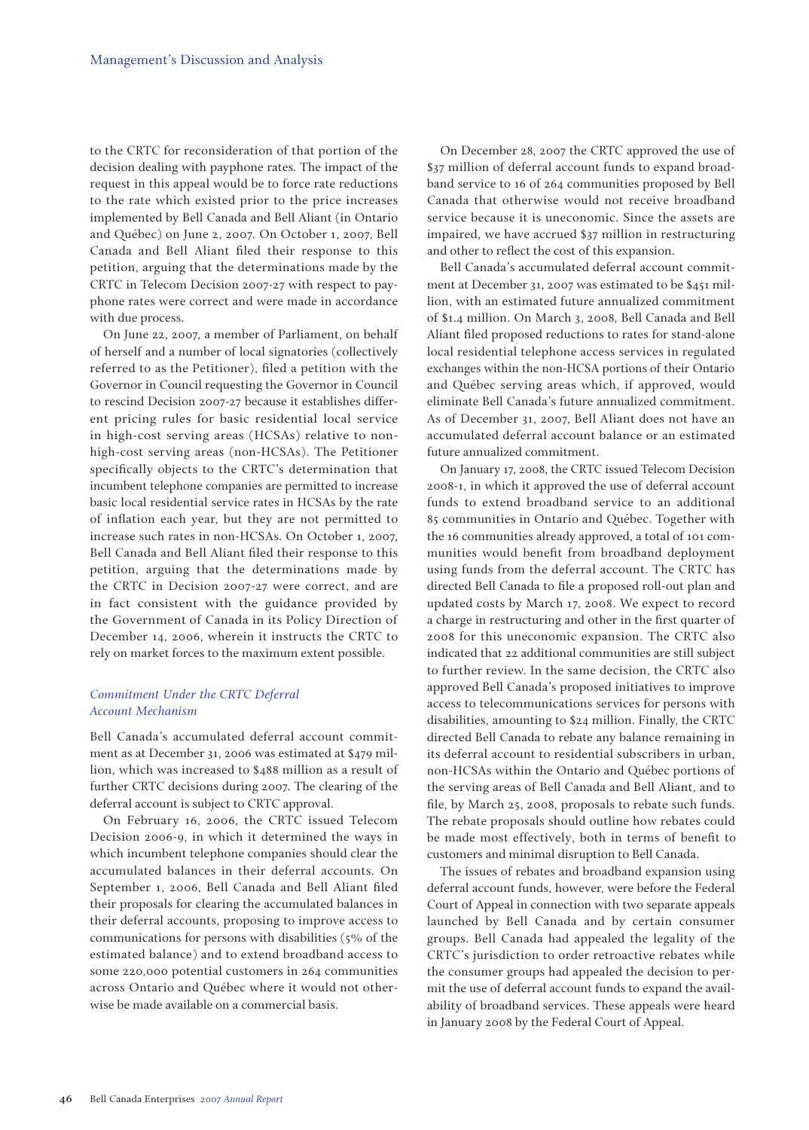to the CRTC for reconsideration of that portion of the decision dealing with payphone rates. The impact of the request in this appeal would be to force rate reductions to the rate which existed prior to the price increases implemented by Bell Canada and Bell Aliant (in Ontario and Québec) on June 2, 2007. On October 1, 2007, Bell Canada and Bell Aliant filed their response to this petition, arguing that the determinations made by the CRTC in Telecom Decision 2007-27 with respect to payphone rates were correct and were made in accordance with due process.

On June 22, 2007, a member of Parliament, on behalf of herself and a number of local signatories (collectively referred to as the Petitioner), filed a petition with the Governor in Council requesting the Governor in Council to rescind Decision 2007-27 because it establishes different pricing rules for basic residential local service in high-cost serving areas (HCSAs) relative to nonhigh-cost serving areas (non-HCSAs). The Petitioner specifically objects to the CRTC's determination that incumbent telephone companies are permitted to increase basic local residential service rates in HCSAs by the rate of inflation each year, but they are not permitted to increase such rates in non-HCSAs. On October 1, 2007, Bell Canada and Bell Aliant filed their response to this petition, arguing that the determinations made by the CRTC in Decision 2007-27 were correct, and are in fact consistent with the guidance provided by the Government of Canada in its Policy Direction of December 14, 2006, wherein it instructs the CRTC to rely on market forces to the maximum extent possible.

## *Commitment Under the CRTC Deferral Account Mechanism*

Bell Canada's accumulated deferral account commitment as at December 31, 2006 was estimated at \$479 million, which was increased to \$488 million as a result of further CRTC decisions during 2007. The clearing of the deferral account is subject to CRTC approval.

On February 16, 2006, the CRTC issued Telecom Decision 2006-9, in which it determined the ways in which incumbent telephone companies should clear the accumulated balances in their deferral accounts. On September 1, 2006, Bell Canada and Bell Aliant filed their proposals for clearing the accumulated balances in their deferral accounts, proposing to improve access to communications for persons with disabilities (5% of the estimated balance) and to extend broadband access to some 220,000 potential customers in 264 communities across Ontario and Québec where it would not otherwise be made available on a commercial basis.

On December 28, 2007 the CRTC approved the use of \$37 million of deferral account funds to expand broadband service to 16 of 264 communities proposed by Bell Canada that otherwise would not receive broadband service because it is uneconomic. Since the assets are impaired, we have accrued \$37 million in restructuring and other to reflect the cost of this expansion.

Bell Canada's accumulated deferral account commitment at December 31, 2007 was estimated to be \$451 million, with an estimated future annualized commitment of \$1.4 million. On March 3, 2008, Bell Canada and Bell Aliant filed proposed reductions to rates for stand-alone local residential telephone access services in regulated exchanges within the non-HCSA portions of their Ontario and Québec serving areas which, if approved, would eliminate Bell Canada's future annualized commitment. As of December 31, 2007, Bell Aliant does not have an accumulated deferral account balance or an estimated future annualized commitment.

On January 17, 2008, the CRTC issued Telecom Decision 2008-1, in which it approved the use of deferral account funds to extend broadband service to an additional 85 communities in Ontario and Québec. Together with the 16 communities already approved, a total of 101 communities would benefit from broadband deployment using funds from the deferral account. The CRTC has directed Bell Canada to file a proposed roll-out plan and updated costs by March 17, 2008. We expect to record a charge in restructuring and other in the first quarter of 2008 for this uneconomic expansion. The CRTC also indicated that 22 additional communities are still subject to further review. In the same decision, the CRTC also approved Bell Canada's proposed initiatives to improve access to telecommunications services for persons with disabilities, amounting to \$24 million. Finally, the CRTC directed Bell Canada to rebate any balance remaining in its deferral account to residential subscribers in urban, non-HCSAs within the Ontario and Québec portions of the serving areas of Bell Canada and Bell Aliant, and to file, by March 25, 2008, proposals to rebate such funds. The rebate proposals should outline how rebates could be made most effectively, both in terms of benefit to customers and minimal disruption to Bell Canada.

The issues of rebates and broadband expansion using deferral account funds, however, were before the Federal Court of Appeal in connection with two separate appeals launched by Bell Canada and by certain consumer groups. Bell Canada had appealed the legality of the CRTC's jurisdiction to order retroactive rebates while the consumer groups had appealed the decision to permit the use of deferral account funds to expand the availability of broadband services. These appeals were heard in January 2008 by the Federal Court of Appeal.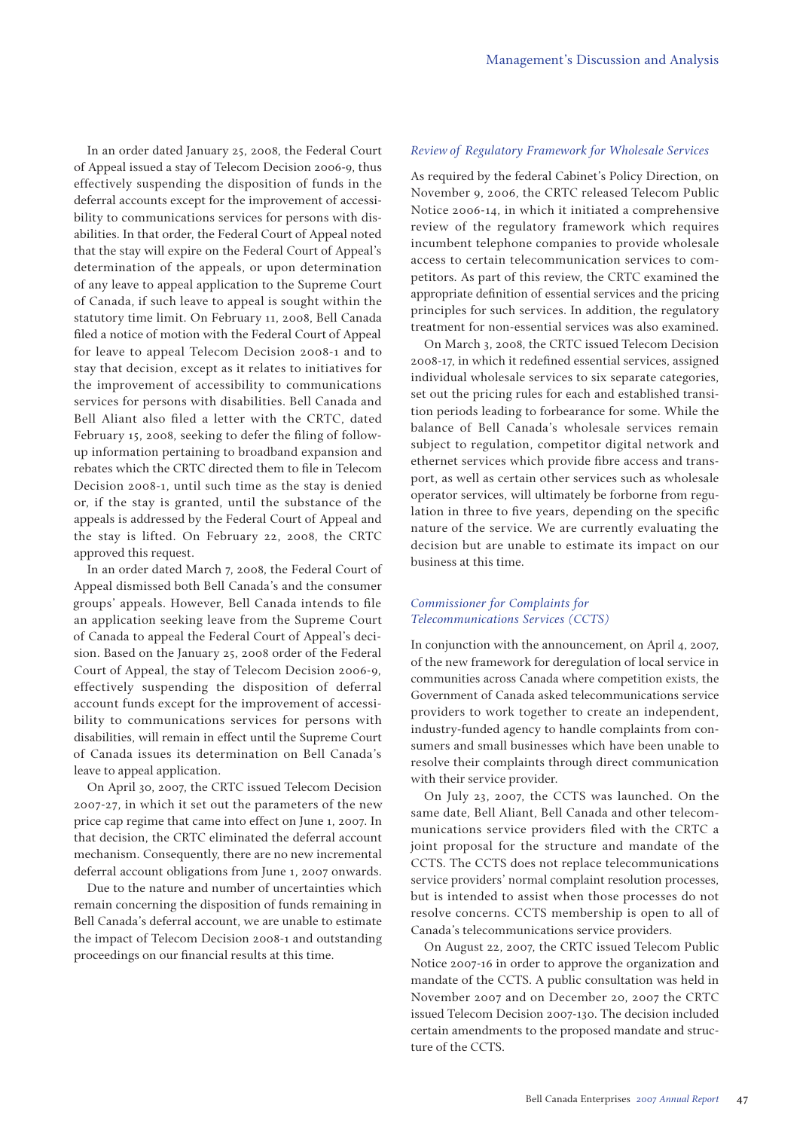In an order dated January 25, 2008, the Federal Court of Appeal issued a stay of Telecom Decision 2006-9, thus effectively suspending the disposition of funds in the deferral accounts except for the improvement of accessibility to communications services for persons with disabilities. In that order, the Federal Court of Appeal noted that the stay will expire on the Federal Court of Appeal's determination of the appeals, or upon determination of any leave to appeal application to the Supreme Court of Canada, if such leave to appeal is sought within the statutory time limit. On February 11, 2008, Bell Canada filed a notice of motion with the Federal Court of Appeal for leave to appeal Telecom Decision 2008-1 and to stay that decision, except as it relates to initiatives for the improvement of accessibility to communications services for persons with disabilities. Bell Canada and Bell Aliant also filed a letter with the CRTC, dated February 15, 2008, seeking to defer the filing of followup information pertaining to broadband expansion and rebates which the CRTC directed them to file in Telecom Decision 2008-1, until such time as the stay is denied or, if the stay is granted, until the substance of the appeals is addressed by the Federal Court of Appeal and the stay is lifted. On February 22, 2008, the CRTC approved this request.

In an order dated March 7, 2008, the Federal Court of Appeal dismissed both Bell Canada's and the consumer groups' appeals. However, Bell Canada intends to file an application seeking leave from the Supreme Court of Canada to appeal the Federal Court of Appeal's decision. Based on the January 25, 2008 order of the Federal Court of Appeal, the stay of Telecom Decision 2006-9, effectively suspending the disposition of deferral account funds except for the improvement of accessibility to communications services for persons with disabilities, will remain in effect until the Supreme Court of Canada issues its determination on Bell Canada's leave to appeal application.

On April 30, 2007, the CRTC issued Telecom Decision 2007-27, in which it set out the parameters of the new price cap regime that came into effect on June 1, 2007. In that decision, the CRTC eliminated the deferral account mechanism. Consequently, there are no new incremental deferral account obligations from June 1, 2007 onwards.

Due to the nature and number of uncertainties which remain concerning the disposition of funds remaining in Bell Canada's deferral account, we are unable to estimate the impact of Telecom Decision 2008-1 and outstanding proceedings on our financial results at this time.

#### *Review of Regulatory Framework for Wholesale Services*

As required by the federal Cabinet's Policy Direction, on November 9, 2006, the CRTC released Telecom Public Notice 2006-14, in which it initiated a comprehensive review of the regulatory framework which requires incumbent telephone companies to provide wholesale access to certain telecommunication services to competitors. As part of this review, the CRTC examined the appropriate definition of essential services and the pricing principles for such services. In addition, the regulatory treatment for non-essential services was also examined.

On March 3, 2008, the CRTC issued Telecom Decision 2008-17, in which it redefined essential services, assigned individual wholesale services to six separate categories, set out the pricing rules for each and established transition periods leading to forbearance for some. While the balance of Bell Canada's wholesale services remain subject to regulation, competitor digital network and ethernet services which provide fibre access and transport, as well as certain other services such as wholesale operator services, will ultimately be forborne from regulation in three to five years, depending on the specific nature of the service. We are currently evaluating the decision but are unable to estimate its impact on our business at this time.

## *Commissioner for Complaints for Telecommunications Services (CCTS)*

In conjunction with the announcement, on April 4, 2007, of the new framework for deregulation of local service in communities across Canada where competition exists, the Government of Canada asked telecommunications service providers to work together to create an independent, industry-funded agency to handle complaints from consumers and small businesses which have been unable to resolve their complaints through direct communication with their service provider.

On July 23, 2007, the CCTS was launched. On the same date, Bell Aliant, Bell Canada and other telecommunications service providers filed with the CRTC a joint proposal for the structure and mandate of the CCTS. The CCTS does not replace telecommunications service providers' normal complaint resolution processes, but is intended to assist when those processes do not resolve concerns. CCTS membership is open to all of Canada's telecommunications service providers.

On August 22, 2007, the CRTC issued Telecom Public Notice 2007-16 in order to approve the organization and mandate of the CCTS. A public consultation was held in November 2007 and on December 20, 2007 the CRTC issued Telecom Decision 2007-130. The decision included certain amendments to the proposed mandate and structure of the CCTS.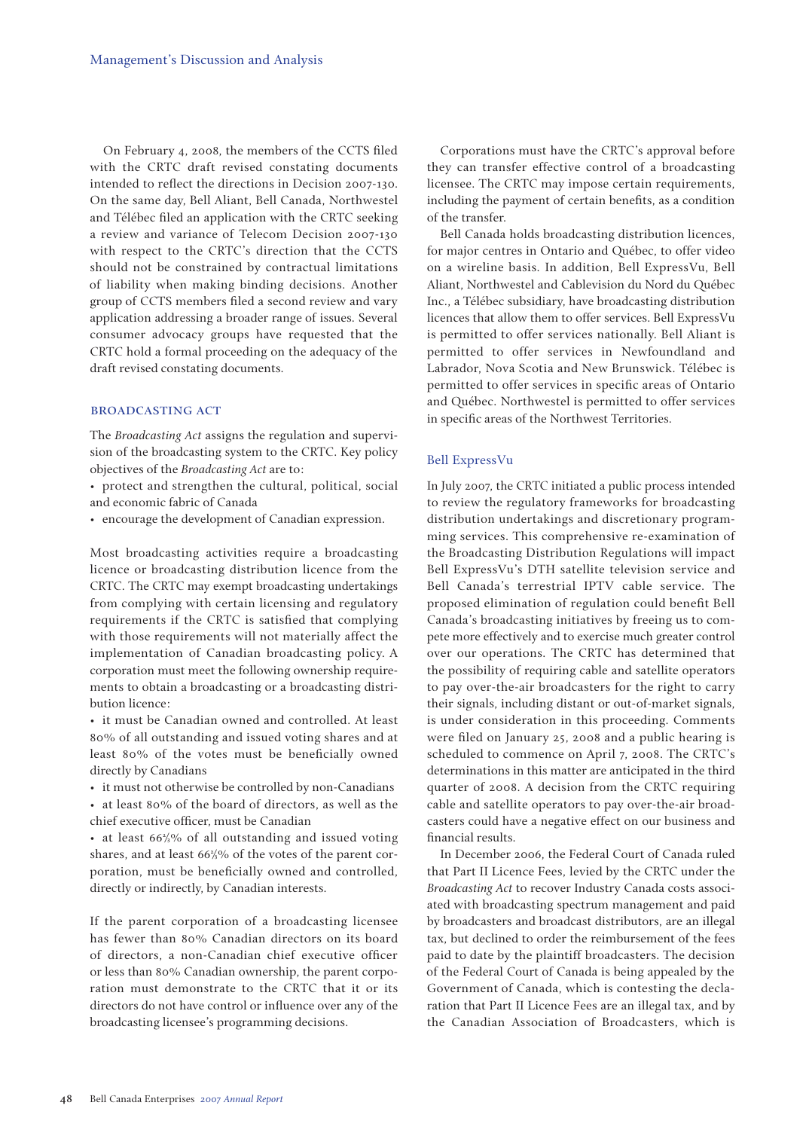On February 4, 2008, the members of the CCTS filed with the CRTC draft revised constating documents intended to reflect the directions in Decision 2007-130. On the same day, Bell Aliant, Bell Canada, Northwestel and Télébec filed an application with the CRTC seeking a review and variance of Telecom Decision 2007-130 with respect to the CRTC's direction that the CCTS should not be constrained by contractual limitations of liability when making binding decisions. Another group of CCTS members filed a second review and vary application addressing a broader range of issues. Several consumer advocacy groups have requested that the CRTC hold a formal proceeding on the adequacy of the draft revised constating documents.

#### broadcasting act

The *Broadcasting Act* assigns the regulation and supervision of the broadcasting system to the CRTC. Key policy objectives of the *Broadcasting Act* are to:

• protect and strengthen the cultural, political, social and economic fabric of Canada

• encourage the development of Canadian expression.

Most broadcasting activities require a broadcasting licence or broadcasting distribution licence from the CRTC. The CRTC may exempt broadcasting undertakings from complying with certain licensing and regulatory requirements if the CRTC is satisfied that complying with those requirements will not materially affect the implementation of Canadian broadcasting policy. A corporation must meet the following ownership requirements to obtain a broadcasting or a broadcasting distribution licence:

• it must be Canadian owned and controlled. At least 80% of all outstanding and issued voting shares and at least 80% of the votes must be beneficially owned directly by Canadians

• it must not otherwise be controlled by non-Canadians • at least 80% of the board of directors, as well as the chief executive officer, must be Canadian

• at least 66**<sup>2</sup> ⁄3**% of all outstanding and issued voting shares, and at least 66**<sup>2</sup> ⁄3**% of the votes of the parent corporation, must be beneficially owned and controlled, directly or indirectly, by Canadian interests.

If the parent corporation of a broadcasting licensee has fewer than 80% Canadian directors on its board of directors, a non-Canadian chief executive officer or less than 80% Canadian ownership, the parent corporation must demonstrate to the CRTC that it or its directors do not have control or influence over any of the broadcasting licensee's programming decisions.

Corporations must have the CRTC's approval before they can transfer effective control of a broadcasting licensee. The CRTC may impose certain requirements, including the payment of certain benefits, as a condition of the transfer.

Bell Canada holds broadcasting distribution licences, for major centres in Ontario and Québec, to offer video on a wireline basis. In addition, Bell ExpressVu, Bell Aliant, Northwestel and Cablevision du Nord du Québec Inc., a Télébec subsidiary, have broadcasting distribution licences that allow them to offer services. Bell ExpressVu is permitted to offer services nationally. Bell Aliant is permitted to offer services in Newfoundland and Labrador, Nova Scotia and New Brunswick. Télébec is permitted to offer services in specific areas of Ontario and Québec. Northwestel is permitted to offer services in specific areas of the Northwest Territories.

#### Bell ExpressVu

In July 2007, the CRTC initiated a public process intended to review the regulatory frameworks for broadcasting distribution undertakings and discretionary programming services. This comprehensive re-examination of the Broadcasting Distribution Regulations will impact Bell ExpressVu's DTH satellite television service and Bell Canada's terrestrial IPTV cable service. The proposed elimination of regulation could benefit Bell Canada's broadcasting initiatives by freeing us to compete more effectively and to exercise much greater control over our operations. The CRTC has determined that the possibility of requiring cable and satellite operators to pay over-the-air broadcasters for the right to carry their signals, including distant or out-of-market signals, is under consideration in this proceeding. Comments were filed on January 25, 2008 and a public hearing is scheduled to commence on April 7, 2008. The CRTC's determinations in this matter are anticipated in the third quarter of 2008. A decision from the CRTC requiring cable and satellite operators to pay over-the-air broadcasters could have a negative effect on our business and financial results.

In December 2006, the Federal Court of Canada ruled that Part II Licence Fees, levied by the CRTC under the *Broadcasting Act* to recover Industry Canada costs associated with broadcasting spectrum management and paid by broadcasters and broadcast distributors, are an illegal tax, but declined to order the reimbursement of the fees paid to date by the plaintiff broadcasters. The decision of the Federal Court of Canada is being appealed by the Government of Canada, which is contesting the declaration that Part II Licence Fees are an illegal tax, and by the Canadian Association of Broadcasters, which is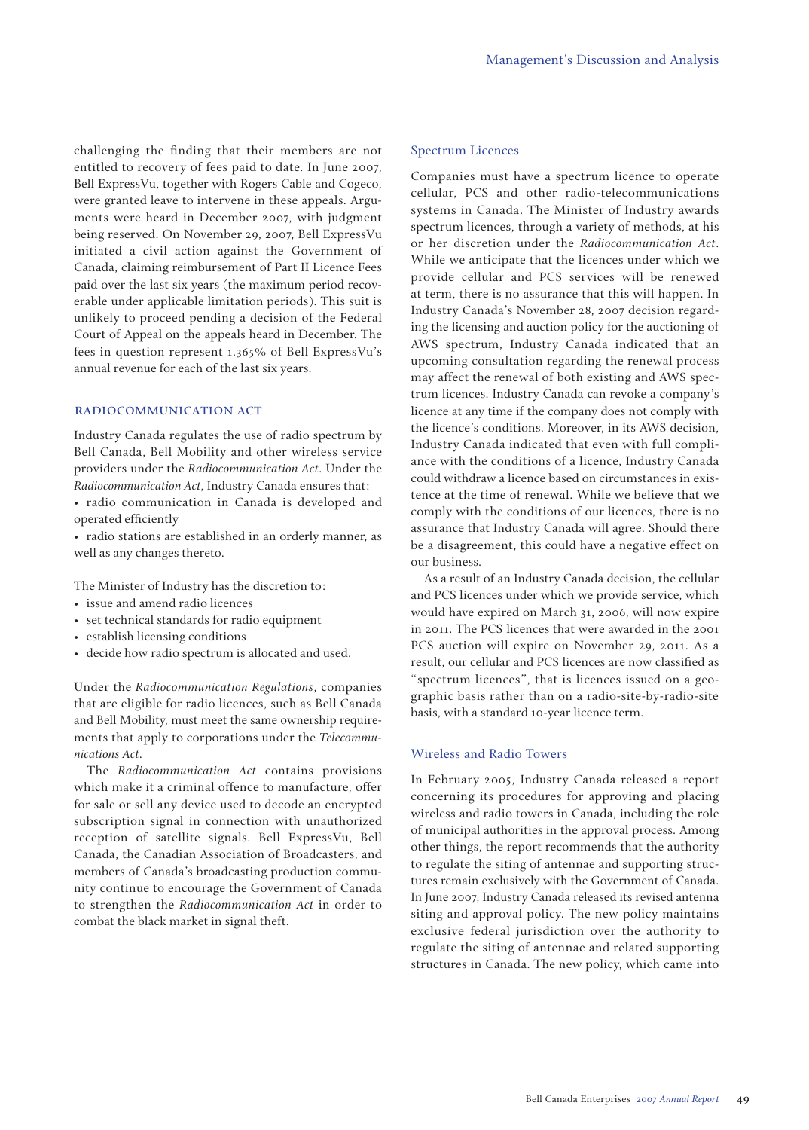challenging the finding that their members are not entitled to recovery of fees paid to date. In June 2007, Bell ExpressVu, together with Rogers Cable and Cogeco, were granted leave to intervene in these appeals. Arguments were heard in December 2007, with judgment being reserved. On November 29, 2007, Bell ExpressVu initiated a civil action against the Government of Canada, claiming reimbursement of Part II Licence Fees paid over the last six years (the maximum period recoverable under applicable limitation periods). This suit is unlikely to proceed pending a decision of the Federal Court of Appeal on the appeals heard in December. The fees in question represent 1.365% of Bell ExpressVu's annual revenue for each of the last six years.

#### radiocommunication act

Industry Canada regulates the use of radio spectrum by Bell Canada, Bell Mobility and other wireless service providers under the *Radiocommunication Act*. Under the *Radiocommunication Act*, Industry Canada ensures that:

• radio communication in Canada is developed and operated efficiently

• radio stations are established in an orderly manner, as well as any changes thereto.

The Minister of Industry has the discretion to:

- issue and amend radio licences
- set technical standards for radio equipment
- establish licensing conditions
- decide how radio spectrum is allocated and used.

Under the *Radiocommunication Regulations*, companies that are eligible for radio licences, such as Bell Canada and Bell Mobility, must meet the same ownership requirements that apply to corporations under the *Telecommunications Act*.

The *Radiocommunication Act* contains provisions which make it a criminal offence to manufacture, offer for sale or sell any device used to decode an encrypted subscription signal in connection with unauthorized reception of satellite signals. Bell ExpressVu, Bell Canada, the Canadian Association of Broadcasters, and members of Canada's broadcasting production community continue to encourage the Government of Canada to strengthen the *Radiocommunication Act* in order to combat the black market in signal theft.

#### Spectrum Licences

Companies must have a spectrum licence to operate cellular, PCS and other radio-telecommunications systems in Canada. The Minister of Industry awards spectrum licences, through a variety of methods, at his or her discretion under the *Radiocommunication Act*. While we anticipate that the licences under which we provide cellular and PCS services will be renewed at term, there is no assurance that this will happen. In Industry Canada's November 28, 2007 decision regarding the licensing and auction policy for the auctioning of AWS spectrum, Industry Canada indicated that an upcoming consultation regarding the renewal process may affect the renewal of both existing and AWS spectrum licences. Industry Canada can revoke a company's licence at any time if the company does not comply with the licence's conditions. Moreover, in its AWS decision, Industry Canada indicated that even with full compliance with the conditions of a licence, Industry Canada could withdraw a licence based on circumstances in existence at the time of renewal. While we believe that we comply with the conditions of our licences, there is no assurance that Industry Canada will agree. Should there be a disagreement, this could have a negative effect on our business.

As a result of an Industry Canada decision, the cellular and PCS licences under which we provide service, which would have expired on March 31, 2006, will now expire in 2011. The PCS licences that were awarded in the 2001 PCS auction will expire on November 29, 2011. As a result, our cellular and PCS licences are now classified as "spectrum licences", that is licences issued on a geographic basis rather than on a radio-site-by-radio-site basis, with a standard 10-year licence term.

#### Wireless and Radio Towers

In February 2005, Industry Canada released a report concerning its procedures for approving and placing wireless and radio towers in Canada, including the role of municipal authorities in the approval process. Among other things, the report recommends that the authority to regulate the siting of antennae and supporting structures remain exclusively with the Government of Canada. In June 2007, Industry Canada released its revised antenna siting and approval policy. The new policy maintains exclusive federal jurisdiction over the authority to regulate the siting of antennae and related supporting structures in Canada. The new policy, which came into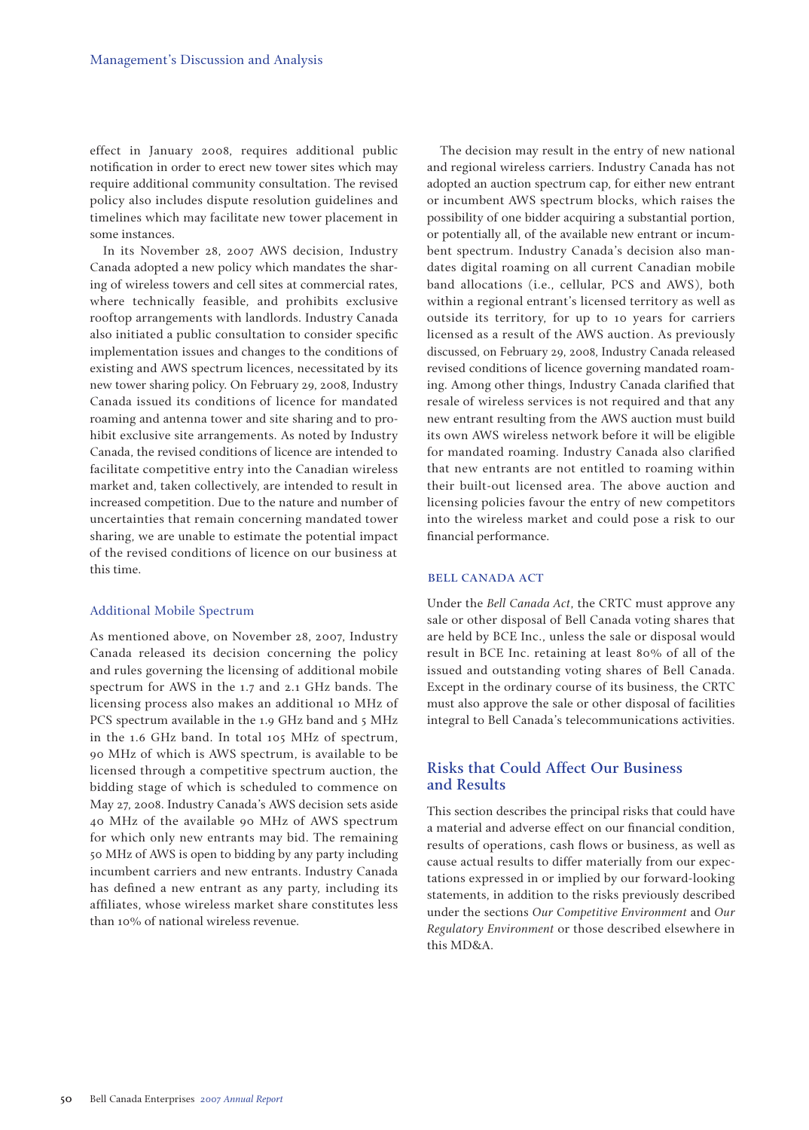effect in January 2008, requires additional public notification in order to erect new tower sites which may require additional community consultation. The revised policy also includes dispute resolution guidelines and timelines which may facilitate new tower placement in some instances.

In its November 28, 2007 AWS decision, Industry Canada adopted a new policy which mandates the sharing of wireless towers and cell sites at commercial rates, where technically feasible, and prohibits exclusive rooftop arrangements with landlords. Industry Canada also initiated a public consultation to consider specific implementation issues and changes to the conditions of existing and AWS spectrum licences, necessitated by its new tower sharing policy. On February 29, 2008, Industry Canada issued its conditions of licence for mandated roaming and antenna tower and site sharing and to prohibit exclusive site arrangements. As noted by Industry Canada, the revised conditions of licence are intended to facilitate competitive entry into the Canadian wireless market and, taken collectively, are intended to result in increased competition. Due to the nature and number of uncertainties that remain concerning mandated tower sharing, we are unable to estimate the potential impact of the revised conditions of licence on our business at this time.

#### Additional Mobile Spectrum

As mentioned above, on November 28, 2007, Industry Canada released its decision concerning the policy and rules governing the licensing of additional mobile spectrum for AWS in the 1.7 and 2.1 GHz bands. The licensing process also makes an additional 10 MHz of PCS spectrum available in the 1.9 GHz band and 5 MHz in the 1.6 GHz band. In total 105 MHz of spectrum, 90 MHz of which is AWS spectrum, is available to be licensed through a competitive spectrum auction, the bidding stage of which is scheduled to commence on May 27, 2008. Industry Canada's AWS decision sets aside 40 MHz of the available 90 MHz of AWS spectrum for which only new entrants may bid. The remaining 50 MHz of AWS is open to bidding by any party including incumbent carriers and new entrants. Industry Canada has defined a new entrant as any party, including its affiliates, whose wireless market share constitutes less than 10% of national wireless revenue.

The decision may result in the entry of new national and regional wireless carriers. Industry Canada has not adopted an auction spectrum cap, for either new entrant or incumbent AWS spectrum blocks, which raises the possibility of one bidder acquiring a substantial portion, or potentially all, of the available new entrant or incumbent spectrum. Industry Canada's decision also mandates digital roaming on all current Canadian mobile band allocations (i.e., cellular, PCS and AWS), both within a regional entrant's licensed territory as well as outside its territory, for up to 10 years for carriers licensed as a result of the AWS auction. As previously discussed, on February 29, 2008, Industry Canada released revised conditions of licence governing mandated roaming. Among other things, Industry Canada clarified that resale of wireless services is not required and that any new entrant resulting from the AWS auction must build its own AWS wireless network before it will be eligible for mandated roaming. Industry Canada also clarified that new entrants are not entitled to roaming within their built-out licensed area. The above auction and licensing policies favour the entry of new competitors into the wireless market and could pose a risk to our financial performance.

#### bell canada act

Under the *Bell Canada Act*, the CRTC must approve any sale or other disposal of Bell Canada voting shares that are held by BCE Inc., unless the sale or disposal would result in BCE Inc. retaining at least 80% of all of the issued and outstanding voting shares of Bell Canada. Except in the ordinary course of its business, the CRTC must also approve the sale or other disposal of facilities integral to Bell Canada's telecommunications activities.

## **Risks that Could Affect Our Business and Results**

This section describes the principal risks that could have a material and adverse effect on our financial condition, results of operations, cash flows or business, as well as cause actual results to differ materially from our expectations expressed in or implied by our forward-looking statements, in addition to the risks previously described under the sections *Our Competitive Environment* and *Our Regulatory Environment* or those described elsewhere in this MD&A.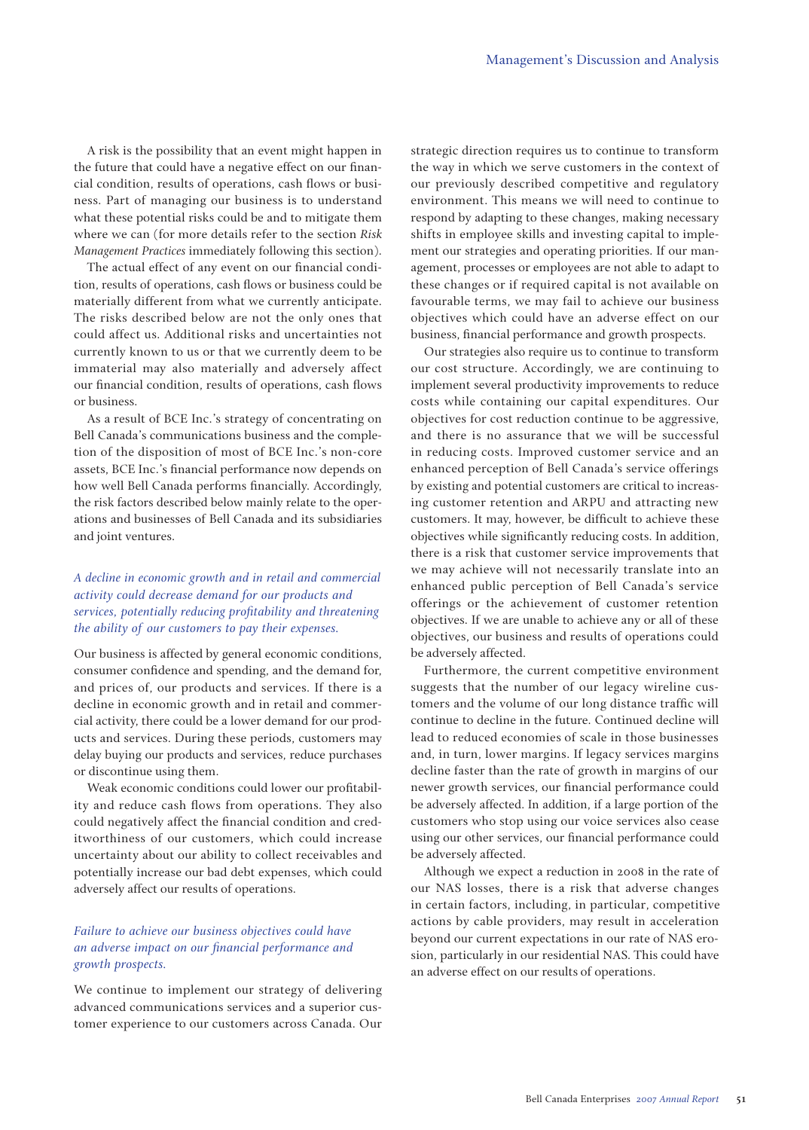A risk is the possibility that an event might happen in the future that could have a negative effect on our financial condition, results of operations, cash flows or business. Part of managing our business is to understand what these potential risks could be and to mitigate them where we can (for more details refer to the section *Risk Management Practices* immediately following this section).

The actual effect of any event on our financial condition, results of operations, cash flows or business could be materially different from what we currently anticipate. The risks described below are not the only ones that could affect us. Additional risks and uncertainties not currently known to us or that we currently deem to be immaterial may also materially and adversely affect our financial condition, results of operations, cash flows or business.

As a result of BCE Inc.'s strategy of concentrating on Bell Canada's communications business and the completion of the disposition of most of BCE Inc.'s non-core assets, BCE Inc.'s financial performance now depends on how well Bell Canada performs financially. Accordingly, the risk factors described below mainly relate to the operations and businesses of Bell Canada and its subsidiaries and joint ventures.

## *A decline in economic growth and in retail and commercial activity could decrease demand for our products and services, potentially reducing profitability and threatening the ability of our customers to pay their expenses.*

Our business is affected by general economic conditions, consumer confidence and spending, and the demand for, and prices of, our products and services. If there is a decline in economic growth and in retail and commercial activity, there could be a lower demand for our products and services. During these periods, customers may delay buying our products and services, reduce purchases or discontinue using them.

Weak economic conditions could lower our profitability and reduce cash flows from operations. They also could negatively affect the financial condition and creditworthiness of our customers, which could increase uncertainty about our ability to collect receivables and potentially increase our bad debt expenses, which could adversely affect our results of operations.

## *Failure to achieve our business objectives could have an adverse impact on our financial performance and growth prospects.*

We continue to implement our strategy of delivering advanced communications services and a superior customer experience to our customers across Canada. Our

strategic direction requires us to continue to transform the way in which we serve customers in the context of our previously described competitive and regulatory environment. This means we will need to continue to respond by adapting to these changes, making necessary shifts in employee skills and investing capital to implement our strategies and operating priorities. If our management, processes or employees are not able to adapt to these changes or if required capital is not available on favourable terms, we may fail to achieve our business objectives which could have an adverse effect on our business, financial performance and growth prospects.

Our strategies also require us to continue to transform our cost structure. Accordingly, we are continuing to implement several productivity improvements to reduce costs while containing our capital expenditures. Our objectives for cost reduction continue to be aggressive, and there is no assurance that we will be successful in reducing costs. Improved customer service and an enhanced perception of Bell Canada's service offerings by existing and potential customers are critical to increasing customer retention and ARPU and attracting new customers. It may, however, be difficult to achieve these objectives while significantly reducing costs. In addition, there is a risk that customer service improvements that we may achieve will not necessarily translate into an enhanced public perception of Bell Canada's service offerings or the achievement of customer retention objectives. If we are unable to achieve any or all of these objectives, our business and results of operations could be adversely affected.

Furthermore, the current competitive environment suggests that the number of our legacy wireline customers and the volume of our long distance traffic will continue to decline in the future. Continued decline will lead to reduced economies of scale in those businesses and, in turn, lower margins. If legacy services margins decline faster than the rate of growth in margins of our newer growth services, our financial performance could be adversely affected. In addition, if a large portion of the customers who stop using our voice services also cease using our other services, our financial performance could be adversely affected.

Although we expect a reduction in 2008 in the rate of our NAS losses, there is a risk that adverse changes in certain factors, including, in particular, competitive actions by cable providers, may result in acceleration beyond our current expectations in our rate of NAS erosion, particularly in our residential NAS. This could have an adverse effect on our results of operations.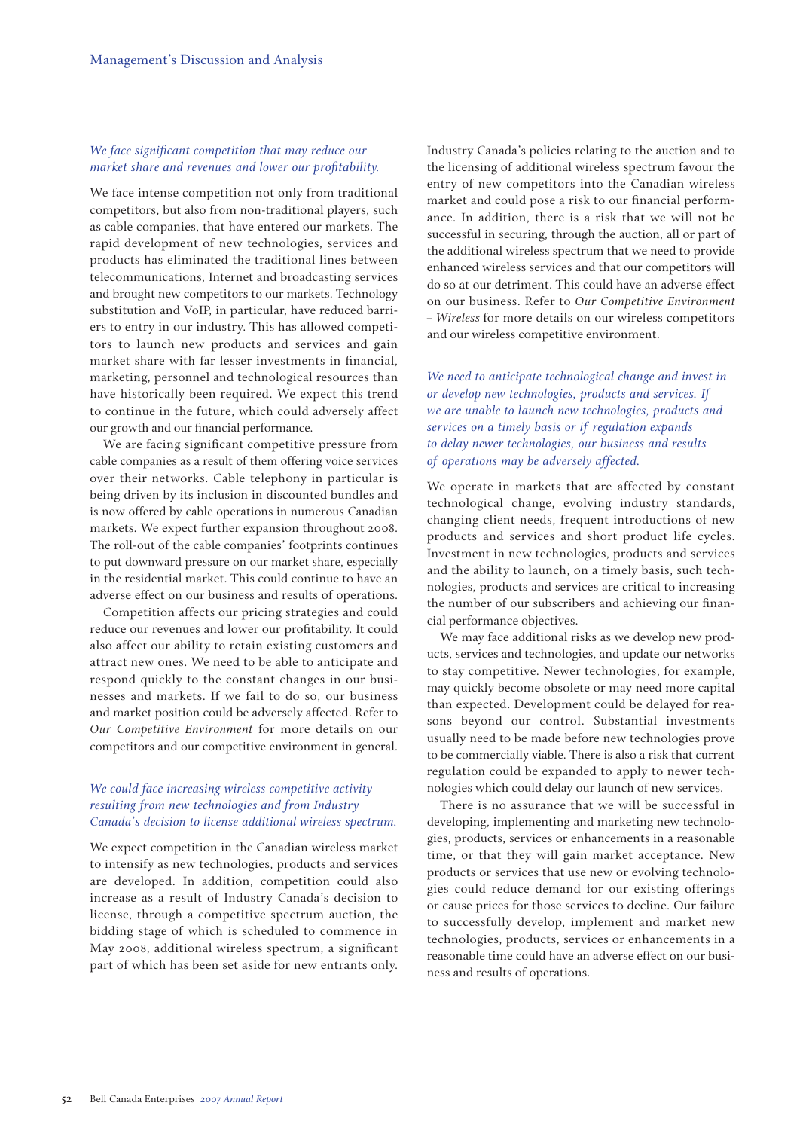## *We face significant competition that may reduce our market share and revenues and lower our profitability.*

We face intense competition not only from traditional competitors, but also from non-traditional players, such as cable companies, that have entered our markets. The rapid development of new technologies, services and products has eliminated the traditional lines between telecommunications, Internet and broadcasting services and brought new competitors to our markets. Technology substitution and VoIP, in particular, have reduced barriers to entry in our industry. This has allowed competitors to launch new products and services and gain market share with far lesser investments in financial, marketing, personnel and technological resources than have historically been required. We expect this trend to continue in the future, which could adversely affect our growth and our financial performance.

We are facing significant competitive pressure from cable companies as a result of them offering voice services over their networks. Cable telephony in particular is being driven by its inclusion in discounted bundles and is now offered by cable operations in numerous Canadian markets. We expect further expansion throughout 2008. The roll-out of the cable companies' footprints continues to put downward pressure on our market share, especially in the residential market. This could continue to have an adverse effect on our business and results of operations.

Competition affects our pricing strategies and could reduce our revenues and lower our profitability. It could also affect our ability to retain existing customers and attract new ones. We need to be able to anticipate and respond quickly to the constant changes in our businesses and markets. If we fail to do so, our business and market position could be adversely affected. Refer to *Our Competitive Environment* for more details on our competitors and our competitive environment in general.

## *We could face increasing wireless competitive activity resulting from new technologies and from Industry Canada's decision to license additional wireless spectrum.*

We expect competition in the Canadian wireless market to intensify as new technologies, products and services are developed. In addition, competition could also increase as a result of Industry Canada's decision to license, through a competitive spectrum auction, the bidding stage of which is scheduled to commence in May 2008, additional wireless spectrum, a significant part of which has been set aside for new entrants only.

Industry Canada's policies relating to the auction and to the licensing of additional wireless spectrum favour the entry of new competitors into the Canadian wireless market and could pose a risk to our financial performance. In addition, there is a risk that we will not be successful in securing, through the auction, all or part of the additional wireless spectrum that we need to provide enhanced wireless services and that our competitors will do so at our detriment. This could have an adverse effect on our business. Refer to *Our Competitive Environment – Wireless* for more details on our wireless competitors and our wireless competitive environment.

*We need to anticipate technological change and invest in or develop new technologies, products and services. If we are unable to launch new technologies, products and services on a timely basis or if regulation expands to delay newer technologies, our business and results of operations may be adversely affected.* 

We operate in markets that are affected by constant technological change, evolving industry standards, changing client needs, frequent introductions of new products and services and short product life cycles. Investment in new technologies, products and services and the ability to launch, on a timely basis, such technologies, products and services are critical to increasing the number of our subscribers and achieving our financial performance objectives.

We may face additional risks as we develop new products, services and technologies, and update our networks to stay competitive. Newer technologies, for example, may quickly become obsolete or may need more capital than expected. Development could be delayed for reasons beyond our control. Substantial investments usually need to be made before new technologies prove to be commercially viable. There is also a risk that current regulation could be expanded to apply to newer technologies which could delay our launch of new services.

There is no assurance that we will be successful in developing, implementing and marketing new technologies, products, services or enhancements in a reasonable time, or that they will gain market acceptance. New products or services that use new or evolving technologies could reduce demand for our existing offerings or cause prices for those services to decline. Our failure to successfully develop, implement and market new technologies, products, services or enhancements in a reasonable time could have an adverse effect on our business and results of operations.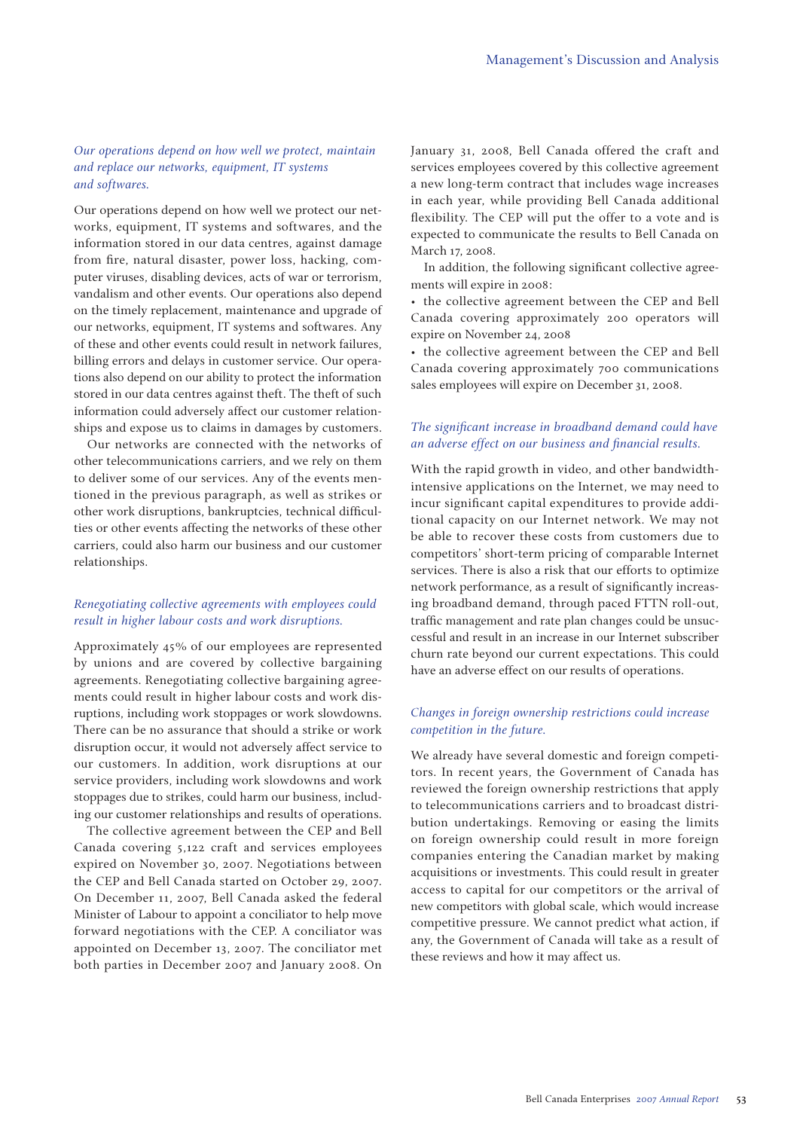## *Our operations depend on how well we protect, maintain and replace our networks, equipment, IT systems and softwares.*

Our operations depend on how well we protect our networks, equipment, IT systems and softwares, and the information stored in our data centres, against damage from fire, natural disaster, power loss, hacking, computer viruses, disabling devices, acts of war or terrorism, vandalism and other events. Our operations also depend on the timely replacement, maintenance and upgrade of our networks, equipment, IT systems and softwares. Any of these and other events could result in network failures, billing errors and delays in customer service. Our operations also depend on our ability to protect the information stored in our data centres against theft. The theft of such information could adversely affect our customer relationships and expose us to claims in damages by customers.

Our networks are connected with the networks of other telecommunications carriers, and we rely on them to deliver some of our services. Any of the events mentioned in the previous paragraph, as well as strikes or other work disruptions, bankruptcies, technical difficulties or other events affecting the networks of these other carriers, could also harm our business and our customer relationships.

## *Renegotiating collective agreements with employees could result in higher labour costs and work disruptions.*

Approximately 45% of our employees are represented by unions and are covered by collective bargaining agreements. Renegotiating collective bargaining agreements could result in higher labour costs and work disruptions, including work stoppages or work slowdowns. There can be no assurance that should a strike or work disruption occur, it would not adversely affect service to our customers. In addition, work disruptions at our service providers, including work slowdowns and work stoppages due to strikes, could harm our business, including our customer relationships and results of operations.

The collective agreement between the CEP and Bell Canada covering 5,122 craft and services employees expired on November 30, 2007. Negotiations between the CEP and Bell Canada started on October 29, 2007. On December 11, 2007, Bell Canada asked the federal Minister of Labour to appoint a conciliator to help move forward negotiations with the CEP. A conciliator was appointed on December 13, 2007. The conciliator met both parties in December 2007 and January 2008. On

January 31, 2008, Bell Canada offered the craft and services employees covered by this collective agreement a new long-term contract that includes wage increases in each year, while providing Bell Canada additional flexibility. The CEP will put the offer to a vote and is expected to communicate the results to Bell Canada on March 17, 2008.

In addition, the following significant collective agreements will expire in 2008:

• the collective agreement between the CEP and Bell Canada covering approximately 200 operators will expire on November 24, 2008

• the collective agreement between the CEP and Bell Canada covering approximately 700 communications sales employees will expire on December 31, 2008.

## *The significant increase in broadband demand could have an adverse effect on our business and financial results.*

With the rapid growth in video, and other bandwidthintensive applications on the Internet, we may need to incur significant capital expenditures to provide additional capacity on our Internet network. We may not be able to recover these costs from customers due to competitors' short-term pricing of comparable Internet services. There is also a risk that our efforts to optimize network performance, as a result of significantly increasing broadband demand, through paced FTTN roll-out, traffic management and rate plan changes could be unsuccessful and result in an increase in our Internet subscriber churn rate beyond our current expectations. This could have an adverse effect on our results of operations.

## *Changes in foreign ownership restrictions could increase competition in the future.*

We already have several domestic and foreign competitors. In recent years, the Government of Canada has reviewed the foreign ownership restrictions that apply to telecommunications carriers and to broadcast distribution undertakings. Removing or easing the limits on foreign ownership could result in more foreign companies entering the Canadian market by making acquisitions or investments. This could result in greater access to capital for our competitors or the arrival of new competitors with global scale, which would increase competitive pressure. We cannot predict what action, if any, the Government of Canada will take as a result of these reviews and how it may affect us.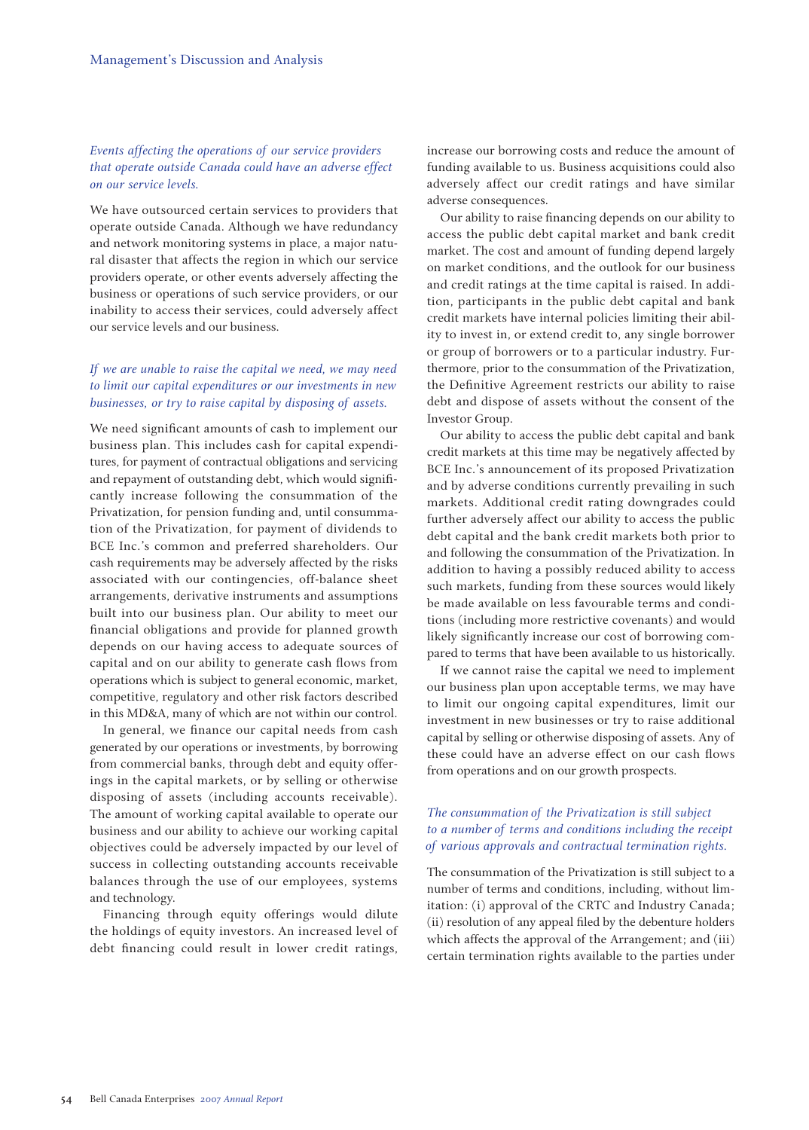## *Events affecting the operations of our service providers that operate outside Canada could have an adverse effect on our service levels.*

We have outsourced certain services to providers that operate outside Canada. Although we have redundancy and network monitoring systems in place, a major natural disaster that affects the region in which our service providers operate, or other events adversely affecting the business or operations of such service providers, or our inability to access their services, could adversely affect our service levels and our business.

## *If we are unable to raise the capital we need, we may need to limit our capital expenditures or our investments in new businesses, or try to raise capital by disposing of assets.*

We need significant amounts of cash to implement our business plan. This includes cash for capital expenditures, for payment of contractual obligations and servicing and repayment of outstanding debt, which would significantly increase following the consummation of the Privatization, for pension funding and, until consummation of the Privatization, for payment of dividends to BCE Inc.'s common and preferred shareholders. Our cash requirements may be adversely affected by the risks associated with our contingencies, off-balance sheet arrangements, derivative instruments and assumptions built into our business plan. Our ability to meet our financial obligations and provide for planned growth depends on our having access to adequate sources of capital and on our ability to generate cash flows from operations which is subject to general economic, market, competitive, regulatory and other risk factors described in this MD&A, many of which are not within our control.

In general, we finance our capital needs from cash generated by our operations or investments, by borrowing from commercial banks, through debt and equity offerings in the capital markets, or by selling or otherwise disposing of assets (including accounts receivable). The amount of working capital available to operate our business and our ability to achieve our working capital objectives could be adversely impacted by our level of success in collecting outstanding accounts receivable balances through the use of our employees, systems and technology.

Financing through equity offerings would dilute the holdings of equity investors. An increased level of debt financing could result in lower credit ratings,

increase our borrowing costs and reduce the amount of funding available to us. Business acquisitions could also adversely affect our credit ratings and have similar adverse consequences.

Our ability to raise financing depends on our ability to access the public debt capital market and bank credit market. The cost and amount of funding depend largely on market conditions, and the outlook for our business and credit ratings at the time capital is raised. In addition, participants in the public debt capital and bank credit markets have internal policies limiting their ability to invest in, or extend credit to, any single borrower or group of borrowers or to a particular industry. Furthermore, prior to the consummation of the Privatization, the Definitive Agreement restricts our ability to raise debt and dispose of assets without the consent of the Investor Group.

Our ability to access the public debt capital and bank credit markets at this time may be negatively affected by BCE Inc.'s announcement of its proposed Privatization and by adverse conditions currently prevailing in such markets. Additional credit rating downgrades could further adversely affect our ability to access the public debt capital and the bank credit markets both prior to and following the consummation of the Privatization. In addition to having a possibly reduced ability to access such markets, funding from these sources would likely be made available on less favourable terms and conditions (including more restrictive covenants) and would likely significantly increase our cost of borrowing compared to terms that have been available to us historically.

If we cannot raise the capital we need to implement our business plan upon acceptable terms, we may have to limit our ongoing capital expenditures, limit our investment in new businesses or try to raise additional capital by selling or otherwise disposing of assets. Any of these could have an adverse effect on our cash flows from operations and on our growth prospects.

## *The consummation of the Privatization is still subject to a number of terms and conditions including the receipt of various approvals and contractual termination rights.*

The consummation of the Privatization is still subject to a number of terms and conditions, including, without limitation: (i) approval of the CRTC and Industry Canada; (ii) resolution of any appeal filed by the debenture holders which affects the approval of the Arrangement; and (iii) certain termination rights available to the parties under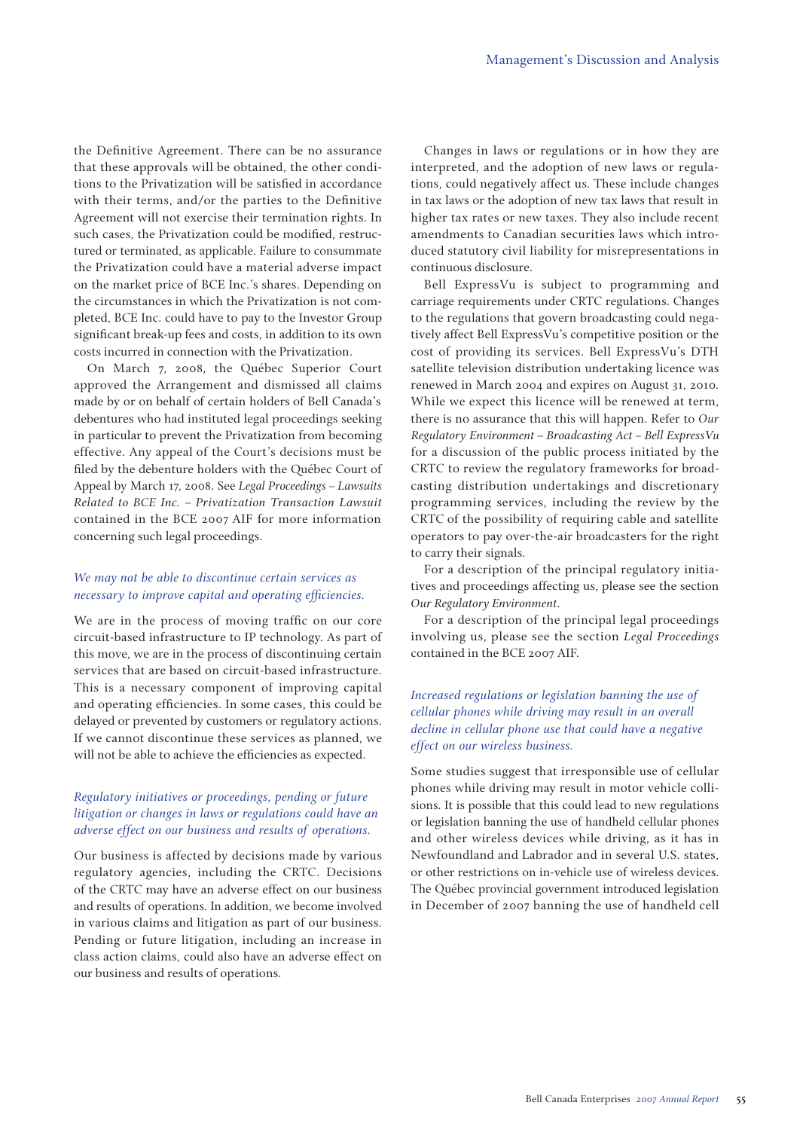the Definitive Agreement. There can be no assurance that these approvals will be obtained, the other conditions to the Privatization will be satisfied in accordance with their terms, and/or the parties to the Definitive Agreement will not exercise their termination rights. In such cases, the Privatization could be modified, restructured or terminated, as applicable. Failure to consummate the Privatization could have a material adverse impact on the market price of BCE Inc.'s shares. Depending on the circumstances in which the Privatization is not completed, BCE Inc. could have to pay to the Investor Group significant break-up fees and costs, in addition to its own costs incurred in connection with the Privatization.

On March 7, 2008, the Québec Superior Court approved the Arrangement and dismissed all claims made by or on behalf of certain holders of Bell Canada's debentures who had instituted legal proceedings seeking in particular to prevent the Privatization from becoming effective. Any appeal of the Court's decisions must be filed by the debenture holders with the Québec Court of Appeal by March 17, 2008. See *Legal Proceedings – Lawsuits Related to BCE Inc. – Privatization Transaction Lawsuit* contained in the BCE 2007 AIF for more information concerning such legal proceedings.

## *We may not be able to discontinue certain services as necessary to improve capital and operating efficiencies.*

We are in the process of moving traffic on our core circuit-based infrastructure to IP technology. As part of this move, we are in the process of discontinuing certain services that are based on circuit-based infrastructure. This is a necessary component of improving capital and operating efficiencies. In some cases, this could be delayed or prevented by customers or regulatory actions. If we cannot discontinue these services as planned, we will not be able to achieve the efficiencies as expected.

## *Regulatory initiatives or proceedings, pending or future litigation or changes in laws or regulations could have an adverse effect on our business and results of operations.*

Our business is affected by decisions made by various regulatory agencies, including the CRTC. Decisions of the CRTC may have an adverse effect on our business and results of operations. In addition, we become involved in various claims and litigation as part of our business. Pending or future litigation, including an increase in class action claims, could also have an adverse effect on our business and results of operations.

Changes in laws or regulations or in how they are interpreted, and the adoption of new laws or regulations, could negatively affect us. These include changes in tax laws or the adoption of new tax laws that result in higher tax rates or new taxes. They also include recent amendments to Canadian securities laws which introduced statutory civil liability for misrepresentations in continuous disclosure.

Bell ExpressVu is subject to programming and carriage requirements under CRTC regulations. Changes to the regulations that govern broadcasting could negatively affect Bell ExpressVu's competitive position or the cost of providing its services. Bell ExpressVu's DTH satellite television distribution undertaking licence was renewed in March 2004 and expires on August 31, 2010. While we expect this licence will be renewed at term, there is no assurance that this will happen. Refer to *Our Regulatory Environment – Broadcasting Act – Bell ExpressVu* for a discussion of the public process initiated by the CRTC to review the regulatory frameworks for broadcasting distribution undertakings and discretionary programming services, including the review by the CRTC of the possibility of requiring cable and satellite operators to pay over-the-air broadcasters for the right to carry their signals.

For a description of the principal regulatory initiatives and proceedings affecting us, please see the section *Our Regulatory Environment*.

For a description of the principal legal proceedings involving us, please see the section *Legal Proceedings* contained in the BCE 2007 AIF.

## *Increased regulations or legislation banning the use of cellular phones while driving may result in an overall decline in cellular phone use that could have a negative effect on our wireless business.*

Some studies suggest that irresponsible use of cellular phones while driving may result in motor vehicle collisions. It is possible that this could lead to new regulations or legislation banning the use of handheld cellular phones and other wireless devices while driving, as it has in Newfoundland and Labrador and in several U.S. states, or other restrictions on in-vehicle use of wireless devices. The Québec provincial government introduced legislation in December of 2007 banning the use of handheld cell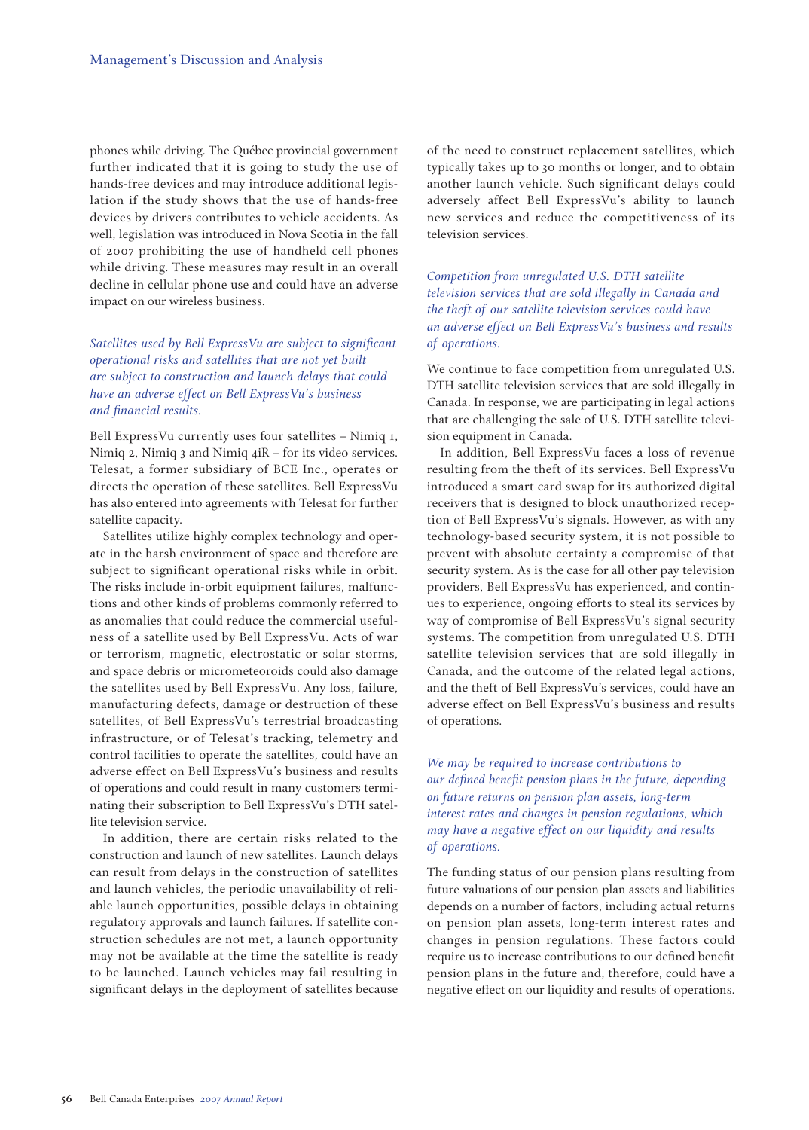phones while driving. The Québec provincial government further indicated that it is going to study the use of hands-free devices and may introduce additional legislation if the study shows that the use of hands-free devices by drivers contributes to vehicle accidents. As well, legislation was introduced in Nova Scotia in the fall of 2007 prohibiting the use of handheld cell phones while driving. These measures may result in an overall decline in cellular phone use and could have an adverse impact on our wireless business.

*Satellites used by Bell ExpressVu are subject to significant operational risks and satellites that are not yet built are subject to construction and launch delays that could have an adverse effect on Bell ExpressVu's business and financial results.* 

Bell ExpressVu currently uses four satellites – Nimiq 1, Nimiq 2, Nimiq 3 and Nimiq 4iR – for its video services. Telesat, a former subsidiary of BCE Inc., operates or directs the operation of these satellites. Bell ExpressVu has also entered into agreements with Telesat for further satellite capacity.

Satellites utilize highly complex technology and operate in the harsh environment of space and therefore are subject to significant operational risks while in orbit. The risks include in-orbit equipment failures, malfunctions and other kinds of problems commonly referred to as anomalies that could reduce the commercial usefulness of a satellite used by Bell ExpressVu. Acts of war or terrorism, magnetic, electrostatic or solar storms, and space debris or micrometeoroids could also damage the satellites used by Bell ExpressVu. Any loss, failure, manufacturing defects, damage or destruction of these satellites, of Bell ExpressVu's terrestrial broadcasting infrastructure, or of Telesat's tracking, telemetry and control facilities to operate the satellites, could have an adverse effect on Bell ExpressVu's business and results of operations and could result in many customers terminating their subscription to Bell ExpressVu's DTH satellite television service.

In addition, there are certain risks related to the construction and launch of new satellites. Launch delays can result from delays in the construction of satellites and launch vehicles, the periodic unavailability of reliable launch opportunities, possible delays in obtaining regulatory approvals and launch failures. If satellite construction schedules are not met, a launch opportunity may not be available at the time the satellite is ready to be launched. Launch vehicles may fail resulting in significant delays in the deployment of satellites because

of the need to construct replacement satellites, which typically takes up to 30 months or longer, and to obtain another launch vehicle. Such significant delays could adversely affect Bell ExpressVu's ability to launch new services and reduce the competitiveness of its television services.

*Competition from unregulated U.S. DTH satellite television services that are sold illegally in Canada and the theft of our satellite television services could have an adverse effect on Bell ExpressVu's business and results of operations.*

We continue to face competition from unregulated U.S. DTH satellite television services that are sold illegally in Canada. In response, we are participating in legal actions that are challenging the sale of U.S. DTH satellite television equipment in Canada.

In addition, Bell ExpressVu faces a loss of revenue resulting from the theft of its services. Bell ExpressVu introduced a smart card swap for its authorized digital receivers that is designed to block unauthorized reception of Bell ExpressVu's signals. However, as with any technology-based security system, it is not possible to prevent with absolute certainty a compromise of that security system. As is the case for all other pay television providers, Bell ExpressVu has experienced, and continues to experience, ongoing efforts to steal its services by way of compromise of Bell ExpressVu's signal security systems. The competition from unregulated U.S. DTH satellite television services that are sold illegally in Canada, and the outcome of the related legal actions, and the theft of Bell ExpressVu's services, could have an adverse effect on Bell ExpressVu's business and results of operations.

*We may be required to increase contributions to our defined benefit pension plans in the future, depending on future returns on pension plan assets, long-term interest rates and changes in pension regulations, which may have a negative effect on our liquidity and results of operations.*

The funding status of our pension plans resulting from future valuations of our pension plan assets and liabilities depends on a number of factors, including actual returns on pension plan assets, long-term interest rates and changes in pension regulations. These factors could require us to increase contributions to our defined benefit pension plans in the future and, therefore, could have a negative effect on our liquidity and results of operations.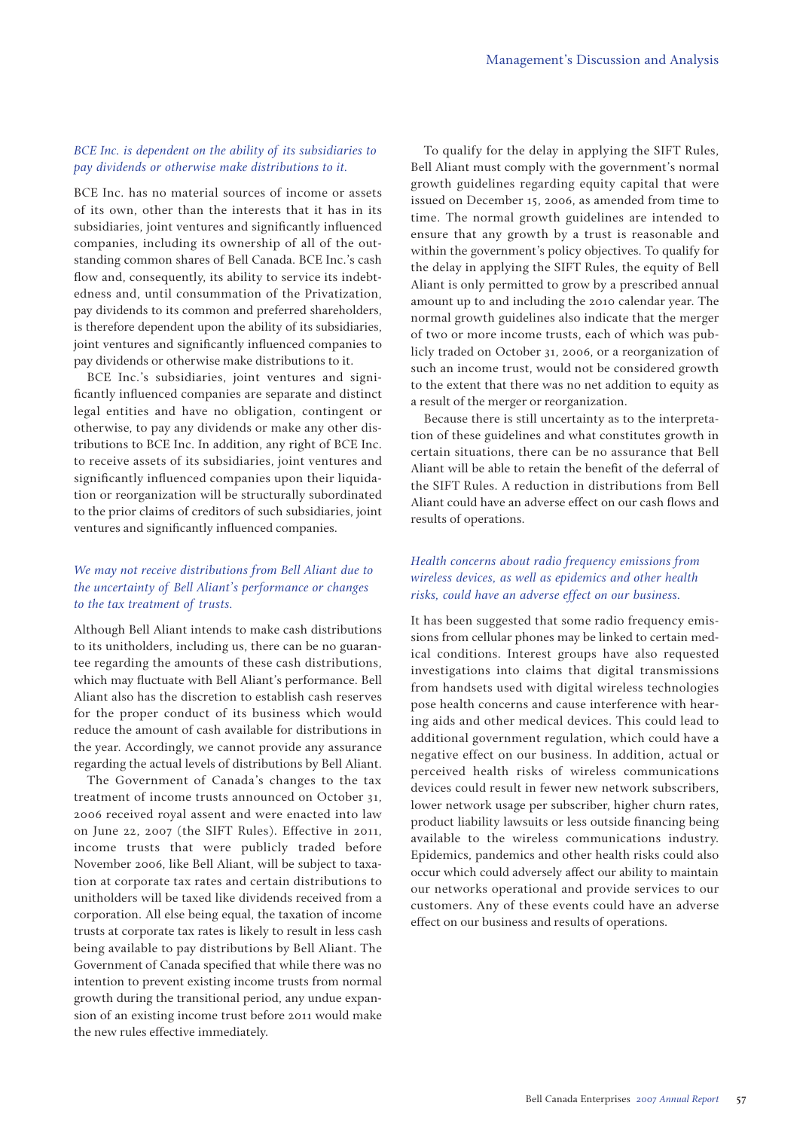## *BCE Inc. is dependent on the ability of its subsidiaries to pay dividends or otherwise make distributions to it.*

BCE Inc. has no material sources of income or assets of its own, other than the interests that it has in its subsidiaries, joint ventures and significantly influenced companies, including its ownership of all of the outstanding common shares of Bell Canada. BCE Inc.'s cash flow and, consequently, its ability to service its indebtedness and, until consummation of the Privatization, pay dividends to its common and preferred shareholders, is therefore dependent upon the ability of its subsidiaries, joint ventures and significantly influenced companies to pay dividends or otherwise make distributions to it.

BCE Inc.'s subsidiaries, joint ventures and significantly influenced companies are separate and distinct legal entities and have no obligation, contingent or otherwise, to pay any dividends or make any other distributions to BCE Inc. In addition, any right of BCE Inc. to receive assets of its subsidiaries, joint ventures and significantly influenced companies upon their liquidation or reorganization will be structurally subordinated to the prior claims of creditors of such subsidiaries, joint ventures and significantly influenced companies.

## *We may not receive distributions from Bell Aliant due to the uncertainty of Bell Aliant's performance or changes to the tax treatment of trusts.*

Although Bell Aliant intends to make cash distributions to its unitholders, including us, there can be no guarantee regarding the amounts of these cash distributions, which may fluctuate with Bell Aliant's performance. Bell Aliant also has the discretion to establish cash reserves for the proper conduct of its business which would reduce the amount of cash available for distributions in the year. Accordingly, we cannot provide any assurance regarding the actual levels of distributions by Bell Aliant.

The Government of Canada's changes to the tax treatment of income trusts announced on October 31, 2006 received royal assent and were enacted into law on June 22, 2007 (the SIFT Rules). Effective in 2011, income trusts that were publicly traded before November 2006, like Bell Aliant, will be subject to taxation at corporate tax rates and certain distributions to unitholders will be taxed like dividends received from a corporation. All else being equal, the taxation of income trusts at corporate tax rates is likely to result in less cash being available to pay distributions by Bell Aliant. The Government of Canada specified that while there was no intention to prevent existing income trusts from normal growth during the transitional period, any undue expansion of an existing income trust before 2011 would make the new rules effective immediately.

To qualify for the delay in applying the SIFT Rules, Bell Aliant must comply with the government's normal growth guidelines regarding equity capital that were issued on December 15, 2006, as amended from time to time. The normal growth guidelines are intended to ensure that any growth by a trust is reasonable and within the government's policy objectives. To qualify for the delay in applying the SIFT Rules, the equity of Bell Aliant is only permitted to grow by a prescribed annual amount up to and including the 2010 calendar year. The normal growth guidelines also indicate that the merger of two or more income trusts, each of which was publicly traded on October 31, 2006, or a reorganization of such an income trust, would not be considered growth to the extent that there was no net addition to equity as a result of the merger or reorganization.

Because there is still uncertainty as to the interpretation of these guidelines and what constitutes growth in certain situations, there can be no assurance that Bell Aliant will be able to retain the benefit of the deferral of the SIFT Rules. A reduction in distributions from Bell Aliant could have an adverse effect on our cash flows and results of operations.

## *Health concerns about radio frequency emissions from wireless devices, as well as epidemics and other health risks, could have an adverse effect on our business.*

It has been suggested that some radio frequency emissions from cellular phones may be linked to certain medical conditions. Interest groups have also requested investigations into claims that digital transmissions from handsets used with digital wireless technologies pose health concerns and cause interference with hearing aids and other medical devices. This could lead to additional government regulation, which could have a negative effect on our business. In addition, actual or perceived health risks of wireless communications devices could result in fewer new network subscribers, lower network usage per subscriber, higher churn rates, product liability lawsuits or less outside financing being available to the wireless communications industry. Epidemics, pandemics and other health risks could also occur which could adversely affect our ability to maintain our networks operational and provide services to our customers. Any of these events could have an adverse effect on our business and results of operations.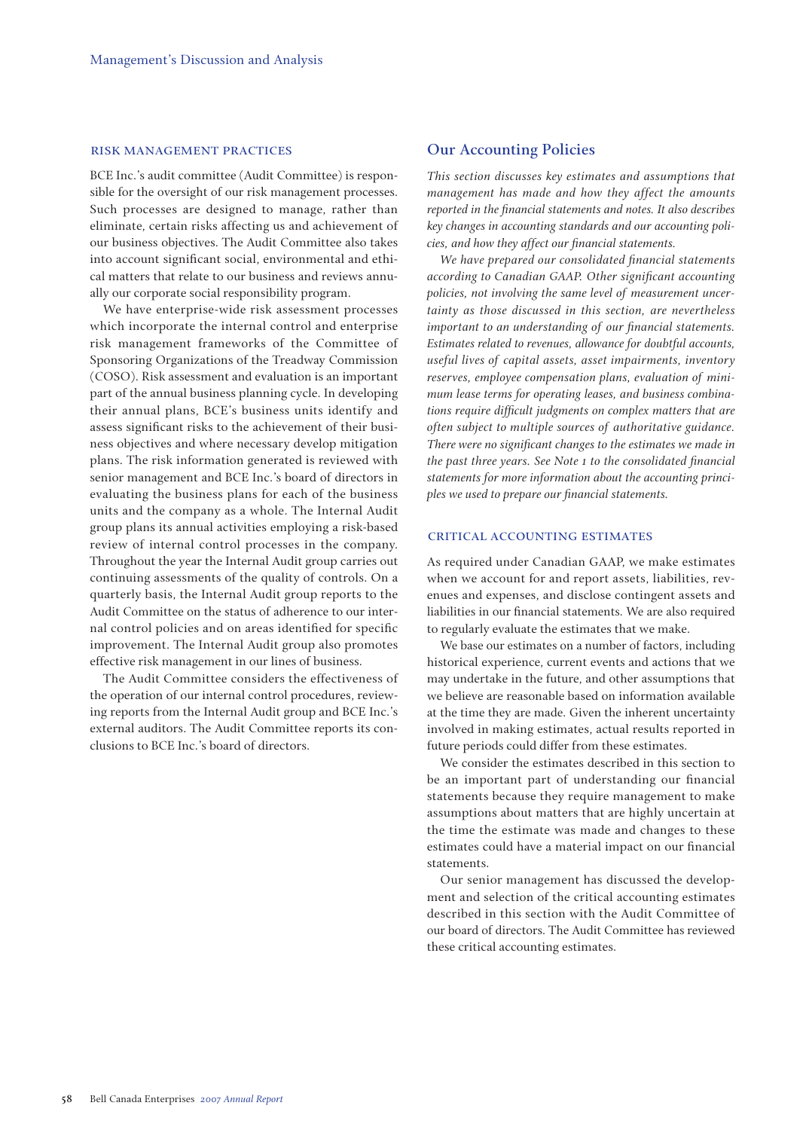## risk management practices

BCE Inc.'s audit committee (Audit Committee) is responsible for the oversight of our risk management processes. Such processes are designed to manage, rather than eliminate, certain risks affecting us and achievement of our business objectives. The Audit Committee also takes into account significant social, environmental and ethical matters that relate to our business and reviews annually our corporate social responsibility program.

We have enterprise-wide risk assessment processes which incorporate the internal control and enterprise risk management frameworks of the Committee of Sponsoring Organizations of the Treadway Commission (COSO). Risk assessment and evaluation is an important part of the annual business planning cycle. In developing their annual plans, BCE's business units identify and assess significant risks to the achievement of their business objectives and where necessary develop mitigation plans. The risk information generated is reviewed with senior management and BCE Inc.'s board of directors in evaluating the business plans for each of the business units and the company as a whole. The Internal Audit group plans its annual activities employing a risk-based review of internal control processes in the company. Throughout the year the Internal Audit group carries out continuing assessments of the quality of controls. On a quarterly basis, the Internal Audit group reports to the Audit Committee on the status of adherence to our internal control policies and on areas identified for specific improvement. The Internal Audit group also promotes effective risk management in our lines of business.

The Audit Committee considers the effectiveness of the operation of our internal control procedures, reviewing reports from the Internal Audit group and BCE Inc.'s external auditors. The Audit Committee reports its conclusions to BCE Inc.'s board of directors.

## **Our Accounting Policies**

*This section discusses key estimates and assumptions that management has made and how they affect the amounts reported in the financial statements and notes. It also describes key changes in accounting standards and our accounting policies, and how they affect our financial statements.*

*We have prepared our consolidated financial statements according to Canadian GAAP. Other significant accounting policies, not involving the same level of measurement uncertainty as those discussed in this section, are nevertheless important to an understanding of our financial statements. Estimates related to revenues, allowance for doubtful accounts, useful lives of capital assets, asset impairments, inventory reserves, employee compensation plans, evaluation of minimum lease terms for operating leases, and business combinations require difficult judgments on complex matters that are often subject to multiple sources of authoritative guidance. There were no significant changes to the estimates we made in the past three years. See Note 1 to the consolidated financial statements for more information about the accounting principles we used to prepare our financial statements.*

## critical accounting estimates

As required under Canadian GAAP, we make estimates when we account for and report assets, liabilities, revenues and expenses, and disclose contingent assets and liabilities in our financial statements. We are also required to regularly evaluate the estimates that we make.

We base our estimates on a number of factors, including historical experience, current events and actions that we may undertake in the future, and other assumptions that we believe are reasonable based on information available at the time they are made. Given the inherent uncertainty involved in making estimates, actual results reported in future periods could differ from these estimates.

We consider the estimates described in this section to be an important part of understanding our financial statements because they require management to make assumptions about matters that are highly uncertain at the time the estimate was made and changes to these estimates could have a material impact on our financial statements.

Our senior management has discussed the development and selection of the critical accounting estimates described in this section with the Audit Committee of our board of directors. The Audit Committee has reviewed these critical accounting estimates.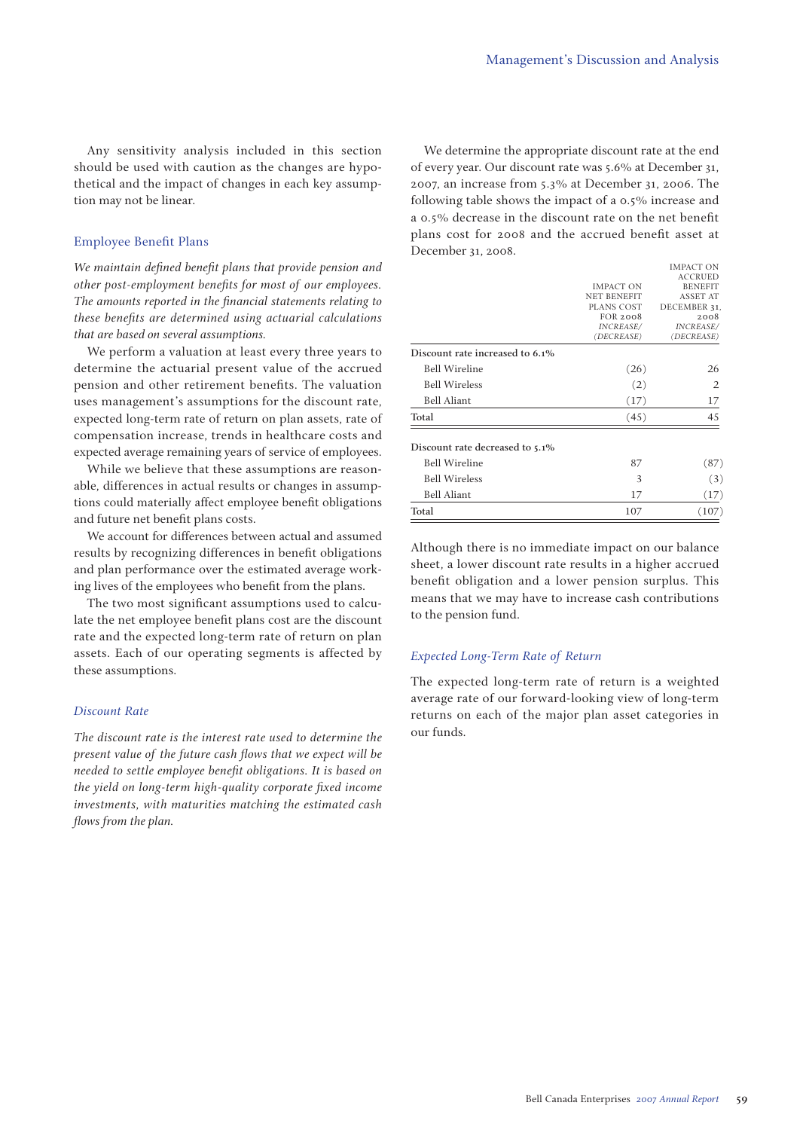Any sensitivity analysis included in this section should be used with caution as the changes are hypothetical and the impact of changes in each key assumption may not be linear.

## Employee Benefit Plans

*We maintain defined benefit plans that provide pension and other post-employment benefits for most of our employees. The amounts reported in the financial statements relating to these benefits are determined using actuarial calculations that are based on several assumptions.*

We perform a valuation at least every three years to determine the actuarial present value of the accrued pension and other retirement benefits. The valuation uses management's assumptions for the discount rate, expected long-term rate of return on plan assets, rate of compensation increase, trends in healthcare costs and expected average remaining years of service of employees.

While we believe that these assumptions are reasonable, differences in actual results or changes in assumptions could materially affect employee benefit obligations and future net benefit plans costs.

We account for differences between actual and assumed results by recognizing differences in benefit obligations and plan performance over the estimated average working lives of the employees who benefit from the plans.

The two most significant assumptions used to calculate the net employee benefit plans cost are the discount rate and the expected long-term rate of return on plan assets. Each of our operating segments is affected by these assumptions.

#### *Discount Rate*

*The discount rate is the interest rate used to determine the present value of the future cash flows that we expect will be needed to settle employee benefit obligations. It is based on the yield on long-term high-quality corporate fixed income investments, with maturities matching the estimated cash flows from the plan.*

We determine the appropriate discount rate at the end of every year. Our discount rate was 5.6% at December 31, 2007, an increase from 5.3% at December 31, 2006. The following table shows the impact of a 0.5% increase and a 0.5% decrease in the discount rate on the net benefit plans cost for 2008 and the accrued benefit asset at December 31, 2008.

| Total                           | 107                                 | (107)                            |
|---------------------------------|-------------------------------------|----------------------------------|
| <b>Bell Aliant</b>              | 17                                  | (17)                             |
| <b>Bell Wireless</b>            | 3                                   | (3)                              |
| <b>Bell Wireline</b>            | 87                                  | (87)                             |
| Discount rate decreased to 5.1% |                                     |                                  |
| Total                           | (45)                                | 45                               |
| <b>Bell Aliant</b>              | (17)                                | 17                               |
| <b>Bell Wireless</b>            | (2)                                 | 2                                |
| <b>Bell Wireline</b>            | (26)                                | 26                               |
| Discount rate increased to 6.1% |                                     |                                  |
|                                 | (DECREASE)                          | (DECREASE)                       |
|                                 | <b>FOR 2008</b><br><b>INCREASE/</b> | 2008<br><b>INCREASE/</b>         |
|                                 | PLANS COST                          | DECEMBER 31.                     |
|                                 | <b>NET BENEFIT</b>                  | <b>ASSET AT</b>                  |
|                                 | <b>IMPACT ON</b>                    | <b>ACCRUED</b><br><b>BENEFIT</b> |
|                                 |                                     | IMPACT ON                        |

Although there is no immediate impact on our balance sheet, a lower discount rate results in a higher accrued benefit obligation and a lower pension surplus. This means that we may have to increase cash contributions to the pension fund.

### *Expected Long-Term Rate of Return*

The expected long-term rate of return is a weighted average rate of our forward-looking view of long-term returns on each of the major plan asset categories in our funds.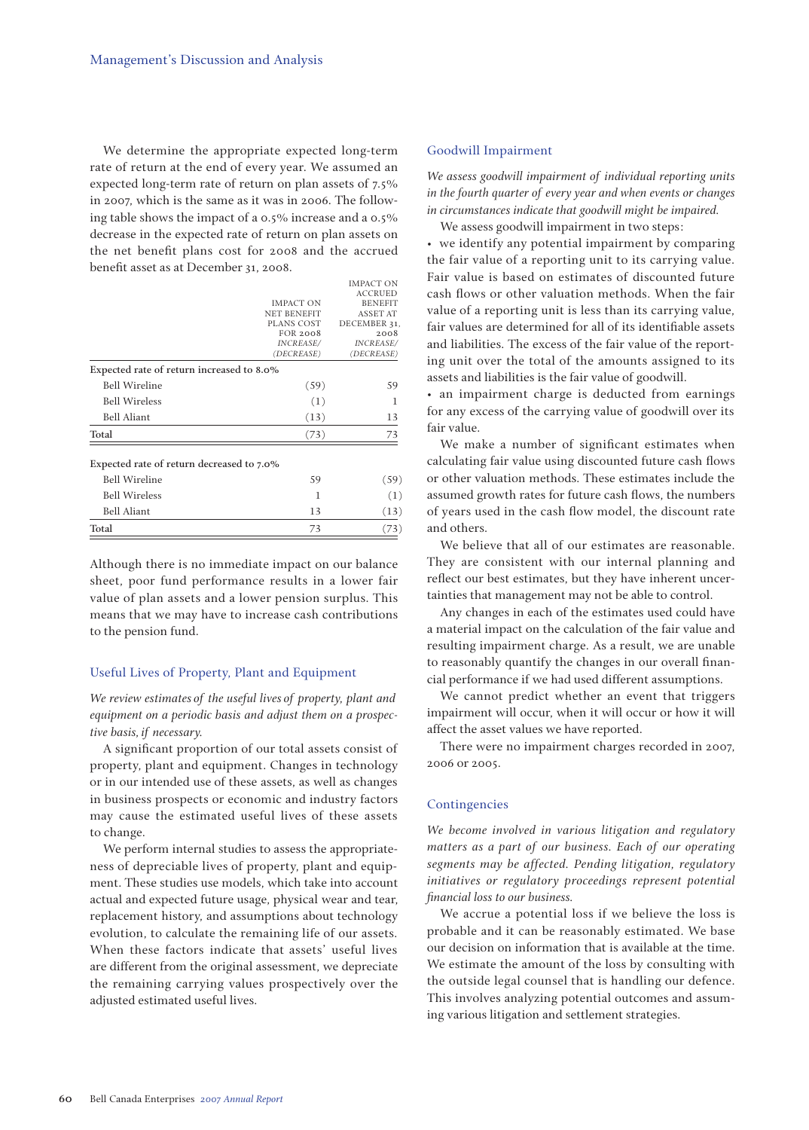We determine the appropriate expected long-term rate of return at the end of every year. We assumed an expected long-term rate of return on plan assets of 7.5% in 2007, which is the same as it was in 2006. The following table shows the impact of a 0.5% increase and a 0.5% decrease in the expected rate of return on plan assets on the net benefit plans cost for 2008 and the accrued benefit asset as at December 31, 2008.

|                                           |                    | <b>IMPACT ON</b> |
|-------------------------------------------|--------------------|------------------|
|                                           |                    | <b>ACCRUED</b>   |
|                                           | <b>IMPACT ON</b>   | <b>BENEFIT</b>   |
|                                           | <b>NET BENEFIT</b> | <b>ASSET AT</b>  |
|                                           | PLANS COST         | DECEMBER 31.     |
|                                           | <b>FOR 2008</b>    | 2008             |
|                                           | <b>INCREASE/</b>   | <b>INCREASE/</b> |
|                                           | (DECREASE)         | (DECREASE)       |
| Expected rate of return increased to 8.0% |                    |                  |
| <b>Bell Wireline</b>                      | (59)               | 59               |
| <b>Bell Wireless</b>                      | (1)                | 1                |
| <b>Bell Aliant</b>                        | (13)               | 13               |
| Total                                     | (73)               | 73               |
| Expected rate of return decreased to 7.0% |                    |                  |
| <b>Bell Wireline</b>                      | 59                 | (59)             |
| <b>Bell Wireless</b>                      | 1                  | (1)              |
| <b>Bell Aliant</b>                        | 13                 | (13)             |
| Total                                     | 73                 | (73)             |

Although there is no immediate impact on our balance sheet, poor fund performance results in a lower fair value of plan assets and a lower pension surplus. This means that we may have to increase cash contributions to the pension fund.

## Useful Lives of Property, Plant and Equipment

*We review estimates of the useful lives of property, plant and equipment on a periodic basis and adjust them on a prospective basis, if necessary.*

A significant proportion of our total assets consist of property, plant and equipment. Changes in technology or in our intended use of these assets, as well as changes in business prospects or economic and industry factors may cause the estimated useful lives of these assets to change.

We perform internal studies to assess the appropriateness of depreciable lives of property, plant and equipment. These studies use models, which take into account actual and expected future usage, physical wear and tear, replacement history, and assumptions about technology evolution, to calculate the remaining life of our assets. When these factors indicate that assets' useful lives are different from the original assessment, we depreciate the remaining carrying values prospectively over the adjusted estimated useful lives.

## Goodwill Impairment

*We assess goodwill impairment of individual reporting units in the fourth quarter of every year and when events or changes in circumstances indicate that goodwill might be impaired.* 

We assess goodwill impairment in two steps:

• we identify any potential impairment by comparing the fair value of a reporting unit to its carrying value. Fair value is based on estimates of discounted future cash flows or other valuation methods. When the fair value of a reporting unit is less than its carrying value, fair values are determined for all of its identifiable assets and liabilities. The excess of the fair value of the reporting unit over the total of the amounts assigned to its assets and liabilities is the fair value of goodwill.

• an impairment charge is deducted from earnings for any excess of the carrying value of goodwill over its fair value.

We make a number of significant estimates when calculating fair value using discounted future cash flows or other valuation methods. These estimates include the assumed growth rates for future cash flows, the numbers of years used in the cash flow model, the discount rate and others.

We believe that all of our estimates are reasonable. They are consistent with our internal planning and reflect our best estimates, but they have inherent uncertainties that management may not be able to control.

Any changes in each of the estimates used could have a material impact on the calculation of the fair value and resulting impairment charge. As a result, we are unable to reasonably quantify the changes in our overall financial performance if we had used different assumptions.

We cannot predict whether an event that triggers impairment will occur, when it will occur or how it will affect the asset values we have reported.

There were no impairment charges recorded in 2007, 2006 or 2005.

#### Contingencies

*We become involved in various litigation and regulatory matters as a part of our business. Each of our operating segments may be affected. Pending litigation, regulatory initiatives or regulatory proceedings represent potential financial loss to our business.*

We accrue a potential loss if we believe the loss is probable and it can be reasonably estimated. We base our decision on information that is available at the time. We estimate the amount of the loss by consulting with the outside legal counsel that is handling our defence. This involves analyzing potential outcomes and assuming various litigation and settlement strategies.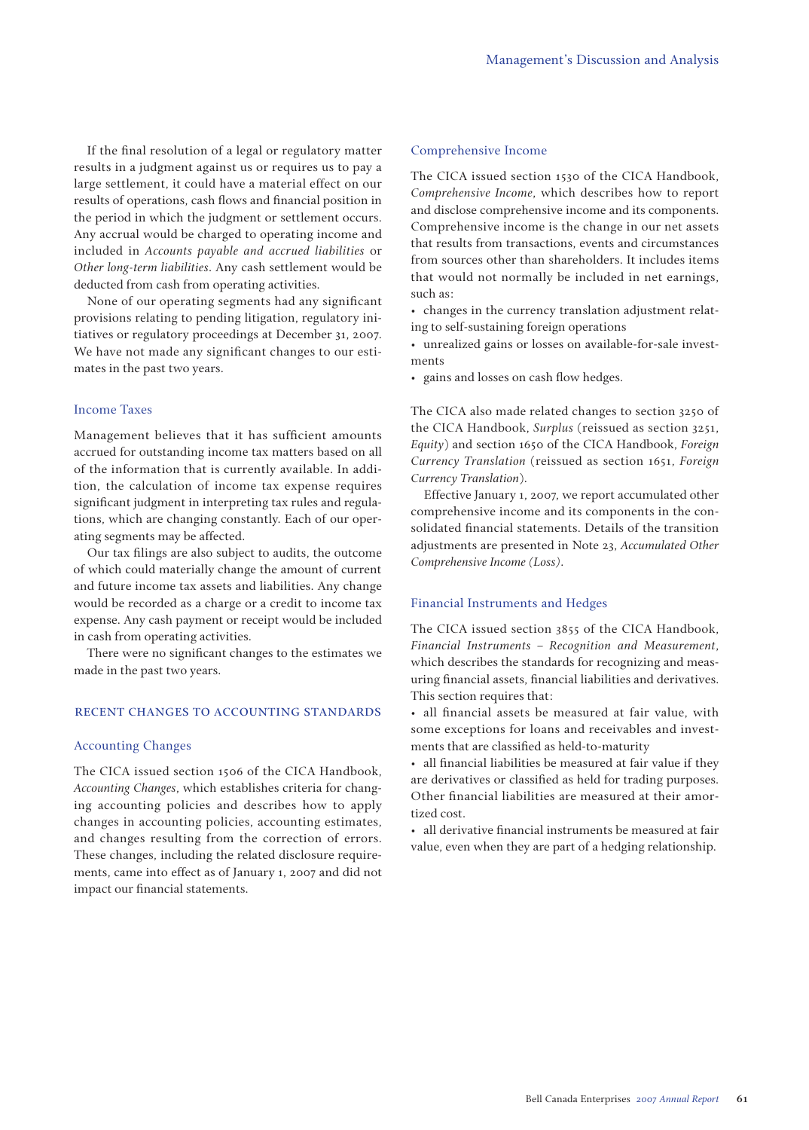If the final resolution of a legal or regulatory matter results in a judgment against us or requires us to pay a large settlement, it could have a material effect on our results of operations, cash flows and financial position in the period in which the judgment or settlement occurs. Any accrual would be charged to operating income and included in *Accounts payable and accrued liabilities* or *Other long-term liabilities*. Any cash settlement would be deducted from cash from operating activities.

None of our operating segments had any significant provisions relating to pending litigation, regulatory initiatives or regulatory proceedings at December 31, 2007. We have not made any significant changes to our estimates in the past two years.

#### Income Taxes

Management believes that it has sufficient amounts accrued for outstanding income tax matters based on all of the information that is currently available. In addition, the calculation of income tax expense requires significant judgment in interpreting tax rules and regulations, which are changing constantly. Each of our operating segments may be affected.

Our tax filings are also subject to audits, the outcome of which could materially change the amount of current and future income tax assets and liabilities. Any change would be recorded as a charge or a credit to income tax expense. Any cash payment or receipt would be included in cash from operating activities.

There were no significant changes to the estimates we made in the past two years.

#### recent changes to accounting standards

#### Accounting Changes

The CICA issued section 1506 of the CICA Handbook, *Accounting Changes*, which establishes criteria for changing accounting policies and describes how to apply changes in accounting policies, accounting estimates, and changes resulting from the correction of errors. These changes, including the related disclosure requirements, came into effect as of January 1, 2007 and did not impact our financial statements.

#### Comprehensive Income

The CICA issued section 1530 of the CICA Handbook, *Comprehensive Income*, which describes how to report and disclose comprehensive income and its components. Comprehensive income is the change in our net assets that results from transactions, events and circumstances from sources other than shareholders. It includes items that would not normally be included in net earnings, such as:

• changes in the currency translation adjustment relating to self-sustaining foreign operations

• unrealized gains or losses on available-for-sale investments

• gains and losses on cash flow hedges.

The CICA also made related changes to section 3250 of the CICA Handbook, *Surplus* (reissued as section 3251, *Equity*) and section 1650 of the CICA Handbook, *Foreign Currency Translation* (reissued as section 1651, *Foreign Currency Translation*).

Effective January 1, 2007, we report accumulated other comprehensive income and its components in the consolidated financial statements. Details of the transition adjustments are presented in Note 23, *Accumulated Other Comprehensive Income (Loss)*.

### Financial Instruments and Hedges

The CICA issued section 3855 of the CICA Handbook, *Financial Instruments – Recognition and Measurement*, which describes the standards for recognizing and measuring financial assets, financial liabilities and derivatives. This section requires that:

• all financial assets be measured at fair value, with some exceptions for loans and receivables and investments that are classified as held-to-maturity

• all financial liabilities be measured at fair value if they are derivatives or classified as held for trading purposes. Other financial liabilities are measured at their amortized cost.

• all derivative financial instruments be measured at fair value, even when they are part of a hedging relationship.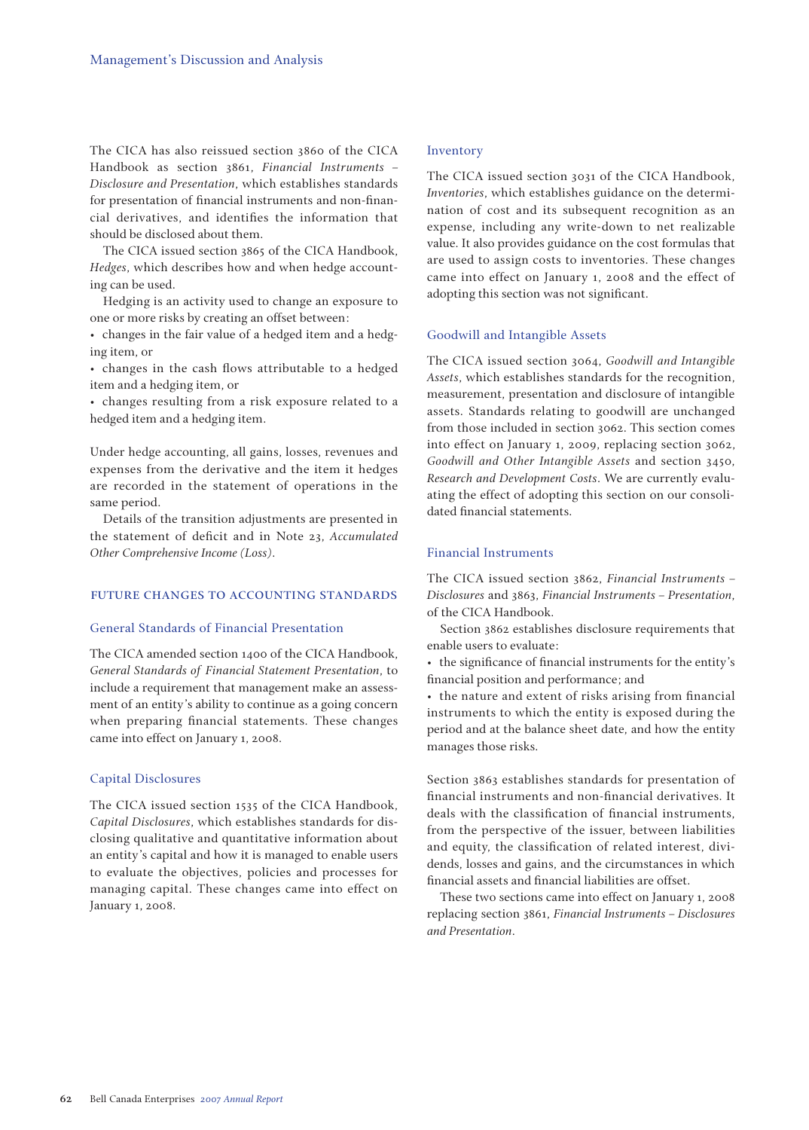The CICA has also reissued section 3860 of the CICA Handbook as section 3861, *Financial Instruments – Disclosure and Presentation*, which establishes standards for presentation of financial instruments and non-financial derivatives, and identifies the information that should be disclosed about them.

The CICA issued section 3865 of the CICA Handbook, *Hedges*, which describes how and when hedge accounting can be used.

Hedging is an activity used to change an exposure to one or more risks by creating an offset between:

• changes in the fair value of a hedged item and a hedging item, or

• changes in the cash flows attributable to a hedged item and a hedging item, or

• changes resulting from a risk exposure related to a hedged item and a hedging item.

Under hedge accounting, all gains, losses, revenues and expenses from the derivative and the item it hedges are recorded in the statement of operations in the same period.

Details of the transition adjustments are presented in the statement of deficit and in Note 23, *Accumulated Other Comprehensive Income (Loss)*.

#### future changes to accounting standards

## General Standards of Financial Presentation

The CICA amended section 1400 of the CICA Handbook, *General Standards of Financial Statement Presentation*, to include a requirement that management make an assessment of an entity's ability to continue as a going concern when preparing financial statements. These changes came into effect on January 1, 2008.

#### Capital Disclosures

The CICA issued section 1535 of the CICA Handbook, *Capital Disclosures*, which establishes standards for disclosing qualitative and quantitative information about an entity's capital and how it is managed to enable users to evaluate the objectives, policies and processes for managing capital. These changes came into effect on January 1, 2008.

#### Inventory

The CICA issued section 3031 of the CICA Handbook, *Inventories*, which establishes guidance on the determination of cost and its subsequent recognition as an expense, including any write-down to net realizable value. It also provides guidance on the cost formulas that are used to assign costs to inventories. These changes came into effect on January 1, 2008 and the effect of adopting this section was not significant.

#### Goodwill and Intangible Assets

The CICA issued section 3064, *Goodwill and Intangible Assets*, which establishes standards for the recognition, measurement, presentation and disclosure of intangible assets. Standards relating to goodwill are unchanged from those included in section 3062. This section comes into effect on January 1, 2009, replacing section 3062, *Goodwill and Other Intangible Assets* and section 3450, *Research and Development Costs*. We are currently evaluating the effect of adopting this section on our consolidated financial statements.

#### Financial Instruments

The CICA issued section 3862, *Financial Instruments – Disclosures* and 3863, *Financial Instruments – Presentation*, of the CICA Handbook.

Section 3862 establishes disclosure requirements that enable users to evaluate:

• the significance of financial instruments for the entity's financial position and performance; and

• the nature and extent of risks arising from financial instruments to which the entity is exposed during the period and at the balance sheet date, and how the entity manages those risks.

Section 3863 establishes standards for presentation of financial instruments and non-financial derivatives. It deals with the classification of financial instruments, from the perspective of the issuer, between liabilities and equity, the classification of related interest, dividends, losses and gains, and the circumstances in which financial assets and financial liabilities are offset.

These two sections came into effect on January 1, 2008 replacing section 3861, *Financial Instruments – Disclosures and Presentation*.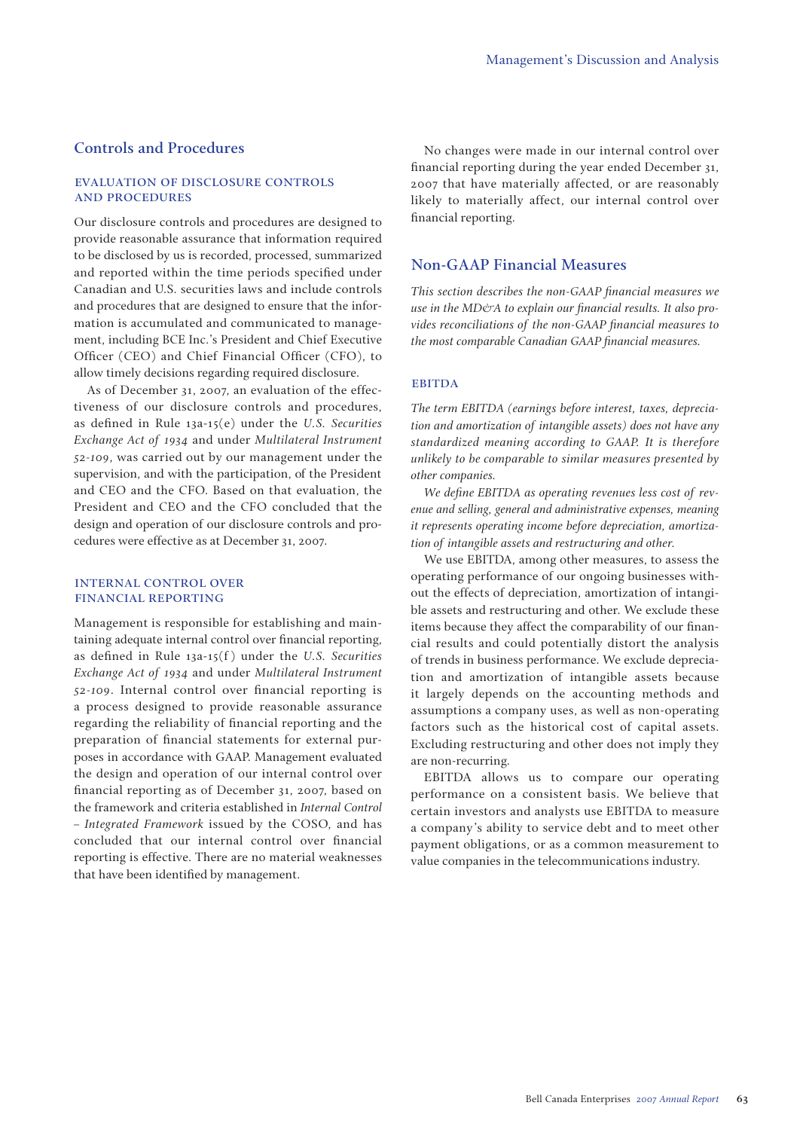## **Controls and Procedures**

## evaluation of disclosure controls and procedures

Our disclosure controls and procedures are designed to provide reasonable assurance that information required to be disclosed by us is recorded, processed, summarized and reported within the time periods specified under Canadian and U.S. securities laws and include controls and procedures that are designed to ensure that the information is accumulated and communicated to management, including BCE Inc.'s President and Chief Executive Officer (CEO) and Chief Financial Officer (CFO), to allow timely decisions regarding required disclosure.

As of December 31, 2007, an evaluation of the effectiveness of our disclosure controls and procedures, as defined in Rule 13a-15(e) under the *U.S. Securities Exchange Act of 1934* and under *Multilateral Instrument 52-109*, was carried out by our management under the supervision, and with the participation, of the President and CEO and the CFO. Based on that evaluation, the President and CEO and the CFO concluded that the design and operation of our disclosure controls and procedures were effective as at December 31, 2007.

#### internal control over financial reporting

Management is responsible for establishing and maintaining adequate internal control over financial reporting, as defined in Rule 13a-15(f ) under the *U.S. Securities Exchange Act of 1934* and under *Multilateral Instrument 52-109*. Internal control over financial reporting is a process designed to provide reasonable assurance regarding the reliability of financial reporting and the preparation of financial statements for external purposes in accordance with GAAP. Management evaluated the design and operation of our internal control over financial reporting as of December 31, 2007, based on the framework and criteria established in *Internal Control – Integrated Framework* issued by the COSO, and has concluded that our internal control over financial reporting is effective. There are no material weaknesses that have been identified by management.

No changes were made in our internal control over financial reporting during the year ended December 31, 2007 that have materially affected, or are reasonably likely to materially affect, our internal control over financial reporting.

## **Non-GAAP Financial Measures**

*This section describes the non-GAAP financial measures we* use in the MD&A to explain our financial results. It also pro*vides reconciliations of the non-GAAP financial measures to the most comparable Canadian GAAP financial measures.*

## **EBITDA**

*The term EBITDA (earnings before interest, taxes, depreciation and amortization of intangible assets) does not have any standardized meaning according to GAAP. It is therefore unlikely to be comparable to similar measures presented by other companies.*

*We define EBITDA as operating revenues less cost of revenue and selling, general and administrative expenses, meaning it represents operating income before depreciation, amortization of intangible assets and restructuring and other.*

We use EBITDA, among other measures, to assess the operating performance of our ongoing businesses without the effects of depreciation, amortization of intangible assets and restructuring and other. We exclude these items because they affect the comparability of our financial results and could potentially distort the analysis of trends in business performance. We exclude depreciation and amortization of intangible assets because it largely depends on the accounting methods and assumptions a company uses, as well as non-operating factors such as the historical cost of capital assets. Excluding restructuring and other does not imply they are non-recurring.

EBITDA allows us to compare our operating performance on a consistent basis. We believe that certain investors and analysts use EBITDA to measure a company's ability to service debt and to meet other payment obligations, or as a common measurement to value companies in the telecommunications industry.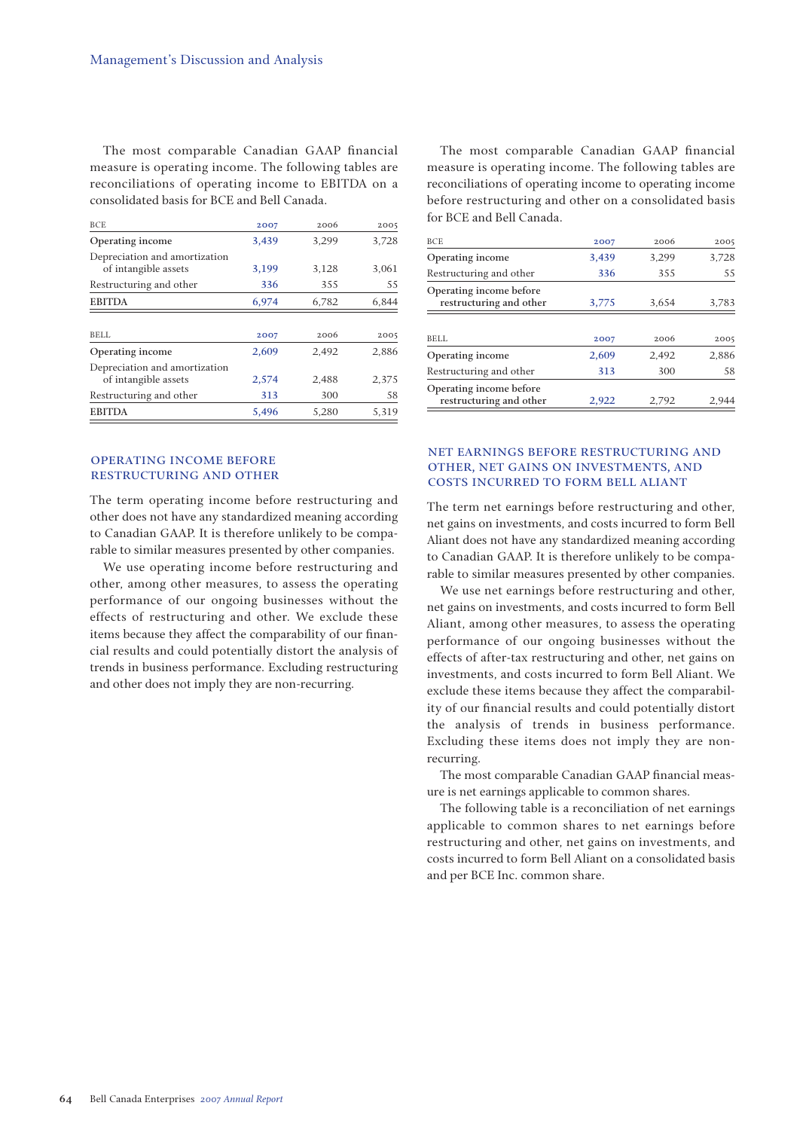The most comparable Canadian GAAP financial measure is operating income. The following tables are reconciliations of operating income to EBITDA on a consolidated basis for BCE and Bell Canada.

| <b>BCE</b>                                            | 2007  | 2006  | 2005  |
|-------------------------------------------------------|-------|-------|-------|
| Operating income                                      | 3,439 | 3,299 | 3,728 |
| Depreciation and amortization<br>of intangible assets | 3,199 | 3,128 | 3,061 |
| Restructuring and other                               | 336   | 355   | 55    |
| <b>EBITDA</b>                                         | 6,974 | 6,782 | 6,844 |
| <b>BELL</b>                                           | 2007  | 2006  | 2005  |
| Operating income                                      | 2,609 | 2,492 | 2.886 |
| Depreciation and amortization<br>of intangible assets | 2,574 | 2,488 | 2,375 |
| Restructuring and other                               | 313   | 300   | 58    |
| <b>EBITDA</b>                                         | 5.496 | 5.280 | 5.319 |

#### operating income before restructuring and other

The term operating income before restructuring and other does not have any standardized meaning according to Canadian GAAP. It is therefore unlikely to be comparable to similar measures presented by other companies.

We use operating income before restructuring and other, among other measures, to assess the operating performance of our ongoing businesses without the effects of restructuring and other. We exclude these items because they affect the comparability of our financial results and could potentially distort the analysis of trends in business performance. Excluding restructuring and other does not imply they are non-recurring.

The most comparable Canadian GAAP financial measure is operating income. The following tables are reconciliations of operating income to operating income before restructuring and other on a consolidated basis for BCE and Bell Canada.

| <b>BCE</b>                                         | 2007  | 2006  | 2005  |
|----------------------------------------------------|-------|-------|-------|
| Operating income                                   | 3,439 | 3,299 | 3.728 |
| Restructuring and other                            | 336   | 355   | 55    |
| Operating income before<br>restructuring and other | 3,775 | 3,654 | 3,783 |
| <b>BELL</b>                                        | 2007  | 2006  | 2005  |
| Operating income                                   | 2.609 | 2.492 | 2.886 |
| Restructuring and other                            | 313   | 300   | 58    |
| Operating income before<br>restructuring and other | 2.922 | 2.792 | 2.944 |

### net earnings before restructuring and other, net gains on investments, and costs incurred to form bell aliant

The term net earnings before restructuring and other, net gains on investments, and costs incurred to form Bell Aliant does not have any standardized meaning according to Canadian GAAP. It is therefore unlikely to be comparable to similar measures presented by other companies.

We use net earnings before restructuring and other, net gains on investments, and costs incurred to form Bell Aliant, among other measures, to assess the operating performance of our ongoing businesses without the effects of after-tax restructuring and other, net gains on investments, and costs incurred to form Bell Aliant. We exclude these items because they affect the comparability of our financial results and could potentially distort the analysis of trends in business performance. Excluding these items does not imply they are nonrecurring.

The most comparable Canadian GAAP financial measure is net earnings applicable to common shares.

The following table is a reconciliation of net earnings applicable to common shares to net earnings before restructuring and other, net gains on investments, and costs incurred to form Bell Aliant on a consolidated basis and per BCE Inc. common share.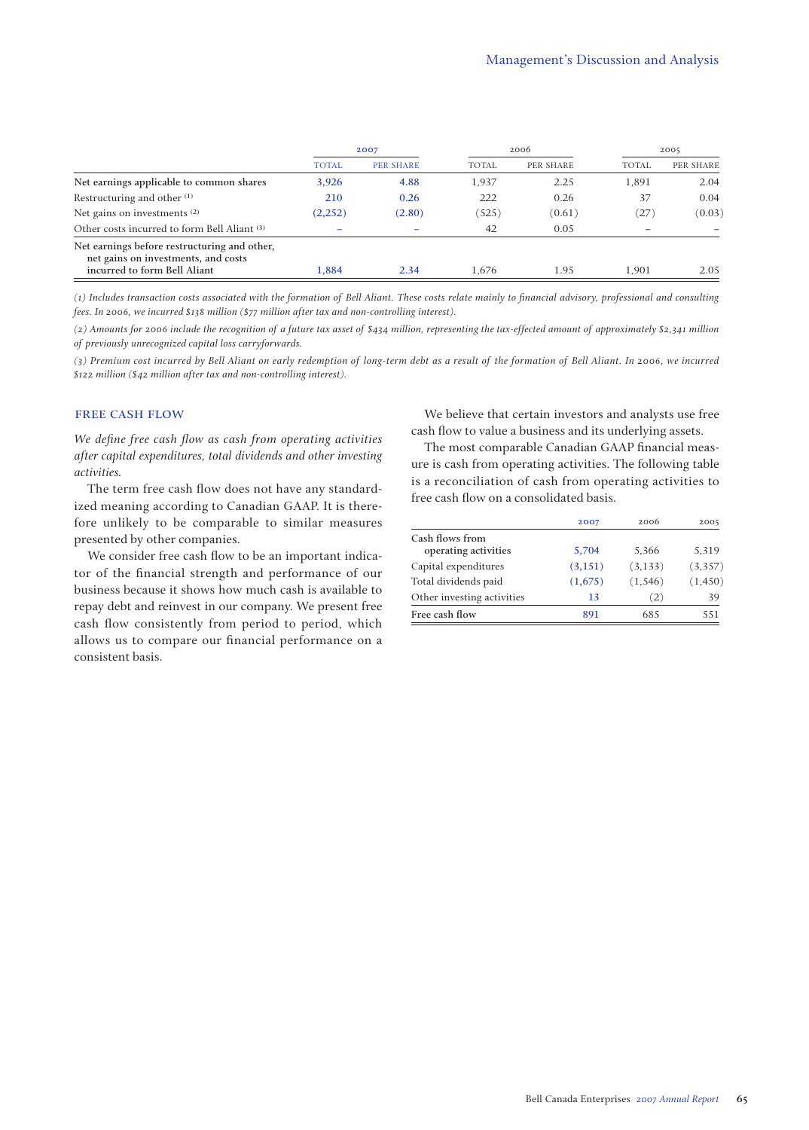|                                                                                     |              | 2007             |              | 2006      |              | 2005      |  |
|-------------------------------------------------------------------------------------|--------------|------------------|--------------|-----------|--------------|-----------|--|
|                                                                                     | <b>TOTAL</b> | <b>PER SHARE</b> | <b>TOTAL</b> | PER SHARE | <b>TOTAL</b> | PER SHARE |  |
| Net earnings applicable to common shares                                            | 3,926        | 4.88             | 1,937        | 2.25      | 1,891        | 2.04      |  |
| Restructuring and other (1)                                                         | 210          | 0.26             | 222          | 0.26      | 37           | 0.04      |  |
| Net gains on investments <sup>(2)</sup>                                             | (2,252)      | (2.80)           | (525)        | (0.61)    | (27)         | (0.03)    |  |
| Other costs incurred to form Bell Aliant (3)                                        |              |                  | 42           | 0.05      |              |           |  |
| Net earnings before restructuring and other,<br>net gains on investments, and costs |              |                  |              |           |              |           |  |
| incurred to form Bell Aliant                                                        | 1.884        | 2.34             | 1.676        | 1.95      | 1.901        | 2.05      |  |

*(1) Includes transaction costs associated with the formation of Bell Aliant. These costs relate mainly to financial advisory, professional and consulting fees. In 2006, we incurred \$138 million (\$77 million after tax and non-controlling interest).*

*(2) Amounts for 2006 include the recognition of a future tax asset of \$434 million, representing the tax-effected amount of approximately \$2,341 million of previously unrecognized capital loss carryforwards.* 

*(3) Premium cost incurred by Bell Aliant on early redemption of long-term debt as a result of the formation of Bell Aliant. In 2006, we incurred \$122 million (\$42 million after tax and non-controlling interest).*

#### FREE CASH FLOW

*We define free cash flow as cash from operating activities after capital expenditures, total dividends and other investing activities.*

The term free cash flow does not have any standardized meaning according to Canadian GAAP. It is therefore unlikely to be comparable to similar measures presented by other companies.

We consider free cash flow to be an important indicator of the financial strength and performance of our business because it shows how much cash is available to repay debt and reinvest in our company. We present free cash flow consistently from period to period, which allows us to compare our financial performance on a consistent basis.

We believe that certain investors and analysts use free cash flow to value a business and its underlying assets.

The most comparable Canadian GAAP financial measure is cash from operating activities. The following table is a reconciliation of cash from operating activities to free cash flow on a consolidated basis.

|                                         | 2007    | 2006     | 2005    |
|-----------------------------------------|---------|----------|---------|
| Cash flows from<br>operating activities | 5,704   | 5.366    | 5,319   |
| Capital expenditures                    | (3,151) | (3, 133) | (3,357) |
| Total dividends paid                    | (1,675) | (1, 546) | (1,450) |
| Other investing activities              | 13      | (2)      | 39      |
| Free cash flow                          | 891     | 685      | 551     |
|                                         |         |          |         |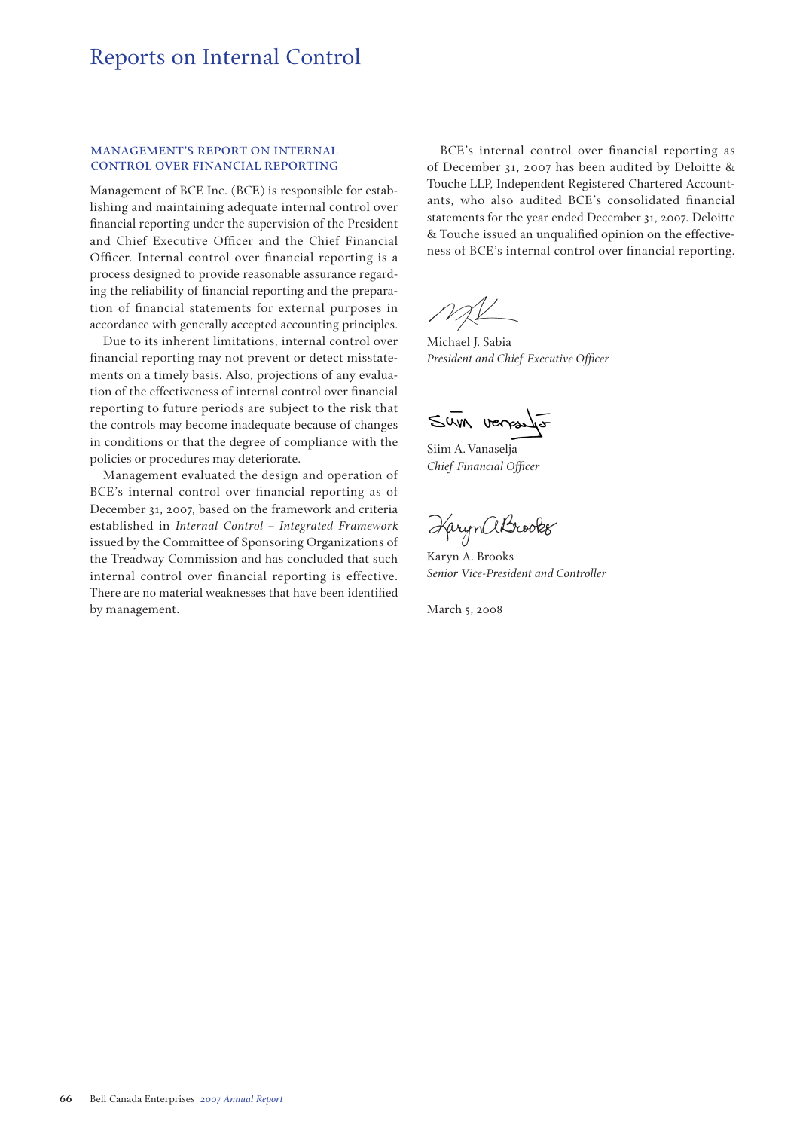## management's report on internal control over financial reporting

Management of BCE Inc. (BCE) is responsible for establishing and maintaining adequate internal control over financial reporting under the supervision of the President and Chief Executive Officer and the Chief Financial Officer. Internal control over financial reporting is a process designed to provide reasonable assurance regarding the reliability of financial reporting and the preparation of financial statements for external purposes in accordance with generally accepted accounting principles.

Due to its inherent limitations, internal control over financial reporting may not prevent or detect misstatements on a timely basis. Also, projections of any evaluation of the effectiveness of internal control over financial reporting to future periods are subject to the risk that the controls may become inadequate because of changes in conditions or that the degree of compliance with the policies or procedures may deteriorate.

Management evaluated the design and operation of BCE's internal control over financial reporting as of December 31, 2007, based on the framework and criteria established in *Internal Control – Integrated Framework* issued by the Committee of Sponsoring Organizations of the Treadway Commission and has concluded that such internal control over financial reporting is effective. There are no material weaknesses that have been identified by management.

BCE's internal control over financial reporting as of December 31, 2007 has been audited by Deloitte & Touche LLP, Independent Registered Chartered Accountants, who also audited BCE's consolidated financial statements for the year ended December 31, 2007. Deloitte & Touche issued an unqualified opinion on the effectiveness of BCE's internal control over financial reporting.

 $M\llap/$ 

Michael J. Sabia *President and Chief Executive Officer*

Sam verge

Siim A. Vanaselja *Chief Financial Officer*

Karynakbrooks

Karyn A. Brooks *Senior Vice-President and Controller*

March 5, 2008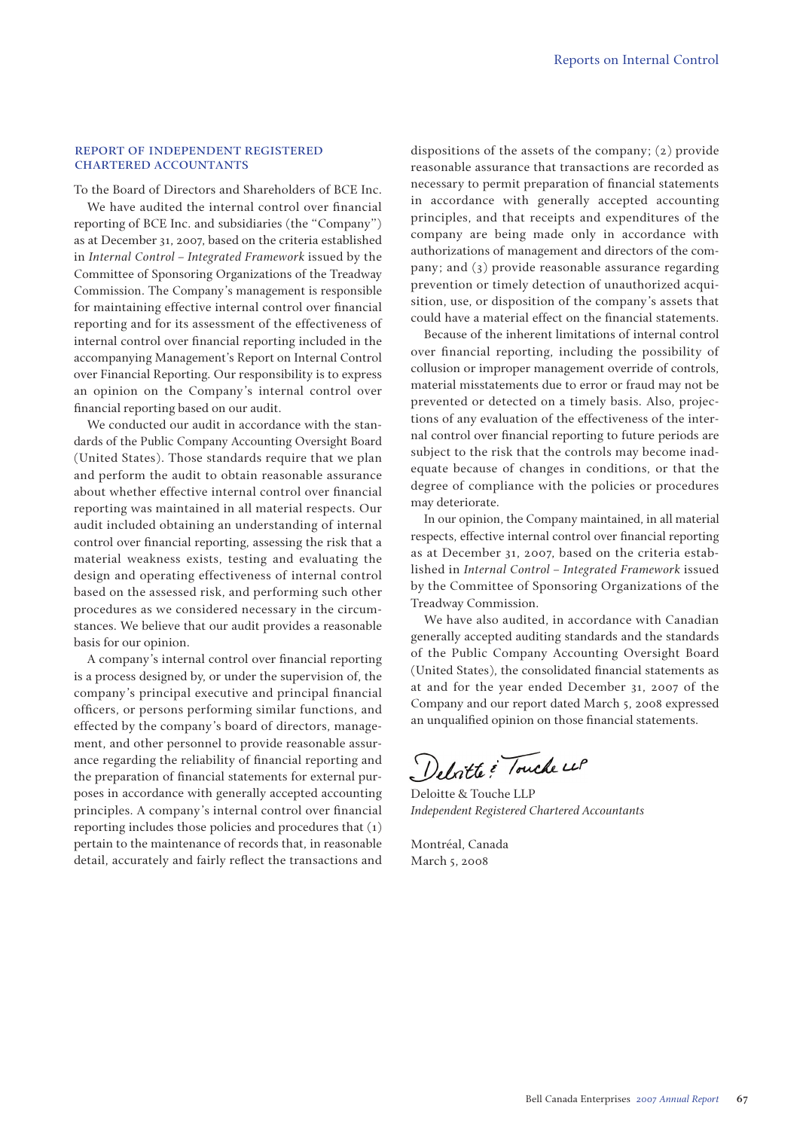## report of independent registered chartered accountants

To the Board of Directors and Shareholders of BCE Inc.

We have audited the internal control over financial reporting of BCE Inc. and subsidiaries (the "Company") as at December 31, 2007, based on the criteria established in *Internal Control – Integrated Framework* issued by the Committee of Sponsoring Organizations of the Treadway Commission. The Company's management is responsible for maintaining effective internal control over financial reporting and for its assessment of the effectiveness of internal control over financial reporting included in the accompanying Management's Report on Internal Control over Financial Reporting. Our responsibility is to express an opinion on the Company's internal control over financial reporting based on our audit.

We conducted our audit in accordance with the standards of the Public Company Accounting Oversight Board (United States). Those standards require that we plan and perform the audit to obtain reasonable assurance about whether effective internal control over financial reporting was maintained in all material respects. Our audit included obtaining an understanding of internal control over financial reporting, assessing the risk that a material weakness exists, testing and evaluating the design and operating effectiveness of internal control based on the assessed risk, and performing such other procedures as we considered necessary in the circumstances. We believe that our audit provides a reasonable basis for our opinion.

A company's internal control over financial reporting is a process designed by, or under the supervision of, the company's principal executive and principal financial officers, or persons performing similar functions, and effected by the company's board of directors, management, and other personnel to provide reasonable assurance regarding the reliability of financial reporting and the preparation of financial statements for external purposes in accordance with generally accepted accounting principles. A company's internal control over financial reporting includes those policies and procedures that (1) pertain to the maintenance of records that, in reasonable detail, accurately and fairly reflect the transactions and

dispositions of the assets of the company; (2) provide reasonable assurance that transactions are recorded as necessary to permit preparation of financial statements in accordance with generally accepted accounting principles, and that receipts and expenditures of the company are being made only in accordance with authorizations of management and directors of the company; and (3) provide reasonable assurance regarding prevention or timely detection of unauthorized acquisition, use, or disposition of the company's assets that could have a material effect on the financial statements.

Because of the inherent limitations of internal control over financial reporting, including the possibility of collusion or improper management override of controls, material misstatements due to error or fraud may not be prevented or detected on a timely basis. Also, projections of any evaluation of the effectiveness of the internal control over financial reporting to future periods are subject to the risk that the controls may become inadequate because of changes in conditions, or that the degree of compliance with the policies or procedures may deteriorate.

In our opinion, the Company maintained, in all material respects, effective internal control over financial reporting as at December 31, 2007, based on the criteria established in *Internal Control – Integrated Framework* issued by the Committee of Sponsoring Organizations of the Treadway Commission.

We have also audited, in accordance with Canadian generally accepted auditing standards and the standards of the Public Company Accounting Oversight Board (United States), the consolidated financial statements as at and for the year ended December 31, 2007 of the Company and our report dated March 5, 2008 expressed an unqualified opinion on those financial statements.

Delvitte ! Touche up

Deloitte & Touche LLP *Independent Registered Chartered Accountants*

Montréal, Canada March 5, 2008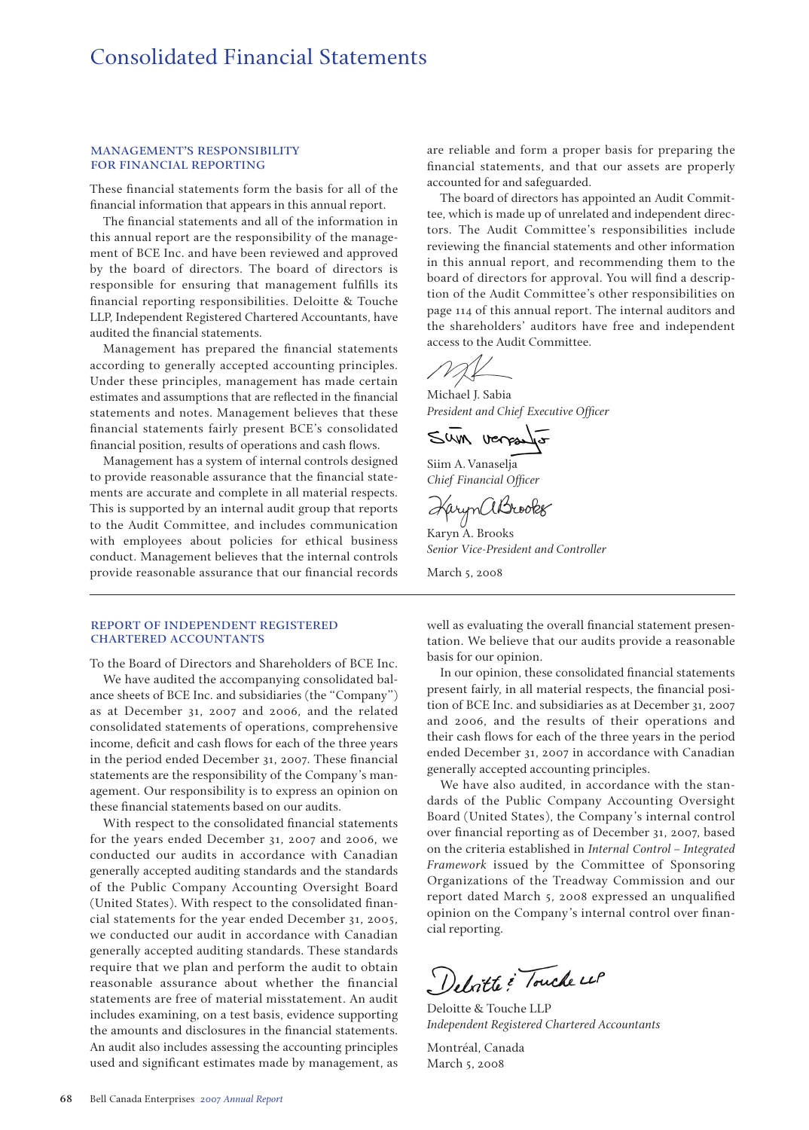#### management's responsibility for financial reporting

These financial statements form the basis for all of the financial information that appears in this annual report.

The financial statements and all of the information in this annual report are the responsibility of the management of BCE Inc. and have been reviewed and approved by the board of directors. The board of directors is responsible for ensuring that management fulfills its financial reporting responsibilities. Deloitte & Touche LLP, Independent Registered Chartered Accountants, have audited the financial statements.

Management has prepared the financial statements according to generally accepted accounting principles. Under these principles, management has made certain estimates and assumptions that are reflected in the financial statements and notes. Management believes that these financial statements fairly present BCE's consolidated financial position, results of operations and cash flows.

Management has a system of internal controls designed to provide reasonable assurance that the financial statements are accurate and complete in all material respects. This is supported by an internal audit group that reports to the Audit Committee, and includes communication with employees about policies for ethical business conduct. Management believes that the internal controls provide reasonable assurance that our financial records

are reliable and form a proper basis for preparing the financial statements, and that our assets are properly accounted for and safeguarded.

The board of directors has appointed an Audit Committee, which is made up of unrelated and independent directors. The Audit Committee's responsibilities include reviewing the financial statements and other information in this annual report, and recommending them to the board of directors for approval. You will find a description of the Audit Committee's other responsibilities on page 114 of this annual report. The internal auditors and the shareholders' auditors have free and independent access to the Audit Committee.

Michael J. Sabia *President and Chief Executive Officer*

Sun verps

Siim A. Vanaselja *Chief Financial Officer*

Karynaktrooks

Karyn A. Brooks *Senior Vice-President and Controller*

March 5, 2008

#### report of independent registered chartered accountants

To the Board of Directors and Shareholders of BCE Inc.

We have audited the accompanying consolidated balance sheets of BCE Inc. and subsidiaries (the "Company") as at December 31, 2007 and 2006, and the related consolidated statements of operations, comprehensive income, deficit and cash flows for each of the three years in the period ended December 31, 2007. These financial statements are the responsibility of the Company's management. Our responsibility is to express an opinion on these financial statements based on our audits.

With respect to the consolidated financial statements for the years ended December 31, 2007 and 2006, we conducted our audits in accordance with Canadian generally accepted auditing standards and the standards of the Public Company Accounting Oversight Board (United States). With respect to the consolidated financial statements for the year ended December 31, 2005, we conducted our audit in accordance with Canadian generally accepted auditing standards. These standards require that we plan and perform the audit to obtain reasonable assurance about whether the financial statements are free of material misstatement. An audit includes examining, on a test basis, evidence supporting the amounts and disclosures in the financial statements. An audit also includes assessing the accounting principles used and significant estimates made by management, as

well as evaluating the overall financial statement presentation. We believe that our audits provide a reasonable basis for our opinion.

In our opinion, these consolidated financial statements present fairly, in all material respects, the financial position of BCE Inc. and subsidiaries as at December 31, 2007 and 2006, and the results of their operations and their cash flows for each of the three years in the period ended December 31, 2007 in accordance with Canadian generally accepted accounting principles.

We have also audited, in accordance with the standards of the Public Company Accounting Oversight Board (United States), the Company's internal control over financial reporting as of December 31, 2007, based on the criteria established in *Internal Control – Integrated Framework* issued by the Committee of Sponsoring Organizations of the Treadway Commission and our report dated March 5, 2008 expressed an unqualified opinion on the Company's internal control over financial reporting.

Deloitte : Touche up

Deloitte & Touche LLP *Independent Registered Chartered Accountants*

Montréal, Canada March 5, 2008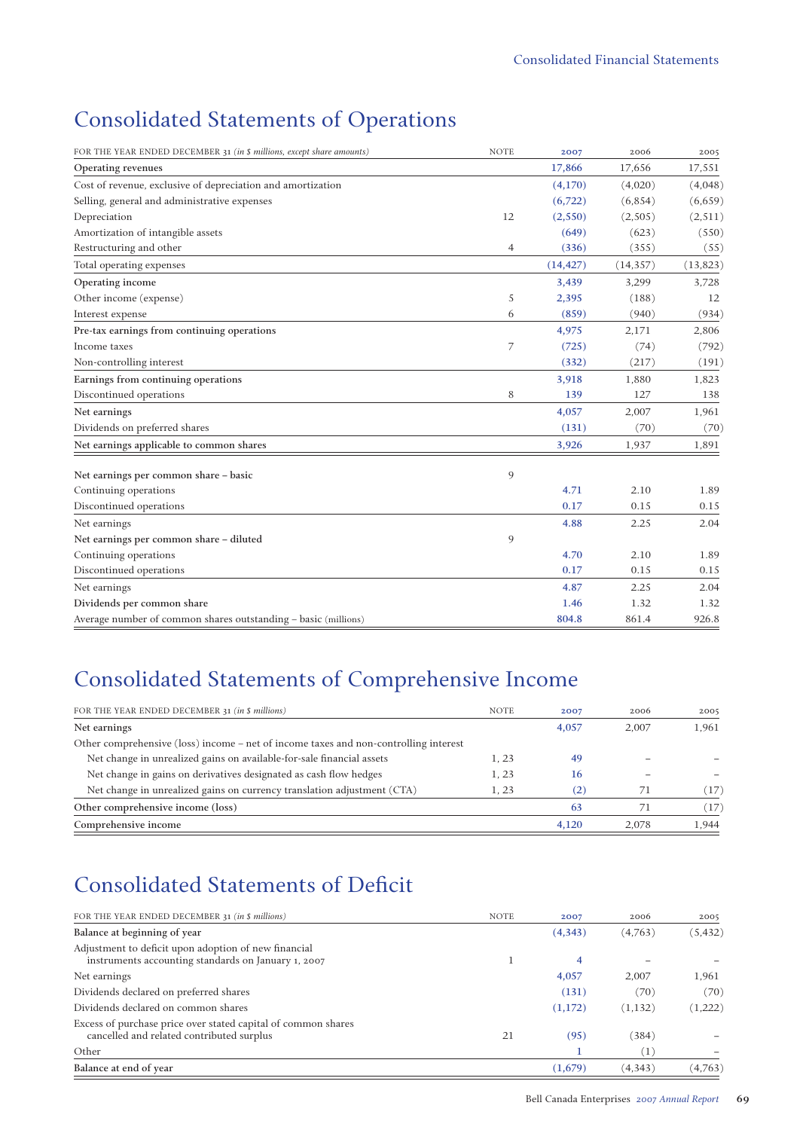## Consolidated Statements of Operations

| FOR THE YEAR ENDED DECEMBER 31 (in \$ millions, except share amounts) | <b>NOTE</b>    | 2007      | 2006      | 2005      |
|-----------------------------------------------------------------------|----------------|-----------|-----------|-----------|
| Operating revenues                                                    |                | 17,866    | 17,656    | 17,551    |
| Cost of revenue, exclusive of depreciation and amortization           |                | (4,170)   | (4,020)   | (4,048)   |
| Selling, general and administrative expenses                          |                | (6,722)   | (6,854)   | (6,659)   |
| Depreciation                                                          | 12             | (2,550)   | (2,505)   | (2,511)   |
| Amortization of intangible assets                                     |                | (649)     | (623)     | (550)     |
| Restructuring and other                                               | $\overline{4}$ | (336)     | (355)     | (55)      |
| Total operating expenses                                              |                | (14, 427) | (14, 357) | (13, 823) |
| Operating income                                                      |                | 3,439     | 3,299     | 3,728     |
| Other income (expense)                                                | 5              | 2,395     | (188)     | 12        |
| Interest expense                                                      | 6              | (859)     | (940)     | (934)     |
| Pre-tax earnings from continuing operations                           |                | 4,975     | 2,171     | 2,806     |
| Income taxes                                                          | $\overline{7}$ | (725)     | (74)      | (792)     |
| Non-controlling interest                                              |                | (332)     | (217)     | (191)     |
| Earnings from continuing operations                                   |                | 3,918     | 1,880     | 1,823     |
| Discontinued operations                                               | 8              | 139       | 127       | 138       |
| Net earnings                                                          |                | 4,057     | 2,007     | 1,961     |
| Dividends on preferred shares                                         |                | (131)     | (70)      | (70)      |
| Net earnings applicable to common shares                              |                | 3,926     | 1,937     | 1,891     |
| Net earnings per common share - basic                                 | 9              |           |           |           |
| Continuing operations                                                 |                | 4.71      | 2.10      | 1.89      |
| Discontinued operations                                               |                | 0.17      | 0.15      | 0.15      |
| Net earnings                                                          |                | 4.88      | 2.25      | 2.04      |
| Net earnings per common share - diluted                               | 9              |           |           |           |
| Continuing operations                                                 |                | 4.70      | 2.10      | 1.89      |
| Discontinued operations                                               |                | 0.17      | 0.15      | 0.15      |
| Net earnings                                                          |                | 4.87      | 2.25      | 2.04      |
| Dividends per common share                                            |                | 1.46      | 1.32      | 1.32      |
| Average number of common shares outstanding - basic (millions)        |                | 804.8     | 861.4     | 926.8     |

## Consolidated Statements of Comprehensive Income

| FOR THE YEAR ENDED DECEMBER 31 (in \$ millions)                                      | <b>NOTE</b> | 2007              | 2006  | 2005  |
|--------------------------------------------------------------------------------------|-------------|-------------------|-------|-------|
| Net earnings                                                                         |             | 4.057             | 2.007 | 1.961 |
| Other comprehensive (loss) income – net of income taxes and non-controlling interest |             |                   |       |       |
| Net change in unrealized gains on available-for-sale financial assets                | 1.23        | 49                |       |       |
| Net change in gains on derivatives designated as cash flow hedges                    | 1.23        | 16                |       |       |
| Net change in unrealized gains on currency translation adjustment (CTA)              | 1.23        | $\left( 2\right)$ | 71    | (17)  |
| Other comprehensive income (loss)                                                    |             | 63                |       | (17)  |
| Comprehensive income                                                                 |             | 4.120             | 2.078 | 1.944 |

# Consolidated Statements of Deficit

| FOR THE YEAR ENDED DECEMBER 31 (in \$ millions)                                                             | <b>NOTE</b> | 2007    | 2006     | 2005     |
|-------------------------------------------------------------------------------------------------------------|-------------|---------|----------|----------|
| Balance at beginning of year                                                                                |             | (4,343) | (4,763)  | (5, 432) |
| Adjustment to deficit upon adoption of new financial<br>instruments accounting standards on January 1, 2007 |             | 4       |          |          |
| Net earnings                                                                                                |             | 4,057   | 2.007    | 1,961    |
| Dividends declared on preferred shares                                                                      |             | (131)   | (70)     | (70)     |
| Dividends declared on common shares                                                                         |             | (1,172) | (1,132)  | (1,222)  |
| Excess of purchase price over stated capital of common shares<br>cancelled and related contributed surplus  | 21          | (95)    | (384)    |          |
| Other                                                                                                       |             |         | (1)      |          |
| Balance at end of year                                                                                      |             | (1.679) | (4, 343) | (4,763)  |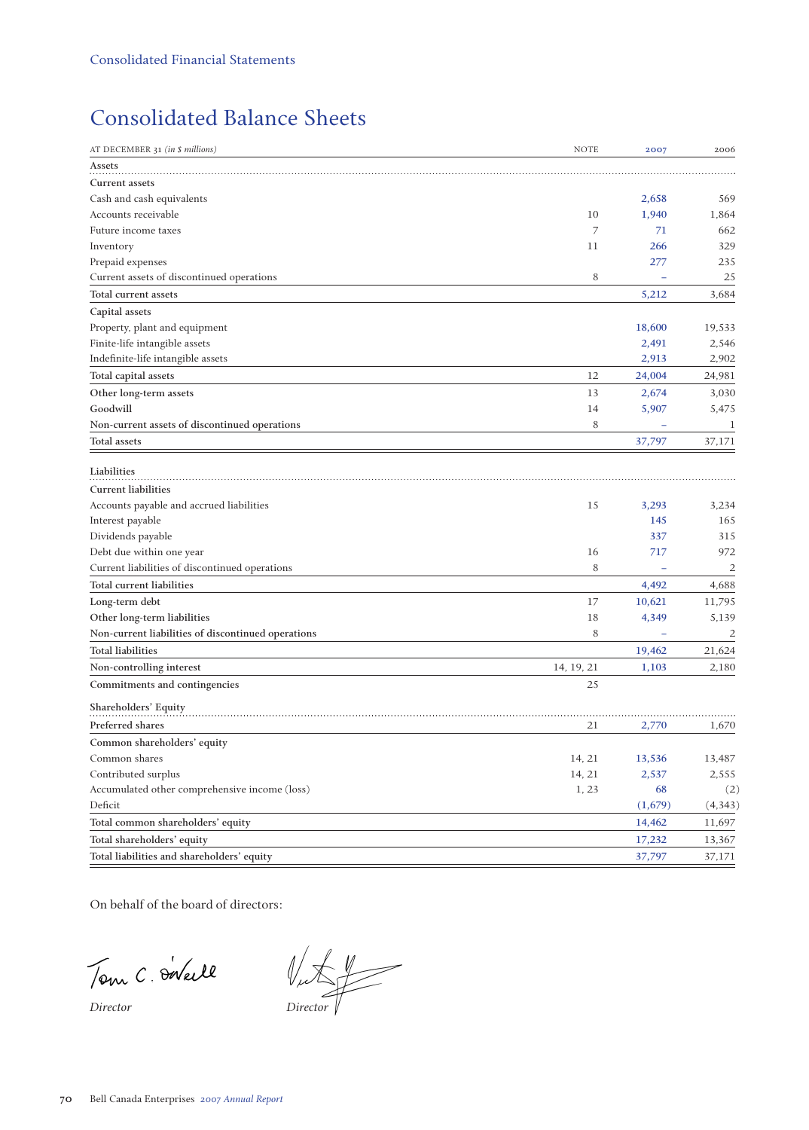## Consolidated Balance Sheets

| Assets<br><b>Current</b> assets<br>Cash and cash equivalents<br>2,658<br>569<br>Accounts receivable<br>10<br>1,940<br>1,864<br>7<br>662<br>Future income taxes<br>71<br>11<br>266<br>329<br>Inventory<br>235<br>Prepaid expenses<br>277<br>8<br>Current assets of discontinued operations<br>25<br>5,212<br>3,684<br>Total current assets<br>Capital assets<br>Property, plant and equipment<br>18,600<br>19,533<br>Finite-life intangible assets<br>2,491<br>2,546<br>Indefinite-life intangible assets<br>2,913<br>2,902<br>Total capital assets<br>12<br>24,004<br>24,981<br>Other long-term assets<br>13<br>2,674<br>3,030<br>14<br>5,907<br>5,475<br>Goodwill<br>Non-current assets of discontinued operations<br>8<br>1<br>37,797<br>37,171<br><b>Total assets</b><br>Liabilities<br><b>Current liabilities</b><br>Accounts payable and accrued liabilities<br>15<br>3,293<br>3,234<br>Interest payable<br>145<br>165<br>Dividends payable<br>337<br>315<br>Debt due within one year<br>16<br>717<br>972<br>8<br>Current liabilities of discontinued operations<br>2<br>Total current liabilities<br>4,492<br>4,688<br>17<br>Long-term debt<br>10,621<br>11,795<br>18<br>5,139<br>Other long-term liabilities<br>4,349<br>8<br>Non-current liabilities of discontinued operations<br>2<br><b>Total liabilities</b><br>19,462<br>21,624<br>Non-controlling interest<br>14, 19, 21<br>1,103<br>2,180<br>25<br>Commitments and contingencies<br>Shareholders' Equity<br>Preferred shares<br>21<br>2,770<br>1,670<br>Common shareholders' equity<br>Common shares<br>14, 21<br>13,536<br>13,487<br>14, 21<br>Contributed surplus<br>2,537<br>2,555<br>Accumulated other comprehensive income (loss)<br>1, 23<br>68<br>(2)<br>Deficit<br>(1,679)<br>(4, 343)<br>Total common shareholders' equity<br>14,462<br>11,697<br>17,232<br>13,367<br>Total shareholders' equity | AT DECEMBER 31 (in \$ millions)            | <b>NOTE</b> | 2007   | 2006   |
|--------------------------------------------------------------------------------------------------------------------------------------------------------------------------------------------------------------------------------------------------------------------------------------------------------------------------------------------------------------------------------------------------------------------------------------------------------------------------------------------------------------------------------------------------------------------------------------------------------------------------------------------------------------------------------------------------------------------------------------------------------------------------------------------------------------------------------------------------------------------------------------------------------------------------------------------------------------------------------------------------------------------------------------------------------------------------------------------------------------------------------------------------------------------------------------------------------------------------------------------------------------------------------------------------------------------------------------------------------------------------------------------------------------------------------------------------------------------------------------------------------------------------------------------------------------------------------------------------------------------------------------------------------------------------------------------------------------------------------------------------------------------------------------------------------------------------------------------------------------------------|--------------------------------------------|-------------|--------|--------|
|                                                                                                                                                                                                                                                                                                                                                                                                                                                                                                                                                                                                                                                                                                                                                                                                                                                                                                                                                                                                                                                                                                                                                                                                                                                                                                                                                                                                                                                                                                                                                                                                                                                                                                                                                                                                                                                                          |                                            |             |        |        |
|                                                                                                                                                                                                                                                                                                                                                                                                                                                                                                                                                                                                                                                                                                                                                                                                                                                                                                                                                                                                                                                                                                                                                                                                                                                                                                                                                                                                                                                                                                                                                                                                                                                                                                                                                                                                                                                                          |                                            |             |        |        |
|                                                                                                                                                                                                                                                                                                                                                                                                                                                                                                                                                                                                                                                                                                                                                                                                                                                                                                                                                                                                                                                                                                                                                                                                                                                                                                                                                                                                                                                                                                                                                                                                                                                                                                                                                                                                                                                                          |                                            |             |        |        |
|                                                                                                                                                                                                                                                                                                                                                                                                                                                                                                                                                                                                                                                                                                                                                                                                                                                                                                                                                                                                                                                                                                                                                                                                                                                                                                                                                                                                                                                                                                                                                                                                                                                                                                                                                                                                                                                                          |                                            |             |        |        |
|                                                                                                                                                                                                                                                                                                                                                                                                                                                                                                                                                                                                                                                                                                                                                                                                                                                                                                                                                                                                                                                                                                                                                                                                                                                                                                                                                                                                                                                                                                                                                                                                                                                                                                                                                                                                                                                                          |                                            |             |        |        |
|                                                                                                                                                                                                                                                                                                                                                                                                                                                                                                                                                                                                                                                                                                                                                                                                                                                                                                                                                                                                                                                                                                                                                                                                                                                                                                                                                                                                                                                                                                                                                                                                                                                                                                                                                                                                                                                                          |                                            |             |        |        |
|                                                                                                                                                                                                                                                                                                                                                                                                                                                                                                                                                                                                                                                                                                                                                                                                                                                                                                                                                                                                                                                                                                                                                                                                                                                                                                                                                                                                                                                                                                                                                                                                                                                                                                                                                                                                                                                                          |                                            |             |        |        |
|                                                                                                                                                                                                                                                                                                                                                                                                                                                                                                                                                                                                                                                                                                                                                                                                                                                                                                                                                                                                                                                                                                                                                                                                                                                                                                                                                                                                                                                                                                                                                                                                                                                                                                                                                                                                                                                                          |                                            |             |        |        |
|                                                                                                                                                                                                                                                                                                                                                                                                                                                                                                                                                                                                                                                                                                                                                                                                                                                                                                                                                                                                                                                                                                                                                                                                                                                                                                                                                                                                                                                                                                                                                                                                                                                                                                                                                                                                                                                                          |                                            |             |        |        |
|                                                                                                                                                                                                                                                                                                                                                                                                                                                                                                                                                                                                                                                                                                                                                                                                                                                                                                                                                                                                                                                                                                                                                                                                                                                                                                                                                                                                                                                                                                                                                                                                                                                                                                                                                                                                                                                                          |                                            |             |        |        |
|                                                                                                                                                                                                                                                                                                                                                                                                                                                                                                                                                                                                                                                                                                                                                                                                                                                                                                                                                                                                                                                                                                                                                                                                                                                                                                                                                                                                                                                                                                                                                                                                                                                                                                                                                                                                                                                                          |                                            |             |        |        |
|                                                                                                                                                                                                                                                                                                                                                                                                                                                                                                                                                                                                                                                                                                                                                                                                                                                                                                                                                                                                                                                                                                                                                                                                                                                                                                                                                                                                                                                                                                                                                                                                                                                                                                                                                                                                                                                                          |                                            |             |        |        |
|                                                                                                                                                                                                                                                                                                                                                                                                                                                                                                                                                                                                                                                                                                                                                                                                                                                                                                                                                                                                                                                                                                                                                                                                                                                                                                                                                                                                                                                                                                                                                                                                                                                                                                                                                                                                                                                                          |                                            |             |        |        |
|                                                                                                                                                                                                                                                                                                                                                                                                                                                                                                                                                                                                                                                                                                                                                                                                                                                                                                                                                                                                                                                                                                                                                                                                                                                                                                                                                                                                                                                                                                                                                                                                                                                                                                                                                                                                                                                                          |                                            |             |        |        |
|                                                                                                                                                                                                                                                                                                                                                                                                                                                                                                                                                                                                                                                                                                                                                                                                                                                                                                                                                                                                                                                                                                                                                                                                                                                                                                                                                                                                                                                                                                                                                                                                                                                                                                                                                                                                                                                                          |                                            |             |        |        |
|                                                                                                                                                                                                                                                                                                                                                                                                                                                                                                                                                                                                                                                                                                                                                                                                                                                                                                                                                                                                                                                                                                                                                                                                                                                                                                                                                                                                                                                                                                                                                                                                                                                                                                                                                                                                                                                                          |                                            |             |        |        |
|                                                                                                                                                                                                                                                                                                                                                                                                                                                                                                                                                                                                                                                                                                                                                                                                                                                                                                                                                                                                                                                                                                                                                                                                                                                                                                                                                                                                                                                                                                                                                                                                                                                                                                                                                                                                                                                                          |                                            |             |        |        |
|                                                                                                                                                                                                                                                                                                                                                                                                                                                                                                                                                                                                                                                                                                                                                                                                                                                                                                                                                                                                                                                                                                                                                                                                                                                                                                                                                                                                                                                                                                                                                                                                                                                                                                                                                                                                                                                                          |                                            |             |        |        |
|                                                                                                                                                                                                                                                                                                                                                                                                                                                                                                                                                                                                                                                                                                                                                                                                                                                                                                                                                                                                                                                                                                                                                                                                                                                                                                                                                                                                                                                                                                                                                                                                                                                                                                                                                                                                                                                                          |                                            |             |        |        |
|                                                                                                                                                                                                                                                                                                                                                                                                                                                                                                                                                                                                                                                                                                                                                                                                                                                                                                                                                                                                                                                                                                                                                                                                                                                                                                                                                                                                                                                                                                                                                                                                                                                                                                                                                                                                                                                                          |                                            |             |        |        |
|                                                                                                                                                                                                                                                                                                                                                                                                                                                                                                                                                                                                                                                                                                                                                                                                                                                                                                                                                                                                                                                                                                                                                                                                                                                                                                                                                                                                                                                                                                                                                                                                                                                                                                                                                                                                                                                                          |                                            |             |        |        |
|                                                                                                                                                                                                                                                                                                                                                                                                                                                                                                                                                                                                                                                                                                                                                                                                                                                                                                                                                                                                                                                                                                                                                                                                                                                                                                                                                                                                                                                                                                                                                                                                                                                                                                                                                                                                                                                                          |                                            |             |        |        |
|                                                                                                                                                                                                                                                                                                                                                                                                                                                                                                                                                                                                                                                                                                                                                                                                                                                                                                                                                                                                                                                                                                                                                                                                                                                                                                                                                                                                                                                                                                                                                                                                                                                                                                                                                                                                                                                                          |                                            |             |        |        |
|                                                                                                                                                                                                                                                                                                                                                                                                                                                                                                                                                                                                                                                                                                                                                                                                                                                                                                                                                                                                                                                                                                                                                                                                                                                                                                                                                                                                                                                                                                                                                                                                                                                                                                                                                                                                                                                                          |                                            |             |        |        |
|                                                                                                                                                                                                                                                                                                                                                                                                                                                                                                                                                                                                                                                                                                                                                                                                                                                                                                                                                                                                                                                                                                                                                                                                                                                                                                                                                                                                                                                                                                                                                                                                                                                                                                                                                                                                                                                                          |                                            |             |        |        |
|                                                                                                                                                                                                                                                                                                                                                                                                                                                                                                                                                                                                                                                                                                                                                                                                                                                                                                                                                                                                                                                                                                                                                                                                                                                                                                                                                                                                                                                                                                                                                                                                                                                                                                                                                                                                                                                                          |                                            |             |        |        |
|                                                                                                                                                                                                                                                                                                                                                                                                                                                                                                                                                                                                                                                                                                                                                                                                                                                                                                                                                                                                                                                                                                                                                                                                                                                                                                                                                                                                                                                                                                                                                                                                                                                                                                                                                                                                                                                                          |                                            |             |        |        |
|                                                                                                                                                                                                                                                                                                                                                                                                                                                                                                                                                                                                                                                                                                                                                                                                                                                                                                                                                                                                                                                                                                                                                                                                                                                                                                                                                                                                                                                                                                                                                                                                                                                                                                                                                                                                                                                                          |                                            |             |        |        |
|                                                                                                                                                                                                                                                                                                                                                                                                                                                                                                                                                                                                                                                                                                                                                                                                                                                                                                                                                                                                                                                                                                                                                                                                                                                                                                                                                                                                                                                                                                                                                                                                                                                                                                                                                                                                                                                                          |                                            |             |        |        |
|                                                                                                                                                                                                                                                                                                                                                                                                                                                                                                                                                                                                                                                                                                                                                                                                                                                                                                                                                                                                                                                                                                                                                                                                                                                                                                                                                                                                                                                                                                                                                                                                                                                                                                                                                                                                                                                                          |                                            |             |        |        |
|                                                                                                                                                                                                                                                                                                                                                                                                                                                                                                                                                                                                                                                                                                                                                                                                                                                                                                                                                                                                                                                                                                                                                                                                                                                                                                                                                                                                                                                                                                                                                                                                                                                                                                                                                                                                                                                                          |                                            |             |        |        |
|                                                                                                                                                                                                                                                                                                                                                                                                                                                                                                                                                                                                                                                                                                                                                                                                                                                                                                                                                                                                                                                                                                                                                                                                                                                                                                                                                                                                                                                                                                                                                                                                                                                                                                                                                                                                                                                                          |                                            |             |        |        |
|                                                                                                                                                                                                                                                                                                                                                                                                                                                                                                                                                                                                                                                                                                                                                                                                                                                                                                                                                                                                                                                                                                                                                                                                                                                                                                                                                                                                                                                                                                                                                                                                                                                                                                                                                                                                                                                                          |                                            |             |        |        |
|                                                                                                                                                                                                                                                                                                                                                                                                                                                                                                                                                                                                                                                                                                                                                                                                                                                                                                                                                                                                                                                                                                                                                                                                                                                                                                                                                                                                                                                                                                                                                                                                                                                                                                                                                                                                                                                                          |                                            |             |        |        |
|                                                                                                                                                                                                                                                                                                                                                                                                                                                                                                                                                                                                                                                                                                                                                                                                                                                                                                                                                                                                                                                                                                                                                                                                                                                                                                                                                                                                                                                                                                                                                                                                                                                                                                                                                                                                                                                                          |                                            |             |        |        |
|                                                                                                                                                                                                                                                                                                                                                                                                                                                                                                                                                                                                                                                                                                                                                                                                                                                                                                                                                                                                                                                                                                                                                                                                                                                                                                                                                                                                                                                                                                                                                                                                                                                                                                                                                                                                                                                                          |                                            |             |        |        |
|                                                                                                                                                                                                                                                                                                                                                                                                                                                                                                                                                                                                                                                                                                                                                                                                                                                                                                                                                                                                                                                                                                                                                                                                                                                                                                                                                                                                                                                                                                                                                                                                                                                                                                                                                                                                                                                                          |                                            |             |        |        |
|                                                                                                                                                                                                                                                                                                                                                                                                                                                                                                                                                                                                                                                                                                                                                                                                                                                                                                                                                                                                                                                                                                                                                                                                                                                                                                                                                                                                                                                                                                                                                                                                                                                                                                                                                                                                                                                                          |                                            |             |        |        |
|                                                                                                                                                                                                                                                                                                                                                                                                                                                                                                                                                                                                                                                                                                                                                                                                                                                                                                                                                                                                                                                                                                                                                                                                                                                                                                                                                                                                                                                                                                                                                                                                                                                                                                                                                                                                                                                                          |                                            |             |        |        |
|                                                                                                                                                                                                                                                                                                                                                                                                                                                                                                                                                                                                                                                                                                                                                                                                                                                                                                                                                                                                                                                                                                                                                                                                                                                                                                                                                                                                                                                                                                                                                                                                                                                                                                                                                                                                                                                                          |                                            |             |        |        |
|                                                                                                                                                                                                                                                                                                                                                                                                                                                                                                                                                                                                                                                                                                                                                                                                                                                                                                                                                                                                                                                                                                                                                                                                                                                                                                                                                                                                                                                                                                                                                                                                                                                                                                                                                                                                                                                                          |                                            |             |        |        |
|                                                                                                                                                                                                                                                                                                                                                                                                                                                                                                                                                                                                                                                                                                                                                                                                                                                                                                                                                                                                                                                                                                                                                                                                                                                                                                                                                                                                                                                                                                                                                                                                                                                                                                                                                                                                                                                                          | Total liabilities and shareholders' equity |             | 37,797 | 37,171 |

On behalf of the board of directors:

Tom C. Onell

Vutet *Director Director*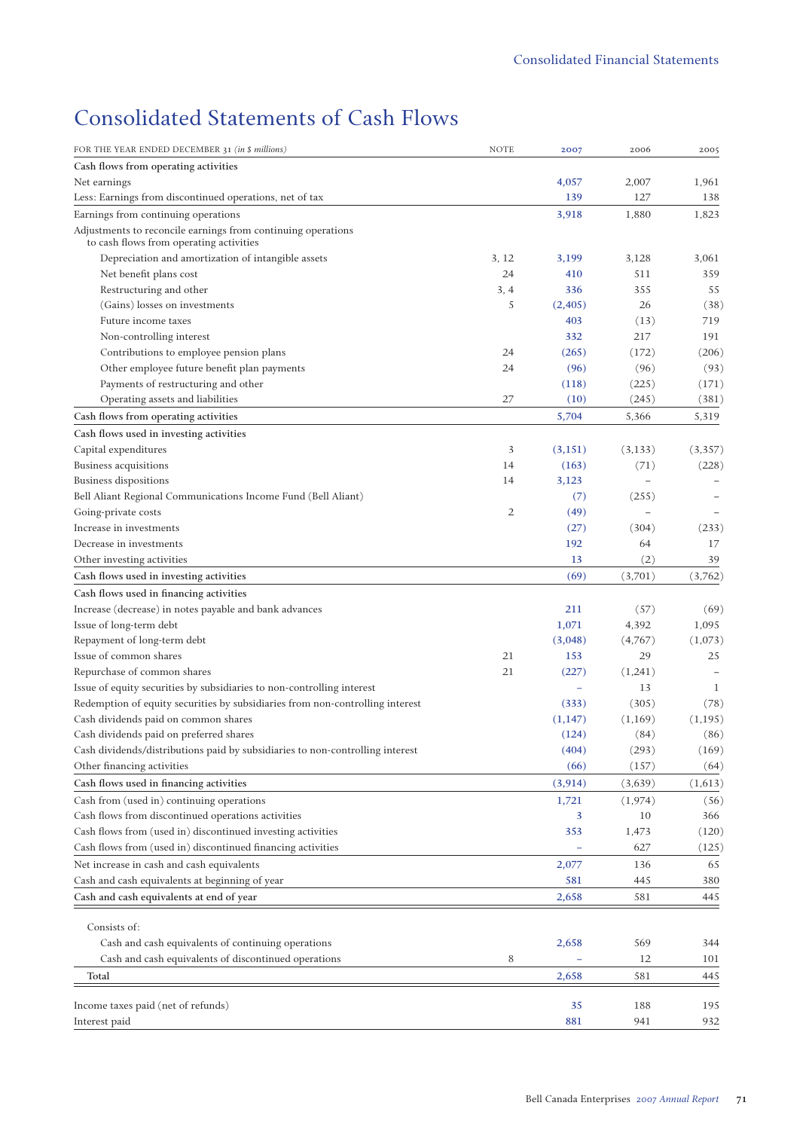## Consolidated Statements of Cash Flows

| FOR THE YEAR ENDED DECEMBER 31 (in \$ millions)                                                         | <b>NOTE</b>    | 2007     | 2006     | 2005    |
|---------------------------------------------------------------------------------------------------------|----------------|----------|----------|---------|
| Cash flows from operating activities                                                                    |                |          |          |         |
| Net earnings                                                                                            |                | 4,057    | 2,007    | 1,961   |
| Less: Earnings from discontinued operations, net of tax                                                 |                | 139      | 127      | 138     |
| Earnings from continuing operations                                                                     |                | 3,918    | 1,880    | 1,823   |
| Adjustments to reconcile earnings from continuing operations<br>to cash flows from operating activities |                |          |          |         |
| Depreciation and amortization of intangible assets                                                      | 3, 12          | 3,199    | 3,128    | 3,061   |
| Net benefit plans cost                                                                                  | 24             | 410      | 511      | 359     |
| Restructuring and other                                                                                 | 3, 4           | 336      | 355      | 55      |
| (Gains) losses on investments                                                                           | 5              | (2,405)  | 26       | (38)    |
| Future income taxes                                                                                     |                | 403      | (13)     | 719     |
| Non-controlling interest                                                                                |                | 332      | 217      | 191     |
| Contributions to employee pension plans                                                                 | 24             | (265)    | (172)    | (206)   |
| Other employee future benefit plan payments                                                             | 24             | (96)     | (96)     | (93)    |
| Payments of restructuring and other                                                                     |                | (118)    | (225)    | (171)   |
| Operating assets and liabilities                                                                        | 27             | (10)     | (245)    | (381)   |
| Cash flows from operating activities                                                                    |                | 5,704    | 5,366    | 5,319   |
| Cash flows used in investing activities                                                                 |                |          |          |         |
| Capital expenditures                                                                                    | 3              | (3,151)  | (3,133)  | (3,357) |
| <b>Business acquisitions</b>                                                                            | 14             | (163)    | (71)     | (228)   |
| <b>Business dispositions</b>                                                                            | 14             | 3,123    |          |         |
| Bell Aliant Regional Communications Income Fund (Bell Aliant)                                           |                | (7)      | (255)    |         |
| Going-private costs                                                                                     | $\overline{2}$ | (49)     |          |         |
| Increase in investments                                                                                 |                | (27)     | (304)    | (233)   |
| Decrease in investments                                                                                 |                | 192      | 64       | 17      |
| Other investing activities                                                                              |                | 13       | (2)      | 39      |
| Cash flows used in investing activities                                                                 |                | (69)     | (3,701)  | (3,762) |
| Cash flows used in financing activities                                                                 |                |          |          |         |
| Increase (decrease) in notes payable and bank advances                                                  |                | 211      | (57)     | (69)    |
| Issue of long-term debt                                                                                 |                | 1,071    | 4,392    | 1,095   |
| Repayment of long-term debt                                                                             |                | (3,048)  | (4,767)  | (1,073) |
| Issue of common shares                                                                                  | 21             | 153      | 29       | 25      |
| Repurchase of common shares                                                                             | 21             | (227)    | (1,241)  |         |
| Issue of equity securities by subsidiaries to non-controlling interest                                  |                | ÷        | 13       | 1       |
| Redemption of equity securities by subsidiaries from non-controlling interest                           |                | (333)    | (305)    | (78)    |
| Cash dividends paid on common shares                                                                    |                | (1,147)  | (1,169)  | (1,195) |
| Cash dividends paid on preferred shares                                                                 |                | (124)    | (84)     | (86)    |
| Cash dividends/distributions paid by subsidiaries to non-controlling interest                           |                | (404)    | (293)    | (169)   |
| Other financing activities                                                                              |                | (66)     | (157)    | (64)    |
| Cash flows used in financing activities                                                                 |                | (3, 914) | (3,639)  | (1,613) |
| Cash from (used in) continuing operations                                                               |                | 1,721    | (1, 974) | (56)    |
| Cash flows from discontinued operations activities                                                      |                | 3        | 10       | 366     |
| Cash flows from (used in) discontinued investing activities                                             |                | 353      | 1,473    | (120)   |
| Cash flows from (used in) discontinued financing activities                                             |                |          | 627      | (125)   |
| Net increase in cash and cash equivalents                                                               |                | 2,077    | 136      | 65      |
| Cash and cash equivalents at beginning of year                                                          |                | 581      | 445      | 380     |
| Cash and cash equivalents at end of year                                                                |                | 2,658    | 581      | 445     |
| Consists of:                                                                                            |                |          |          |         |
| Cash and cash equivalents of continuing operations                                                      |                | 2,658    | 569      | 344     |
| Cash and cash equivalents of discontinued operations                                                    | 8              |          | 12       | 101     |
| Total                                                                                                   |                | 2,658    | 581      | 445     |
| Income taxes paid (net of refunds)                                                                      |                | 35       | 188      | 195     |
| Interest paid                                                                                           |                | 881      | 941      | 932     |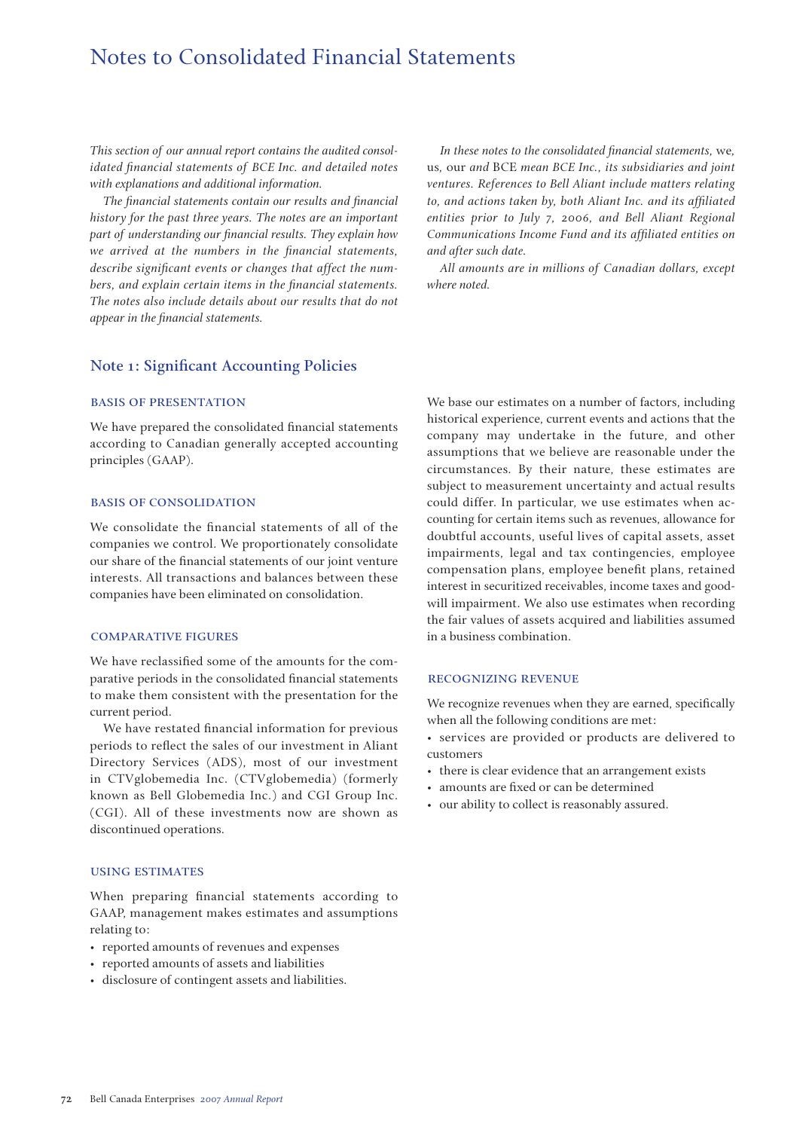## Notes to Consolidated Financial Statements

*This section of our annual report contains the audited consolidated financial statements of BCE Inc. and detailed notes with explanations and additional information.*

*The financial statements contain our results and financial history for the past three years. The notes are an important part of understanding our financial results. They explain how we arrived at the numbers in the financial statements, describe significant events or changes that affect the numbers, and explain certain items in the financial statements. The notes also include details about our results that do not appear in the financial statements.*

*In these notes to the consolidated financial statements,* we*,* us*,* our *and* BCE *mean BCE Inc., its subsidiaries and joint ventures. References to Bell Aliant include matters relating to, and actions taken by, both Aliant Inc. and its affiliated entities prior to July 7, 2006, and Bell Aliant Regional Communications Income Fund and its affiliated entities on and after such date.*

*All amounts are in millions of Canadian dollars, except where noted.*

## **Note 1: Significant Accounting Policies**

#### basis of presentation

We have prepared the consolidated financial statements according to Canadian generally accepted accounting principles (GAAP).

## basis of consolidation

We consolidate the financial statements of all of the companies we control. We proportionately consolidate our share of the financial statements of our joint venture interests. All transactions and balances between these companies have been eliminated on consolidation.

#### comparative figures

We have reclassified some of the amounts for the comparative periods in the consolidated financial statements to make them consistent with the presentation for the current period.

We have restated financial information for previous periods to reflect the sales of our investment in Aliant Directory Services (ADS), most of our investment in CTVglobemedia Inc. (CTVglobemedia) (formerly known as Bell Globemedia Inc.) and CGI Group Inc. (CGI). All of these investments now are shown as discontinued operations.

### using estimates

When preparing financial statements according to GAAP, management makes estimates and assumptions relating to:

- reported amounts of revenues and expenses
- reported amounts of assets and liabilities
- disclosure of contingent assets and liabilities.

We base our estimates on a number of factors, including historical experience, current events and actions that the company may undertake in the future, and other assumptions that we believe are reasonable under the circumstances. By their nature, these estimates are subject to measurement uncertainty and actual results could differ. In particular, we use estimates when accounting for certain items such as revenues, allowance for doubtful accounts, useful lives of capital assets, asset impairments, legal and tax contingencies, employee compensation plans, employee benefit plans, retained interest in securitized receivables, income taxes and goodwill impairment. We also use estimates when recording the fair values of assets acquired and liabilities assumed in a business combination.

### recognizing revenue

We recognize revenues when they are earned, specifically when all the following conditions are met:

- services are provided or products are delivered to customers
- there is clear evidence that an arrangement exists
- amounts are fixed or can be determined
- our ability to collect is reasonably assured.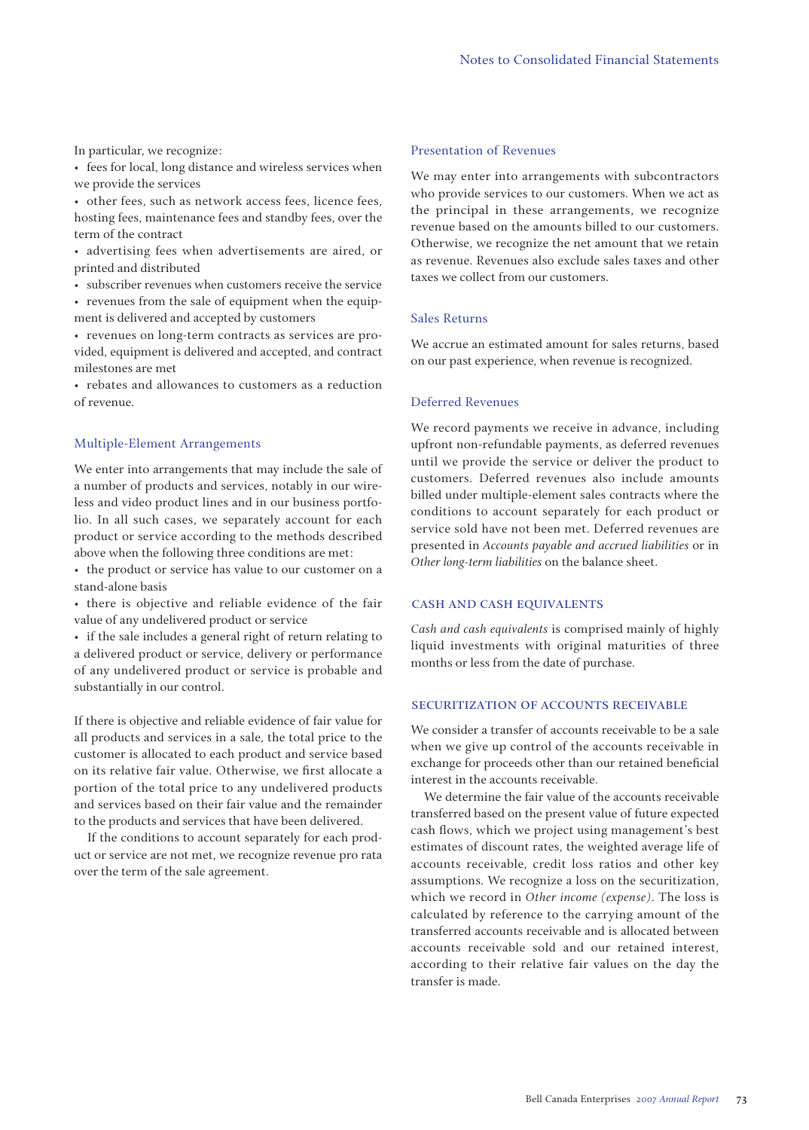In particular, we recognize:

• fees for local, long distance and wireless services when we provide the services

• other fees, such as network access fees, licence fees, hosting fees, maintenance fees and standby fees, over the term of the contract

• advertising fees when advertisements are aired, or printed and distributed

• subscriber revenues when customers receive the service

• revenues from the sale of equipment when the equipment is delivered and accepted by customers

• revenues on long-term contracts as services are provided, equipment is delivered and accepted, and contract milestones are met

• rebates and allowances to customers as a reduction of revenue.

#### Multiple-Element Arrangements

We enter into arrangements that may include the sale of a number of products and services, notably in our wireless and video product lines and in our business portfolio. In all such cases, we separately account for each product or service according to the methods described above when the following three conditions are met:

• the product or service has value to our customer on a stand-alone basis

• there is objective and reliable evidence of the fair value of any undelivered product or service

• if the sale includes a general right of return relating to a delivered product or service, delivery or performance of any undelivered product or service is probable and substantially in our control.

If there is objective and reliable evidence of fair value for all products and services in a sale, the total price to the customer is allocated to each product and service based on its relative fair value. Otherwise, we first allocate a portion of the total price to any undelivered products and services based on their fair value and the remainder to the products and services that have been delivered.

If the conditions to account separately for each product or service are not met, we recognize revenue pro rata over the term of the sale agreement.

## Presentation of Revenues

We may enter into arrangements with subcontractors who provide services to our customers. When we act as the principal in these arrangements, we recognize revenue based on the amounts billed to our customers. Otherwise, we recognize the net amount that we retain as revenue. Revenues also exclude sales taxes and other taxes we collect from our customers.

### Sales Returns

We accrue an estimated amount for sales returns, based on our past experience, when revenue is recognized.

## Deferred Revenues

We record payments we receive in advance, including upfront non-refundable payments, as deferred revenues until we provide the service or deliver the product to customers. Deferred revenues also include amounts billed under multiple-element sales contracts where the conditions to account separately for each product or service sold have not been met. Deferred revenues are presented in *Accounts payable and accrued liabilities* or in *Other long-term liabilities* on the balance sheet.

#### cash and cash equivalents

*Cash and cash equivalents* is comprised mainly of highly liquid investments with original maturities of three months or less from the date of purchase.

## securitization of accounts receivable

We consider a transfer of accounts receivable to be a sale when we give up control of the accounts receivable in exchange for proceeds other than our retained beneficial interest in the accounts receivable.

We determine the fair value of the accounts receivable transferred based on the present value of future expected cash flows, which we project using management's best estimates of discount rates, the weighted average life of accounts receivable, credit loss ratios and other key assumptions. We recognize a loss on the securitization, which we record in *Other income (expense)*. The loss is calculated by reference to the carrying amount of the transferred accounts receivable and is allocated between accounts receivable sold and our retained interest, according to their relative fair values on the day the transfer is made.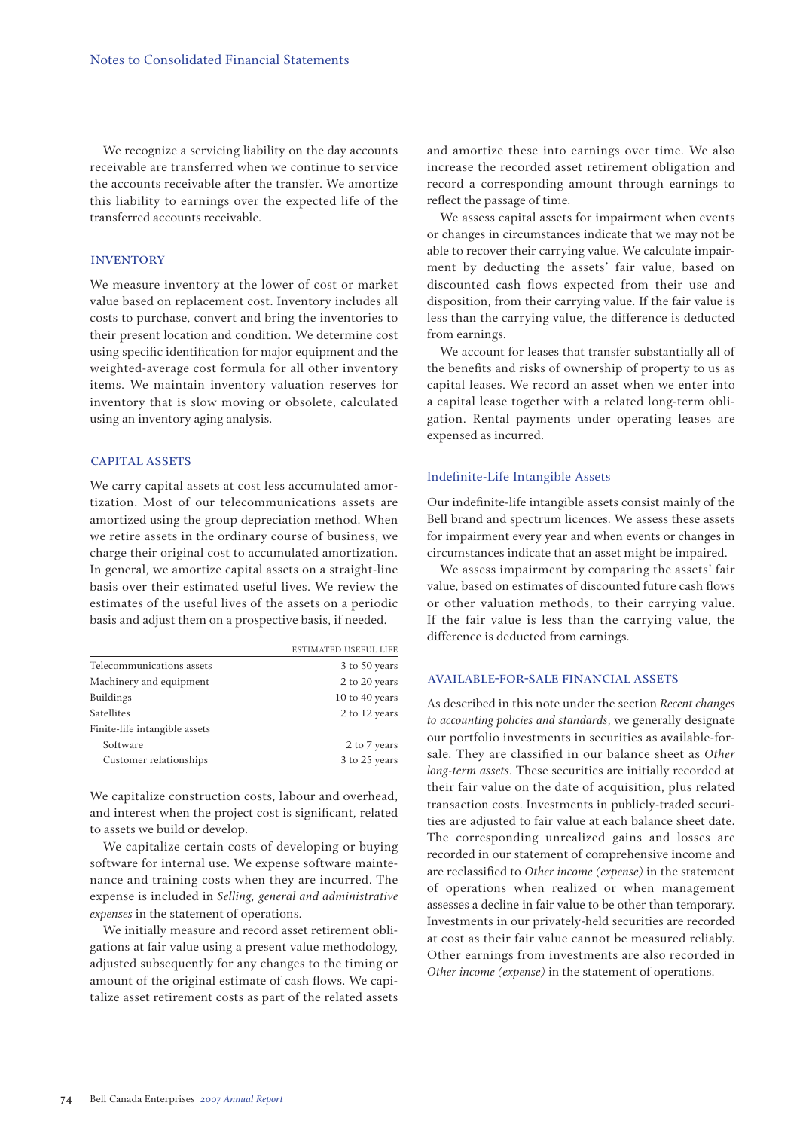We recognize a servicing liability on the day accounts receivable are transferred when we continue to service the accounts receivable after the transfer. We amortize this liability to earnings over the expected life of the transferred accounts receivable.

### **INVENTORY**

We measure inventory at the lower of cost or market value based on replacement cost. Inventory includes all costs to purchase, convert and bring the inventories to their present location and condition. We determine cost using specific identification for major equipment and the weighted-average cost formula for all other inventory items. We maintain inventory valuation reserves for inventory that is slow moving or obsolete, calculated using an inventory aging analysis.

## CAPITAL ASSETS

We carry capital assets at cost less accumulated amortization. Most of our telecommunications assets are amortized using the group depreciation method. When we retire assets in the ordinary course of business, we charge their original cost to accumulated amortization. In general, we amortize capital assets on a straight-line basis over their estimated useful lives. We review the estimates of the useful lives of the assets on a periodic basis and adjust them on a prospective basis, if needed.

|                               | ESTIMATED USEFUL LIFE |
|-------------------------------|-----------------------|
| Telecommunications assets     | 3 to 50 years         |
| Machinery and equipment       | 2 to 20 years         |
| Buildings                     | 10 to 40 years        |
| <b>Satellites</b>             | 2 to 12 years         |
| Finite-life intangible assets |                       |
| Software                      | 2 to 7 years          |
| Customer relationships        | 3 to 25 years         |

We capitalize construction costs, labour and overhead, and interest when the project cost is significant, related to assets we build or develop.

We capitalize certain costs of developing or buying software for internal use. We expense software maintenance and training costs when they are incurred. The expense is included in *Selling, general and administrative expenses* in the statement of operations.

We initially measure and record asset retirement obligations at fair value using a present value methodology, adjusted subsequently for any changes to the timing or amount of the original estimate of cash flows. We capitalize asset retirement costs as part of the related assets

and amortize these into earnings over time. We also increase the recorded asset retirement obligation and record a corresponding amount through earnings to reflect the passage of time.

We assess capital assets for impairment when events or changes in circumstances indicate that we may not be able to recover their carrying value. We calculate impairment by deducting the assets' fair value, based on discounted cash flows expected from their use and disposition, from their carrying value. If the fair value is less than the carrying value, the difference is deducted from earnings.

We account for leases that transfer substantially all of the benefits and risks of ownership of property to us as capital leases. We record an asset when we enter into a capital lease together with a related long-term obligation. Rental payments under operating leases are expensed as incurred.

#### Indefinite-Life Intangible Assets

Our indefinite-life intangible assets consist mainly of the Bell brand and spectrum licences. We assess these assets for impairment every year and when events or changes in circumstances indicate that an asset might be impaired.

We assess impairment by comparing the assets' fair value, based on estimates of discounted future cash flows or other valuation methods, to their carrying value. If the fair value is less than the carrying value, the difference is deducted from earnings.

#### available-for-sale financial assets

As described in this note under the section *Recent changes to accounting policies and standards*, we generally designate our portfolio investments in securities as available-forsale. They are classified in our balance sheet as *Other long-term assets*. These securities are initially recorded at their fair value on the date of acquisition, plus related transaction costs. Investments in publicly-traded securities are adjusted to fair value at each balance sheet date. The corresponding unrealized gains and losses are recorded in our statement of comprehensive income and are reclassified to *Other income (expense)* in the statement of operations when realized or when management assesses a decline in fair value to be other than temporary. Investments in our privately-held securities are recorded at cost as their fair value cannot be measured reliably. Other earnings from investments are also recorded in *Other income (expense)* in the statement of operations.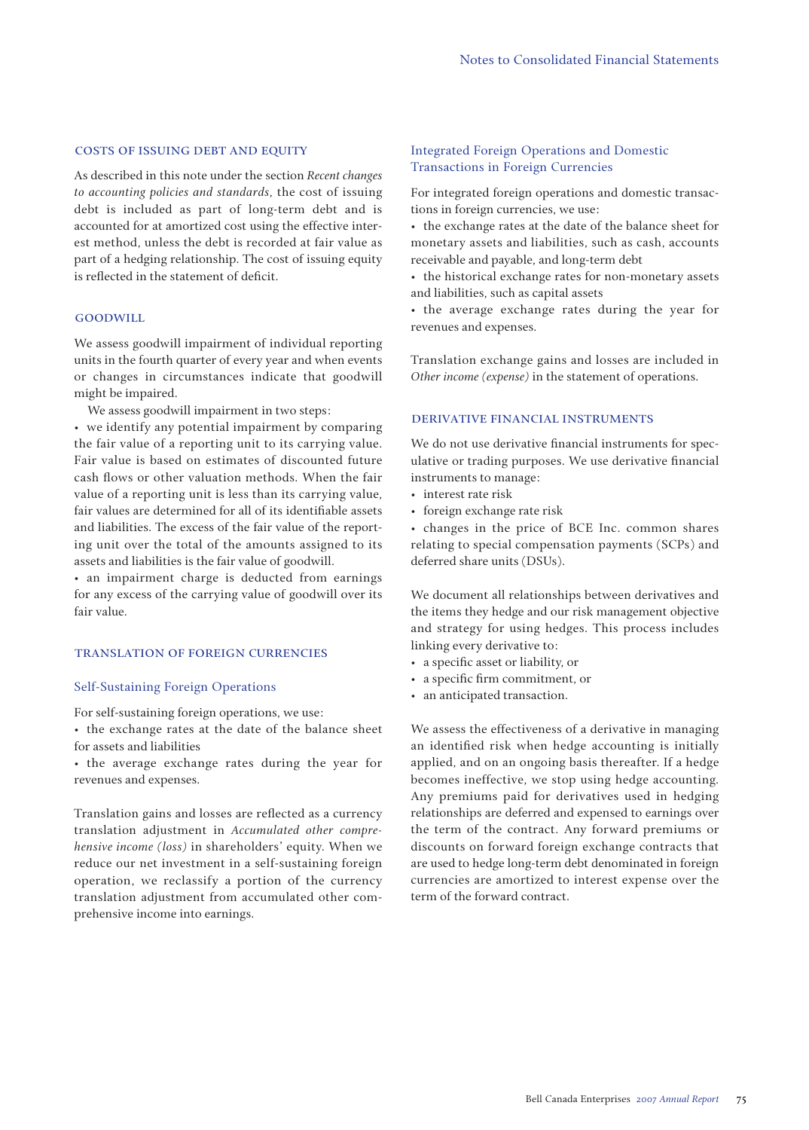## costs of issuing debt and equity

As described in this note under the section *Recent changes to accounting policies and standards*, the cost of issuing debt is included as part of long-term debt and is accounted for at amortized cost using the effective interest method, unless the debt is recorded at fair value as part of a hedging relationship. The cost of issuing equity is reflected in the statement of deficit.

### goodwill

We assess goodwill impairment of individual reporting units in the fourth quarter of every year and when events or changes in circumstances indicate that goodwill might be impaired.

We assess goodwill impairment in two steps:

• we identify any potential impairment by comparing the fair value of a reporting unit to its carrying value. Fair value is based on estimates of discounted future cash flows or other valuation methods. When the fair value of a reporting unit is less than its carrying value, fair values are determined for all of its identifiable assets and liabilities. The excess of the fair value of the reporting unit over the total of the amounts assigned to its assets and liabilities is the fair value of goodwill.

• an impairment charge is deducted from earnings for any excess of the carrying value of goodwill over its fair value.

### translation of foreign currencies

#### Self-Sustaining Foreign Operations

For self-sustaining foreign operations, we use:

• the exchange rates at the date of the balance sheet for assets and liabilities

• the average exchange rates during the year for revenues and expenses.

Translation gains and losses are reflected as a currency translation adjustment in *Accumulated other comprehensive income (loss)* in shareholders' equity. When we reduce our net investment in a self-sustaining foreign operation, we reclassify a portion of the currency translation adjustment from accumulated other comprehensive income into earnings.

## Integrated Foreign Operations and Domestic Transactions in Foreign Currencies

For integrated foreign operations and domestic transactions in foreign currencies, we use:

• the exchange rates at the date of the balance sheet for monetary assets and liabilities, such as cash, accounts receivable and payable, and long-term debt

• the historical exchange rates for non-monetary assets and liabilities, such as capital assets

• the average exchange rates during the year for revenues and expenses.

Translation exchange gains and losses are included in *Other income (expense)* in the statement of operations.

## derivative financial instruments

We do not use derivative financial instruments for speculative or trading purposes. We use derivative financial instruments to manage:

- interest rate risk
- foreign exchange rate risk

• changes in the price of BCE Inc. common shares relating to special compensation payments (SCPs) and deferred share units (DSUs).

We document all relationships between derivatives and the items they hedge and our risk management objective and strategy for using hedges. This process includes linking every derivative to:

- a specific asset or liability, or
- a specific firm commitment, or
- an anticipated transaction.

We assess the effectiveness of a derivative in managing an identified risk when hedge accounting is initially applied, and on an ongoing basis thereafter. If a hedge becomes ineffective, we stop using hedge accounting. Any premiums paid for derivatives used in hedging relationships are deferred and expensed to earnings over the term of the contract. Any forward premiums or discounts on forward foreign exchange contracts that are used to hedge long-term debt denominated in foreign currencies are amortized to interest expense over the term of the forward contract.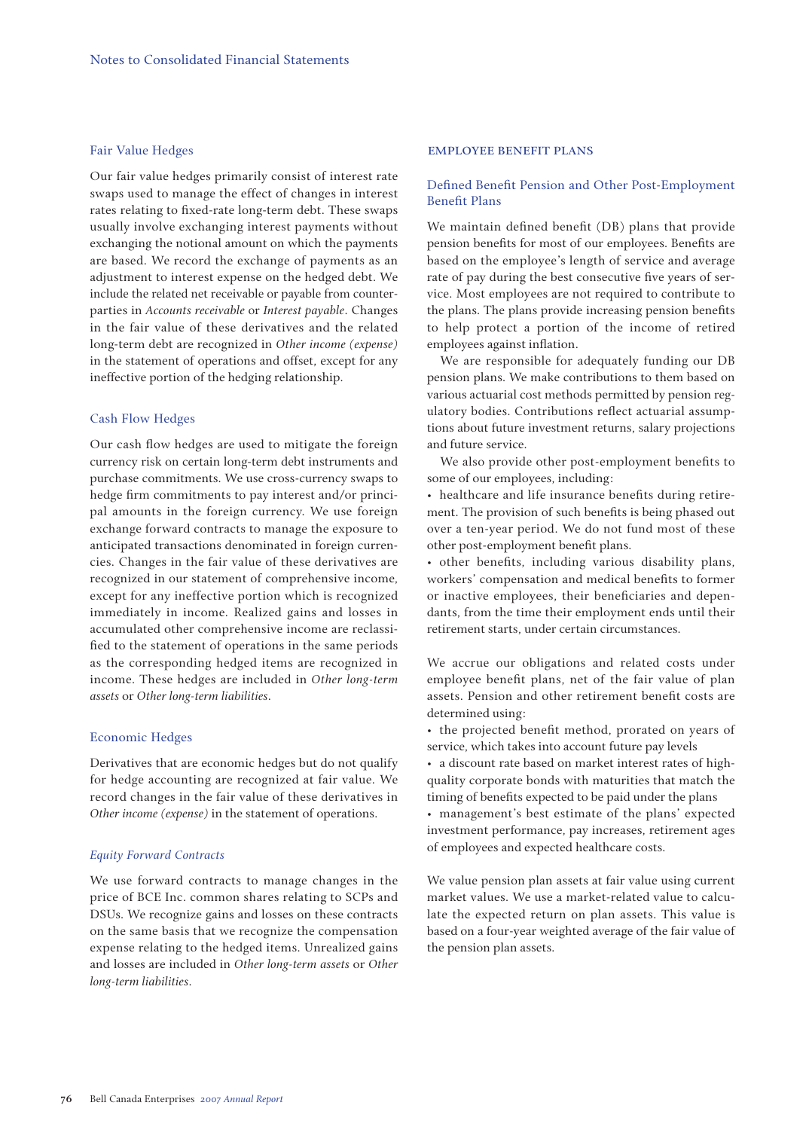## Fair Value Hedges

Our fair value hedges primarily consist of interest rate swaps used to manage the effect of changes in interest rates relating to fixed-rate long-term debt. These swaps usually involve exchanging interest payments without exchanging the notional amount on which the payments are based. We record the exchange of payments as an adjustment to interest expense on the hedged debt. We include the related net receivable or payable from counterparties in *Accounts receivable* or *Interest payable*. Changes in the fair value of these derivatives and the related long-term debt are recognized in *Other income (expense)* in the statement of operations and offset, except for any ineffective portion of the hedging relationship.

#### Cash Flow Hedges

Our cash flow hedges are used to mitigate the foreign currency risk on certain long-term debt instruments and purchase commitments. We use cross-currency swaps to hedge firm commitments to pay interest and/or principal amounts in the foreign currency. We use foreign exchange forward contracts to manage the exposure to anticipated transactions denominated in foreign currencies. Changes in the fair value of these derivatives are recognized in our statement of comprehensive income, except for any ineffective portion which is recognized immediately in income. Realized gains and losses in accumulated other comprehensive income are reclassified to the statement of operations in the same periods as the corresponding hedged items are recognized in income. These hedges are included in *Other long-term assets* or *Other long-term liabilities*.

#### Economic Hedges

Derivatives that are economic hedges but do not qualify for hedge accounting are recognized at fair value. We record changes in the fair value of these derivatives in *Other income (expense)* in the statement of operations.

## *Equity Forward Contracts*

We use forward contracts to manage changes in the price of BCE Inc. common shares relating to SCPs and DSUs. We recognize gains and losses on these contracts on the same basis that we recognize the compensation expense relating to the hedged items. Unrealized gains and losses are included in *Other long-term assets* or *Other long-term liabilities*.

#### employee benefit plans

### Defined Benefit Pension and Other Post-Employment Benefit Plans

We maintain defined benefit (DB) plans that provide pension benefits for most of our employees. Benefits are based on the employee's length of service and average rate of pay during the best consecutive five years of service. Most employees are not required to contribute to the plans. The plans provide increasing pension benefits to help protect a portion of the income of retired employees against inflation.

We are responsible for adequately funding our DB pension plans. We make contributions to them based on various actuarial cost methods permitted by pension regulatory bodies. Contributions reflect actuarial assumptions about future investment returns, salary projections and future service.

We also provide other post-employment benefits to some of our employees, including:

• healthcare and life insurance benefits during retirement. The provision of such benefits is being phased out over a ten-year period. We do not fund most of these other post-employment benefit plans.

• other benefits, including various disability plans, workers' compensation and medical benefits to former or inactive employees, their beneficiaries and dependants, from the time their employment ends until their retirement starts, under certain circumstances.

We accrue our obligations and related costs under employee benefit plans, net of the fair value of plan assets. Pension and other retirement benefit costs are determined using:

• the projected benefit method, prorated on years of service, which takes into account future pay levels

• a discount rate based on market interest rates of highquality corporate bonds with maturities that match the timing of benefits expected to be paid under the plans

• management's best estimate of the plans' expected investment performance, pay increases, retirement ages of employees and expected healthcare costs.

We value pension plan assets at fair value using current market values. We use a market-related value to calculate the expected return on plan assets. This value is based on a four-year weighted average of the fair value of the pension plan assets.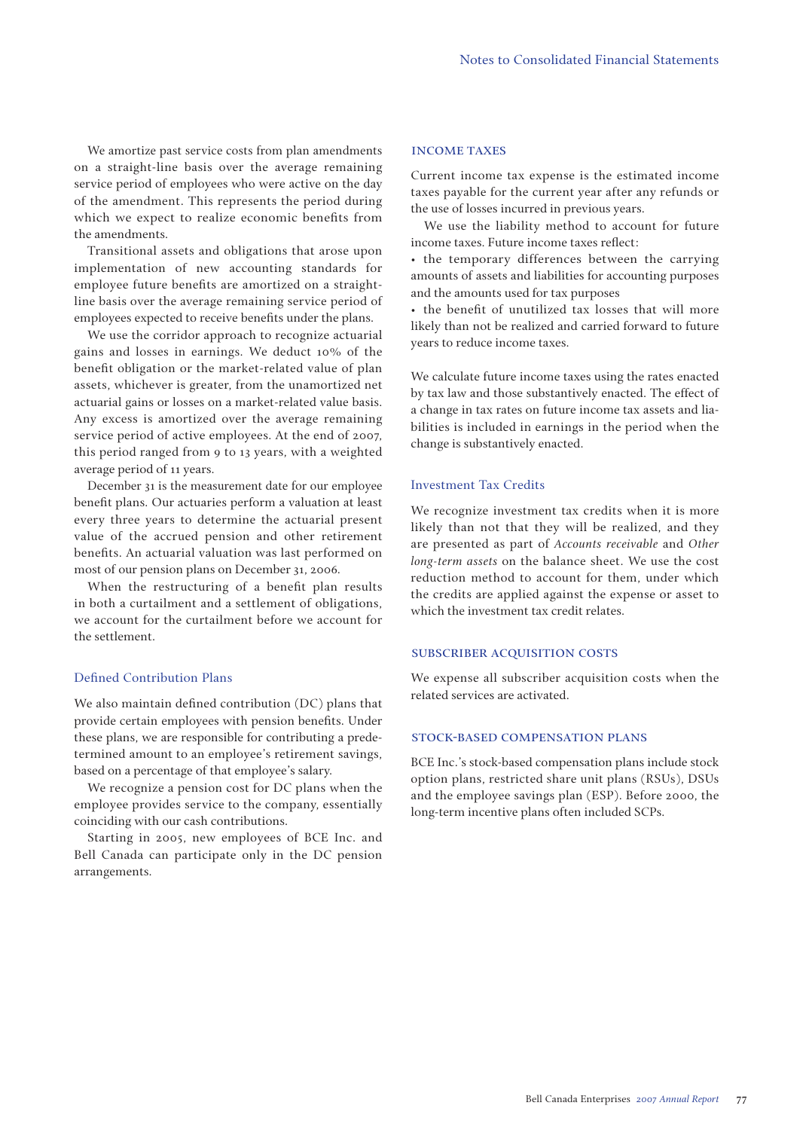We amortize past service costs from plan amendments on a straight-line basis over the average remaining service period of employees who were active on the day of the amendment. This represents the period during which we expect to realize economic benefits from the amendments.

Transitional assets and obligations that arose upon implementation of new accounting standards for employee future benefits are amortized on a straightline basis over the average remaining service period of employees expected to receive benefits under the plans.

We use the corridor approach to recognize actuarial gains and losses in earnings. We deduct 10% of the benefit obligation or the market-related value of plan assets, whichever is greater, from the unamortized net actuarial gains or losses on a market-related value basis. Any excess is amortized over the average remaining service period of active employees. At the end of 2007, this period ranged from 9 to 13 years, with a weighted average period of 11 years.

December 31 is the measurement date for our employee benefit plans. Our actuaries perform a valuation at least every three years to determine the actuarial present value of the accrued pension and other retirement benefits. An actuarial valuation was last performed on most of our pension plans on December 31, 2006.

When the restructuring of a benefit plan results in both a curtailment and a settlement of obligations, we account for the curtailment before we account for the settlement.

#### Defined Contribution Plans

We also maintain defined contribution (DC) plans that provide certain employees with pension benefits. Under these plans, we are responsible for contributing a predetermined amount to an employee's retirement savings, based on a percentage of that employee's salary.

We recognize a pension cost for DC plans when the employee provides service to the company, essentially coinciding with our cash contributions.

Starting in 2005, new employees of BCE Inc. and Bell Canada can participate only in the DC pension arrangements.

#### income taxes

Current income tax expense is the estimated income taxes payable for the current year after any refunds or the use of losses incurred in previous years.

We use the liability method to account for future income taxes. Future income taxes reflect:

• the temporary differences between the carrying amounts of assets and liabilities for accounting purposes and the amounts used for tax purposes

• the benefit of unutilized tax losses that will more likely than not be realized and carried forward to future years to reduce income taxes.

We calculate future income taxes using the rates enacted by tax law and those substantively enacted. The effect of a change in tax rates on future income tax assets and liabilities is included in earnings in the period when the change is substantively enacted.

#### Investment Tax Credits

We recognize investment tax credits when it is more likely than not that they will be realized, and they are presented as part of *Accounts receivable* and *Other long-term assets* on the balance sheet. We use the cost reduction method to account for them, under which the credits are applied against the expense or asset to which the investment tax credit relates.

## subscriber acquisition costs

We expense all subscriber acquisition costs when the related services are activated.

#### stock-based compensation plans

BCE Inc.'s stock-based compensation plans include stock option plans, restricted share unit plans (RSUs), DSUs and the employee savings plan (ESP). Before 2000, the long-term incentive plans often included SCPs.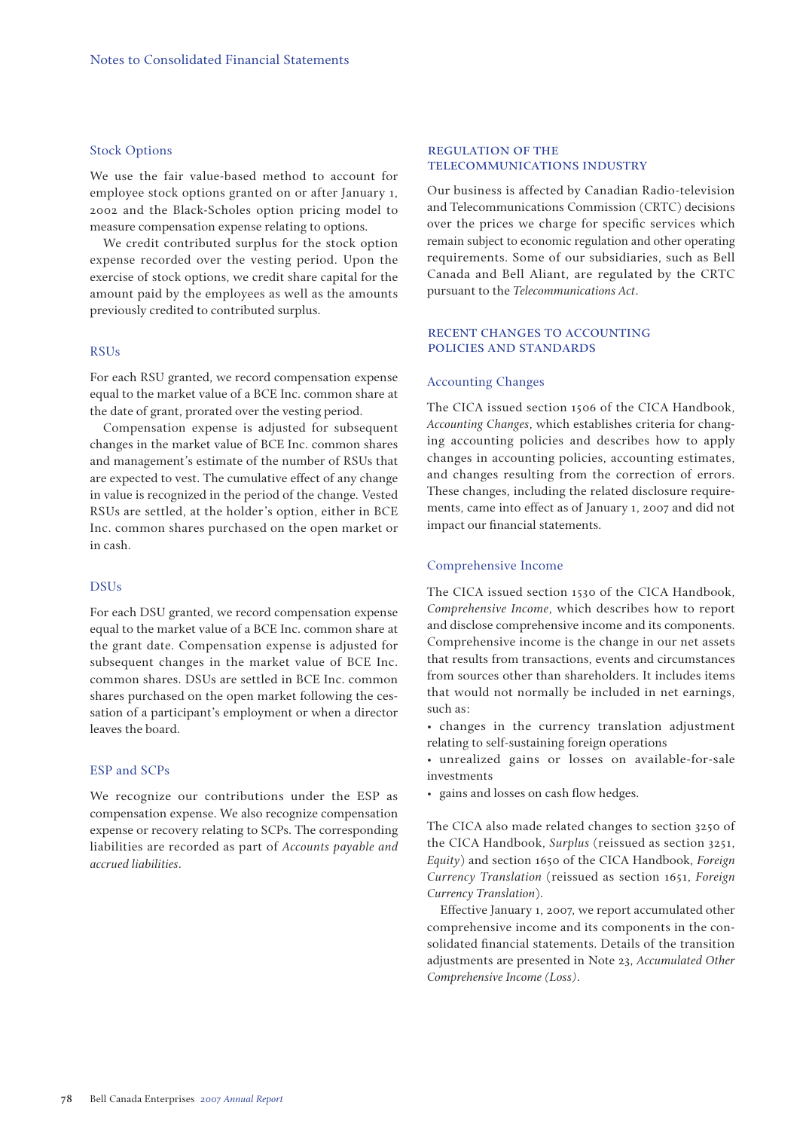## Stock Options

We use the fair value-based method to account for employee stock options granted on or after January 1, 2002 and the Black-Scholes option pricing model to measure compensation expense relating to options.

We credit contributed surplus for the stock option expense recorded over the vesting period. Upon the exercise of stock options, we credit share capital for the amount paid by the employees as well as the amounts previously credited to contributed surplus.

## RSUs

For each RSU granted, we record compensation expense equal to the market value of a BCE Inc. common share at the date of grant, prorated over the vesting period.

Compensation expense is adjusted for subsequent changes in the market value of BCE Inc. common shares and management's estimate of the number of RSUs that are expected to vest. The cumulative effect of any change in value is recognized in the period of the change. Vested RSUs are settled, at the holder's option, either in BCE Inc. common shares purchased on the open market or in cash.

#### DSUs

For each DSU granted, we record compensation expense equal to the market value of a BCE Inc. common share at the grant date. Compensation expense is adjusted for subsequent changes in the market value of BCE Inc. common shares. DSUs are settled in BCE Inc. common shares purchased on the open market following the cessation of a participant's employment or when a director leaves the board.

#### ESP and SCPs

We recognize our contributions under the ESP as compensation expense. We also recognize compensation expense or recovery relating to SCPs. The corresponding liabilities are recorded as part of *Accounts payable and accrued liabilities*.

## regulation of the telecommunications industry

Our business is affected by Canadian Radio-television and Telecommunications Commission (CRTC) decisions over the prices we charge for specific services which remain subject to economic regulation and other operating requirements. Some of our subsidiaries, such as Bell Canada and Bell Aliant, are regulated by the CRTC pursuant to the *Telecommunications Act*.

#### recent changes to accounting policies and standards

#### Accounting Changes

The CICA issued section 1506 of the CICA Handbook, *Accounting Changes*, which establishes criteria for changing accounting policies and describes how to apply changes in accounting policies, accounting estimates, and changes resulting from the correction of errors. These changes, including the related disclosure requirements, came into effect as of January 1, 2007 and did not impact our financial statements.

### Comprehensive Income

The CICA issued section 1530 of the CICA Handbook, *Comprehensive Income*, which describes how to report and disclose comprehensive income and its components. Comprehensive income is the change in our net assets that results from transactions, events and circumstances from sources other than shareholders. It includes items that would not normally be included in net earnings, such as:

• changes in the currency translation adjustment relating to self-sustaining foreign operations

• unrealized gains or losses on available-for-sale investments

• gains and losses on cash flow hedges.

The CICA also made related changes to section 3250 of the CICA Handbook, *Surplus* (reissued as section 3251, *Equity*) and section 1650 of the CICA Handbook, *Foreign Currency Translation* (reissued as section 1651, *Foreign Currency Translation*).

Effective January 1, 2007, we report accumulated other comprehensive income and its components in the consolidated financial statements. Details of the transition adjustments are presented in Note 23, *Accumulated Other Comprehensive Income (Loss)*.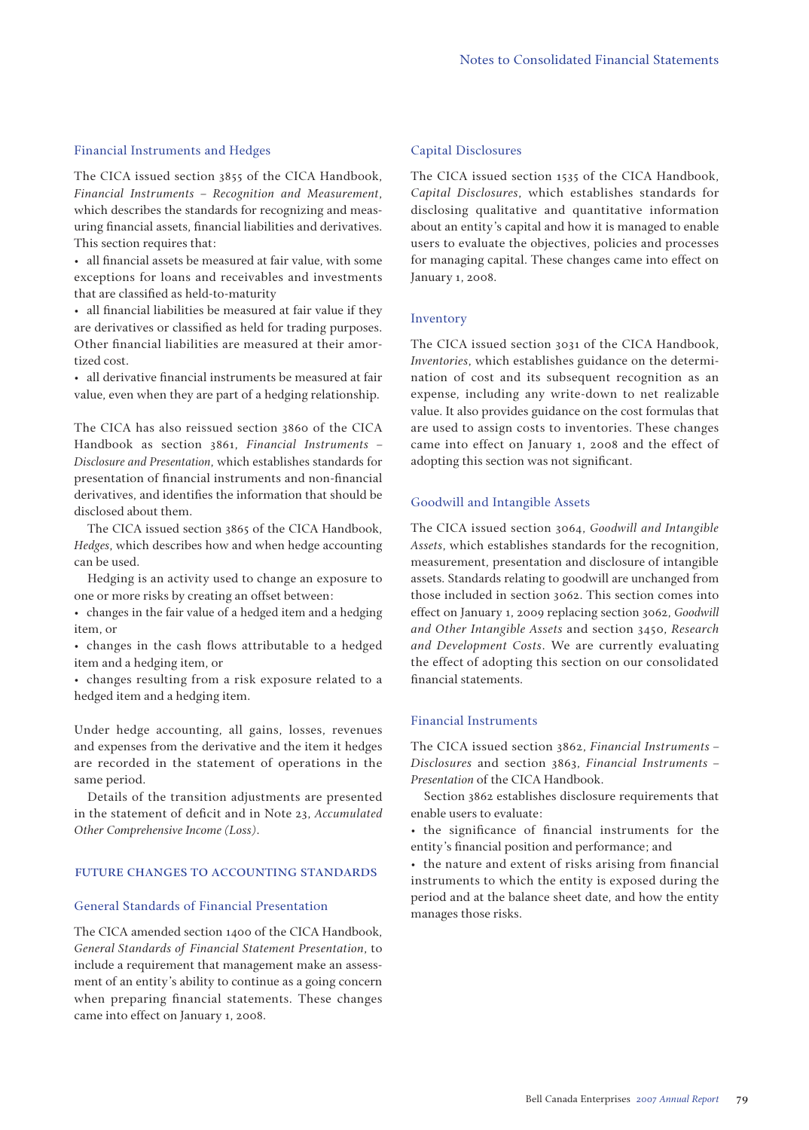## Financial Instruments and Hedges

The CICA issued section 3855 of the CICA Handbook, *Financial Instruments – Recognition and Measurement*, which describes the standards for recognizing and measuring financial assets, financial liabilities and derivatives. This section requires that:

• all financial assets be measured at fair value, with some exceptions for loans and receivables and investments that are classified as held-to-maturity

• all financial liabilities be measured at fair value if they are derivatives or classified as held for trading purposes. Other financial liabilities are measured at their amortized cost.

• all derivative financial instruments be measured at fair value, even when they are part of a hedging relationship.

The CICA has also reissued section 3860 of the CICA Handbook as section 3861, *Financial Instruments – Disclosure and Presentation*, which establishes standards for presentation of financial instruments and non-financial derivatives, and identifies the information that should be disclosed about them.

The CICA issued section 3865 of the CICA Handbook, *Hedges*, which describes how and when hedge accounting can be used.

Hedging is an activity used to change an exposure to one or more risks by creating an offset between:

• changes in the fair value of a hedged item and a hedging item, or

• changes in the cash flows attributable to a hedged item and a hedging item, or

• changes resulting from a risk exposure related to a hedged item and a hedging item.

Under hedge accounting, all gains, losses, revenues and expenses from the derivative and the item it hedges are recorded in the statement of operations in the same period.

Details of the transition adjustments are presented in the statement of deficit and in Note 23, *Accumulated Other Comprehensive Income (Loss)*.

## future changes to accounting standards

#### General Standards of Financial Presentation

The CICA amended section 1400 of the CICA Handbook, *General Standards of Financial Statement Presentation*, to include a requirement that management make an assessment of an entity's ability to continue as a going concern when preparing financial statements. These changes came into effect on January 1, 2008.

### Capital Disclosures

The CICA issued section 1535 of the CICA Handbook, *Capital Disclosures*, which establishes standards for disclosing qualitative and quantitative information about an entity's capital and how it is managed to enable users to evaluate the objectives, policies and processes for managing capital. These changes came into effect on January 1, 2008.

#### Inventory

The CICA issued section 3031 of the CICA Handbook, *Inventories*, which establishes guidance on the determination of cost and its subsequent recognition as an expense, including any write-down to net realizable value. It also provides guidance on the cost formulas that are used to assign costs to inventories. These changes came into effect on January 1, 2008 and the effect of adopting this section was not significant.

## Goodwill and Intangible Assets

The CICA issued section 3064, *Goodwill and Intangible Assets*, which establishes standards for the recognition, measurement, presentation and disclosure of intangible assets. Standards relating to goodwill are unchanged from those included in section 3062. This section comes into effect on January 1, 2009 replacing section 3062, *Goodwill and Other Intangible Assets* and section 3450, *Research and Development Costs*. We are currently evaluating the effect of adopting this section on our consolidated financial statements.

#### Financial Instruments

The CICA issued section 3862, *Financial Instruments – Disclosures* and section 3863, *Financial Instruments – Presentation* of the CICA Handbook.

Section 3862 establishes disclosure requirements that enable users to evaluate:

• the significance of financial instruments for the entity's financial position and performance; and

• the nature and extent of risks arising from financial instruments to which the entity is exposed during the period and at the balance sheet date, and how the entity manages those risks.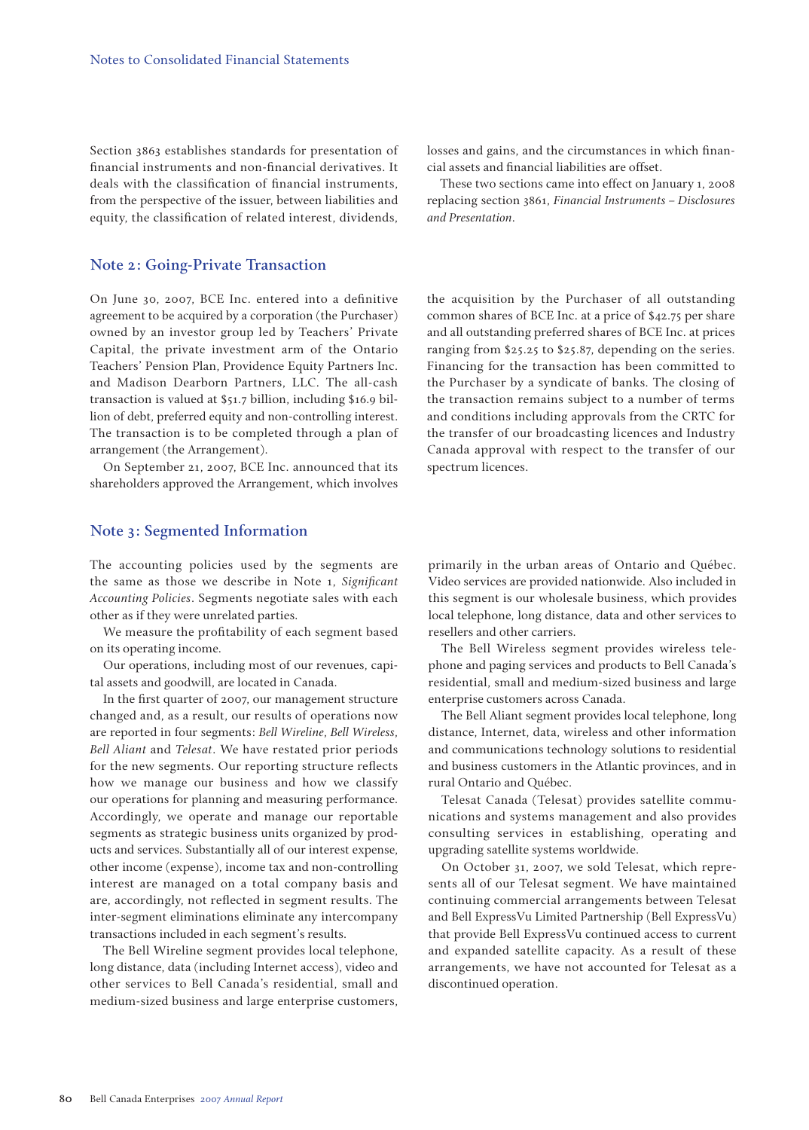Section 3863 establishes standards for presentation of financial instruments and non-financial derivatives. It deals with the classification of financial instruments, from the perspective of the issuer, between liabilities and equity, the classification of related interest, dividends,

## **Note 2: Going-Private Transaction**

On June 30, 2007, BCE Inc. entered into a definitive agreement to be acquired by a corporation (the Purchaser) owned by an investor group led by Teachers' Private Capital, the private investment arm of the Ontario Teachers' Pension Plan, Providence Equity Partners Inc. and Madison Dearborn Partners, LLC. The all-cash transaction is valued at \$51.7 billion, including \$16.9 billion of debt, preferred equity and non-controlling interest. The transaction is to be completed through a plan of arrangement (the Arrangement).

On September 21, 2007, BCE Inc. announced that its shareholders approved the Arrangement, which involves

## **Note 3: Segmented Information**

The accounting policies used by the segments are the same as those we describe in Note 1, *Significant Accounting Policies*. Segments negotiate sales with each other as if they were unrelated parties.

We measure the profitability of each segment based on its operating income.

Our operations, including most of our revenues, capital assets and goodwill, are located in Canada.

In the first quarter of 2007, our management structure changed and, as a result, our results of operations now are reported in four segments: *Bell Wireline*, *Bell Wireless*, *Bell Aliant* and *Telesat*. We have restated prior periods for the new segments. Our reporting structure reflects how we manage our business and how we classify our operations for planning and measuring performance. Accordingly, we operate and manage our reportable segments as strategic business units organized by products and services. Substantially all of our interest expense, other income (expense), income tax and non-controlling interest are managed on a total company basis and are, accordingly, not reflected in segment results. The inter-segment eliminations eliminate any intercompany transactions included in each segment's results.

The Bell Wireline segment provides local telephone, long distance, data (including Internet access), video and other services to Bell Canada's residential, small and medium-sized business and large enterprise customers,

losses and gains, and the circumstances in which financial assets and financial liabilities are offset.

These two sections came into effect on January 1, 2008 replacing section 3861, *Financial Instruments – Disclosures and Presentation*.

the acquisition by the Purchaser of all outstanding common shares of BCE Inc. at a price of \$42.75 per share and all outstanding preferred shares of BCE Inc. at prices ranging from \$25.25 to \$25.87, depending on the series. Financing for the transaction has been committed to the Purchaser by a syndicate of banks. The closing of the transaction remains subject to a number of terms and conditions including approvals from the CRTC for the transfer of our broadcasting licences and Industry Canada approval with respect to the transfer of our spectrum licences.

primarily in the urban areas of Ontario and Québec. Video services are provided nationwide. Also included in this segment is our wholesale business, which provides local telephone, long distance, data and other services to resellers and other carriers.

The Bell Wireless segment provides wireless telephone and paging services and products to Bell Canada's residential, small and medium-sized business and large enterprise customers across Canada.

The Bell Aliant segment provides local telephone, long distance, Internet, data, wireless and other information and communications technology solutions to residential and business customers in the Atlantic provinces, and in rural Ontario and Québec.

Telesat Canada (Telesat) provides satellite communications and systems management and also provides consulting services in establishing, operating and upgrading satellite systems worldwide.

On October 31, 2007, we sold Telesat, which represents all of our Telesat segment. We have maintained continuing commercial arrangements between Telesat and Bell ExpressVu Limited Partnership (Bell ExpressVu) that provide Bell ExpressVu continued access to current and expanded satellite capacity. As a result of these arrangements, we have not accounted for Telesat as a discontinued operation.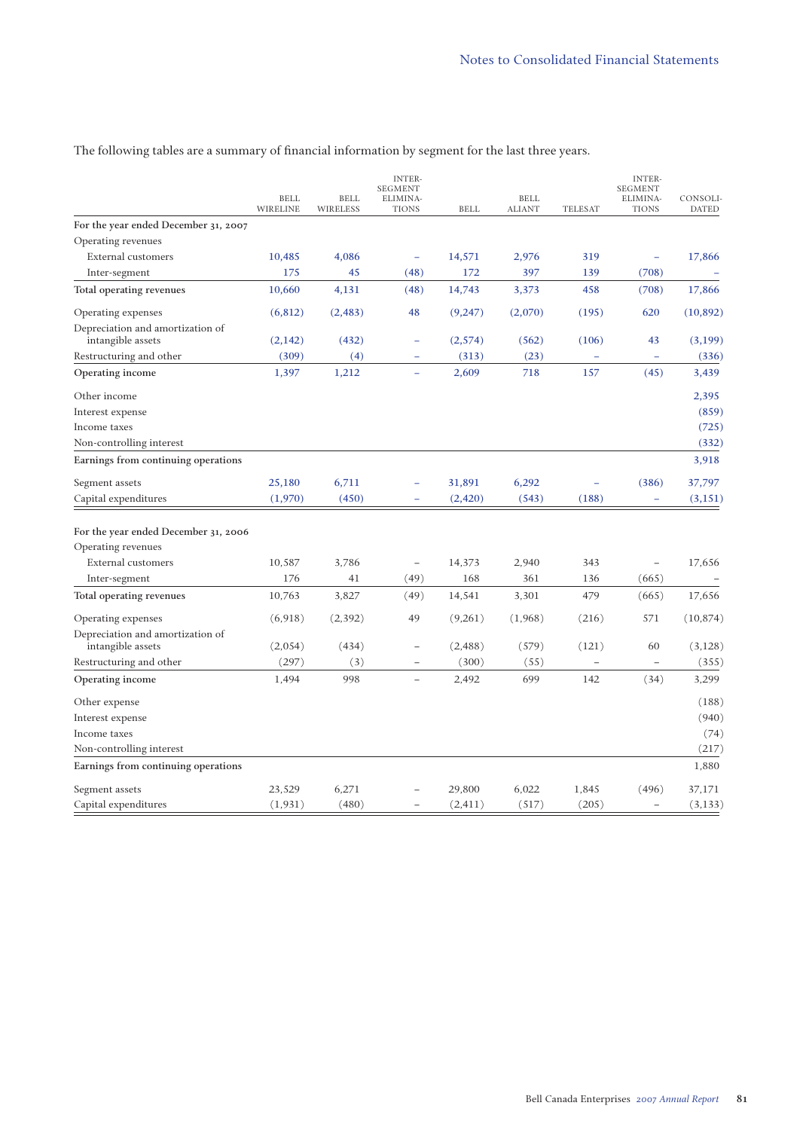|                                                       | <b>BELL</b><br><b>WIRELINE</b> | <b>BELL</b><br>WIRELESS | <b>INTER-</b><br><b>SEGMENT</b><br>ELIMINA-<br><b>TIONS</b> | <b>BELL</b> | <b>BELL</b><br><b>ALIANT</b> | TELESAT                  | <b>INTER-</b><br><b>SEGMENT</b><br>ELIMINA-<br><b>TIONS</b> | CONSOLI-<br><b>DATED</b> |
|-------------------------------------------------------|--------------------------------|-------------------------|-------------------------------------------------------------|-------------|------------------------------|--------------------------|-------------------------------------------------------------|--------------------------|
| For the year ended December 31, 2007                  |                                |                         |                                                             |             |                              |                          |                                                             |                          |
| Operating revenues                                    |                                |                         |                                                             |             |                              |                          |                                                             |                          |
| <b>External</b> customers                             | 10,485                         | 4,086                   | $\equiv$                                                    | 14,571      | 2,976                        | 319                      | $\overline{\phantom{a}}$                                    | 17,866                   |
| Inter-segment                                         | 175                            | 45                      | (48)                                                        | 172         | 397                          | 139                      | (708)                                                       |                          |
| Total operating revenues                              | 10,660                         | 4,131                   | (48)                                                        | 14,743      | 3,373                        | 458                      | (708)                                                       | 17,866                   |
| Operating expenses                                    | (6, 812)                       | (2, 483)                | 48                                                          | (9,247)     | (2,070)                      | (195)                    | 620                                                         | (10, 892)                |
| Depreciation and amortization of                      |                                |                         |                                                             |             |                              |                          |                                                             |                          |
| intangible assets                                     | (2, 142)                       | (432)                   | $\overline{\phantom{m}}$                                    | (2,574)     | (562)                        | (106)                    | 43                                                          | (3,199)                  |
| Restructuring and other                               | (309)                          | (4)                     | $\overline{\phantom{a}}$                                    | (313)       | (23)                         | $\overline{\phantom{a}}$ | $\equiv$                                                    | (336)                    |
| Operating income                                      | 1,397                          | 1,212                   | $\overline{\phantom{0}}$                                    | 2,609       | 718                          | 157                      | (45)                                                        | 3,439                    |
| Other income                                          |                                |                         |                                                             |             |                              |                          |                                                             | 2,395                    |
| Interest expense                                      |                                |                         |                                                             |             |                              |                          |                                                             | (859)                    |
| Income taxes                                          |                                |                         |                                                             |             |                              |                          |                                                             | (725)                    |
| Non-controlling interest                              |                                |                         |                                                             |             |                              |                          |                                                             | (332)                    |
| Earnings from continuing operations                   |                                |                         |                                                             |             |                              |                          |                                                             | 3,918                    |
| Segment assets                                        | 25,180                         | 6,711                   |                                                             | 31,891      | 6,292                        |                          | (386)                                                       | 37,797                   |
| Capital expenditures                                  | (1,970)                        | (450)                   |                                                             | (2, 420)    | (543)                        | (188)                    |                                                             | (3,151)                  |
| For the year ended December 31, 2006                  |                                |                         |                                                             |             |                              |                          |                                                             |                          |
| Operating revenues                                    |                                |                         |                                                             |             |                              |                          |                                                             |                          |
| External customers                                    | 10,587                         | 3,786                   | $\overline{\phantom{m}}$                                    | 14,373      | 2,940                        | 343                      |                                                             | 17,656                   |
| Inter-segment                                         | 176                            | 41                      | (49)                                                        | 168         | 361                          | 136                      | (665)                                                       |                          |
| Total operating revenues                              | 10,763                         | 3,827                   | (49)                                                        | 14,541      | 3,301                        | 479                      | (665)                                                       | 17,656                   |
| Operating expenses                                    | (6,918)                        | (2,392)                 | 49                                                          | (9,261)     | (1,968)                      | (216)                    | 571                                                         | (10, 874)                |
| Depreciation and amortization of<br>intangible assets | (2,054)                        | (434)                   | $\overline{a}$                                              | (2,488)     | (579)                        | (121)                    | 60                                                          | (3,128)                  |
| Restructuring and other                               | (297)                          | (3)                     | $\overline{a}$                                              | (300)       | (55)                         |                          | $\equiv$                                                    | (355)                    |
| <b>Operating income</b>                               | 1,494                          | 998                     | $\overline{a}$                                              | 2,492       | 699                          | 142                      | (34)                                                        | 3,299                    |
| Other expense                                         |                                |                         |                                                             |             |                              |                          |                                                             | (188)                    |
| Interest expense                                      |                                |                         |                                                             |             |                              |                          |                                                             | (940)                    |
| Income taxes                                          |                                |                         |                                                             |             |                              |                          |                                                             | (74)                     |
| Non-controlling interest                              |                                |                         |                                                             |             |                              |                          |                                                             | (217)                    |
| Earnings from continuing operations                   |                                |                         |                                                             |             |                              |                          |                                                             | 1,880                    |
| Segment assets                                        | 23,529                         | 6,271                   |                                                             | 29,800      | 6,022                        | 1,845                    | (496)                                                       | 37,171                   |
| Capital expenditures                                  | (1, 931)                       | (480)                   |                                                             | (2,411)     | (517)                        | (205)                    | $\equiv$                                                    | (3, 133)                 |

The following tables are a summary of financial information by segment for the last three years.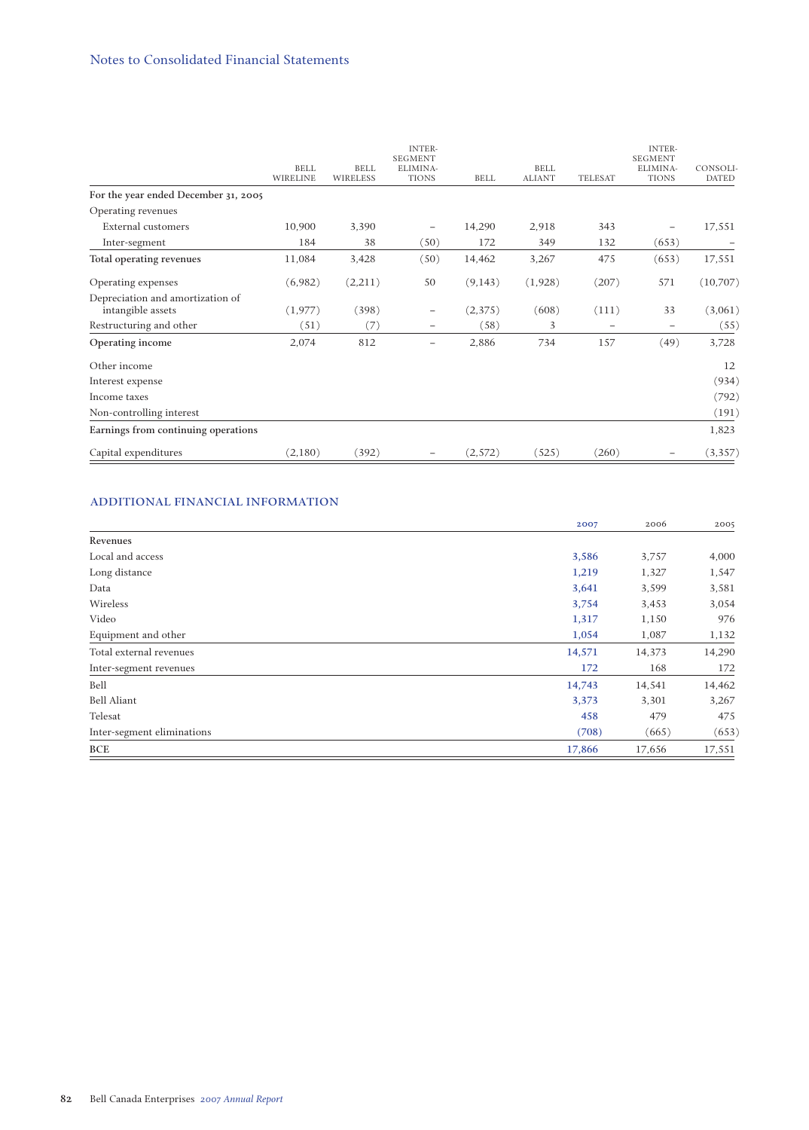# Notes to Consolidated Financial Statements

|                                                       | <b>BELL</b><br><b>WIRELINE</b> | <b>BELL</b><br><b>WIRELESS</b> | <b>INTER-</b><br><b>SEGMENT</b><br>ELIMINA-<br><b>TIONS</b> | <b>BELL</b> | <b>BELL</b><br><b>ALIANT</b> | <b>TELESAT</b> | <b>INTER-</b><br><b>SEGMENT</b><br>ELIMINA-<br><b>TIONS</b> | CONSOLI-<br><b>DATED</b> |
|-------------------------------------------------------|--------------------------------|--------------------------------|-------------------------------------------------------------|-------------|------------------------------|----------------|-------------------------------------------------------------|--------------------------|
| For the year ended December 31, 2005                  |                                |                                |                                                             |             |                              |                |                                                             |                          |
| Operating revenues                                    |                                |                                |                                                             |             |                              |                |                                                             |                          |
| External customers                                    | 10,900                         | 3,390                          | $\overline{\phantom{0}}$                                    | 14,290      | 2,918                        | 343            |                                                             | 17,551                   |
| Inter-segment                                         | 184                            | 38                             | (50)                                                        | 172         | 349                          | 132            | (653)                                                       |                          |
| Total operating revenues                              | 11,084                         | 3,428                          | (50)                                                        | 14,462      | 3,267                        | 475            | (653)                                                       | 17,551                   |
| Operating expenses                                    | (6,982)                        | (2,211)                        | 50                                                          | (9,143)     | (1,928)                      | (207)          | 571                                                         | (10,707)                 |
| Depreciation and amortization of<br>intangible assets | (1,977)                        | (398)                          | $\overline{\phantom{m}}$                                    | (2,375)     | (608)                        | (111)          | 33                                                          | (3,061)                  |
| Restructuring and other                               | (51)                           | (7)                            | $\overline{\phantom{0}}$                                    | (58)        | 3                            |                | $\overline{\phantom{0}}$                                    | (55)                     |
| Operating income                                      | 2,074                          | 812                            | -                                                           | 2,886       | 734                          | 157            | (49)                                                        | 3,728                    |
| Other income                                          |                                |                                |                                                             |             |                              |                |                                                             | 12                       |
| Interest expense                                      |                                |                                |                                                             |             |                              |                |                                                             | (934)                    |
| Income taxes                                          |                                |                                |                                                             |             |                              |                |                                                             | (792)                    |
| Non-controlling interest                              |                                |                                |                                                             |             |                              |                |                                                             | (191)                    |
| Earnings from continuing operations                   |                                |                                |                                                             |             |                              |                |                                                             | 1,823                    |
| Capital expenditures                                  | (2,180)                        | (392)                          |                                                             | (2,572)     | (525)                        | (260)          |                                                             | (3, 357)                 |

# additional financial information

|                            | 2007   | 2006   | 2005   |
|----------------------------|--------|--------|--------|
| Revenues                   |        |        |        |
| Local and access           | 3,586  | 3,757  | 4,000  |
| Long distance              | 1,219  | 1,327  | 1,547  |
| Data                       | 3,641  | 3,599  | 3,581  |
| Wireless                   | 3,754  | 3,453  | 3,054  |
| Video                      | 1,317  | 1,150  | 976    |
| Equipment and other        | 1,054  | 1,087  | 1,132  |
| Total external revenues    | 14,571 | 14,373 | 14,290 |
| Inter-segment revenues     | 172    | 168    | 172    |
| Bell                       | 14,743 | 14,541 | 14,462 |
| <b>Bell Aliant</b>         | 3,373  | 3,301  | 3,267  |
| Telesat                    | 458    | 479    | 475    |
| Inter-segment eliminations | (708)  | (665)  | (653)  |
| <b>BCE</b>                 | 17,866 | 17,656 | 17,551 |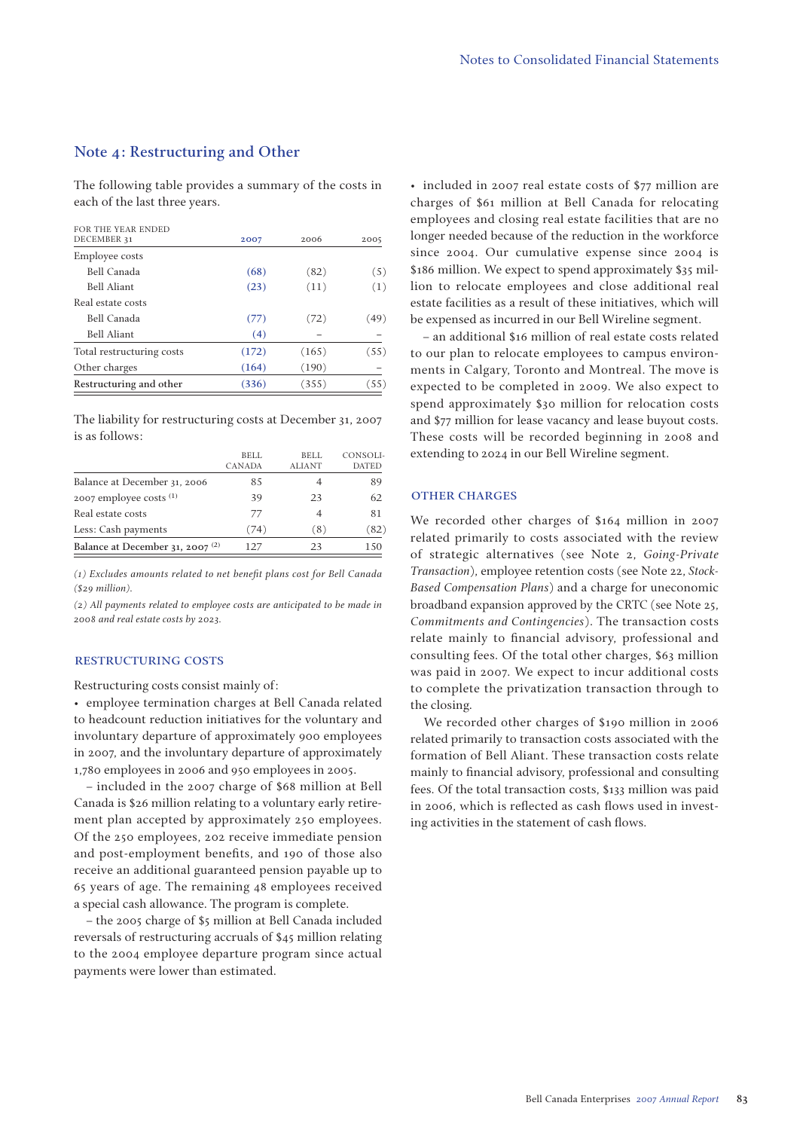## **Note 4: Restructuring and Other**

The following table provides a summary of the costs in each of the last three years.

| FOR THE YEAR ENDED<br>DECEMBER 31 | 2007  | 2006  | 2005 |
|-----------------------------------|-------|-------|------|
| Employee costs                    |       |       |      |
| Bell Canada                       | (68)  | (82)  | (5)  |
| Bell Aliant                       | (23)  | (11)  | (1)  |
| Real estate costs                 |       |       |      |
| Bell Canada                       | (77)  | (72)  | (49) |
| Bell Aliant                       | (4)   |       |      |
| Total restructuring costs         | (172) | (165) | (55) |
| Other charges                     | (164) | (190) |      |
| Restructuring and other           | (336) | (355) | (55) |

The liability for restructuring costs at December 31, 2007 is as follows:

|                                             | BELL<br><b>CANADA</b> | BELL<br><b>ALIANT</b> | CONSOLI-<br><b>DATED</b> |
|---------------------------------------------|-----------------------|-----------------------|--------------------------|
| Balance at December 31, 2006                | 85                    |                       | 89                       |
| 2007 employee costs (1)                     | 39                    | 23                    | 62                       |
| Real estate costs                           | 77                    | 4                     | 81                       |
| Less: Cash payments                         | 74)                   | (8)                   | (82)                     |
| Balance at December 31, 2007 <sup>(2)</sup> | 127                   | 23                    | 150                      |

*(1) Excludes amounts related to net benefit plans cost for Bell Canada (\$29 million).* 

*(2) All payments related to employee costs are anticipated to be made in 2008 and real estate costs by 2023.*

## restructuring costs

Restructuring costs consist mainly of:

• employee termination charges at Bell Canada related to headcount reduction initiatives for the voluntary and involuntary departure of approximately 900 employees in 2007, and the involuntary departure of approximately 1,780 employees in 2006 and 950 employees in 2005.

– included in the 2007 charge of \$68 million at Bell Canada is \$26 million relating to a voluntary early retirement plan accepted by approximately 250 employees. Of the 250 employees, 202 receive immediate pension and post-employment benefits, and 190 of those also receive an additional guaranteed pension payable up to 65 years of age. The remaining 48 employees received a special cash allowance. The program is complete.

– the 2005 charge of \$5 million at Bell Canada included reversals of restructuring accruals of \$45 million relating to the 2004 employee departure program since actual payments were lower than estimated.

• included in 2007 real estate costs of \$77 million are charges of \$61 million at Bell Canada for relocating employees and closing real estate facilities that are no longer needed because of the reduction in the workforce since 2004. Our cumulative expense since 2004 is \$186 million. We expect to spend approximately \$35 million to relocate employees and close additional real estate facilities as a result of these initiatives, which will be expensed as incurred in our Bell Wireline segment.

– an additional \$16 million of real estate costs related to our plan to relocate employees to campus environments in Calgary, Toronto and Montreal. The move is expected to be completed in 2009. We also expect to spend approximately \$30 million for relocation costs and \$77 million for lease vacancy and lease buyout costs. These costs will be recorded beginning in 2008 and extending to 2024 in our Bell Wireline segment.

#### **OTHER CHARGES**

We recorded other charges of \$164 million in 2007 related primarily to costs associated with the review of strategic alternatives (see Note 2, *Going-Private Transaction*), employee retention costs (see Note 22, *Stock-Based Compensation Plans*) and a charge for uneconomic broadband expansion approved by the CRTC (see Note 25, *Commitments and Contingencies*). The transaction costs relate mainly to financial advisory, professional and consulting fees. Of the total other charges, \$63 million was paid in 2007. We expect to incur additional costs to complete the privatization transaction through to the closing.

We recorded other charges of \$190 million in 2006 related primarily to transaction costs associated with the formation of Bell Aliant. These transaction costs relate mainly to financial advisory, professional and consulting fees. Of the total transaction costs, \$133 million was paid in 2006, which is reflected as cash flows used in investing activities in the statement of cash flows.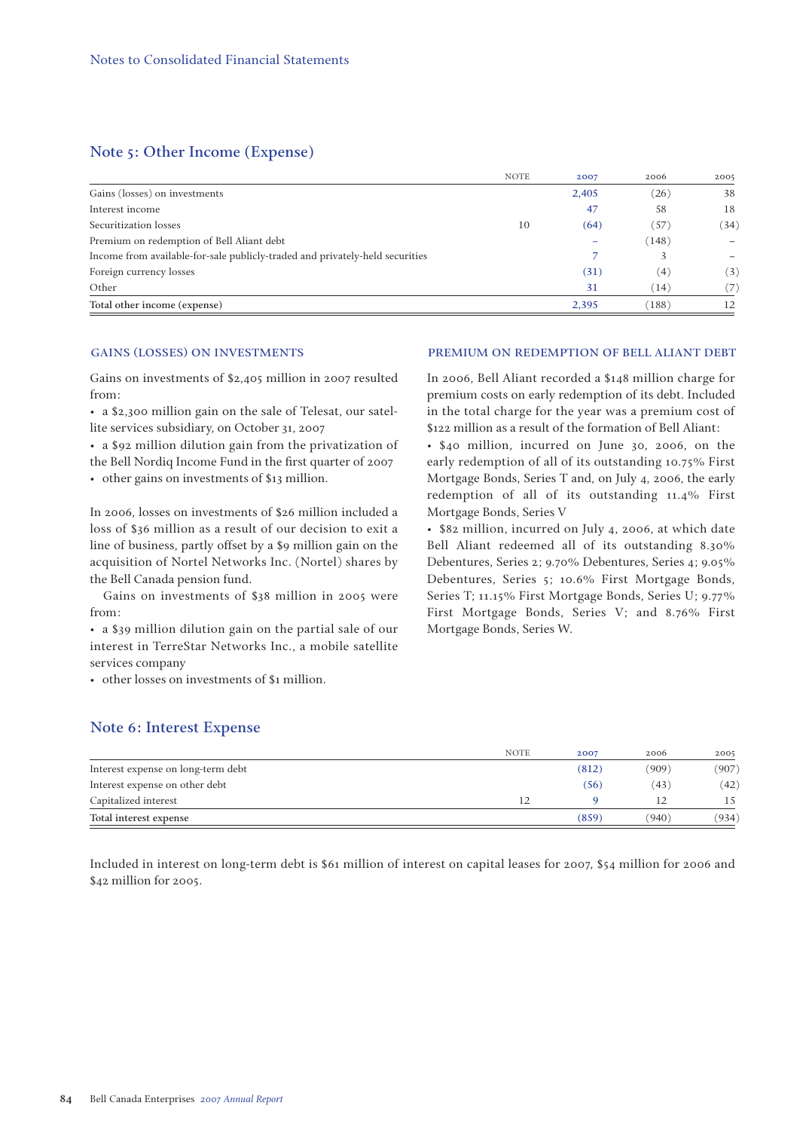# **Note 5: Other Income (Expense)**

| <b>NOTE</b> | 2007  | 2006  | 2005 |
|-------------|-------|-------|------|
|             | 2,405 | (26)  | 38   |
|             | 47    | 58    | 18   |
| 10          | (64)  | (57)  | (34) |
|             | -     | (148) |      |
|             |       | 3     |      |
|             | (31)  | (4)   | (3)  |
|             | 31    | (14)  | (7)  |
|             | 2,395 | (188) | 12   |
|             |       |       |      |

### gains (losses) on investments

Gains on investments of \$2,405 million in 2007 resulted from:

• a \$2,300 million gain on the sale of Telesat, our satellite services subsidiary, on October 31, 2007

• a \$92 million dilution gain from the privatization of the Bell Nordiq Income Fund in the first quarter of 2007

• other gains on investments of \$13 million.

In 2006, losses on investments of \$26 million included a loss of \$36 million as a result of our decision to exit a line of business, partly offset by a \$9 million gain on the acquisition of Nortel Networks Inc. (Nortel) shares by the Bell Canada pension fund.

Gains on investments of \$38 million in 2005 were from:

• a \$39 million dilution gain on the partial sale of our interest in TerreStar Networks Inc., a mobile satellite services company

• other losses on investments of \$1 million.

# premium on redemption of bell aliant debt

In 2006, Bell Aliant recorded a \$148 million charge for premium costs on early redemption of its debt. Included in the total charge for the year was a premium cost of \$122 million as a result of the formation of Bell Aliant:

• \$40 million, incurred on June 30, 2006, on the early redemption of all of its outstanding 10.75% First Mortgage Bonds, Series T and, on July 4, 2006, the early redemption of all of its outstanding 11.4% First Mortgage Bonds, Series V

• \$82 million, incurred on July 4, 2006, at which date Bell Aliant redeemed all of its outstanding 8.30% Debentures, Series 2; 9.70% Debentures, Series 4; 9.05% Debentures, Series 5; 10.6% First Mortgage Bonds, Series T; 11.15% First Mortgage Bonds, Series U; 9.77% First Mortgage Bonds, Series V; and 8.76% First Mortgage Bonds, Series W.

# **Note 6: Interest Expense**

|                                    | <b>NOTE</b> | 2007  | 2006  | 2005  |
|------------------------------------|-------------|-------|-------|-------|
| Interest expense on long-term debt |             | (812) | (909) | (907) |
| Interest expense on other debt     |             | (56)  | (43)  | (42)  |
| Capitalized interest               | 12          |       |       | 15    |
| Total interest expense             |             | (859) | (940) | (934) |

Included in interest on long-term debt is \$61 million of interest on capital leases for 2007, \$54 million for 2006 and \$42 million for 2005.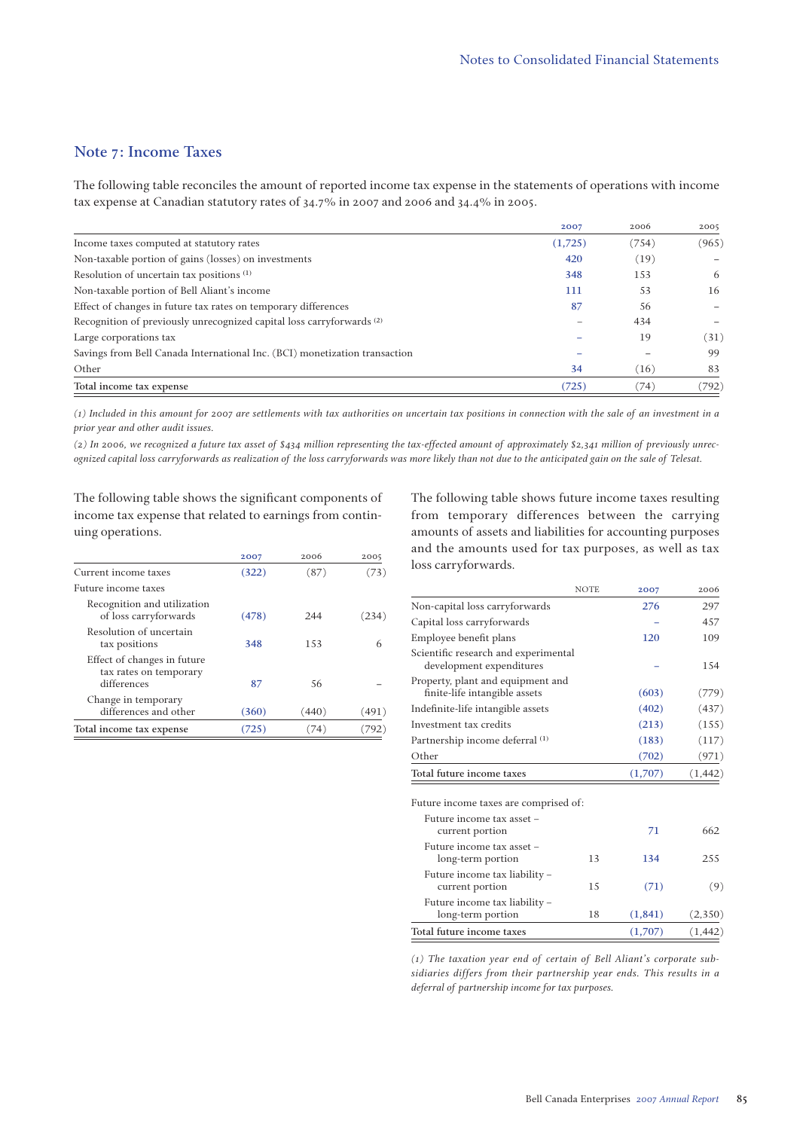# **Note 7: Income Taxes**

The following table reconciles the amount of reported income tax expense in the statements of operations with income tax expense at Canadian statutory rates of 34.7% in 2007 and 2006 and 34.4% in 2005.

|                                                                                  | 2007    | 2006  | 2005  |
|----------------------------------------------------------------------------------|---------|-------|-------|
| Income taxes computed at statutory rates                                         | (1,725) | (754) | (965) |
| Non-taxable portion of gains (losses) on investments                             | 420     | (19)  |       |
| Resolution of uncertain tax positions (1)                                        | 348     | 153   | 6     |
| Non-taxable portion of Bell Aliant's income                                      | 111     | 53    | 16    |
| Effect of changes in future tax rates on temporary differences                   | 87      | 56    |       |
| Recognition of previously unrecognized capital loss carryforwards <sup>(2)</sup> |         | 434   |       |
| Large corporations tax                                                           |         | 19    | (31)  |
| Savings from Bell Canada International Inc. (BCI) monetization transaction       |         |       | 99    |
| Other                                                                            | 34      | (16)  | 83    |
| Total income tax expense                                                         | (725)   | (74)  | (792) |

*(1) Included in this amount for 2007 are settlements with tax authorities on uncertain tax positions in connection with the sale of an investment in a prior year and other audit issues.*

*(2) In 2006, we recognized a future tax asset of \$434 million representing the tax-effected amount of approximately \$2,341 million of previously unrecognized capital loss carryforwards as realization of the loss carryforwards was more likely than not due to the anticipated gain on the sale of Telesat.*

The following table shows the significant components of income tax expense that related to earnings from continuing operations.

|                                                                      | 2007  | 2006  | 2005  |
|----------------------------------------------------------------------|-------|-------|-------|
| Current income taxes                                                 | (322) | (87)  | (73)  |
| Future income taxes                                                  |       |       |       |
| Recognition and utilization<br>of loss carryforwards                 | (478) | 244   | (234) |
| Resolution of uncertain<br>tax positions                             | 348   | 153   | 6     |
| Effect of changes in future<br>tax rates on temporary<br>differences | 87    | 56    |       |
| Change in temporary<br>differences and other                         | (360) | (440) | (491) |
| Total income tax expense                                             | (725) | (74)  |       |

The following table shows future income taxes resulting from temporary differences between the carrying amounts of assets and liabilities for accounting purposes and the amounts used for tax purposes, as well as tax loss carryforwards.

|                                                                    | <b>NOTE</b> | 2007     | 2006     |
|--------------------------------------------------------------------|-------------|----------|----------|
| Non-capital loss carryforwards                                     |             | 276      | 297      |
| Capital loss carryforwards                                         |             |          | 457      |
| Employee benefit plans                                             |             | 120      | 109      |
| Scientific research and experimental<br>development expenditures   |             |          | 154      |
| Property, plant and equipment and<br>finite-life intangible assets |             | (603)    | (779)    |
| Indefinite-life intangible assets                                  |             | (402)    | (437)    |
| Investment tax credits                                             |             | (213)    | (155)    |
| Partnership income deferral (1)                                    |             | (183)    | (117)    |
| Other                                                              |             | (702)    | (971)    |
| Total future income taxes                                          |             | (1,707)  | (1, 442) |
| Future income taxes are comprised of:                              |             |          |          |
| Future income tax asset -<br>current portion                       |             | 71       | 662      |
| Future income tax asset -<br>long-term portion                     | 13          | 134      | 255      |
| Future income tax liability -<br>current portion                   | 15          | (71)     | (9)      |
| Future income tax liability -<br>long-term portion                 | 18          | (1, 841) | (2,350)  |
| Total future income taxes                                          |             | (1,707)  | (1, 442) |

*(1) The taxation year end of certain of Bell Aliant's corporate subsidiaries differs from their partnership year ends. This results in a deferral of partnership income for tax purposes.*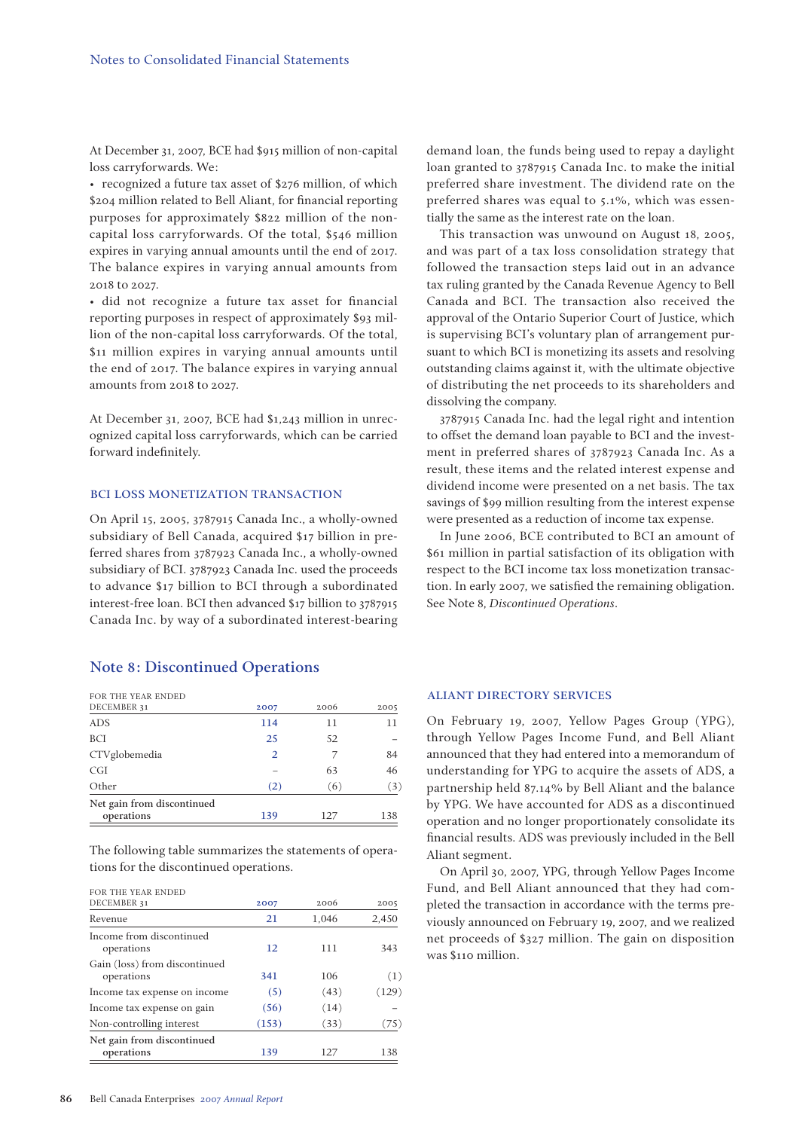At December 31, 2007, BCE had \$915 million of non-capital loss carryforwards. We:

• recognized a future tax asset of \$276 million, of which \$204 million related to Bell Aliant, for financial reporting purposes for approximately \$822 million of the noncapital loss carryforwards. Of the total, \$546 million expires in varying annual amounts until the end of 2017. The balance expires in varying annual amounts from 2018 to 2027.

• did not recognize a future tax asset for financial reporting purposes in respect of approximately \$93 million of the non-capital loss carryforwards. Of the total, \$11 million expires in varying annual amounts until the end of 2017. The balance expires in varying annual amounts from 2018 to 2027.

At December 31, 2007, BCE had \$1,243 million in unrecognized capital loss carryforwards, which can be carried forward indefinitely.

## bci loss monetization transaction

On April 15, 2005, 3787915 Canada Inc., a wholly-owned subsidiary of Bell Canada, acquired \$17 billion in preferred shares from 3787923 Canada Inc., a wholly-owned subsidiary of BCI. 3787923 Canada Inc. used the proceeds to advance \$17 billion to BCI through a subordinated interest-free loan. BCI then advanced \$17 billion to 3787915 Canada Inc. by way of a subordinated interest-bearing

# **Note 8: Discontinued Operations**

| <b>FOR THE YEAR ENDED</b>  |      |      |      |
|----------------------------|------|------|------|
| DECEMBER 31                | 2007 | 2006 | 2005 |
| <b>ADS</b>                 | 114  | 11   | 11   |
| <b>BCI</b>                 | 25   | 52   |      |
| CTVglobemedia              | 2    | 7    | 84   |
| <b>CGI</b>                 |      | 63   | 46   |
| Other                      | (2)  | (6)  | (3)  |
| Net gain from discontinued |      |      |      |
| operations                 | 139  | 127  | 138  |

The following table summarizes the statements of operations for the discontinued operations.

| FOR THE YEAR ENDED |  |
|--------------------|--|
|--------------------|--|

| DECEMBER 31                                 | 2007  | 2006  | 2005  |
|---------------------------------------------|-------|-------|-------|
| Revenue                                     | 21    | 1,046 | 2,450 |
| Income from discontinued<br>operations      | 12    | 111   | 343   |
| Gain (loss) from discontinued<br>operations | 341   | 106   | (1)   |
| Income tax expense on income                | (5)   | (43)  | (129) |
| Income tax expense on gain                  | (56)  | (14)  |       |
| Non-controlling interest                    | (153) | (33)  | (75)  |
| Net gain from discontinued<br>operations    | 139   | 127   | 138   |

demand loan, the funds being used to repay a daylight loan granted to 3787915 Canada Inc. to make the initial preferred share investment. The dividend rate on the preferred shares was equal to 5.1%, which was essentially the same as the interest rate on the loan.

This transaction was unwound on August 18, 2005, and was part of a tax loss consolidation strategy that followed the transaction steps laid out in an advance tax ruling granted by the Canada Revenue Agency to Bell Canada and BCI. The transaction also received the approval of the Ontario Superior Court of Justice, which is supervising BCI's voluntary plan of arrangement pursuant to which BCI is monetizing its assets and resolving outstanding claims against it, with the ultimate objective of distributing the net proceeds to its shareholders and dissolving the company.

3787915 Canada Inc. had the legal right and intention to offset the demand loan payable to BCI and the investment in preferred shares of 3787923 Canada Inc. As a result, these items and the related interest expense and dividend income were presented on a net basis. The tax savings of \$99 million resulting from the interest expense were presented as a reduction of income tax expense.

In June 2006, BCE contributed to BCI an amount of \$61 million in partial satisfaction of its obligation with respect to the BCI income tax loss monetization transaction. In early 2007, we satisfied the remaining obligation. See Note 8, *Discontinued Operations*.

#### aliant directory services

On February 19, 2007, Yellow Pages Group (YPG), through Yellow Pages Income Fund, and Bell Aliant announced that they had entered into a memorandum of understanding for YPG to acquire the assets of ADS, a partnership held 87.14% by Bell Aliant and the balance by YPG. We have accounted for ADS as a discontinued operation and no longer proportionately consolidate its financial results. ADS was previously included in the Bell Aliant segment.

On April 30, 2007, YPG, through Yellow Pages Income Fund, and Bell Aliant announced that they had completed the transaction in accordance with the terms previously announced on February 19, 2007, and we realized net proceeds of \$327 million. The gain on disposition was \$110 million.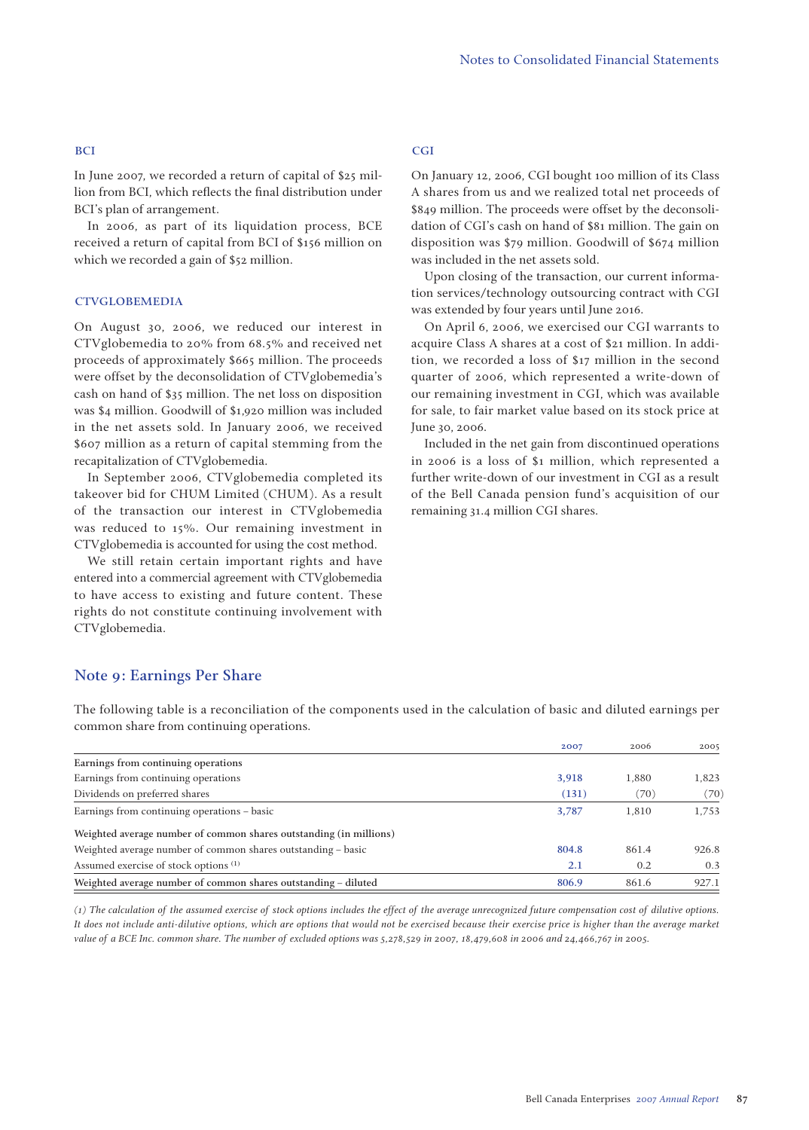#### **BCI**

In June 2007, we recorded a return of capital of \$25 million from BCI, which reflects the final distribution under BCI's plan of arrangement.

In 2006, as part of its liquidation process, BCE received a return of capital from BCI of \$156 million on which we recorded a gain of \$52 million.

#### **CTVGLOBEMEDIA**

On August 30, 2006, we reduced our interest in CTVglobemedia to 20% from 68.5% and received net proceeds of approximately \$665 million. The proceeds were offset by the deconsolidation of CTVglobemedia's cash on hand of \$35 million. The net loss on disposition was \$4 million. Goodwill of \$1,920 million was included in the net assets sold. In January 2006, we received \$607 million as a return of capital stemming from the recapitalization of CTVglobemedia.

In September 2006, CTVglobemedia completed its takeover bid for CHUM Limited (CHUM). As a result of the transaction our interest in CTVglobemedia was reduced to 15%. Our remaining investment in CTVglobemedia is accounted for using the cost method.

We still retain certain important rights and have entered into a commercial agreement with CTVglobemedia to have access to existing and future content. These rights do not constitute continuing involvement with CTVglobemedia.

## **CGI**

On January 12, 2006, CGI bought 100 million of its Class A shares from us and we realized total net proceeds of \$849 million. The proceeds were offset by the deconsolidation of CGI's cash on hand of \$81 million. The gain on disposition was \$79 million. Goodwill of \$674 million was included in the net assets sold.

Upon closing of the transaction, our current information services/technology outsourcing contract with CGI was extended by four years until June 2016.

On April 6, 2006, we exercised our CGI warrants to acquire Class A shares at a cost of \$21 million. In addition, we recorded a loss of \$17 million in the second quarter of 2006, which represented a write-down of our remaining investment in CGI, which was available for sale, to fair market value based on its stock price at June 30, 2006.

Included in the net gain from discontinued operations in 2006 is a loss of \$1 million, which represented a further write-down of our investment in CGI as a result of the Bell Canada pension fund's acquisition of our remaining 31.4 million CGI shares.

## **Note 9: Earnings Per Share**

The following table is a reconciliation of the components used in the calculation of basic and diluted earnings per common share from continuing operations.

|                                                                    | 2007  | 2006  | 2005  |
|--------------------------------------------------------------------|-------|-------|-------|
| Earnings from continuing operations                                |       |       |       |
| Earnings from continuing operations                                | 3,918 | 1.880 | 1.823 |
| Dividends on preferred shares                                      | (131) | (70)  | (70)  |
| Earnings from continuing operations – basic                        | 3,787 | 1.810 | 1.753 |
| Weighted average number of common shares outstanding (in millions) |       |       |       |
| Weighted average number of common shares outstanding - basic       | 804.8 | 861.4 | 926.8 |
| Assumed exercise of stock options (1)                              | 2.1   | 0.2   | 0.3   |
| Weighted average number of common shares outstanding – diluted     | 806.9 | 861.6 | 927.1 |

*(1) The calculation of the assumed exercise of stock options includes the effect of the average unrecognized future compensation cost of dilutive options. It does not include anti-dilutive options, which are options that would not be exercised because their exercise price is higher than the average market value of a BCE Inc. common share. The number of excluded options was 5,278,529 in 2007, 18,479,608 in 2006 and 24,466,767 in 2005.*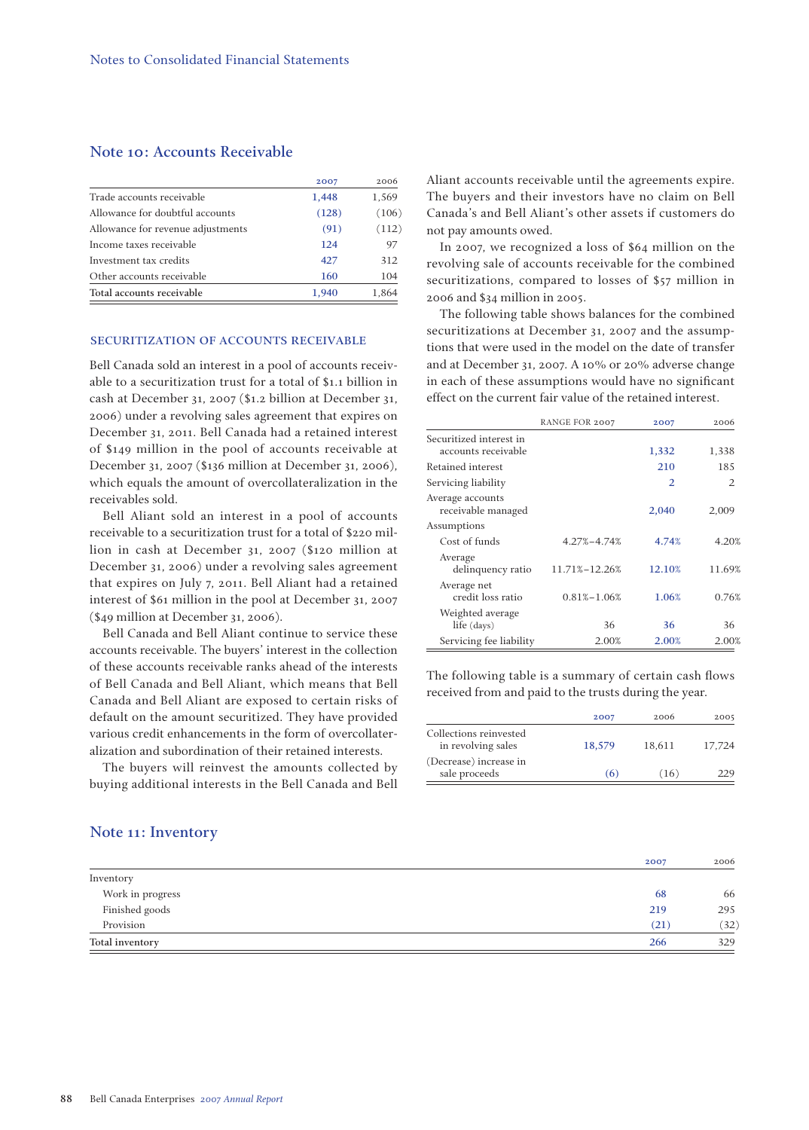# **Note 10: Accounts Receivable**

|                                   | 2007  | 2006  |
|-----------------------------------|-------|-------|
| Trade accounts receivable         | 1,448 | 1,569 |
| Allowance for doubtful accounts   | (128) | (106) |
| Allowance for revenue adjustments | (91)  | (112) |
| Income taxes receivable           | 124   | 97    |
| Investment tax credits            | 427   | 312   |
| Other accounts receivable         | 160   | 104   |
| Total accounts receivable         | 1,940 | 1,864 |

#### securitization of accounts receivable

Bell Canada sold an interest in a pool of accounts receivable to a securitization trust for a total of \$1.1 billion in cash at December 31, 2007 (\$1.2 billion at December 31, 2006) under a revolving sales agreement that expires on December 31, 2011. Bell Canada had a retained interest of \$149 million in the pool of accounts receivable at December 31, 2007 (\$136 million at December 31, 2006), which equals the amount of overcollateralization in the receivables sold.

Bell Aliant sold an interest in a pool of accounts receivable to a securitization trust for a total of \$220 million in cash at December 31, 2007 (\$120 million at December 31, 2006) under a revolving sales agreement that expires on July 7, 2011. Bell Aliant had a retained interest of \$61 million in the pool at December 31, 2007 (\$49 million at December 31, 2006).

Bell Canada and Bell Aliant continue to service these accounts receivable. The buyers' interest in the collection of these accounts receivable ranks ahead of the interests of Bell Canada and Bell Aliant, which means that Bell Canada and Bell Aliant are exposed to certain risks of default on the amount securitized. They have provided various credit enhancements in the form of overcollateralization and subordination of their retained interests.

The buyers will reinvest the amounts collected by buying additional interests in the Bell Canada and Bell

# **Note 11: Inventory**

Aliant accounts receivable until the agreements expire. The buyers and their investors have no claim on Bell Canada's and Bell Aliant's other assets if customers do not pay amounts owed.

In 2007, we recognized a loss of \$64 million on the revolving sale of accounts receivable for the combined securitizations, compared to losses of \$57 million in 2006 and \$34 million in 2005.

The following table shows balances for the combined securitizations at December 31, 2007 and the assumptions that were used in the model on the date of transfer and at December 31, 2007. A 10% or 20% adverse change in each of these assumptions would have no significant effect on the current fair value of the retained interest.

|                                                | <b>RANGE FOR 2007</b> | 2007   | 2006   |
|------------------------------------------------|-----------------------|--------|--------|
| Securitized interest in<br>accounts receivable |                       | 1,332  | 1,338  |
| Retained interest                              |                       | 210    | 185    |
| Servicing liability                            |                       | 2      | 2      |
| Average accounts<br>receivable managed         |                       | 2,040  | 2,009  |
| Assumptions                                    |                       |        |        |
| Cost of funds                                  | 4.27%-4.74%           | 4.74%  | 4.20%  |
| Average<br>delinquency ratio                   | 11.71%-12.26%         | 12.10% | 11.69% |
| Average net<br>credit loss ratio               | $0.81\% - 1.06\%$     | 1.06%  | 0.76%  |
| Weighted average<br>life (days)                | 36                    | 36     | 36     |
| Servicing fee liability                        | 2.00%                 | 2.00%  | 2.00%  |

The following table is a summary of certain cash flows received from and paid to the trusts during the year.

|                                              | 2007   | 2006   | 2005   |
|----------------------------------------------|--------|--------|--------|
| Collections reinvested<br>in revolving sales | 18,579 | 18.611 | 17.724 |
| (Decrease) increase in                       |        |        |        |
| sale proceeds                                | (6)    | (16)   | 229    |

|                  | 2007 | 2006 |
|------------------|------|------|
| Inventory        |      |      |
| Work in progress | 68   | 66   |
| Finished goods   | 219  | 295  |
| Provision        | (21) | 32)  |
| Total inventory  | 266  | 329  |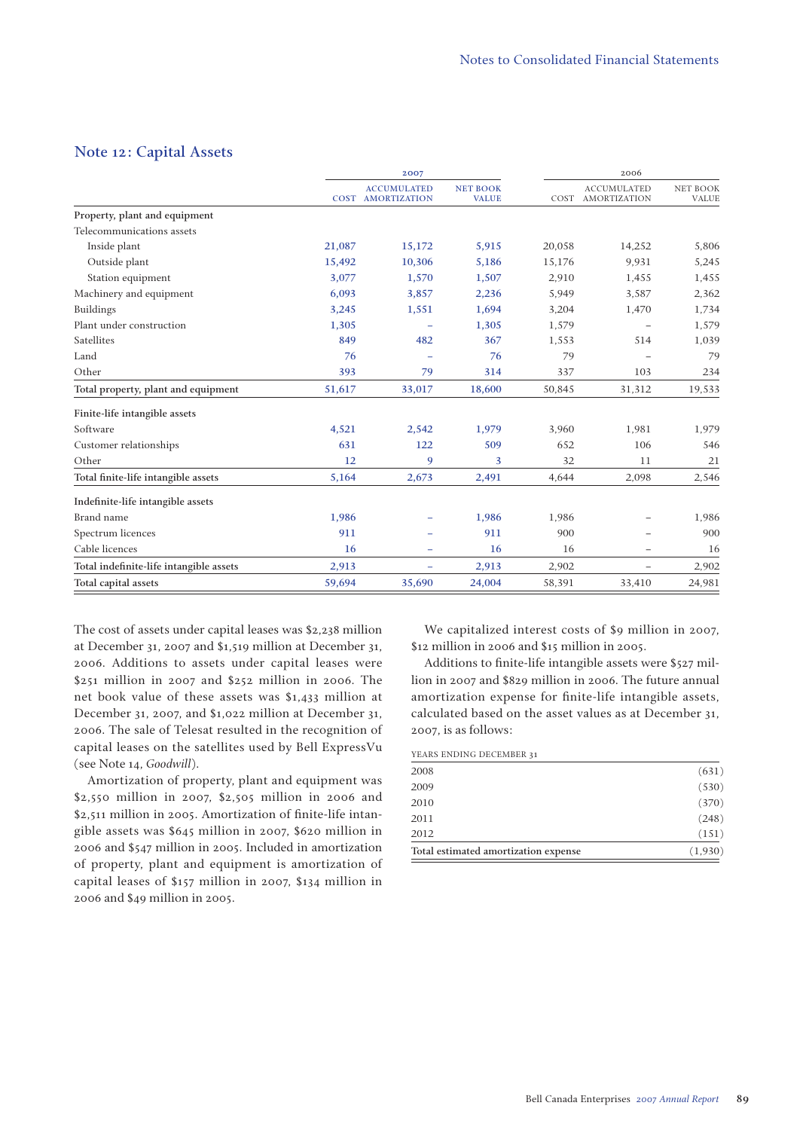# **Note 12: Capital Assets**

|                                         | 2007   |                                                |                                 |        |                                         |                                 | 2006 |  |
|-----------------------------------------|--------|------------------------------------------------|---------------------------------|--------|-----------------------------------------|---------------------------------|------|--|
|                                         |        | <b>ACCUMULATED</b><br><b>COST AMORTIZATION</b> | <b>NET BOOK</b><br><b>VALUE</b> |        | <b>ACCUMULATED</b><br>COST AMORTIZATION | <b>NET BOOK</b><br><b>VALUE</b> |      |  |
| Property, plant and equipment           |        |                                                |                                 |        |                                         |                                 |      |  |
| Telecommunications assets               |        |                                                |                                 |        |                                         |                                 |      |  |
| Inside plant                            | 21,087 | 15,172                                         | 5,915                           | 20,058 | 14,252                                  | 5,806                           |      |  |
| Outside plant                           | 15,492 | 10,306                                         | 5,186                           | 15,176 | 9.931                                   | 5,245                           |      |  |
| Station equipment                       | 3,077  | 1,570                                          | 1,507                           | 2,910  | 1,455                                   | 1,455                           |      |  |
| Machinery and equipment                 | 6,093  | 3,857                                          | 2,236                           | 5,949  | 3,587                                   | 2,362                           |      |  |
| <b>Buildings</b>                        | 3,245  | 1,551                                          | 1,694                           | 3,204  | 1,470                                   | 1,734                           |      |  |
| Plant under construction                | 1,305  |                                                | 1,305                           | 1,579  |                                         | 1,579                           |      |  |
| Satellites                              | 849    | 482                                            | 367                             | 1,553  | 514                                     | 1,039                           |      |  |
| Land                                    | 76     |                                                | 76                              | 79     |                                         | 79                              |      |  |
| Other                                   | 393    | 79                                             | 314                             | 337    | 103                                     | 234                             |      |  |
| Total property, plant and equipment     | 51,617 | 33,017                                         | 18,600                          | 50,845 | 31,312                                  | 19,533                          |      |  |
| Finite-life intangible assets           |        |                                                |                                 |        |                                         |                                 |      |  |
| Software                                | 4,521  | 2,542                                          | 1,979                           | 3,960  | 1,981                                   | 1,979                           |      |  |
| Customer relationships                  | 631    | 122                                            | 509                             | 652    | 106                                     | 546                             |      |  |
| Other                                   | 12     | 9                                              | $\overline{3}$                  | 32     | 11                                      | 21                              |      |  |
| Total finite-life intangible assets     | 5,164  | 2,673                                          | 2,491                           | 4,644  | 2,098                                   | 2,546                           |      |  |
| Indefinite-life intangible assets       |        |                                                |                                 |        |                                         |                                 |      |  |
| Brand name                              | 1,986  |                                                | 1,986                           | 1,986  |                                         | 1,986                           |      |  |
| Spectrum licences                       | 911    | ÷                                              | 911                             | 900    |                                         | 900                             |      |  |
| Cable licences                          | 16     | -                                              | 16                              | 16     | $\overline{\phantom{0}}$                | 16                              |      |  |
| Total indefinite-life intangible assets | 2,913  | $\qquad \qquad -$                              | 2,913                           | 2,902  | $\overline{\phantom{a}}$                | 2,902                           |      |  |
| Total capital assets                    | 59,694 | 35,690                                         | 24,004                          | 58,391 | 33,410                                  | 24,981                          |      |  |

The cost of assets under capital leases was \$2,238 million at December 31, 2007 and \$1,519 million at December 31, 2006. Additions to assets under capital leases were \$251 million in 2007 and \$252 million in 2006. The net book value of these assets was \$1,433 million at December 31, 2007, and \$1,022 million at December 31, 2006. The sale of Telesat resulted in the recognition of capital leases on the satellites used by Bell ExpressVu (see Note 14, *Goodwill*).

Amortization of property, plant and equipment was \$2,550 million in 2007, \$2,505 million in 2006 and \$2,511 million in 2005. Amortization of finite-life intangible assets was \$645 million in 2007, \$620 million in 2006 and \$547 million in 2005. Included in amortization of property, plant and equipment is amortization of capital leases of \$157 million in 2007, \$134 million in 2006 and \$49 million in 2005.

We capitalized interest costs of \$9 million in 2007, \$12 million in 2006 and \$15 million in 2005.

Additions to finite-life intangible assets were \$527 million in 2007 and \$829 million in 2006. The future annual amortization expense for finite-life intangible assets, calculated based on the asset values as at December 31, 2007, is as follows:

| Total estimated amortization expense | (1,930) |
|--------------------------------------|---------|
| 2012                                 | (151)   |
| 2011                                 | (248)   |
| 2010                                 | (370)   |
| 2009                                 | (530)   |
| 2008                                 | (631)   |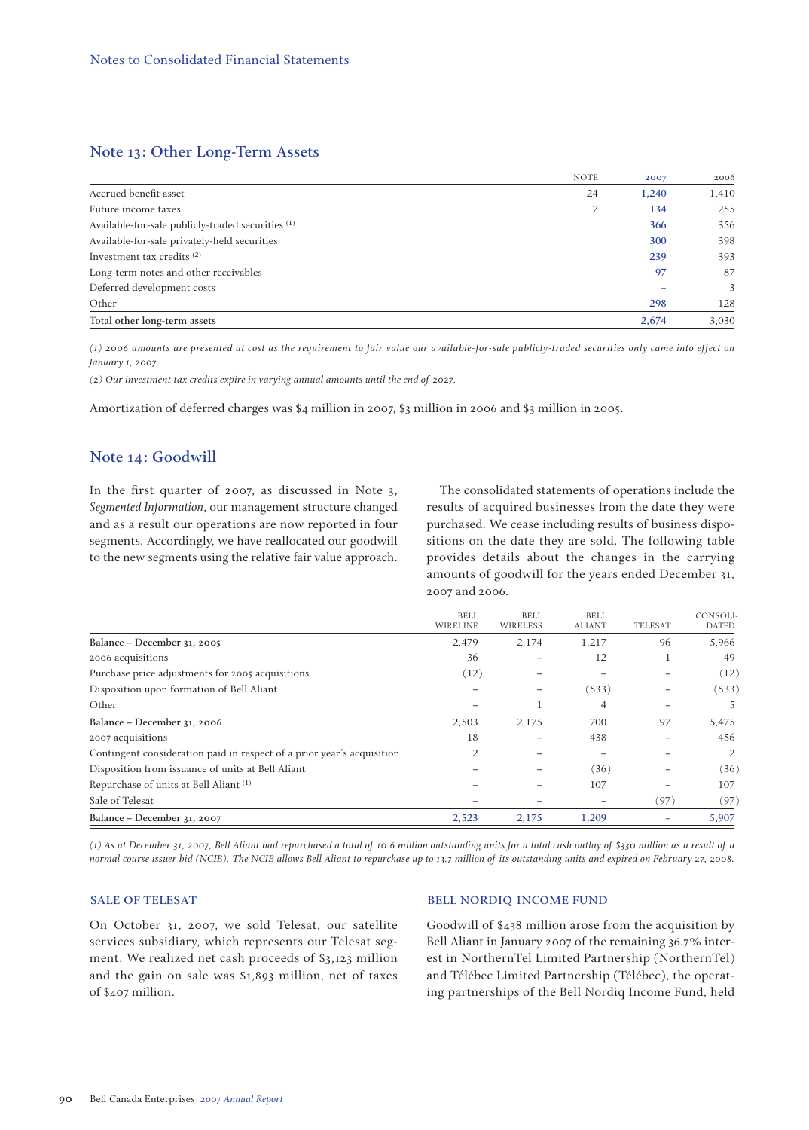# **Note 13: Other Long-Term Assets**

|                                                   | <b>NOTE</b> | 2007  | 2006  |
|---------------------------------------------------|-------------|-------|-------|
| Accrued benefit asset                             | 24          | 1,240 | 1,410 |
| Future income taxes                               |             | 134   | 255   |
| Available-for-sale publicly-traded securities (1) |             | 366   | 356   |
| Available-for-sale privately-held securities      |             | 300   | 398   |
| Investment tax credits <sup>(2)</sup>             |             | 239   | 393   |
| Long-term notes and other receivables             |             | 97    | 87    |
| Deferred development costs                        |             |       | 3     |
| Other                                             |             | 298   | 128   |
| Total other long-term assets                      |             | 2,674 | 3,030 |

*(1) 2006 amounts are presented at cost as the requirement to fair value our available-for-sale publicly-traded securities only came into effect on January 1, 2007.*

*(2) Our investment tax credits expire in varying annual amounts until the end of 2027.* 

Amortization of deferred charges was \$4 million in 2007, \$3 million in 2006 and \$3 million in 2005.

# **Note 14: Goodwill**

In the first quarter of 2007, as discussed in Note 3, *Segmented Information*, our management structure changed and as a result our operations are now reported in four segments. Accordingly, we have reallocated our goodwill to the new segments using the relative fair value approach.

The consolidated statements of operations include the results of acquired businesses from the date they were purchased. We cease including results of business dispositions on the date they are sold. The following table provides details about the changes in the carrying amounts of goodwill for the years ended December 31, 2007 and 2006.

|                                                                        | <b>BELL</b><br><b>WIRELINE</b> | <b>BELL</b><br><b>WIRELESS</b> | <b>BELL</b><br><b>ALIANT</b> | <b>TELESAT</b>           | CONSOLI-<br><b>DATED</b> |
|------------------------------------------------------------------------|--------------------------------|--------------------------------|------------------------------|--------------------------|--------------------------|
| Balance - December 31, 2005                                            | 2,479                          | 2,174                          | 1,217                        | 96                       | 5,966                    |
| 2006 acquisitions                                                      | 36                             |                                | 12                           |                          | 49                       |
| Purchase price adjustments for 2005 acquisitions                       | (12)                           |                                |                              |                          | (12)                     |
| Disposition upon formation of Bell Aliant                              |                                |                                | (533)                        |                          | (533)                    |
| Other                                                                  | -                              |                                | 4                            | $\qquad \qquad -$        |                          |
| Balance - December 31, 2006                                            | 2,503                          | 2,175                          | 700                          | 97                       | 5,475                    |
| 2007 acquisitions                                                      | 18                             |                                | 438                          |                          | 456                      |
| Contingent consideration paid in respect of a prior year's acquisition | 2                              |                                |                              |                          | 2                        |
| Disposition from issuance of units at Bell Aliant                      |                                |                                | (36)                         |                          | (36)                     |
| Repurchase of units at Bell Aliant (1)                                 |                                |                                | 107                          | -                        | 107                      |
| Sale of Telesat                                                        |                                |                                |                              | (97)                     | (97)                     |
| Balance - December 31, 2007                                            | 2,523                          | 2,175                          | 1,209                        | $\overline{\phantom{0}}$ | 5,907                    |

*(1) As at December 31, 2007, Bell Aliant had repurchased a total of 10.6 million outstanding units for a total cash outlay of \$330 million as a result of a normal course issuer bid (NCIB). The NCIB allows Bell Aliant to repurchase up to 13.7 million of its outstanding units and expired on February 27, 2008.*

#### sale of telesat

On October 31, 2007, we sold Telesat, our satellite services subsidiary, which represents our Telesat segment. We realized net cash proceeds of \$3,123 million and the gain on sale was \$1,893 million, net of taxes of \$407 million.

#### bell nordiq income fund

Goodwill of \$438 million arose from the acquisition by Bell Aliant in January 2007 of the remaining 36.7% interest in NorthernTel Limited Partnership (NorthernTel) and Télébec Limited Partnership (Télébec), the operating partnerships of the Bell Nordiq Income Fund, held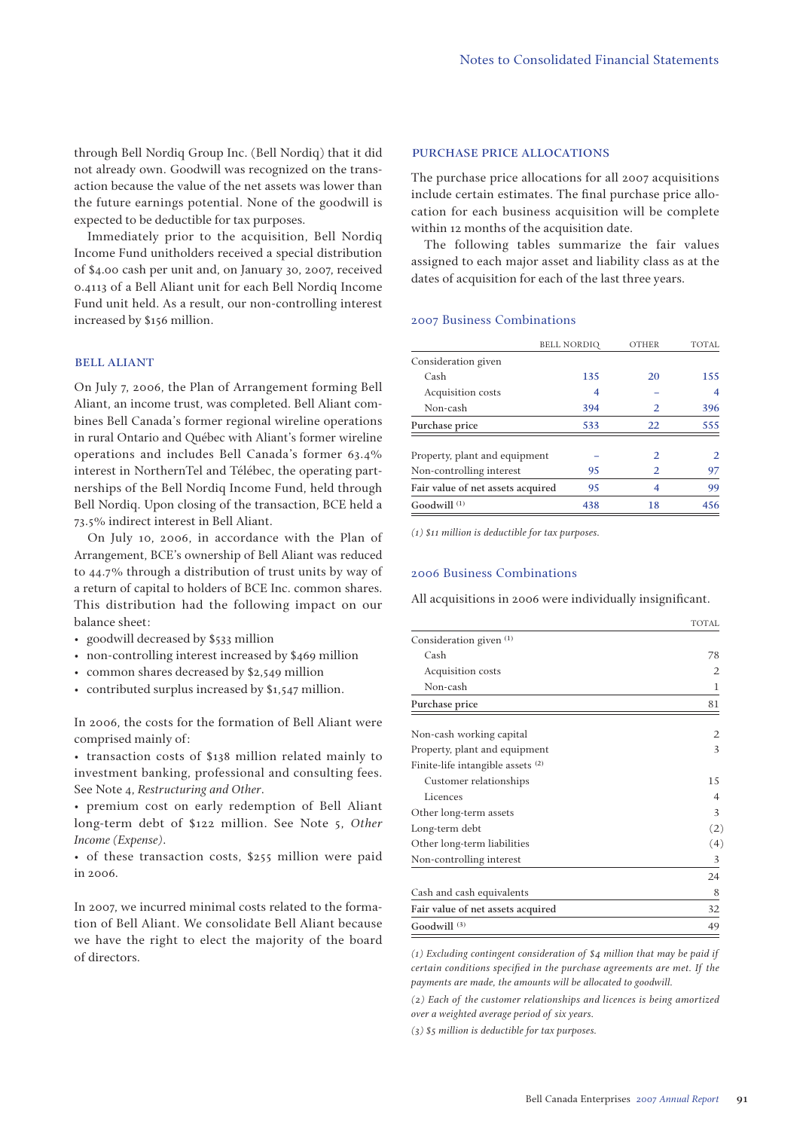through Bell Nordiq Group Inc. (Bell Nordiq) that it did not already own. Goodwill was recognized on the transaction because the value of the net assets was lower than the future earnings potential. None of the goodwill is expected to be deductible for tax purposes.

Immediately prior to the acquisition, Bell Nordiq Income Fund unitholders received a special distribution of \$4.00 cash per unit and, on January 30, 2007, received 0.4113 of a Bell Aliant unit for each Bell Nordiq Income Fund unit held. As a result, our non-controlling interest increased by \$156 million.

## bell aliant

On July 7, 2006, the Plan of Arrangement forming Bell Aliant, an income trust, was completed. Bell Aliant combines Bell Canada's former regional wireline operations in rural Ontario and Québec with Aliant's former wireline operations and includes Bell Canada's former 63.4% interest in NorthernTel and Télébec, the operating partnerships of the Bell Nordiq Income Fund, held through Bell Nordiq. Upon closing of the transaction, BCE held a 73.5% indirect interest in Bell Aliant.

On July 10, 2006, in accordance with the Plan of Arrangement, BCE's ownership of Bell Aliant was reduced to 44.7% through a distribution of trust units by way of a return of capital to holders of BCE Inc. common shares. This distribution had the following impact on our balance sheet:

- goodwill decreased by \$533 million
- non-controlling interest increased by \$469 million
- common shares decreased by \$2,549 million
- contributed surplus increased by \$1,547 million.

In 2006, the costs for the formation of Bell Aliant were comprised mainly of:

• transaction costs of \$138 million related mainly to investment banking, professional and consulting fees. See Note 4, *Restructuring and Other*.

• premium cost on early redemption of Bell Aliant long-term debt of \$122 million. See Note 5, *Other Income (Expense)*.

• of these transaction costs, \$255 million were paid in 2006.

In 2007, we incurred minimal costs related to the formation of Bell Aliant. We consolidate Bell Aliant because we have the right to elect the majority of the board of directors.

#### purchase price allocations

The purchase price allocations for all 2007 acquisitions include certain estimates. The final purchase price allocation for each business acquisition will be complete within 12 months of the acquisition date.

The following tables summarize the fair values assigned to each major asset and liability class as at the dates of acquisition for each of the last three years.

#### 2007 Business Combinations

|                                   | <b>BELL NORDIQ</b> | <b>OTHER</b>   | <b>TOTAL</b> |
|-----------------------------------|--------------------|----------------|--------------|
| Consideration given               |                    |                |              |
| Cash                              | 135                | 20             | 155          |
| Acquisition costs                 | 4                  |                | 4            |
| Non-cash                          | 394                | 2              | 396          |
| Purchase price                    | 533                | 22             | 555          |
| Property, plant and equipment     |                    | $\mathfrak{D}$ | 2            |
| Non-controlling interest          | 95                 | 2              | 97           |
| Fair value of net assets acquired | 95                 | 4              | 99           |
| Goodwill <sup>(1)</sup>           | 438                | 18             | 456          |

*(1) \$11 million is deductible for tax purposes.*

#### 2006 Business Combinations

All acquisitions in 2006 were individually insignificant.

|                                   | <b>TOTAL</b>   |
|-----------------------------------|----------------|
| Consideration given (1)           |                |
| Cash                              | 78             |
| Acquisition costs                 | $\mathfrak{D}$ |
| Non-cash                          | 1              |
| Purchase price                    | 81             |
| Non-cash working capital          | $\mathfrak{D}$ |
| Property, plant and equipment     | 3              |
| Finite-life intangible assets (2) |                |
| Customer relationships            | 1.5            |
| Licences                          | 4              |
| Other long-term assets            | 3              |
| Long-term debt                    | (2)            |
| Other long-term liabilities       | (4)            |
| Non-controlling interest          | 3              |
|                                   | 24             |
| Cash and cash equivalents         | 8              |
| Fair value of net assets acquired | 32             |
| Goodwill <sup>(3)</sup>           | 49             |

*(1) Excluding contingent consideration of \$4 million that may be paid if certain conditions specified in the purchase agreements are met. If the payments are made, the amounts will be allocated to goodwill.*

*(2) Each of the customer relationships and licences is being amortized over a weighted average period of six years.*

*(3) \$5 million is deductible for tax purposes.*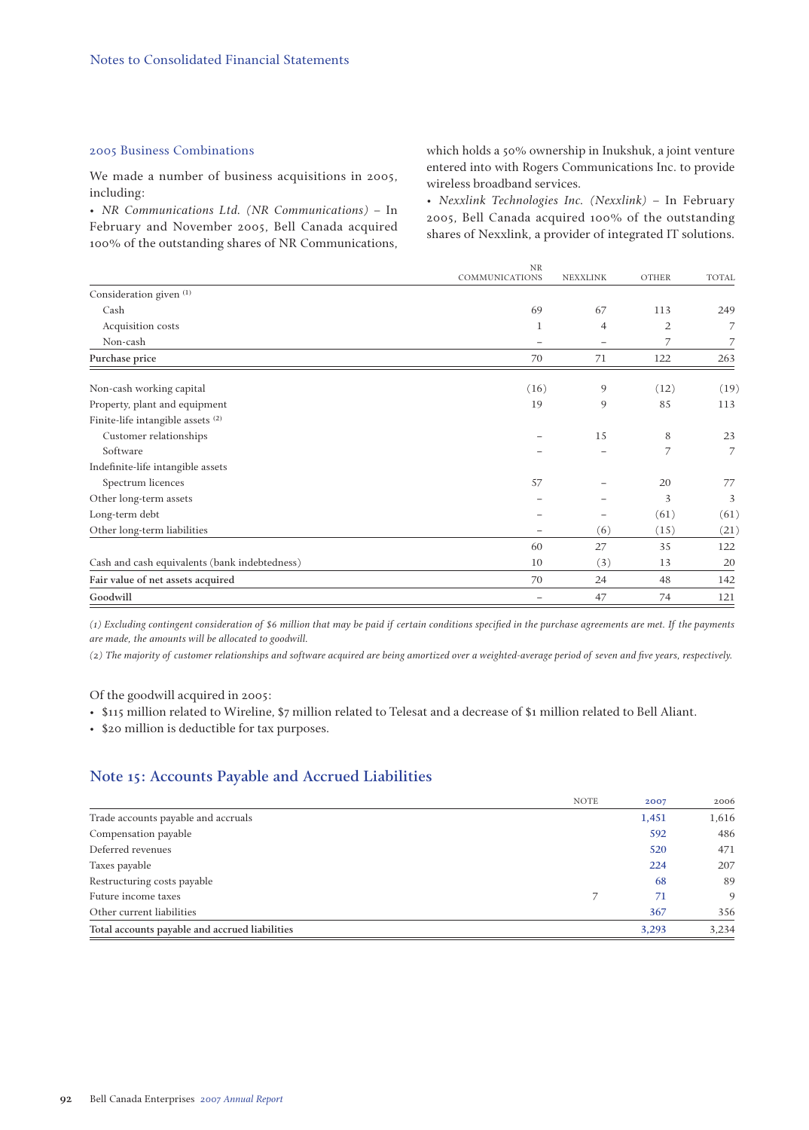## 2005 Business Combinations

We made a number of business acquisitions in 2005, including:

• *NR Communications Ltd. (NR Communications)* – In February and November 2005, Bell Canada acquired 100% of the outstanding shares of NR Communications, which holds a 50% ownership in Inukshuk, a joint venture entered into with Rogers Communications Inc. to provide wireless broadband services.

• *Nexxlink Technologies Inc. (Nexxlink)* – In February 2005, Bell Canada acquired 100% of the outstanding shares of Nexxlink, a provider of integrated IT solutions.

|                                               | <b>NR</b>      |                          |                |              |
|-----------------------------------------------|----------------|--------------------------|----------------|--------------|
|                                               | COMMUNICATIONS | <b>NEXXLINK</b>          | <b>OTHER</b>   | <b>TOTAL</b> |
| Consideration given (1)                       |                |                          |                |              |
| Cash                                          | 69             | 67                       | 113            | 249          |
| Acquisition costs                             | $\mathbf{1}$   | $\overline{4}$           | $\overline{2}$ | 7            |
| Non-cash                                      |                | $\overline{\phantom{0}}$ | $\overline{7}$ |              |
| Purchase price                                | 70             | 71                       | 122            | 263          |
| Non-cash working capital                      | (16)           | 9                        | (12)           | (19)         |
| Property, plant and equipment                 | 19             | 9                        | 85             | 113          |
| Finite-life intangible assets <sup>(2)</sup>  |                |                          |                |              |
| Customer relationships                        |                | 15                       | 8              | 23           |
| Software                                      |                |                          | $\overline{7}$ | 7            |
| Indefinite-life intangible assets             |                |                          |                |              |
| Spectrum licences                             | 57             |                          | 20             | 77           |
| Other long-term assets                        |                | -                        | 3              | 3            |
| Long-term debt                                |                | $\overline{\phantom{0}}$ | (61)           | (61)         |
| Other long-term liabilities                   |                | (6)                      | (15)           | (21)         |
|                                               | 60             | 27                       | 35             | 122          |
| Cash and cash equivalents (bank indebtedness) | 10             | (3)                      | 13             | 20           |
| Fair value of net assets acquired             | 70             | 24                       | 48             | 142          |
| Goodwill                                      |                | 47                       | 74             | 121          |

*(1) Excluding contingent consideration of \$6 million that may be paid if certain conditions specified in the purchase agreements are met. If the payments are made, the amounts will be allocated to goodwill.*

*(2) The majority of customer relationships and software acquired are being amortized over a weighted-average period of seven and five years, respectively.*

Of the goodwill acquired in 2005:

• \$115 million related to Wireline, \$7 million related to Telesat and a decrease of \$1 million related to Bell Aliant.

• \$20 million is deductible for tax purposes.

# **Note 15: Accounts Payable and Accrued Liabilities**

|                                                | <b>NOTE</b> | 2007  | 2006  |
|------------------------------------------------|-------------|-------|-------|
| Trade accounts payable and accruals            |             | 1,451 | 1,616 |
| Compensation payable                           |             | 592   | 486   |
| Deferred revenues                              |             | 520   | 471   |
| Taxes payable                                  |             | 224   | 207   |
| Restructuring costs payable                    |             | 68    | 89    |
| Future income taxes                            |             | 71    | 9     |
| Other current liabilities                      |             | 367   | 356   |
| Total accounts payable and accrued liabilities |             | 3,293 | 3,234 |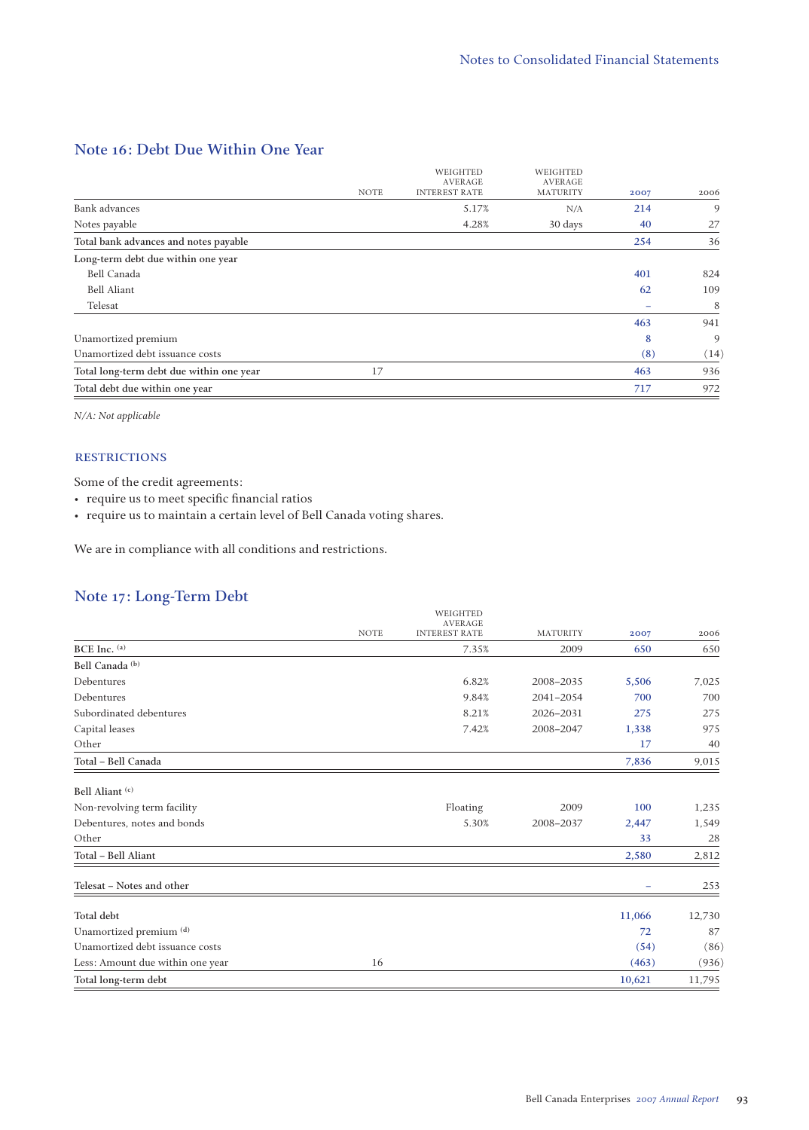| <b>NOTE</b>                                    | <b>AVERAGE</b><br><b>INTEREST RATE</b> | <b>AVERAGE</b><br><b>MATURITY</b> | 2007 | 2006 |
|------------------------------------------------|----------------------------------------|-----------------------------------|------|------|
| <b>Bank</b> advances                           | 5.17%                                  | N/A                               | 214  | 9    |
| Notes payable                                  | 4.28%                                  | 30 days                           | 40   | 27   |
| Total bank advances and notes payable          |                                        |                                   | 254  | 36   |
| Long-term debt due within one year             |                                        |                                   |      |      |
| Bell Canada                                    |                                        |                                   | 401  | 824  |
| <b>Bell Aliant</b>                             |                                        |                                   | 62   | 109  |
| Telesat                                        |                                        |                                   |      | 8    |
|                                                |                                        |                                   | 463  | 941  |
| Unamortized premium                            |                                        |                                   | 8    | 9    |
| Unamortized debt issuance costs                |                                        |                                   | (8)  | (14) |
| Total long-term debt due within one year<br>17 |                                        |                                   | 463  | 936  |
| Total debt due within one year                 |                                        |                                   | 717  | 972  |

# **Note 16: Debt Due Within One Year**

*N/A: Not applicable*

# **RESTRICTIONS**

Some of the credit agreements:

- require us to meet specific financial ratios
- require us to maintain a certain level of Bell Canada voting shares.

We are in compliance with all conditions and restrictions.

# **Note 17: Long-Term Debt**

|                                  |             | WEIGHTED<br><b>AVERAGE</b> |                 |        |        |
|----------------------------------|-------------|----------------------------|-----------------|--------|--------|
|                                  | <b>NOTE</b> | <b>INTEREST RATE</b>       | <b>MATURITY</b> | 2007   | 2006   |
| BCE Inc. (a)                     |             | 7.35%                      | 2009            | 650    | 650    |
| Bell Canada <sup>(b)</sup>       |             |                            |                 |        |        |
| Debentures                       |             | 6.82%                      | 2008-2035       | 5,506  | 7,025  |
| Debentures                       |             | 9.84%                      | 2041-2054       | 700    | 700    |
| Subordinated debentures          |             | 8.21%                      | 2026-2031       | 275    | 275    |
| Capital leases                   |             | 7.42%                      | 2008-2047       | 1,338  | 975    |
| Other                            |             |                            |                 | 17     | 40     |
| Total - Bell Canada              |             |                            |                 | 7,836  | 9,015  |
| Bell Aliant <sup>(c)</sup>       |             |                            |                 |        |        |
| Non-revolving term facility      |             | Floating                   | 2009            | 100    | 1,235  |
| Debentures, notes and bonds      |             | 5.30%                      | 2008-2037       | 2,447  | 1,549  |
| Other                            |             |                            |                 | 33     | 28     |
| Total - Bell Aliant              |             |                            |                 | 2,580  | 2,812  |
| Telesat - Notes and other        |             |                            |                 |        | 253    |
| Total debt                       |             |                            |                 | 11,066 | 12,730 |
| Unamortized premium (d)          |             |                            |                 | 72     | 87     |
| Unamortized debt issuance costs  |             |                            |                 | (54)   | (86)   |
| Less: Amount due within one year | 16          |                            |                 | (463)  | (936)  |
| Total long-term debt             |             |                            |                 | 10,621 | 11,795 |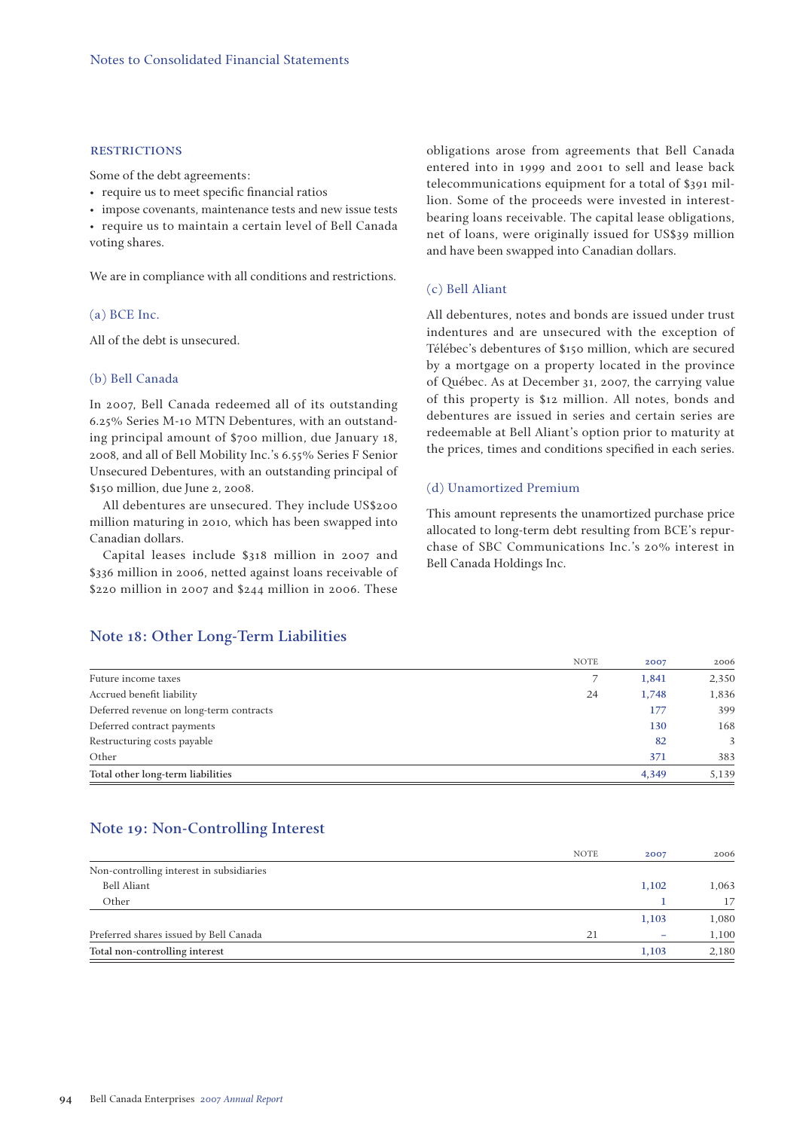### **RESTRICTIONS**

Some of the debt agreements:

- require us to meet specific financial ratios
- impose covenants, maintenance tests and new issue tests

• require us to maintain a certain level of Bell Canada voting shares.

We are in compliance with all conditions and restrictions.

## (a) BCE Inc.

All of the debt is unsecured.

#### (b) Bell Canada

In 2007, Bell Canada redeemed all of its outstanding 6.25% Series M-10 MTN Debentures, with an outstanding principal amount of \$700 million, due January 18, 2008, and all of Bell Mobility Inc.'s 6.55% Series F Senior Unsecured Debentures, with an outstanding principal of \$150 million, due June 2, 2008.

All debentures are unsecured. They include US\$200 million maturing in 2010, which has been swapped into Canadian dollars.

Capital leases include \$318 million in 2007 and \$336 million in 2006, netted against loans receivable of \$220 million in 2007 and \$244 million in 2006. These

# **Note 18: Other Long-Term Liabilities**

obligations arose from agreements that Bell Canada entered into in 1999 and 2001 to sell and lease back telecommunications equipment for a total of \$391 million. Some of the proceeds were invested in interestbearing loans receivable. The capital lease obligations, net of loans, were originally issued for US\$39 million and have been swapped into Canadian dollars.

### (c) Bell Aliant

All debentures, notes and bonds are issued under trust indentures and are unsecured with the exception of Télébec's debentures of \$150 million, which are secured by a mortgage on a property located in the province of Québec. As at December 31, 2007, the carrying value of this property is \$12 million. All notes, bonds and debentures are issued in series and certain series are redeemable at Bell Aliant's option prior to maturity at the prices, times and conditions specified in each series.

#### (d) Unamortized Premium

This amount represents the unamortized purchase price allocated to long-term debt resulting from BCE's repurchase of SBC Communications Inc.'s 20% interest in Bell Canada Holdings Inc.

|                                         | <b>NOTE</b> | 2007  | 2006  |
|-----------------------------------------|-------------|-------|-------|
| Future income taxes                     |             | 1,841 | 2,350 |
| Accrued benefit liability               | 24          | 1,748 | 1,836 |
| Deferred revenue on long-term contracts |             | 177   | 399   |
| Deferred contract payments              |             | 130   | 168   |
| Restructuring costs payable             |             | 82    | 3     |
| Other                                   |             | 371   | 383   |
| Total other long-term liabilities       |             | 4,349 | 5,139 |

# **Note 19: Non-Controlling Interest**

|                                          | <b>NOTE</b> | 2007                     | 2006  |
|------------------------------------------|-------------|--------------------------|-------|
| Non-controlling interest in subsidiaries |             |                          |       |
| <b>Bell Aliant</b>                       |             | 1,102                    | 1,063 |
| Other                                    |             |                          | 17    |
|                                          |             | 1,103                    | 1,080 |
| Preferred shares issued by Bell Canada   | 21          | $\overline{\phantom{m}}$ | 1,100 |
| Total non-controlling interest           |             | 1.103                    | 2,180 |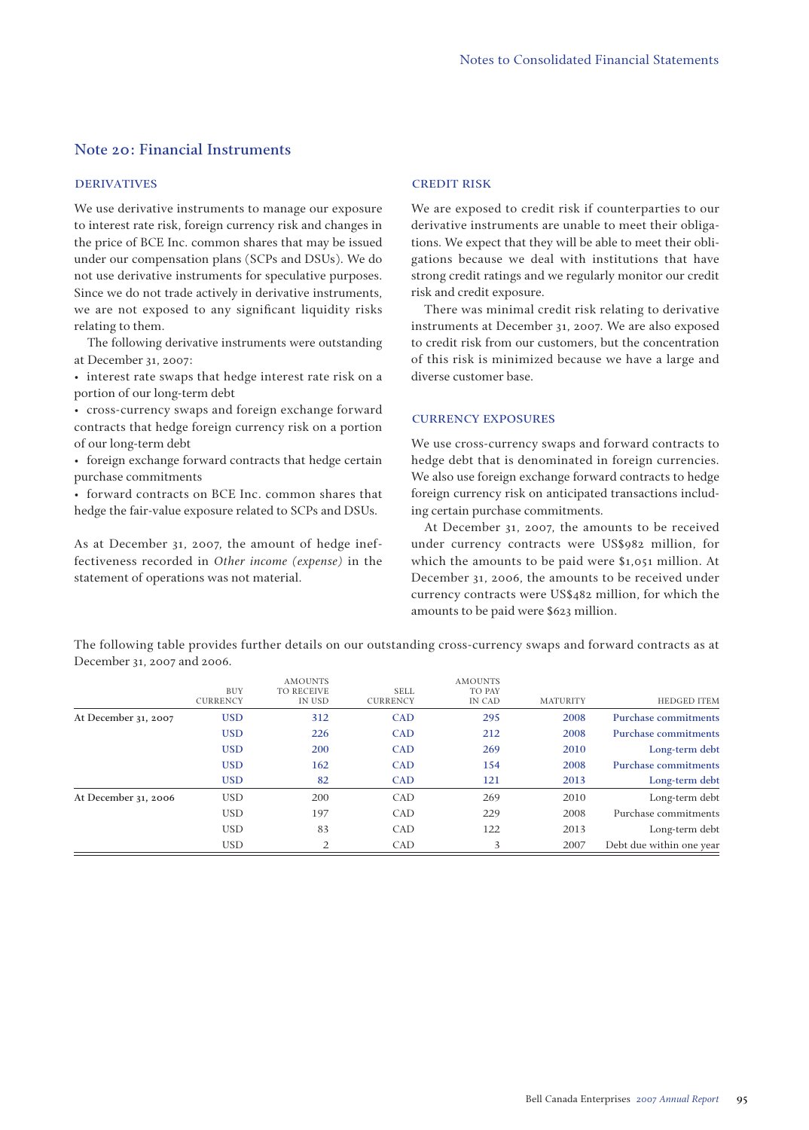# **Note 20: Financial Instruments**

#### **DERIVATIVES**

We use derivative instruments to manage our exposure to interest rate risk, foreign currency risk and changes in the price of BCE Inc. common shares that may be issued under our compensation plans (SCPs and DSUs). We do not use derivative instruments for speculative purposes. Since we do not trade actively in derivative instruments, we are not exposed to any significant liquidity risks relating to them.

The following derivative instruments were outstanding at December 31, 2007:

• interest rate swaps that hedge interest rate risk on a portion of our long-term debt

• cross-currency swaps and foreign exchange forward contracts that hedge foreign currency risk on a portion of our long-term debt

• foreign exchange forward contracts that hedge certain purchase commitments

• forward contracts on BCE Inc. common shares that hedge the fair-value exposure related to SCPs and DSUs.

As at December 31, 2007, the amount of hedge ineffectiveness recorded in *Other income (expense)* in the statement of operations was not material.

#### credit risk

We are exposed to credit risk if counterparties to our derivative instruments are unable to meet their obligations. We expect that they will be able to meet their obligations because we deal with institutions that have strong credit ratings and we regularly monitor our credit risk and credit exposure.

There was minimal credit risk relating to derivative instruments at December 31, 2007. We are also exposed to credit risk from our customers, but the concentration of this risk is minimized because we have a large and diverse customer base.

#### currency exposures

We use cross-currency swaps and forward contracts to hedge debt that is denominated in foreign currencies. We also use foreign exchange forward contracts to hedge foreign currency risk on anticipated transactions including certain purchase commitments.

At December 31, 2007, the amounts to be received under currency contracts were US\$982 million, for which the amounts to be paid were \$1,051 million. At December 31, 2006, the amounts to be received under currency contracts were US\$482 million, for which the amounts to be paid were \$623 million.

The following table provides further details on our outstanding cross-currency swaps and forward contracts as at December 31, 2007 and 2006.

|                      | <b>BUY</b><br><b>CURRENCY</b> | <b>AMOUNTS</b><br><b>TO RECEIVE</b><br>IN USD | <b>SELL</b><br><b>CURRENCY</b> | <b>AMOUNTS</b><br>TO PAY<br>IN CAD | <b>MATURITY</b> | <b>HEDGED ITEM</b>          |
|----------------------|-------------------------------|-----------------------------------------------|--------------------------------|------------------------------------|-----------------|-----------------------------|
| At December 31, 2007 | <b>USD</b>                    | 312                                           | <b>CAD</b>                     | 295                                | 2008            | <b>Purchase commitments</b> |
|                      | <b>USD</b>                    | 226                                           | <b>CAD</b>                     | 212                                | 2008            | <b>Purchase commitments</b> |
|                      | <b>USD</b>                    | 200                                           | <b>CAD</b>                     | 269                                | 2010            | Long-term debt              |
|                      | <b>USD</b>                    | 162                                           | <b>CAD</b>                     | 154                                | 2008            | <b>Purchase commitments</b> |
|                      | <b>USD</b>                    | 82                                            | <b>CAD</b>                     | 121                                | 2013            | Long-term debt              |
| At December 31, 2006 | <b>USD</b>                    | 200                                           | CAD                            | 269                                | 2010            | Long-term debt              |
|                      | <b>USD</b>                    | 197                                           | CAD                            | 229                                | 2008            | Purchase commitments        |
|                      | <b>USD</b>                    | 83                                            | CAD                            | 122                                | 2013            | Long-term debt              |
|                      | <b>USD</b>                    | 2                                             | CAD                            | 3                                  | 2007            | Debt due within one year    |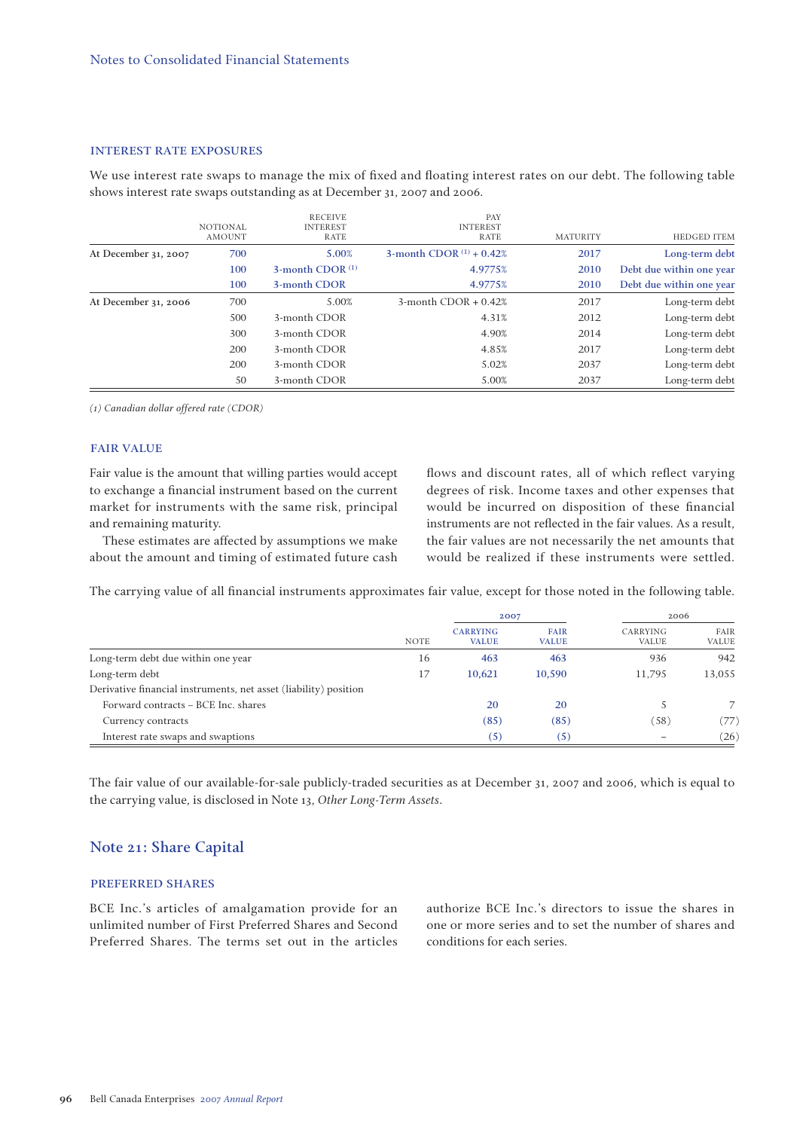## interest rate exposures

We use interest rate swaps to manage the mix of fixed and floating interest rates on our debt. The following table shows interest rate swaps outstanding as at December 31, 2007 and 2006.

|                      | NOTIONAL<br><b>AMOUNT</b> | <b>RECEIVE</b><br><b>INTEREST</b><br><b>RATE</b> | PAY<br><b>INTEREST</b><br><b>RATE</b> | <b>MATURITY</b> | <b>HEDGED ITEM</b>       |
|----------------------|---------------------------|--------------------------------------------------|---------------------------------------|-----------------|--------------------------|
| At December 31, 2007 | 700                       | 5.00%                                            | 3-month CDOR $(1)$ + 0.42%            | 2017            | Long-term debt           |
|                      | 100                       | 3-month CDOR <sup>(1)</sup>                      | 4.9775%                               | 2010            | Debt due within one year |
|                      | 100                       | 3-month CDOR                                     | 4.9775%                               | 2010            | Debt due within one year |
| At December 31, 2006 | 700                       | 5.00%                                            | $3$ -month CDOR + 0.42%               | 2017            | Long-term debt           |
|                      | 500                       | 3-month CDOR                                     | 4.31%                                 | 2012            | Long-term debt           |
|                      | 300                       | 3-month CDOR                                     | 4.90%                                 | 2014            | Long-term debt           |
|                      | 200                       | 3-month CDOR                                     | 4.85%                                 | 2017            | Long-term debt           |
|                      | 200                       | 3-month CDOR                                     | 5.02%                                 | 2037            | Long-term debt           |
|                      | 50                        | 3-month CDOR                                     | 5.00%                                 | 2037            | Long-term debt           |

*(1) Canadian dollar offered rate (CDOR)*

### fair value

Fair value is the amount that willing parties would accept to exchange a financial instrument based on the current market for instruments with the same risk, principal and remaining maturity.

These estimates are affected by assumptions we make about the amount and timing of estimated future cash flows and discount rates, all of which reflect varying degrees of risk. Income taxes and other expenses that would be incurred on disposition of these financial instruments are not reflected in the fair values. As a result, the fair values are not necessarily the net amounts that would be realized if these instruments were settled.

The carrying value of all financial instruments approximates fair value, except for those noted in the following table.

|                                                                  |             | 2007                            |                             | 2006                            |                             |
|------------------------------------------------------------------|-------------|---------------------------------|-----------------------------|---------------------------------|-----------------------------|
|                                                                  | <b>NOTE</b> | <b>CARRYING</b><br><b>VALUE</b> | <b>FAIR</b><br><b>VALUE</b> | <b>CARRYING</b><br><b>VALUE</b> | <b>FAIR</b><br><b>VALUE</b> |
| Long-term debt due within one year                               | 16          | 463                             | 463                         | 936                             | 942                         |
| Long-term debt                                                   | 17          | 10,621                          | 10,590                      | 11.795                          | 13,055                      |
| Derivative financial instruments, net asset (liability) position |             |                                 |                             |                                 |                             |
| Forward contracts - BCE Inc. shares                              |             | 20                              | 20                          |                                 |                             |
| Currency contracts                                               |             | (85)                            | (85)                        | (58)                            | (77)                        |
| Interest rate swaps and swaptions                                |             | (5)                             | (5)                         |                                 | (26)                        |

The fair value of our available-for-sale publicly-traded securities as at December 31, 2007 and 2006, which is equal to the carrying value, is disclosed in Note 13, *Other Long-Term Assets*.

# **Note 21: Share Capital**

### preferred shares

BCE Inc.'s articles of amalgamation provide for an unlimited number of First Preferred Shares and Second Preferred Shares. The terms set out in the articles authorize BCE Inc.'s directors to issue the shares in one or more series and to set the number of shares and conditions for each series.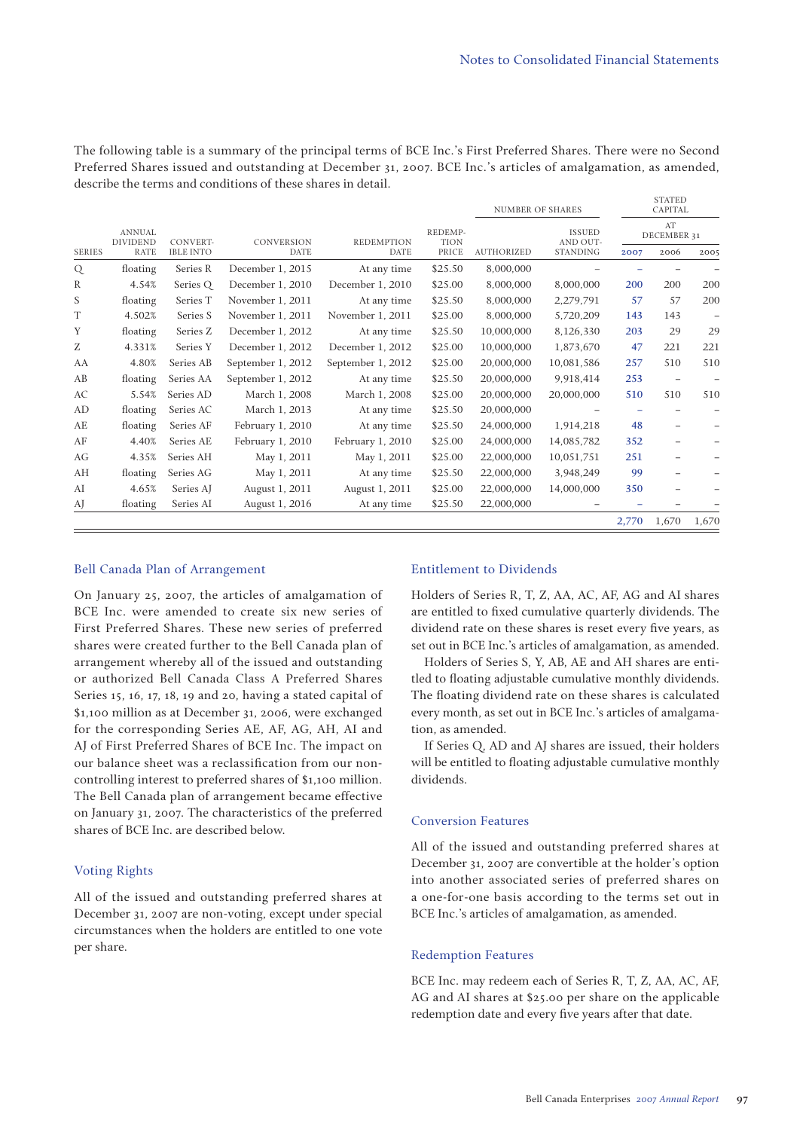**STATED** 

The following table is a summary of the principal terms of BCE Inc.'s First Preferred Shares. There were no Second Preferred Shares issued and outstanding at December 31, 2007. BCE Inc.'s articles of amalgamation, as amended, describe the terms and conditions of these shares in detail.

|               |                                  |                  |                   |                   |                        | <b>NUMBER OF SHARES</b> | CAPITAL                   |       |                          |                          |
|---------------|----------------------------------|------------------|-------------------|-------------------|------------------------|-------------------------|---------------------------|-------|--------------------------|--------------------------|
|               | <b>ANNUAL</b><br><b>DIVIDEND</b> | <b>CONVERT-</b>  | CONVERSION        | <b>REDEMPTION</b> | REDEMP-<br><b>TION</b> |                         | <b>ISSUED</b><br>AND OUT- |       | AT<br>DECEMBER 31        |                          |
| <b>SERIES</b> | <b>RATE</b>                      | <b>IBLE INTO</b> | <b>DATE</b>       | <b>DATE</b>       | PRICE                  | <b>AUTHORIZED</b>       | <b>STANDING</b>           | 2007  | 2006                     | 2005                     |
| Q             | floating                         | Series R         | December 1, 2015  | At any time       | \$25.50                | 8,000,000               |                           |       |                          |                          |
| R             | 4.54%                            | Series Q         | December 1, 2010  | December 1, 2010  | \$25.00                | 8,000,000               | 8,000,000                 | 200   | 200                      | 200                      |
| S             | floating                         | Series T         | November 1, 2011  | At any time       | \$25.50                | 8,000,000               | 2,279,791                 | 57    | 57                       | 200                      |
| T             | 4.502%                           | Series S         | November 1, 2011  | November 1, 2011  | \$25.00                | 8,000,000               | 5,720,209                 | 143   | 143                      | $\overline{\phantom{a}}$ |
| Υ             | floating                         | Series Z         | December 1, 2012  | At any time       | \$25.50                | 10,000,000              | 8,126,330                 | 203   | 29                       | 29                       |
| Ζ             | 4.331%                           | Series Y         | December 1, 2012  | December 1, 2012  | \$25.00                | 10,000,000              | 1,873,670                 | 47    | 221                      | 221                      |
| AA            | 4.80%                            | Series AB        | September 1, 2012 | September 1, 2012 | \$25.00                | 20,000,000              | 10,081,586                | 257   | 510                      | 510                      |
| AB            | floating                         | Series AA        | September 1, 2012 | At any time       | \$25.50                | 20,000,000              | 9,918,414                 | 253   | $\overline{\phantom{m}}$ |                          |
| AC            | 5.54%                            | Series AD        | March 1, 2008     | March 1, 2008     | \$25.00                | 20,000,000              | 20,000,000                | 510   | 510                      | 510                      |
| AD            | floating                         | Series AC        | March 1, 2013     | At any time       | \$25.50                | 20,000,000              |                           |       |                          |                          |
| АE            | floating                         | Series AF        | February 1, 2010  | At any time       | \$25.50                | 24,000,000              | 1,914,218                 | 48    |                          |                          |
| AF            | 4.40%                            | Series AE        | February 1, 2010  | February 1, 2010  | \$25.00                | 24,000,000              | 14,085,782                | 352   |                          |                          |
| AG            | 4.35%                            | Series AH        | May 1, 2011       | May 1, 2011       | \$25.00                | 22,000,000              | 10,051,751                | 251   |                          |                          |
| AH            | floating                         | Series AG        | May 1, 2011       | At any time       | \$25.50                | 22,000,000              | 3,948,249                 | 99    |                          |                          |
| AI            | 4.65%                            | Series AJ        | August 1, 2011    | August 1, 2011    | \$25.00                | 22,000,000              | 14,000,000                | 350   |                          |                          |
| АJ            | floating                         | Series AI        | August 1, 2016    | At any time       | \$25.50                | 22,000,000              |                           |       |                          |                          |
|               |                                  |                  |                   |                   |                        |                         |                           | 2,770 | 1,670                    | 1,670                    |

## Bell Canada Plan of Arrangement

On January 25, 2007, the articles of amalgamation of BCE Inc. were amended to create six new series of First Preferred Shares. These new series of preferred shares were created further to the Bell Canada plan of arrangement whereby all of the issued and outstanding or authorized Bell Canada Class A Preferred Shares Series 15, 16, 17, 18, 19 and 20, having a stated capital of \$1,100 million as at December 31, 2006, were exchanged for the corresponding Series AE, AF, AG, AH, AI and AJ of First Preferred Shares of BCE Inc. The impact on our balance sheet was a reclassification from our noncontrolling interest to preferred shares of \$1,100 million. The Bell Canada plan of arrangement became effective on January 31, 2007. The characteristics of the preferred shares of BCE Inc. are described below.

## Voting Rights

All of the issued and outstanding preferred shares at December 31, 2007 are non-voting, except under special circumstances when the holders are entitled to one vote per share.

## Entitlement to Dividends

Holders of Series R, T, Z, AA, AC, AF, AG and AI shares are entitled to fixed cumulative quarterly dividends. The dividend rate on these shares is reset every five years, as set out in BCE Inc.'s articles of amalgamation, as amended.

Holders of Series S, Y, AB, AE and AH shares are entitled to floating adjustable cumulative monthly dividends. The floating dividend rate on these shares is calculated every month, as set out in BCE Inc.'s articles of amalgamation, as amended.

If Series Q, AD and AJ shares are issued, their holders will be entitled to floating adjustable cumulative monthly dividends.

#### Conversion Features

All of the issued and outstanding preferred shares at December 31, 2007 are convertible at the holder's option into another associated series of preferred shares on a one-for-one basis according to the terms set out in BCE Inc.'s articles of amalgamation, as amended.

#### Redemption Features

BCE Inc. may redeem each of Series R, T, Z, AA, AC, AF, AG and AI shares at \$25.00 per share on the applicable redemption date and every five years after that date.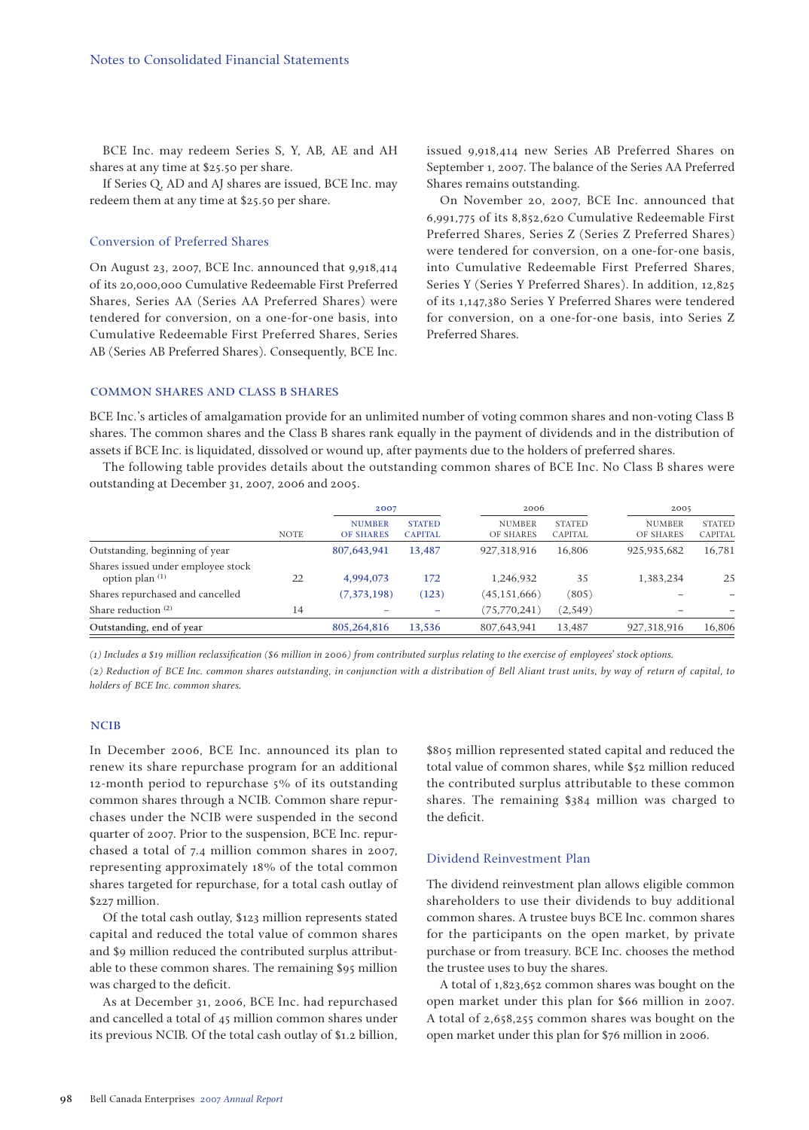BCE Inc. may redeem Series S, Y, AB, AE and AH shares at any time at \$25.50 per share.

If Series Q, AD and AJ shares are issued, BCE Inc. may redeem them at any time at \$25.50 per share.

## Conversion of Preferred Shares

On August 23, 2007, BCE Inc. announced that 9,918,414 of its 20,000,000 Cumulative Redeemable First Preferred Shares, Series AA (Series AA Preferred Shares) were tendered for conversion, on a one-for-one basis, into Cumulative Redeemable First Preferred Shares, Series AB (Series AB Preferred Shares). Consequently, BCE Inc. issued 9,918,414 new Series AB Preferred Shares on September 1, 2007. The balance of the Series AA Preferred Shares remains outstanding.

On November 20, 2007, BCE Inc. announced that 6,991,775 of its 8,852,620 Cumulative Redeemable First Preferred Shares, Series Z (Series Z Preferred Shares) were tendered for conversion, on a one-for-one basis, into Cumulative Redeemable First Preferred Shares, Series Y (Series Y Preferred Shares). In addition, 12,825 of its 1,147,380 Series Y Preferred Shares were tendered for conversion, on a one-for-one basis, into Series Z Preferred Shares.

#### common shares and class b shares

BCE Inc.'s articles of amalgamation provide for an unlimited number of voting common shares and non-voting Class B shares. The common shares and the Class B shares rank equally in the payment of dividends and in the distribution of assets if BCE Inc. is liquidated, dissolved or wound up, after payments due to the holders of preferred shares.

The following table provides details about the outstanding common shares of BCE Inc. No Class B shares were outstanding at December 31, 2007, 2006 and 2005.

|                                                         |             |                                   | 2007                            |                            | 2006                            |                            | 2005                            |  |
|---------------------------------------------------------|-------------|-----------------------------------|---------------------------------|----------------------------|---------------------------------|----------------------------|---------------------------------|--|
|                                                         | <b>NOTE</b> | <b>NUMBER</b><br><b>OF SHARES</b> | <b>STATED</b><br><b>CAPITAL</b> | <b>NUMBER</b><br>OF SHARES | <b>STATED</b><br><b>CAPITAL</b> | <b>NUMBER</b><br>OF SHARES | <b>STATED</b><br><b>CAPITAL</b> |  |
| Outstanding, beginning of year                          |             | 807.643.941                       | 13.487                          | 927,318,916                | 16,806                          | 925.935.682                | 16,781                          |  |
| Shares issued under employee stock<br>option plan $(1)$ | 22          | 4,994,073                         | 172                             | 1,246,932                  | 35                              | 1,383,234                  | 25                              |  |
| Shares repurchased and cancelled                        |             | (7,373,198)                       | (123)                           | (45, 151, 666)             | (805)                           |                            |                                 |  |
| Share reduction $(2)$                                   | 14          |                                   | -                               | (75,770,241)               | (2, 549)                        |                            |                                 |  |
| Outstanding, end of year                                |             | 805,264,816                       | 13,536                          | 807,643,941                | 13,487                          | 927,318,916                | 16,806                          |  |

*(1) Includes a \$19 million reclassification (\$6 million in 2006) from contributed surplus relating to the exercise of employees' stock options.*

*(2) Reduction of BCE Inc. common shares outstanding, in conjunction with a distribution of Bell Aliant trust units, by way of return of capital, to holders of BCE Inc. common shares.*

#### **NCIB**

In December 2006, BCE Inc. announced its plan to renew its share repurchase program for an additional 12-month period to repurchase 5% of its outstanding common shares through a NCIB. Common share repurchases under the NCIB were suspended in the second quarter of 2007. Prior to the suspension, BCE Inc. repurchased a total of 7.4 million common shares in 2007, representing approximately 18% of the total common shares targeted for repurchase, for a total cash outlay of \$227 million.

Of the total cash outlay, \$123 million represents stated capital and reduced the total value of common shares and \$9 million reduced the contributed surplus attributable to these common shares. The remaining \$95 million was charged to the deficit.

As at December 31, 2006, BCE Inc. had repurchased and cancelled a total of 45 million common shares under its previous NCIB. Of the total cash outlay of \$1.2 billion, \$805 million represented stated capital and reduced the total value of common shares, while \$52 million reduced the contributed surplus attributable to these common shares. The remaining \$384 million was charged to the deficit.

#### Dividend Reinvestment Plan

The dividend reinvestment plan allows eligible common shareholders to use their dividends to buy additional common shares. A trustee buys BCE Inc. common shares for the participants on the open market, by private purchase or from treasury. BCE Inc. chooses the method the trustee uses to buy the shares.

A total of 1,823,652 common shares was bought on the open market under this plan for \$66 million in 2007. A total of 2,658,255 common shares was bought on the open market under this plan for \$76 million in 2006.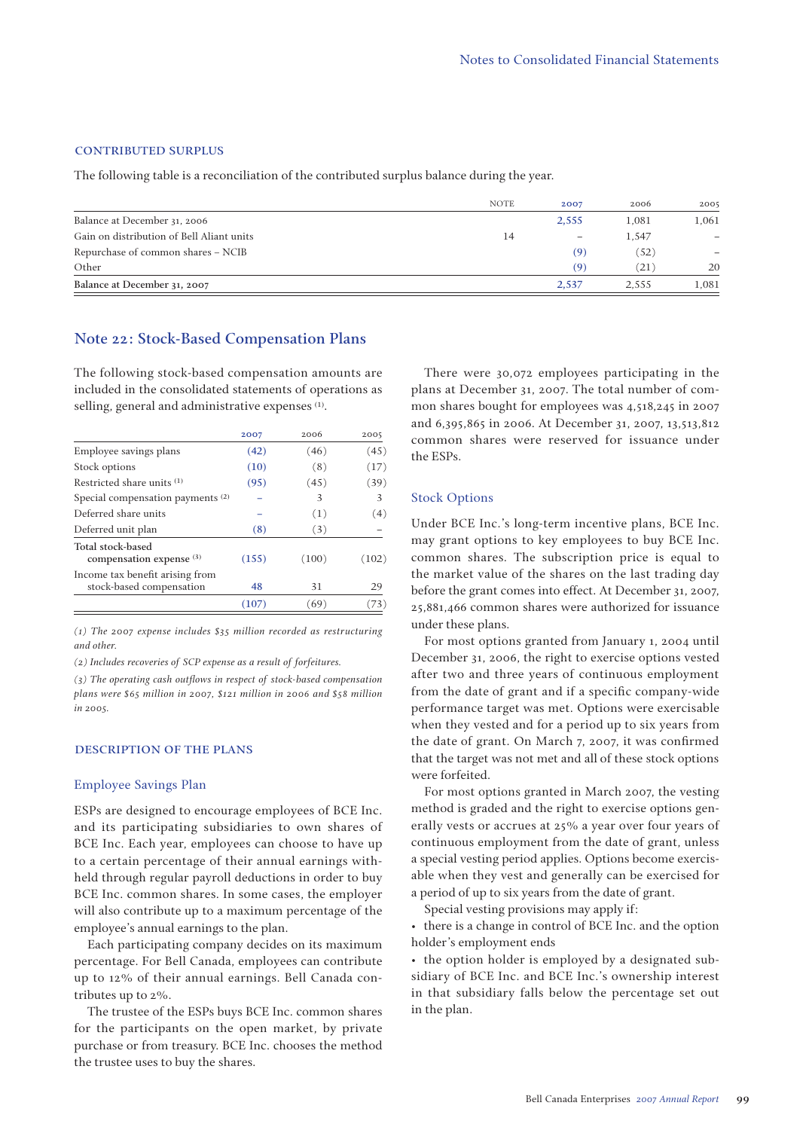## contributed surplus

The following table is a reconciliation of the contributed surplus balance during the year.

| <b>NOTE</b> | 2007              | 2006         | 2005  |
|-------------|-------------------|--------------|-------|
|             | 2,555             | 1.081        | 1,061 |
| 14          | $\qquad \qquad -$ | 1.547        |       |
|             | (9)               | (52)         |       |
|             | (9)               | $21^{\circ}$ | 20    |
|             | 2.537             | 2.555        | 1.081 |
|             |                   |              |       |

## **Note 22: Stock-Based Compensation Plans**

The following stock-based compensation amounts are included in the consolidated statements of operations as selling, general and administrative expenses **(1)**.

|                                                             | 2007  | 2006  | 2005  |
|-------------------------------------------------------------|-------|-------|-------|
| Employee savings plans                                      | (42)  | (46)  | (45)  |
| Stock options                                               | (10)  | (8)   | (17)  |
| Restricted share units (1)                                  | (95)  | (45)  | (39)  |
| Special compensation payments <sup>(2)</sup>                |       | 3     | 3     |
| Deferred share units                                        |       | (1)   | (4)   |
| Deferred unit plan                                          | (8)   | (3)   |       |
| Total stock-based<br>compensation expense $(3)$             | (155) | (100) | (102) |
| Income tax benefit arising from<br>stock-based compensation | 48    | 31    | 29    |
|                                                             | (107) | (69)  | (73)  |
|                                                             |       |       |       |

*(1) The 2007 expense includes \$35 million recorded as restructuring and other.*

*(2) Includes recoveries of SCP expense as a result of forfeitures.*

*(3) The operating cash outflows in respect of stock-based compensation plans were \$65 million in 2007, \$121 million in 2006 and \$58 million in 2005.*

#### description of the plans

## Employee Savings Plan

ESPs are designed to encourage employees of BCE Inc. and its participating subsidiaries to own shares of BCE Inc. Each year, employees can choose to have up to a certain percentage of their annual earnings withheld through regular payroll deductions in order to buy BCE Inc. common shares. In some cases, the employer will also contribute up to a maximum percentage of the employee's annual earnings to the plan.

Each participating company decides on its maximum percentage. For Bell Canada, employees can contribute up to 12% of their annual earnings. Bell Canada contributes up to 2%.

The trustee of the ESPs buys BCE Inc. common shares for the participants on the open market, by private purchase or from treasury. BCE Inc. chooses the method the trustee uses to buy the shares.

There were 30,072 employees participating in the plans at December 31, 2007. The total number of common shares bought for employees was 4,518,245 in 2007 and 6,395,865 in 2006. At December 31, 2007, 13,513,812 common shares were reserved for issuance under the ESPs.

#### Stock Options

Under BCE Inc.'s long-term incentive plans, BCE Inc. may grant options to key employees to buy BCE Inc. common shares. The subscription price is equal to the market value of the shares on the last trading day before the grant comes into effect. At December 31, 2007, 25,881,466 common shares were authorized for issuance under these plans.

For most options granted from January 1, 2004 until December 31, 2006, the right to exercise options vested after two and three years of continuous employment from the date of grant and if a specific company-wide performance target was met. Options were exercisable when they vested and for a period up to six years from the date of grant. On March 7, 2007, it was confirmed that the target was not met and all of these stock options were forfeited.

For most options granted in March 2007, the vesting method is graded and the right to exercise options generally vests or accrues at 25% a year over four years of continuous employment from the date of grant, unless a special vesting period applies. Options become exercisable when they vest and generally can be exercised for a period of up to six years from the date of grant.

Special vesting provisions may apply if:

• there is a change in control of BCE Inc. and the option holder's employment ends

• the option holder is employed by a designated subsidiary of BCE Inc. and BCE Inc.'s ownership interest in that subsidiary falls below the percentage set out in the plan.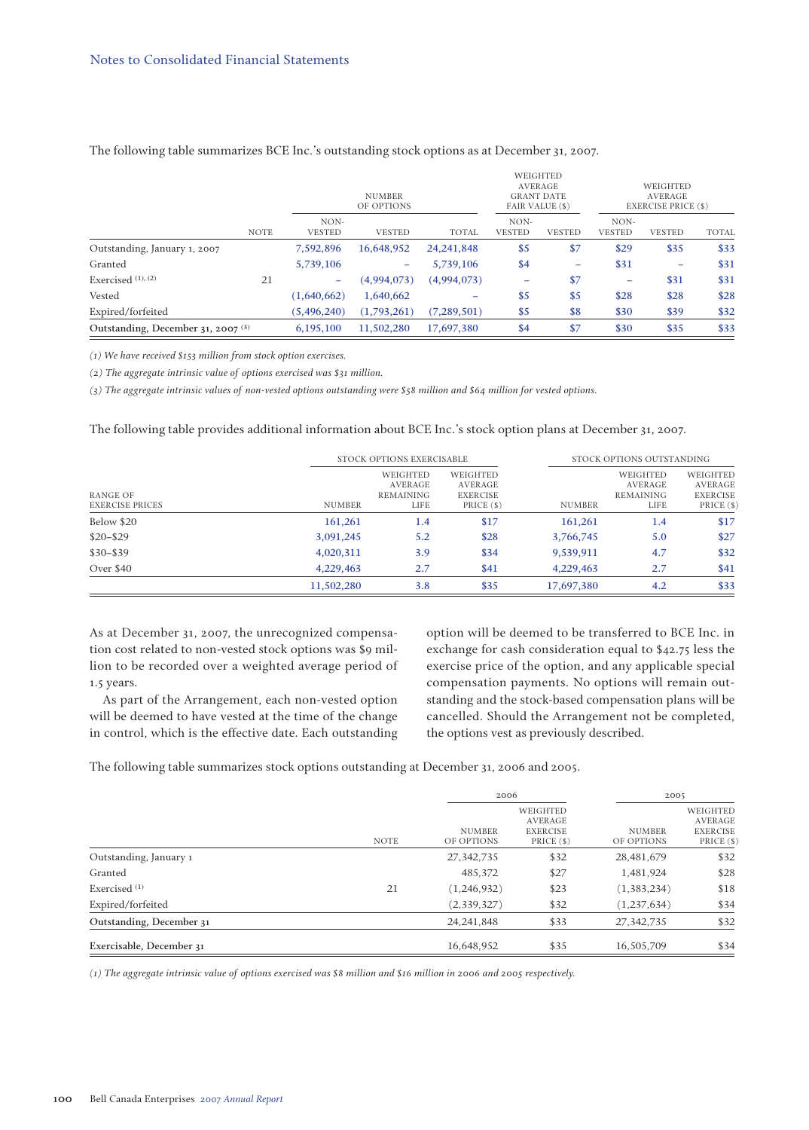|                                               |             |                       |               |              |                       | WEIGHTED                            |                          |                            |              |
|-----------------------------------------------|-------------|-----------------------|---------------|--------------|-----------------------|-------------------------------------|--------------------------|----------------------------|--------------|
|                                               |             |                       | <b>NUMBER</b> |              |                       | <b>AVERAGE</b><br><b>GRANT DATE</b> |                          | WEIGHTED<br><b>AVERAGE</b> |              |
|                                               |             |                       | OF OPTIONS    |              |                       | FAIR VALUE (\$)                     |                          | <b>EXERCISE PRICE (\$)</b> |              |
|                                               | <b>NOTE</b> | NON-<br><b>VESTED</b> | <b>VESTED</b> | <b>TOTAL</b> | NON-<br><b>VESTED</b> | <b>VESTED</b>                       | NON-<br><b>VESTED</b>    | <b>VESTED</b>              | <b>TOTAL</b> |
| Outstanding, January 1, 2007                  |             | 7,592,896             | 16,648,952    | 24,241,848   | \$5                   | \$7                                 | \$29                     | \$35                       | \$33         |
| Granted                                       |             | 5,739,106             | -             | 5,739,106    | \$4                   | -                                   | \$31                     |                            | \$31         |
| Exercised $(1)$ , $(2)$                       | 21          | -                     | (4,994,073)   | (4,994,073)  | -                     | \$7                                 | $\overline{\phantom{m}}$ | \$31                       | \$31         |
| Vested                                        |             | (1,640,662)           | 1,640,662     | ۰            | \$5                   | \$5                                 | \$28                     | \$28                       | \$28         |
| Expired/forfeited                             |             | (5,496,240)           | (1,793,261)   | (7,289,501)  | \$5                   | \$8                                 | \$30                     | \$39                       | \$32         |
| Outstanding, December 31, 2007 <sup>(3)</sup> |             | 6,195,100             | 11.502.280    | 17.697.380   | \$4                   | \$7                                 | \$30                     | \$35                       | \$33         |

## The following table summarizes BCE Inc.'s outstanding stock options as at December 31, 2007.

*(1) We have received \$153 million from stock option exercises.*

*(2) The aggregate intrinsic value of options exercised was \$31 million.*

*(3) The aggregate intrinsic values of non-vested options outstanding were \$58 million and \$64 million for vested options.*

The following table provides additional information about BCE Inc.'s stock option plans at December 31, 2007.

|                                           |               | STOCK OPTIONS EXERCISABLE                                     |                                                                    |               | STOCK OPTIONS OUTSTANDING                                            |                                                                    |  |  |
|-------------------------------------------|---------------|---------------------------------------------------------------|--------------------------------------------------------------------|---------------|----------------------------------------------------------------------|--------------------------------------------------------------------|--|--|
| <b>RANGE OF</b><br><b>EXERCISE PRICES</b> | <b>NUMBER</b> | <b>WEIGHTED</b><br>AVERAGE<br><b>REMAINING</b><br><b>LIFE</b> | <b>WEIGHTED</b><br><b>AVERAGE</b><br><b>EXERCISE</b><br>PRICE (\$) | <b>NUMBER</b> | <b>WEIGHTED</b><br><b>AVERAGE</b><br><b>REMAINING</b><br><b>LIFE</b> | <b>WEIGHTED</b><br><b>AVERAGE</b><br><b>EXERCISE</b><br>PRICE (\$) |  |  |
| Below \$20                                | 161,261       | 1.4                                                           | \$17                                                               | 161,261       | 1.4                                                                  | \$17                                                               |  |  |
| $$20 - $29$                               | 3,091,245     | 5.2                                                           | \$28                                                               | 3,766,745     | 5.0                                                                  | \$27                                                               |  |  |
| $$30 - $39$                               | 4,020,311     | 3.9                                                           | \$34                                                               | 9,539,911     | 4.7                                                                  | \$32                                                               |  |  |
| Over \$40                                 | 4,229,463     | 2.7                                                           | \$41                                                               | 4,229,463     | 2.7                                                                  | \$41                                                               |  |  |
|                                           | 11,502,280    | 3.8                                                           | \$35                                                               | 17,697,380    | 4.2                                                                  | \$33                                                               |  |  |

As at December 31, 2007, the unrecognized compensation cost related to non-vested stock options was \$9 million to be recorded over a weighted average period of 1.5 years.

As part of the Arrangement, each non-vested option will be deemed to have vested at the time of the change in control, which is the effective date. Each outstanding option will be deemed to be transferred to BCE Inc. in exchange for cash consideration equal to \$42.75 less the exercise price of the option, and any applicable special compensation payments. No options will remain outstanding and the stock-based compensation plans will be cancelled. Should the Arrangement not be completed, the options vest as previously described.

The following table summarizes stock options outstanding at December 31, 2006 and 2005.

|                          |             | 2006                        |                                                             | 2005                        |                                                             |
|--------------------------|-------------|-----------------------------|-------------------------------------------------------------|-----------------------------|-------------------------------------------------------------|
|                          | <b>NOTE</b> | <b>NUMBER</b><br>OF OPTIONS | WEIGHTED<br><b>AVERAGE</b><br><b>EXERCISE</b><br>PRICE (\$) | <b>NUMBER</b><br>OF OPTIONS | WEIGHTED<br><b>AVERAGE</b><br><b>EXERCISE</b><br>PRICE (\$) |
| Outstanding, January 1   |             | 27,342,735                  | \$32                                                        | 28,481,679                  | \$32                                                        |
| Granted                  |             | 485,372                     | \$27                                                        | 1,481,924                   | \$28                                                        |
| Exercised <sup>(1)</sup> | 21          | (1,246,932)                 | \$23                                                        | (1,383,234)                 | \$18                                                        |
| Expired/forfeited        |             | (2,339,327)                 | \$32                                                        | (1,237,634)                 | \$34                                                        |
| Outstanding, December 31 |             | 24, 241, 848                | \$33                                                        | 27,342,735                  | \$32                                                        |
| Exercisable, December 31 |             | 16,648,952                  | \$35                                                        | 16,505,709                  | \$34                                                        |

*(1) The aggregate intrinsic value of options exercised was \$8 million and \$16 million in 2006 and 2005 respectively.*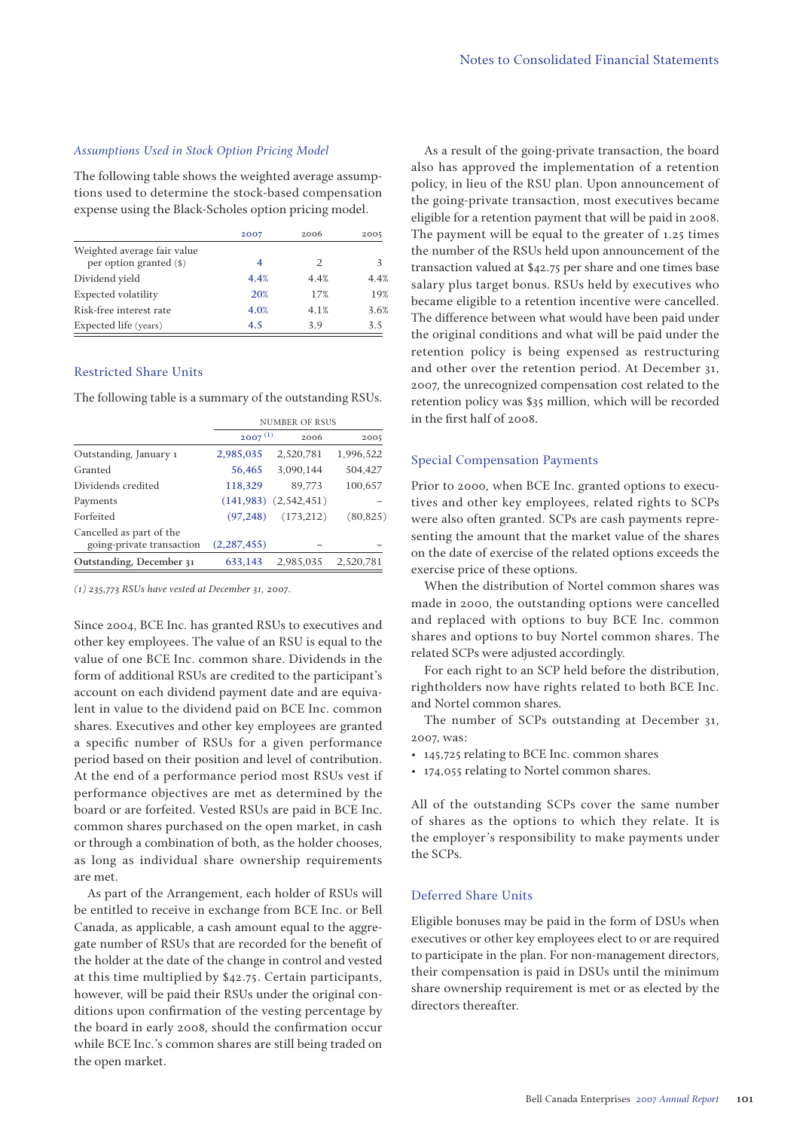#### *Assumptions Used in Stock Option Pricing Model*

The following table shows the weighted average assumptions used to determine the stock-based compensation expense using the Black-Scholes option pricing model.

|                             | 2007 | 2006          | 2005 |
|-----------------------------|------|---------------|------|
| Weighted average fair value |      |               |      |
| per option granted (\$)     | 4    | $\mathcal{L}$ | 3    |
| Dividend yield              | 4.4% | 4.4%          | 4.4% |
| Expected volatility         | 20%  | 17%           | 19%  |
| Risk-free interest rate     | 4.0% | 4.1%          | 3.6% |
| Expected life (years)       | 4.5  | 3.9           | 3.5  |

#### Restricted Share Units

The following table is a summary of the outstanding RSUs.

|                                                       | <b>NUMBER OF RSUS</b> |                           |           |  |  |  |
|-------------------------------------------------------|-----------------------|---------------------------|-----------|--|--|--|
|                                                       | $2007^{(1)}$          | 2006                      | 2005      |  |  |  |
| Outstanding, January 1                                | 2,985,035             | 2,520,781                 | 1,996,522 |  |  |  |
| Granted                                               | 56,465                | 3,090,144                 | 504,427   |  |  |  |
| Dividends credited                                    | 118,329               | 89,773                    | 100,657   |  |  |  |
| Payments                                              |                       | $(141,983)$ $(2,542,451)$ |           |  |  |  |
| Forfeited                                             | (97, 248)             | (173, 212)                | (80, 825) |  |  |  |
| Cancelled as part of the<br>going-private transaction | (2, 287, 455)         |                           |           |  |  |  |
| Outstanding, December 31                              | 633,143               | 2,985,035                 | 2,520,781 |  |  |  |

*(1) 235,773 RSUs have vested at December 31, 2007.*

Since 2004, BCE Inc. has granted RSUs to executives and other key employees. The value of an RSU is equal to the value of one BCE Inc. common share. Dividends in the form of additional RSUs are credited to the participant's account on each dividend payment date and are equivalent in value to the dividend paid on BCE Inc. common shares. Executives and other key employees are granted a specific number of RSUs for a given performance period based on their position and level of contribution. At the end of a performance period most RSUs vest if performance objectives are met as determined by the board or are forfeited. Vested RSUs are paid in BCE Inc. common shares purchased on the open market, in cash or through a combination of both, as the holder chooses, as long as individual share ownership requirements are met.

As part of the Arrangement, each holder of RSUs will be entitled to receive in exchange from BCE Inc. or Bell Canada, as applicable, a cash amount equal to the aggregate number of RSUs that are recorded for the benefit of the holder at the date of the change in control and vested at this time multiplied by \$42.75. Certain participants, however, will be paid their RSUs under the original conditions upon confirmation of the vesting percentage by the board in early 2008, should the confirmation occur while BCE Inc.'s common shares are still being traded on the open market.

As a result of the going-private transaction, the board also has approved the implementation of a retention policy, in lieu of the RSU plan. Upon announcement of the going-private transaction, most executives became eligible for a retention payment that will be paid in 2008. The payment will be equal to the greater of 1.25 times the number of the RSUs held upon announcement of the transaction valued at \$42.75 per share and one times base salary plus target bonus. RSUs held by executives who became eligible to a retention incentive were cancelled. The difference between what would have been paid under the original conditions and what will be paid under the retention policy is being expensed as restructuring and other over the retention period. At December 31, 2007, the unrecognized compensation cost related to the retention policy was \$35 million, which will be recorded in the first half of 2008.

#### Special Compensation Payments

Prior to 2000, when BCE Inc. granted options to executives and other key employees, related rights to SCPs were also often granted. SCPs are cash payments representing the amount that the market value of the shares on the date of exercise of the related options exceeds the exercise price of these options.

When the distribution of Nortel common shares was made in 2000, the outstanding options were cancelled and replaced with options to buy BCE Inc. common shares and options to buy Nortel common shares. The related SCPs were adjusted accordingly.

For each right to an SCP held before the distribution, rightholders now have rights related to both BCE Inc. and Nortel common shares.

The number of SCPs outstanding at December 31, 2007, was:

- 145,725 relating to BCE Inc. common shares
- 174,055 relating to Nortel common shares.

All of the outstanding SCPs cover the same number of shares as the options to which they relate. It is the employer's responsibility to make payments under the SCPs.

## Deferred Share Units

Eligible bonuses may be paid in the form of DSUs when executives or other key employees elect to or are required to participate in the plan. For non-management directors, their compensation is paid in DSUs until the minimum share ownership requirement is met or as elected by the directors thereafter.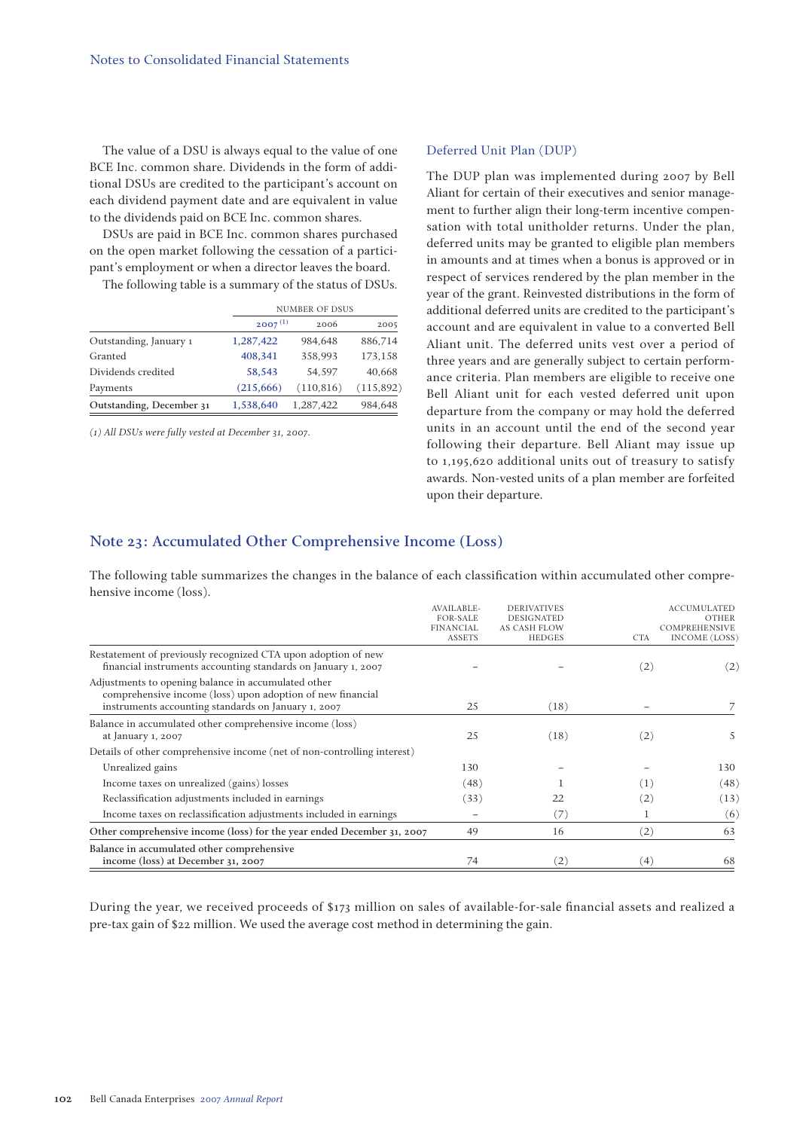The value of a DSU is always equal to the value of one BCE Inc. common share. Dividends in the form of additional DSUs are credited to the participant's account on each dividend payment date and are equivalent in value to the dividends paid on BCE Inc. common shares.

DSUs are paid in BCE Inc. common shares purchased on the open market following the cessation of a participant's employment or when a director leaves the board.

The following table is a summary of the status of DSUs.

|                          | <b>NUMBER OF DSUS</b> |            |           |  |  |  |
|--------------------------|-----------------------|------------|-----------|--|--|--|
|                          | $2007^{(1)}$          | 2006       | 2005      |  |  |  |
| Outstanding, January 1   | 1,287,422             | 984.648    | 886,714   |  |  |  |
| Granted                  | 408,341               | 358.993    | 173,158   |  |  |  |
| Dividends credited       | 58,543                | 54.597     | 40.668    |  |  |  |
| Payments                 | (215, 666)            | (110, 816) | (115,892) |  |  |  |
| Outstanding, December 31 | 1,538,640             | 1,287,422  | 984,648   |  |  |  |

*(1) All DSUs were fully vested at December 31, 2007.*

## Deferred Unit Plan (DUP)

The DUP plan was implemented during 2007 by Bell Aliant for certain of their executives and senior management to further align their long-term incentive compensation with total unitholder returns. Under the plan, deferred units may be granted to eligible plan members in amounts and at times when a bonus is approved or in respect of services rendered by the plan member in the year of the grant. Reinvested distributions in the form of additional deferred units are credited to the participant's account and are equivalent in value to a converted Bell Aliant unit. The deferred units vest over a period of three years and are generally subject to certain performance criteria. Plan members are eligible to receive one Bell Aliant unit for each vested deferred unit upon departure from the company or may hold the deferred units in an account until the end of the second year following their departure. Bell Aliant may issue up to 1,195,620 additional units out of treasury to satisfy awards. Non-vested units of a plan member are forfeited upon their departure.

# **Note 23: Accumulated Other Comprehensive Income (Loss)**

The following table summarizes the changes in the balance of each classification within accumulated other comprehensive income (loss).

|                                                                                                                                                                          | AVAILABLE-<br><b>FOR-SALE</b><br><b>FINANCIAL</b><br><b>ASSETS</b> | <b>DERIVATIVES</b><br><b>DESIGNATED</b><br><b>AS CASH FLOW</b><br><b>HEDGES</b> | <b>CTA</b> | <b>ACCUMULATED</b><br><b>OTHER</b><br>COMPREHENSIVE<br>INCOME (LOSS) |
|--------------------------------------------------------------------------------------------------------------------------------------------------------------------------|--------------------------------------------------------------------|---------------------------------------------------------------------------------|------------|----------------------------------------------------------------------|
| Restatement of previously recognized CTA upon adoption of new<br>financial instruments accounting standards on January 1, 2007                                           |                                                                    |                                                                                 | (2)        | (2)                                                                  |
| Adjustments to opening balance in accumulated other<br>comprehensive income (loss) upon adoption of new financial<br>instruments accounting standards on January 1, 2007 | 25                                                                 | (18)                                                                            |            |                                                                      |
| Balance in accumulated other comprehensive income (loss)<br>at January 1, 2007                                                                                           | 25                                                                 | (18)                                                                            | (2)        | 5                                                                    |
| Details of other comprehensive income (net of non-controlling interest)                                                                                                  |                                                                    |                                                                                 |            |                                                                      |
| Unrealized gains                                                                                                                                                         | 130                                                                |                                                                                 |            | 130                                                                  |
| Income taxes on unrealized (gains) losses                                                                                                                                | (48)                                                               |                                                                                 | (1)        | (48)                                                                 |
| Reclassification adjustments included in earnings                                                                                                                        | (33)                                                               | 22                                                                              | (2)        | (13)                                                                 |
| Income taxes on reclassification adjustments included in earnings                                                                                                        |                                                                    | (7)                                                                             | 1          | (6)                                                                  |
| Other comprehensive income (loss) for the year ended December 31, 2007                                                                                                   | 49                                                                 | 16                                                                              | (2)        | 63                                                                   |
| Balance in accumulated other comprehensive<br>income (loss) at December 31, 2007                                                                                         | 74                                                                 | (2)                                                                             | (4)        | 68                                                                   |

During the year, we received proceeds of \$173 million on sales of available-for-sale financial assets and realized a pre-tax gain of \$22 million. We used the average cost method in determining the gain.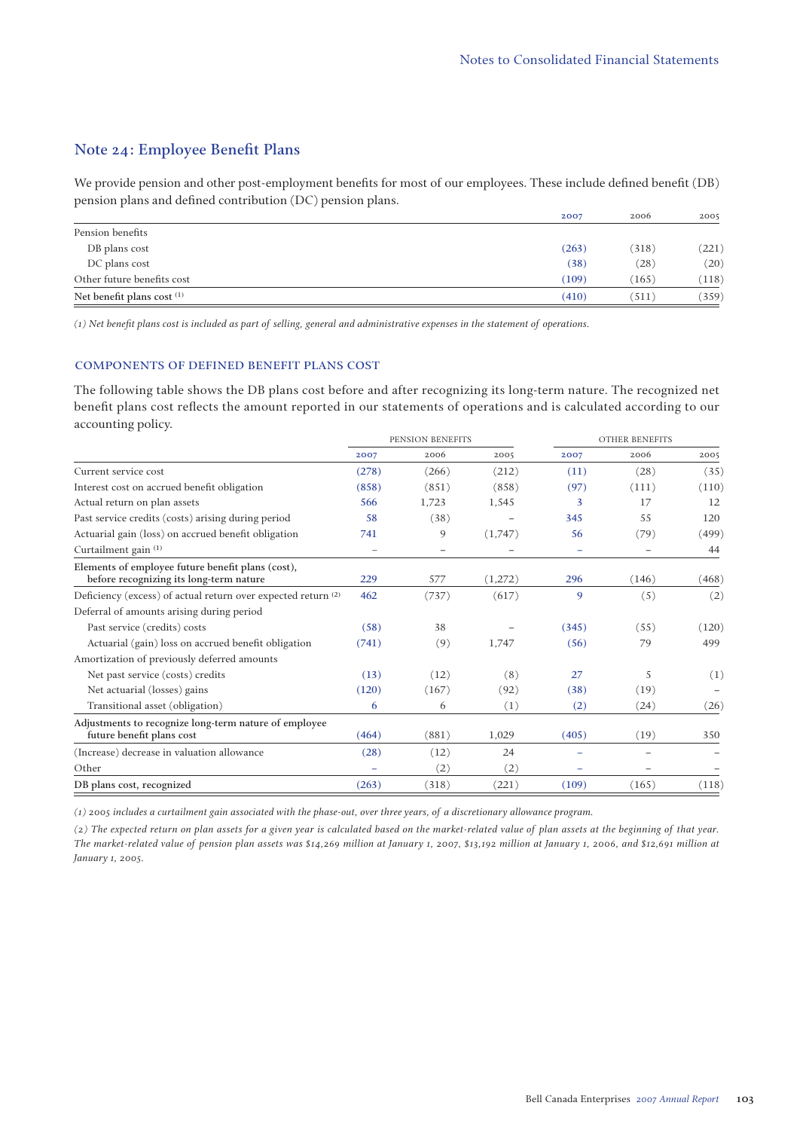# **Note 24: Employee Benefit Plans**

We provide pension and other post-employment benefits for most of our employees. These include defined benefit (DB) pension plans and defined contribution (DC) pension plans.

|                            | 2007  | 2006  | 2005  |
|----------------------------|-------|-------|-------|
| Pension benefits           |       |       |       |
| DB plans cost              | (263) | (318) | (221) |
| DC plans cost              | (38)  | (28)  | (20)  |
| Other future benefits cost | (109) | (165) | (118) |
| Net benefit plans cost (1) | (410) | (511) | (359) |

*(1) Net benefit plans cost is included as part of selling, general and administrative expenses in the statement of operations.*

## components of defined benefit plans cost

The following table shows the DB plans cost before and after recognizing its long-term nature. The recognized net benefit plans cost reflects the amount reported in our statements of operations and is calculated according to our accounting policy.

| PENSION BENEFITS         |                                                               |         | <b>OTHER BENEFITS</b>    |       |       |
|--------------------------|---------------------------------------------------------------|---------|--------------------------|-------|-------|
| 2007                     | 2006                                                          | 2005    | 2007                     | 2006  | 2005  |
| (278)                    | (266)                                                         | (212)   | (11)                     | (28)  | (35)  |
| (858)                    | (851)                                                         | (858)   | (97)                     | (111) | (110) |
| 566                      | 1,723                                                         | 1,545   | 3                        | 17    | 12    |
| 58                       | (38)                                                          |         | 345                      | 55    | 120   |
| 741                      | 9                                                             | (1,747) | 56                       | (79)  | (499) |
| $\overline{\phantom{0}}$ | $\overline{\phantom{0}}$                                      |         | $\overline{\phantom{0}}$ |       | 44    |
| 229                      | 577                                                           | (1,272) | 296                      | (146) | (468) |
| 462                      | (737)                                                         | (617)   | 9                        | (5)   | (2)   |
|                          |                                                               |         |                          |       |       |
| (58)                     | 38                                                            |         | (345)                    | (55)  | (120) |
| (741)                    | (9)                                                           | 1,747   | (56)                     | 79    | 499   |
|                          |                                                               |         |                          |       |       |
| (13)                     | (12)                                                          | (8)     | 27                       | 5     | (1)   |
| (120)                    | (167)                                                         | (92)    | (38)                     | (19)  |       |
| 6                        | 6                                                             | (1)     | (2)                      | (24)  | (26)  |
| (464)                    | (881)                                                         | 1,029   | (405)                    | (19)  | 350   |
| (28)                     | (12)                                                          | 24      |                          |       |       |
| $\overline{\phantom{0}}$ | (2)                                                           | (2)     | -                        |       |       |
| (263)                    | (318)                                                         | (221)   | (109)                    | (165) | (118) |
|                          | Deficiency (excess) of actual return over expected return (2) |         |                          |       |       |

*(1) 2005 includes a curtailment gain associated with the phase-out, over three years, of a discretionary allowance program.* 

*(2) The expected return on plan assets for a given year is calculated based on the market-related value of plan assets at the beginning of that year. The market-related value of pension plan assets was \$14,269 million at January 1, 2007, \$13,192 million at January 1, 2006, and \$12,691 million at January 1, 2005.*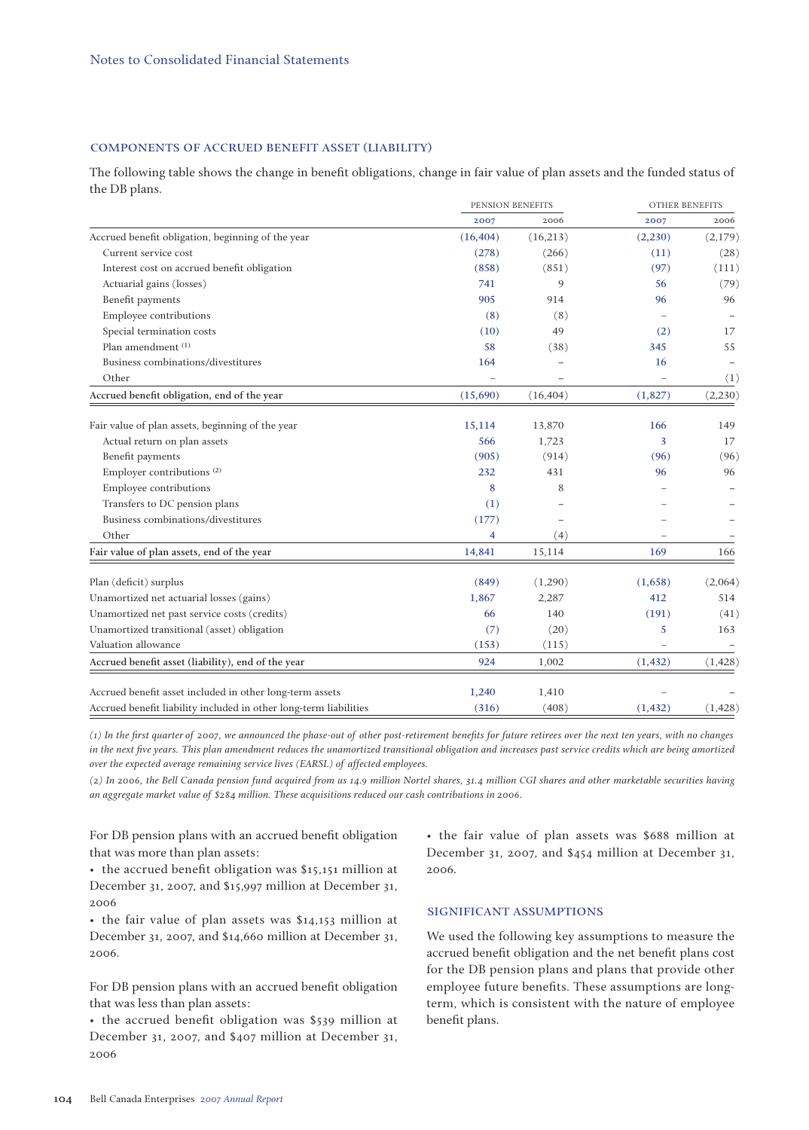## components of accrued benefit asset (liability)

The following table shows the change in benefit obligations, change in fair value of plan assets and the funded status of the DB plans.

| 2006     |
|----------|
|          |
| (2,179)  |
| (28)     |
| (111)    |
| (79)     |
| 96       |
|          |
| 17       |
| 55       |
|          |
| (1)      |
| (2,230)  |
| 149      |
| 17       |
| (96)     |
| 96       |
|          |
|          |
|          |
|          |
| 166      |
| (2,064)  |
| 514      |
| (41)     |
| 163      |
|          |
| (1, 428) |
|          |
| (1,428)  |
|          |

*(1) In the first quarter of 2007, we announced the phase-out of other post-retirement benefits for future retirees over the next ten years, with no changes in the next five years. This plan amendment reduces the unamortized transitional obligation and increases past service credits which are being amortized over the expected average remaining service lives (EARSL) of affected employees.* 

*(2) In 2006, the Bell Canada pension fund acquired from us 14.9 million Nortel shares, 31.4 million CGI shares and other marketable securities having an aggregate market value of \$284 million. These acquisitions reduced our cash contributions in 2006.*

For DB pension plans with an accrued benefit obligation that was more than plan assets:

• the accrued benefit obligation was \$15,151 million at December 31, 2007, and \$15,997 million at December 31, 2006

• the fair value of plan assets was \$14,153 million at December 31, 2007, and \$14,660 million at December 31, 2006.

For DB pension plans with an accrued benefit obligation that was less than plan assets:

• the accrued benefit obligation was \$539 million at December 31, 2007, and \$407 million at December 31, 2006

• the fair value of plan assets was \$688 million at December 31, 2007, and \$454 million at December 31, 2006.

## significant assumptions

We used the following key assumptions to measure the accrued benefit obligation and the net benefit plans cost for the DB pension plans and plans that provide other employee future benefits. These assumptions are longterm, which is consistent with the nature of employee benefit plans.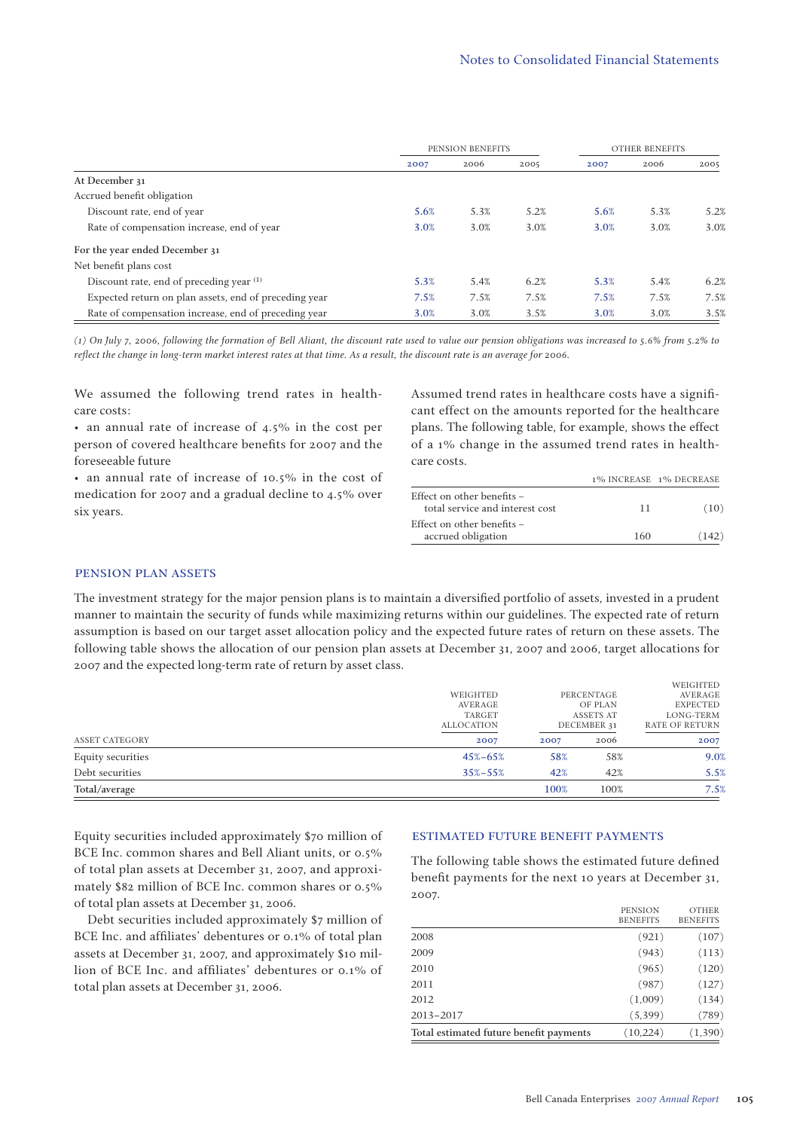|                                                       | PENSION BENEFITS |      |      | <b>OTHER BENEFITS</b> |      |      |  |
|-------------------------------------------------------|------------------|------|------|-----------------------|------|------|--|
|                                                       | 2007             | 2006 | 2005 | 2007                  | 2006 | 2005 |  |
| At December 31                                        |                  |      |      |                       |      |      |  |
| Accrued benefit obligation                            |                  |      |      |                       |      |      |  |
| Discount rate, end of year                            | 5.6%             | 5.3% | 5.2% | 5.6%                  | 5.3% | 5.2% |  |
| Rate of compensation increase, end of year            | 3.0%             | 3.0% | 3.0% | 3.0%                  | 3.0% | 3.0% |  |
| For the year ended December 31                        |                  |      |      |                       |      |      |  |
| Net benefit plans cost                                |                  |      |      |                       |      |      |  |
| Discount rate, end of preceding year <sup>(1)</sup>   | 5.3%             | 5.4% | 6.2% | 5.3%                  | 5.4% | 6.2% |  |
| Expected return on plan assets, end of preceding year | 7.5%             | 7.5% | 7.5% | 7.5%                  | 7.5% | 7.5% |  |
| Rate of compensation increase, end of preceding year  | 3.0%             | 3.0% | 3.5% | 3.0%                  | 3.0% | 3.5% |  |

*(1) On July 7, 2006, following the formation of Bell Aliant, the discount rate used to value our pension obligations was increased to 5.6% from 5.2% to reflect the change in long-term market interest rates at that time. As a result, the discount rate is an average for 2006.* 

We assumed the following trend rates in healthcare costs:

• an annual rate of increase of 4.5% in the cost per person of covered healthcare benefits for 2007 and the foreseeable future

• an annual rate of increase of 10.5% in the cost of medication for 2007 and a gradual decline to 4.5% over six years.

Assumed trend rates in healthcare costs have a significant effect on the amounts reported for the healthcare plans. The following table, for example, shows the effect of a 1% change in the assumed trend rates in healthcare costs.

|                                                               |     | 1% INCREASE 1% DECREASE |
|---------------------------------------------------------------|-----|-------------------------|
| Effect on other benefits -<br>total service and interest cost | 11  | (10)                    |
| Effect on other benefits -<br>accrued obligation              | 160 | (142)                   |

## pension plan assets

The investment strategy for the major pension plans is to maintain a diversified portfolio of assets, invested in a prudent manner to maintain the security of funds while maximizing returns within our guidelines. The expected rate of return assumption is based on our target asset allocation policy and the expected future rates of return on these assets. The following table shows the allocation of our pension plan assets at December 31, 2007 and 2006, target allocations for 2007 and the expected long-term rate of return by asset class.

| Total/average         |                     | 100% | 100%                  | 7.5%                       |  |
|-----------------------|---------------------|------|-----------------------|----------------------------|--|
| Debt securities       | $35\% - 55\%$       | 42%  | 42%                   | 5.5%                       |  |
| Equity securities     | $45\% - 65\%$       | 58%  | 58%                   | 9.0%                       |  |
| <b>ASSET CATEGORY</b> | 2007                | 2007 | 2006                  | 2007                       |  |
|                       | <b>ALLOCATION</b>   |      | DECEMBER 31           | <b>RATE OF RETURN</b>      |  |
|                       | <b>TARGET</b>       |      | <b>ASSETS AT</b>      | LONG-TERM                  |  |
|                       | WEIGHTED<br>AVERAGE |      | PERCENTAGE<br>OF PLAN | AVERAGE<br><b>EXPECTED</b> |  |
|                       |                     |      |                       | WEIGHTED                   |  |

Equity securities included approximately \$70 million of BCE Inc. common shares and Bell Aliant units, or 0.5% of total plan assets at December 31, 2007, and approximately \$82 million of BCE Inc. common shares or 0.5% of total plan assets at December 31, 2006.

Debt securities included approximately \$7 million of BCE Inc. and affiliates' debentures or 0.1% of total plan assets at December 31, 2007, and approximately \$10 million of BCE Inc. and affiliates' debentures or 0.1% of total plan assets at December 31, 2006.

#### estimated future benefit payments

The following table shows the estimated future defined benefit payments for the next 10 years at December 31, 2007.

| Total estimated future benefit payments | (10,224)                          | (1,390)                         |
|-----------------------------------------|-----------------------------------|---------------------------------|
| 2013-2017                               | (5,399)                           | (789)                           |
| 2012                                    | (1,009)                           | (134)                           |
| 2011                                    | (987)                             | (127)                           |
| 2010                                    | (965)                             | (120)                           |
| 2009                                    | (943)                             | (113)                           |
| 2008                                    | (921)                             | (107)                           |
|                                         | <b>PENSION</b><br><b>BENEFITS</b> | <b>OTHER</b><br><b>BENEFITS</b> |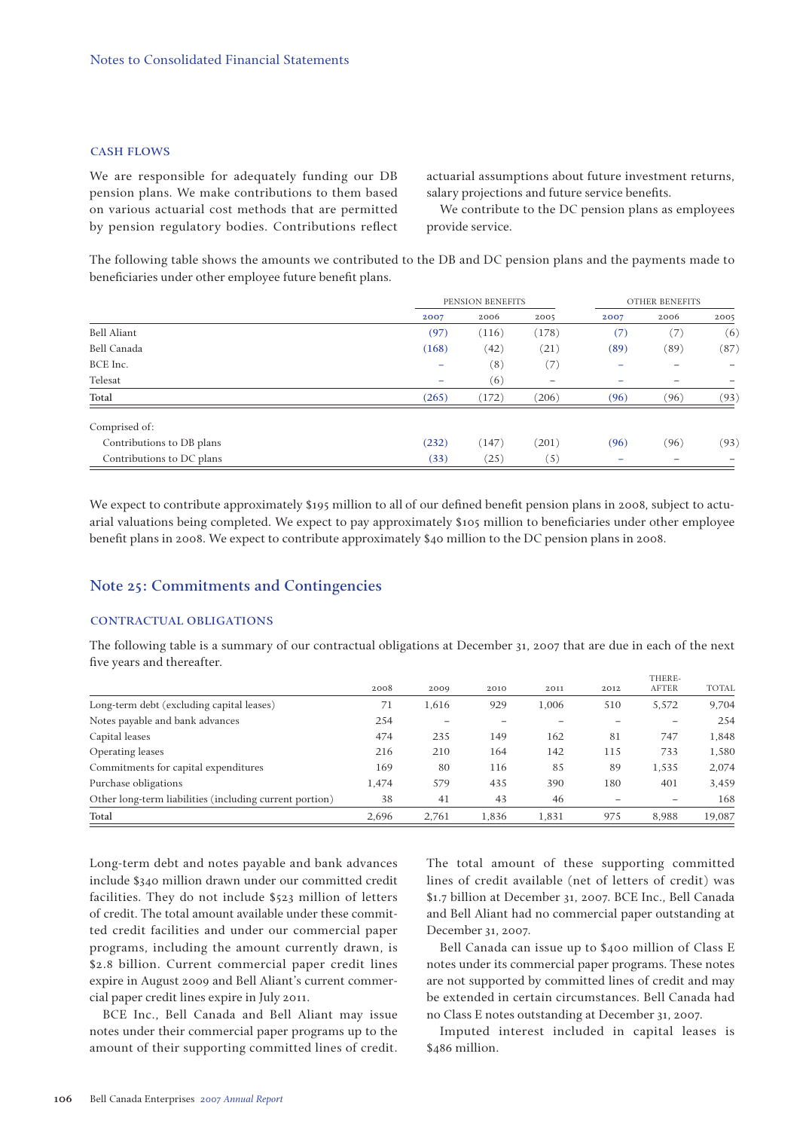## **CASH FLOWS**

We are responsible for adequately funding our DB pension plans. We make contributions to them based on various actuarial cost methods that are permitted by pension regulatory bodies. Contributions reflect actuarial assumptions about future investment returns, salary projections and future service benefits.

We contribute to the DC pension plans as employees provide service.

The following table shows the amounts we contributed to the DB and DC pension plans and the payments made to beneficiaries under other employee future benefit plans.

| PENSION BENEFITS         |       |       | <b>OTHER BENEFITS</b> |      |      |  |
|--------------------------|-------|-------|-----------------------|------|------|--|
| 2007                     | 2006  | 2005  | 2007                  | 2006 | 2005 |  |
| (97)                     | (116) | (178) | (7)                   | (7)  | (6)  |  |
| (168)                    | (42)  | (21)  | (89)                  | (89) | (87) |  |
| $\overline{\phantom{a}}$ | (8)   | (7)   |                       |      |      |  |
| $\overline{\phantom{0}}$ | (6)   |       |                       |      |      |  |
| (265)                    | (172) | (206) | (96)                  | (96) | (93) |  |
|                          |       |       |                       |      |      |  |
| (232)                    | (147) | (201) | (96)                  | (96) | (93) |  |
| (33)                     | (25)  | (5)   |                       |      |      |  |
|                          |       |       |                       |      |      |  |

We expect to contribute approximately \$195 million to all of our defined benefit pension plans in 2008, subject to actuarial valuations being completed. We expect to pay approximately \$105 million to beneficiaries under other employee benefit plans in 2008. We expect to contribute approximately \$40 million to the DC pension plans in 2008.

# **Note 25: Commitments and Contingencies**

## contractual obligations

The following table is a summary of our contractual obligations at December 31, 2007 that are due in each of the next five years and thereafter.

|                                                         |       |       |       |       |      | THERE-       |        |
|---------------------------------------------------------|-------|-------|-------|-------|------|--------------|--------|
|                                                         | 2008  | 2009  | 2010  | 2011  | 2012 | <b>AFTER</b> | TOTAL  |
| Long-term debt (excluding capital leases)               | 71    | 1.616 | 929   | 1.006 | 510  | 5.572        | 9,704  |
| Notes payable and bank advances                         | 254   |       |       |       |      |              | 254    |
| Capital leases                                          | 474   | 235   | 149   | 162   | 81   | 747          | 1,848  |
| Operating leases                                        | 216   | 210   | 164   | 142   | 115  | 733          | 1,580  |
| Commitments for capital expenditures                    | 169   | 80    | 116   | 85    | 89   | 1,535        | 2,074  |
| Purchase obligations                                    | 1.474 | 579   | 435   | 390   | 180  | 401          | 3,459  |
| Other long-term liabilities (including current portion) | 38    | 41    | 43    | 46    |      |              | 168    |
| Total                                                   | 2.696 | 2.761 | 1.836 | 1.831 | 975  | 8.988        | 19,087 |
|                                                         |       |       |       |       |      |              |        |

Long-term debt and notes payable and bank advances include \$340 million drawn under our committed credit facilities. They do not include \$523 million of letters of credit. The total amount available under these committed credit facilities and under our commercial paper programs, including the amount currently drawn, is \$2.8 billion. Current commercial paper credit lines expire in August 2009 and Bell Aliant's current commercial paper credit lines expire in July 2011.

BCE Inc., Bell Canada and Bell Aliant may issue notes under their commercial paper programs up to the amount of their supporting committed lines of credit. The total amount of these supporting committed lines of credit available (net of letters of credit) was \$1.7 billion at December 31, 2007. BCE Inc., Bell Canada and Bell Aliant had no commercial paper outstanding at December 31, 2007.

Bell Canada can issue up to \$400 million of Class E notes under its commercial paper programs. These notes are not supported by committed lines of credit and may be extended in certain circumstances. Bell Canada had no Class E notes outstanding at December 31, 2007.

Imputed interest included in capital leases is \$486 million.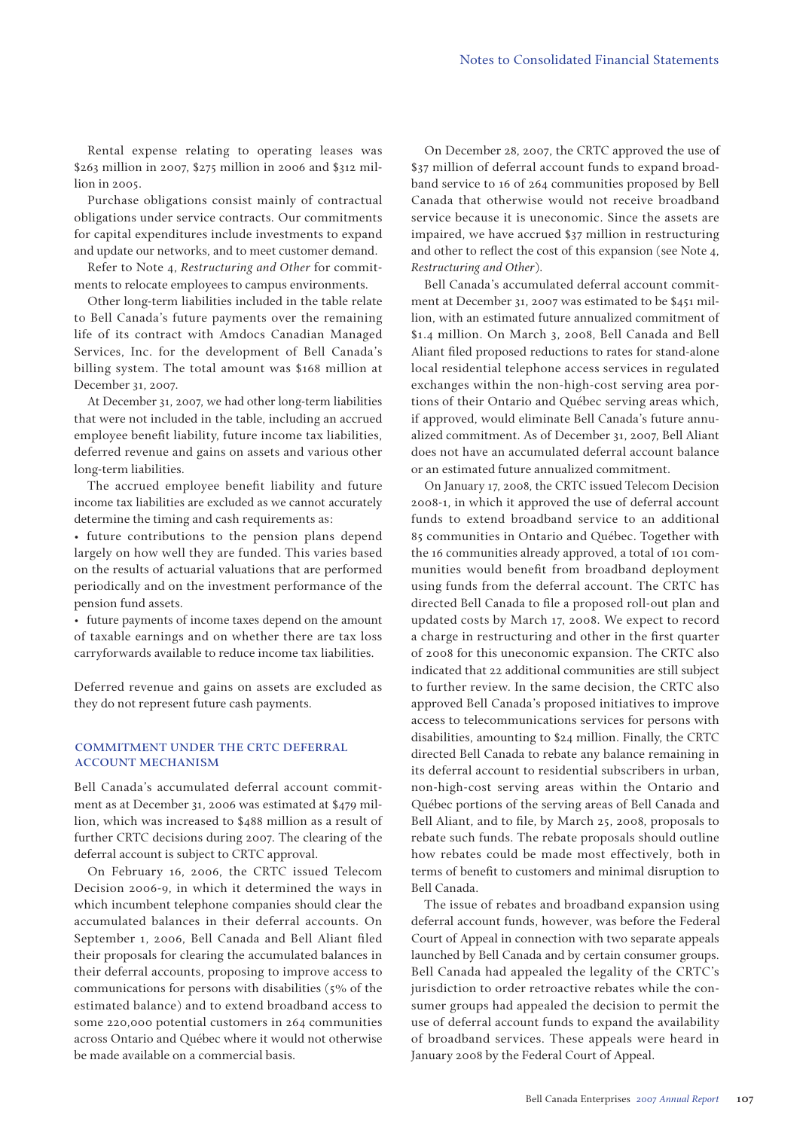Rental expense relating to operating leases was \$263 million in 2007, \$275 million in 2006 and \$312 million in 2005.

Purchase obligations consist mainly of contractual obligations under service contracts. Our commitments for capital expenditures include investments to expand and update our networks, and to meet customer demand.

Refer to Note 4, *Restructuring and Other* for commitments to relocate employees to campus environments.

Other long-term liabilities included in the table relate to Bell Canada's future payments over the remaining life of its contract with Amdocs Canadian Managed Services, Inc. for the development of Bell Canada's billing system. The total amount was \$168 million at December 31, 2007.

At December 31, 2007, we had other long-term liabilities that were not included in the table, including an accrued employee benefit liability, future income tax liabilities, deferred revenue and gains on assets and various other long-term liabilities.

The accrued employee benefit liability and future income tax liabilities are excluded as we cannot accurately determine the timing and cash requirements as:

• future contributions to the pension plans depend largely on how well they are funded. This varies based on the results of actuarial valuations that are performed periodically and on the investment performance of the pension fund assets.

• future payments of income taxes depend on the amount of taxable earnings and on whether there are tax loss carryforwards available to reduce income tax liabilities.

Deferred revenue and gains on assets are excluded as they do not represent future cash payments.

## commitment under the crtc deferral account mechanism

Bell Canada's accumulated deferral account commitment as at December 31, 2006 was estimated at \$479 million, which was increased to \$488 million as a result of further CRTC decisions during 2007. The clearing of the deferral account is subject to CRTC approval.

On February 16, 2006, the CRTC issued Telecom Decision 2006-9, in which it determined the ways in which incumbent telephone companies should clear the accumulated balances in their deferral accounts. On September 1, 2006, Bell Canada and Bell Aliant filed their proposals for clearing the accumulated balances in their deferral accounts, proposing to improve access to communications for persons with disabilities (5% of the estimated balance) and to extend broadband access to some 220,000 potential customers in 264 communities across Ontario and Québec where it would not otherwise be made available on a commercial basis.

On December 28, 2007, the CRTC approved the use of \$37 million of deferral account funds to expand broadband service to 16 of 264 communities proposed by Bell Canada that otherwise would not receive broadband service because it is uneconomic. Since the assets are impaired, we have accrued \$37 million in restructuring and other to reflect the cost of this expansion (see Note 4, *Restructuring and Other*).

Bell Canada's accumulated deferral account commitment at December 31, 2007 was estimated to be \$451 million, with an estimated future annualized commitment of \$1.4 million. On March 3, 2008, Bell Canada and Bell Aliant filed proposed reductions to rates for stand-alone local residential telephone access services in regulated exchanges within the non-high-cost serving area portions of their Ontario and Québec serving areas which, if approved, would eliminate Bell Canada's future annualized commitment. As of December 31, 2007, Bell Aliant does not have an accumulated deferral account balance or an estimated future annualized commitment.

On January 17, 2008, the CRTC issued Telecom Decision 2008-1, in which it approved the use of deferral account funds to extend broadband service to an additional 85 communities in Ontario and Québec. Together with the 16 communities already approved, a total of 101 communities would benefit from broadband deployment using funds from the deferral account. The CRTC has directed Bell Canada to file a proposed roll-out plan and updated costs by March 17, 2008. We expect to record a charge in restructuring and other in the first quarter of 2008 for this uneconomic expansion. The CRTC also indicated that 22 additional communities are still subject to further review. In the same decision, the CRTC also approved Bell Canada's proposed initiatives to improve access to telecommunications services for persons with disabilities, amounting to \$24 million. Finally, the CRTC directed Bell Canada to rebate any balance remaining in its deferral account to residential subscribers in urban, non-high-cost serving areas within the Ontario and Québec portions of the serving areas of Bell Canada and Bell Aliant, and to file, by March 25, 2008, proposals to rebate such funds. The rebate proposals should outline how rebates could be made most effectively, both in terms of benefit to customers and minimal disruption to Bell Canada.

The issue of rebates and broadband expansion using deferral account funds, however, was before the Federal Court of Appeal in connection with two separate appeals launched by Bell Canada and by certain consumer groups. Bell Canada had appealed the legality of the CRTC's jurisdiction to order retroactive rebates while the consumer groups had appealed the decision to permit the use of deferral account funds to expand the availability of broadband services. These appeals were heard in January 2008 by the Federal Court of Appeal.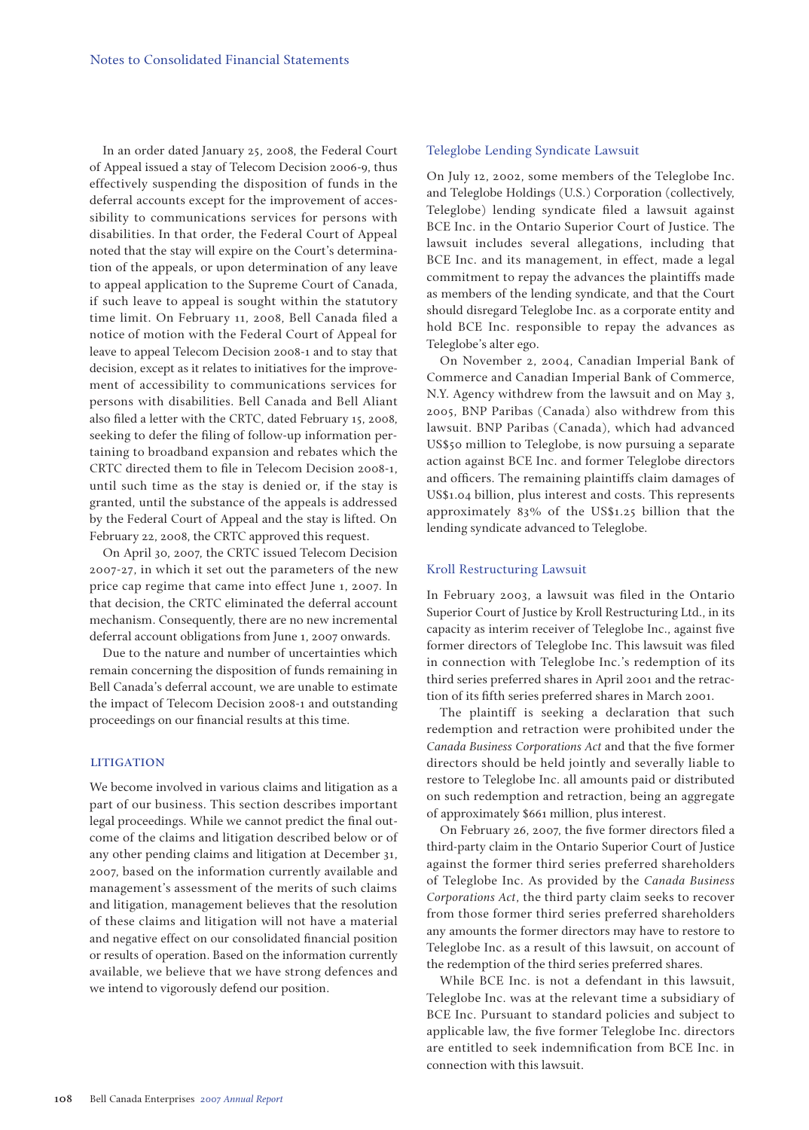In an order dated January 25, 2008, the Federal Court of Appeal issued a stay of Telecom Decision 2006-9, thus effectively suspending the disposition of funds in the deferral accounts except for the improvement of accessibility to communications services for persons with disabilities. In that order, the Federal Court of Appeal noted that the stay will expire on the Court's determination of the appeals, or upon determination of any leave to appeal application to the Supreme Court of Canada, if such leave to appeal is sought within the statutory time limit. On February 11, 2008, Bell Canada filed a notice of motion with the Federal Court of Appeal for leave to appeal Telecom Decision 2008-1 and to stay that decision, except as it relates to initiatives for the improvement of accessibility to communications services for persons with disabilities. Bell Canada and Bell Aliant also filed a letter with the CRTC, dated February 15, 2008, seeking to defer the filing of follow-up information pertaining to broadband expansion and rebates which the CRTC directed them to file in Telecom Decision 2008-1, until such time as the stay is denied or, if the stay is granted, until the substance of the appeals is addressed by the Federal Court of Appeal and the stay is lifted. On February 22, 2008, the CRTC approved this request.

On April 30, 2007, the CRTC issued Telecom Decision 2007-27, in which it set out the parameters of the new price cap regime that came into effect June 1, 2007. In that decision, the CRTC eliminated the deferral account mechanism. Consequently, there are no new incremental deferral account obligations from June 1, 2007 onwards.

Due to the nature and number of uncertainties which remain concerning the disposition of funds remaining in Bell Canada's deferral account, we are unable to estimate the impact of Telecom Decision 2008-1 and outstanding proceedings on our financial results at this time.

## **LITIGATION**

We become involved in various claims and litigation as a part of our business. This section describes important legal proceedings. While we cannot predict the final outcome of the claims and litigation described below or of any other pending claims and litigation at December 31, 2007, based on the information currently available and management's assessment of the merits of such claims and litigation, management believes that the resolution of these claims and litigation will not have a material and negative effect on our consolidated financial position or results of operation. Based on the information currently available, we believe that we have strong defences and we intend to vigorously defend our position.

## Teleglobe Lending Syndicate Lawsuit

On July 12, 2002, some members of the Teleglobe Inc. and Teleglobe Holdings (U.S.) Corporation (collectively, Teleglobe) lending syndicate filed a lawsuit against BCE Inc. in the Ontario Superior Court of Justice. The lawsuit includes several allegations, including that BCE Inc. and its management, in effect, made a legal commitment to repay the advances the plaintiffs made as members of the lending syndicate, and that the Court should disregard Teleglobe Inc. as a corporate entity and hold BCE Inc. responsible to repay the advances as Teleglobe's alter ego.

On November 2, 2004, Canadian Imperial Bank of Commerce and Canadian Imperial Bank of Commerce, N.Y. Agency withdrew from the lawsuit and on May 3, 2005, BNP Paribas (Canada) also withdrew from this lawsuit. BNP Paribas (Canada), which had advanced US\$50 million to Teleglobe, is now pursuing a separate action against BCE Inc. and former Teleglobe directors and officers. The remaining plaintiffs claim damages of US\$1.04 billion, plus interest and costs. This represents approximately 83% of the US\$1.25 billion that the lending syndicate advanced to Teleglobe.

#### Kroll Restructuring Lawsuit

In February 2003, a lawsuit was filed in the Ontario Superior Court of Justice by Kroll Restructuring Ltd., in its capacity as interim receiver of Teleglobe Inc., against five former directors of Teleglobe Inc. This lawsuit was filed in connection with Teleglobe Inc.'s redemption of its third series preferred shares in April 2001 and the retraction of its fifth series preferred shares in March 2001.

The plaintiff is seeking a declaration that such redemption and retraction were prohibited under the *Canada Business Corporations Act* and that the five former directors should be held jointly and severally liable to restore to Teleglobe Inc. all amounts paid or distributed on such redemption and retraction, being an aggregate of approximately \$661 million, plus interest.

On February 26, 2007, the five former directors filed a third-party claim in the Ontario Superior Court of Justice against the former third series preferred shareholders of Teleglobe Inc. As provided by the *Canada Business Corporations Act*, the third party claim seeks to recover from those former third series preferred shareholders any amounts the former directors may have to restore to Teleglobe Inc. as a result of this lawsuit, on account of the redemption of the third series preferred shares.

While BCE Inc. is not a defendant in this lawsuit, Teleglobe Inc. was at the relevant time a subsidiary of BCE Inc. Pursuant to standard policies and subject to applicable law, the five former Teleglobe Inc. directors are entitled to seek indemnification from BCE Inc. in connection with this lawsuit.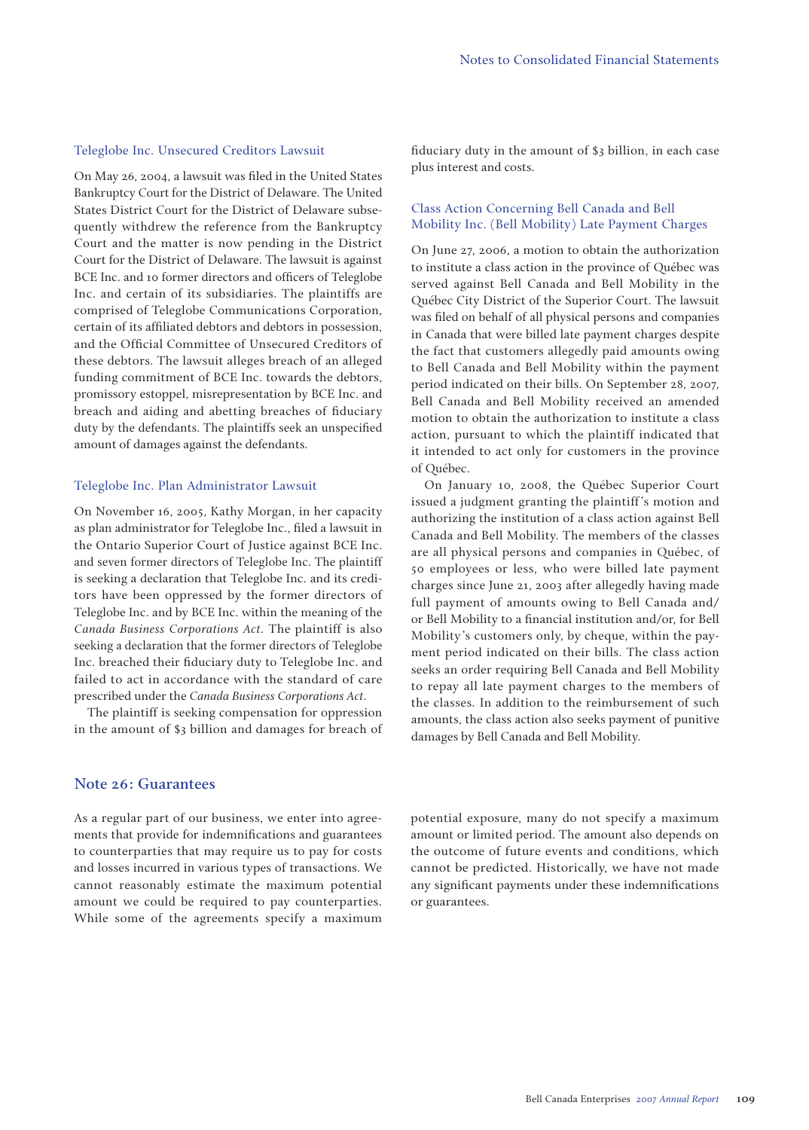#### Teleglobe Inc. Unsecured Creditors Lawsuit

On May 26, 2004, a lawsuit was filed in the United States Bankruptcy Court for the District of Delaware. The United States District Court for the District of Delaware subsequently withdrew the reference from the Bankruptcy Court and the matter is now pending in the District Court for the District of Delaware. The lawsuit is against BCE Inc. and 10 former directors and officers of Teleglobe Inc. and certain of its subsidiaries. The plaintiffs are comprised of Teleglobe Communications Corporation, certain of its affiliated debtors and debtors in possession, and the Official Committee of Unsecured Creditors of these debtors. The lawsuit alleges breach of an alleged funding commitment of BCE Inc. towards the debtors, promissory estoppel, misrepresentation by BCE Inc. and breach and aiding and abetting breaches of fiduciary duty by the defendants. The plaintiffs seek an unspecified amount of damages against the defendants.

#### Teleglobe Inc. Plan Administrator Lawsuit

On November 16, 2005, Kathy Morgan, in her capacity as plan administrator for Teleglobe Inc., filed a lawsuit in the Ontario Superior Court of Justice against BCE Inc. and seven former directors of Teleglobe Inc. The plaintiff is seeking a declaration that Teleglobe Inc. and its creditors have been oppressed by the former directors of Teleglobe Inc. and by BCE Inc. within the meaning of the *Canada Business Corporations Act*. The plaintiff is also seeking a declaration that the former directors of Teleglobe Inc. breached their fiduciary duty to Teleglobe Inc. and failed to act in accordance with the standard of care prescribed under the *Canada Business Corporations Act*.

The plaintiff is seeking compensation for oppression in the amount of \$3 billion and damages for breach of fiduciary duty in the amount of \$3 billion, in each case plus interest and costs.

#### Class Action Concerning Bell Canada and Bell Mobility Inc. (Bell Mobility) Late Payment Charges

On June 27, 2006, a motion to obtain the authorization to institute a class action in the province of Québec was served against Bell Canada and Bell Mobility in the Québec City District of the Superior Court. The lawsuit was filed on behalf of all physical persons and companies in Canada that were billed late payment charges despite the fact that customers allegedly paid amounts owing to Bell Canada and Bell Mobility within the payment period indicated on their bills. On September 28, 2007, Bell Canada and Bell Mobility received an amended motion to obtain the authorization to institute a class action, pursuant to which the plaintiff indicated that it intended to act only for customers in the province of Québec.

On January 10, 2008, the Québec Superior Court issued a judgment granting the plaintiff's motion and authorizing the institution of a class action against Bell Canada and Bell Mobility. The members of the classes are all physical persons and companies in Québec, of 50 employees or less, who were billed late payment charges since June 21, 2003 after allegedly having made full payment of amounts owing to Bell Canada and/ or Bell Mobility to a financial institution and/or, for Bell Mobility's customers only, by cheque, within the payment period indicated on their bills. The class action seeks an order requiring Bell Canada and Bell Mobility to repay all late payment charges to the members of the classes. In addition to the reimbursement of such amounts, the class action also seeks payment of punitive damages by Bell Canada and Bell Mobility.

# **Note 26: Guarantees**

As a regular part of our business, we enter into agreements that provide for indemnifications and guarantees to counterparties that may require us to pay for costs and losses incurred in various types of transactions. We cannot reasonably estimate the maximum potential amount we could be required to pay counterparties. While some of the agreements specify a maximum

potential exposure, many do not specify a maximum amount or limited period. The amount also depends on the outcome of future events and conditions, which cannot be predicted. Historically, we have not made any significant payments under these indemnifications or guarantees.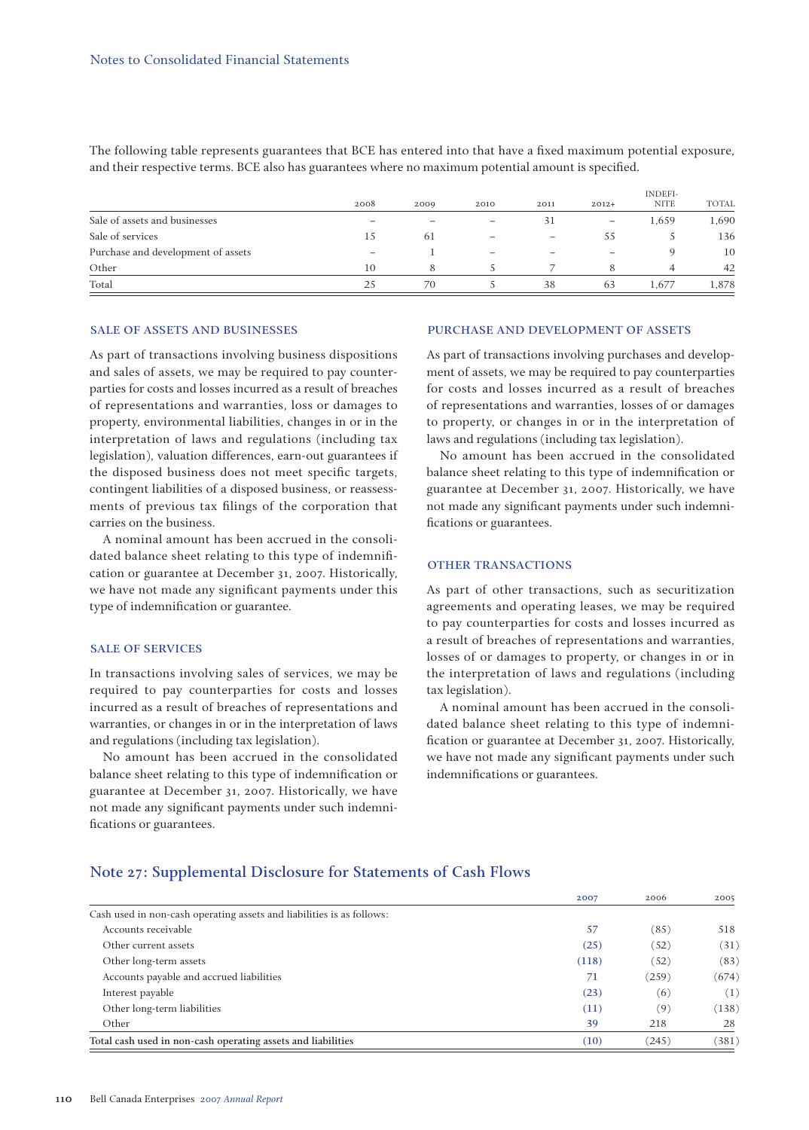The following table represents guarantees that BCE has entered into that have a fixed maximum potential exposure, and their respective terms. BCE also has guarantees where no maximum potential amount is specified.

|                                    | 2008                     | 2009                     | 2010                     | 2011            | $2012+$                  | INDEFI-<br><b>NITE</b> | <b>TOTAL</b> |
|------------------------------------|--------------------------|--------------------------|--------------------------|-----------------|--------------------------|------------------------|--------------|
| Sale of assets and businesses      | $\overline{\phantom{0}}$ | $\overline{\phantom{m}}$ | $\overline{\phantom{m}}$ | 31              | $\overline{\phantom{m}}$ | 1.659                  | 1,690        |
| Sale of services                   | 1.5                      | 61                       |                          |                 | 55                       |                        | 136          |
| Purchase and development of assets |                          |                          | $\qquad \qquad$          | $\qquad \qquad$ | -                        |                        | 10           |
| Other                              | 10                       |                          |                          |                 |                          | 4                      | 42           |
| Total                              | 25                       | 70                       |                          | 38              | 63                       | 1,677                  | 1,878        |

#### sale of assets and businesses

As part of transactions involving business dispositions and sales of assets, we may be required to pay counterparties for costs and losses incurred as a result of breaches of representations and warranties, loss or damages to property, environmental liabilities, changes in or in the interpretation of laws and regulations (including tax legislation), valuation differences, earn-out guarantees if the disposed business does not meet specific targets, contingent liabilities of a disposed business, or reassessments of previous tax filings of the corporation that carries on the business.

A nominal amount has been accrued in the consolidated balance sheet relating to this type of indemnification or guarantee at December 31, 2007. Historically, we have not made any significant payments under this type of indemnification or guarantee.

# sale of services

In transactions involving sales of services, we may be required to pay counterparties for costs and losses incurred as a result of breaches of representations and warranties, or changes in or in the interpretation of laws and regulations (including tax legislation).

No amount has been accrued in the consolidated balance sheet relating to this type of indemnification or guarantee at December 31, 2007. Historically, we have not made any significant payments under such indemnifications or guarantees.

# purchase and development of assets

As part of transactions involving purchases and development of assets, we may be required to pay counterparties for costs and losses incurred as a result of breaches of representations and warranties, losses of or damages to property, or changes in or in the interpretation of laws and regulations (including tax legislation).

No amount has been accrued in the consolidated balance sheet relating to this type of indemnification or guarantee at December 31, 2007. Historically, we have not made any significant payments under such indemnifications or guarantees.

#### other transactions

As part of other transactions, such as securitization agreements and operating leases, we may be required to pay counterparties for costs and losses incurred as a result of breaches of representations and warranties, losses of or damages to property, or changes in or in the interpretation of laws and regulations (including tax legislation).

A nominal amount has been accrued in the consolidated balance sheet relating to this type of indemnification or guarantee at December 31, 2007. Historically, we have not made any significant payments under such indemnifications or guarantees.

# **Note 27: Supplemental Disclosure for Statements of Cash Flows**

|                                                                       | 2007  | 2006  | 2005  |
|-----------------------------------------------------------------------|-------|-------|-------|
| Cash used in non-cash operating assets and liabilities is as follows: |       |       |       |
| Accounts receivable                                                   | 57    | (85)  | 518   |
| Other current assets                                                  | (25)  | (52)  | (31)  |
| Other long-term assets                                                | (118) | (52)  | (83)  |
| Accounts payable and accrued liabilities                              | 71    | (259) | (674) |
| Interest payable                                                      | (23)  | (6)   | (1)   |
| Other long-term liabilities                                           | (11)  | (9)   | (138) |
| Other                                                                 | 39    | 218   | 28    |
| Total cash used in non-cash operating assets and liabilities          | (10)  | (245) | (381) |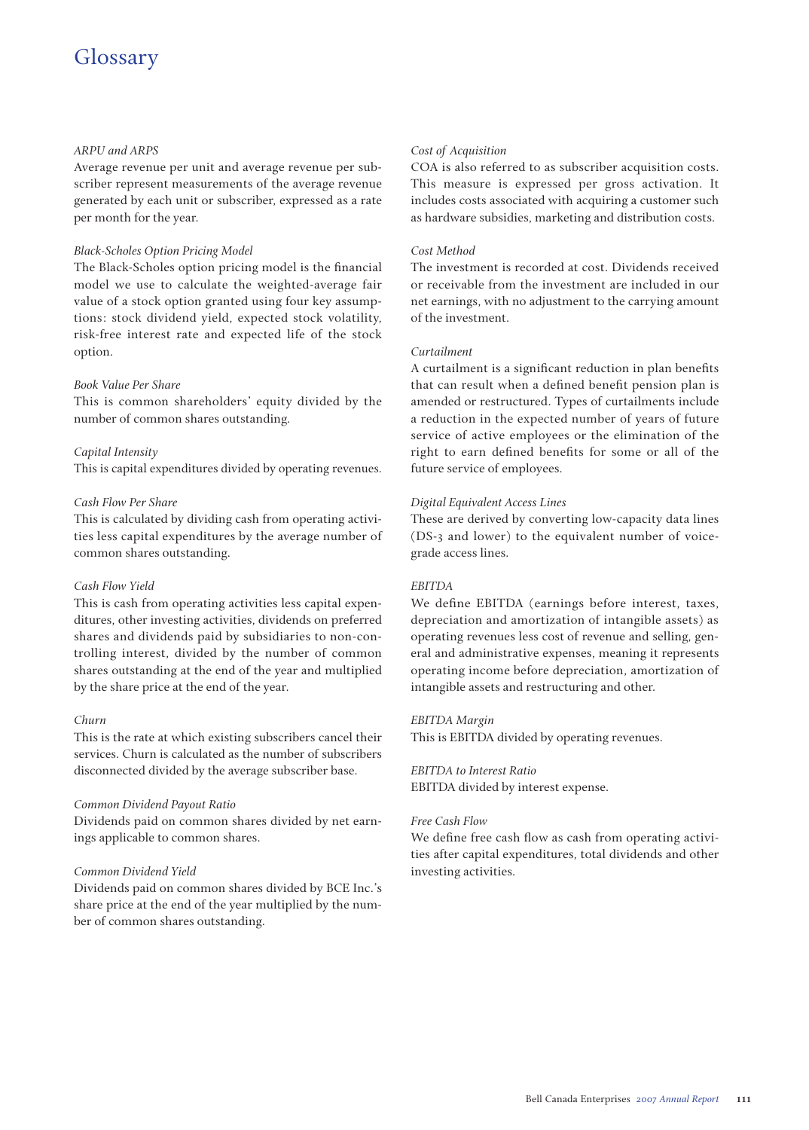#### *ARPU and ARPS*

Average revenue per unit and average revenue per subscriber represent measurements of the average revenue generated by each unit or subscriber, expressed as a rate per month for the year.

# *Black-Scholes Option Pricing Model*

The Black-Scholes option pricing model is the financial model we use to calculate the weighted-average fair value of a stock option granted using four key assumptions: stock dividend yield, expected stock volatility, risk-free interest rate and expected life of the stock option.

#### *Book Value Per Share*

This is common shareholders' equity divided by the number of common shares outstanding.

#### *Capital Intensity*

This is capital expenditures divided by operating revenues.

# *Cash Flow Per Share*

This is calculated by dividing cash from operating activities less capital expenditures by the average number of common shares outstanding.

#### *Cash Flow Yield*

This is cash from operating activities less capital expenditures, other investing activities, dividends on preferred shares and dividends paid by subsidiaries to non-controlling interest, divided by the number of common shares outstanding at the end of the year and multiplied by the share price at the end of the year.

#### *Churn*

This is the rate at which existing subscribers cancel their services. Churn is calculated as the number of subscribers disconnected divided by the average subscriber base.

#### *Common Dividend Payout Ratio*

Dividends paid on common shares divided by net earnings applicable to common shares.

# *Common Dividend Yield*

Dividends paid on common shares divided by BCE Inc.'s share price at the end of the year multiplied by the number of common shares outstanding.

# *Cost of Acquisition*

COA is also referred to as subscriber acquisition costs. This measure is expressed per gross activation. It includes costs associated with acquiring a customer such as hardware subsidies, marketing and distribution costs.

# *Cost Method*

The investment is recorded at cost. Dividends received or receivable from the investment are included in our net earnings, with no adjustment to the carrying amount of the investment.

# *Curtailment*

A curtailment is a significant reduction in plan benefits that can result when a defined benefit pension plan is amended or restructured. Types of curtailments include a reduction in the expected number of years of future service of active employees or the elimination of the right to earn defined benefits for some or all of the future service of employees.

#### *Digital Equivalent Access Lines*

These are derived by converting low-capacity data lines (DS-3 and lower) to the equivalent number of voicegrade access lines.

#### *EBITDA*

We define EBITDA (earnings before interest, taxes, depreciation and amortization of intangible assets) as operating revenues less cost of revenue and selling, general and administrative expenses, meaning it represents operating income before depreciation, amortization of intangible assets and restructuring and other.

#### *EBITDA Margin*

This is EBITDA divided by operating revenues.

# *EBITDA to Interest Ratio*

EBITDA divided by interest expense.

#### *Free Cash Flow*

We define free cash flow as cash from operating activities after capital expenditures, total dividends and other investing activities.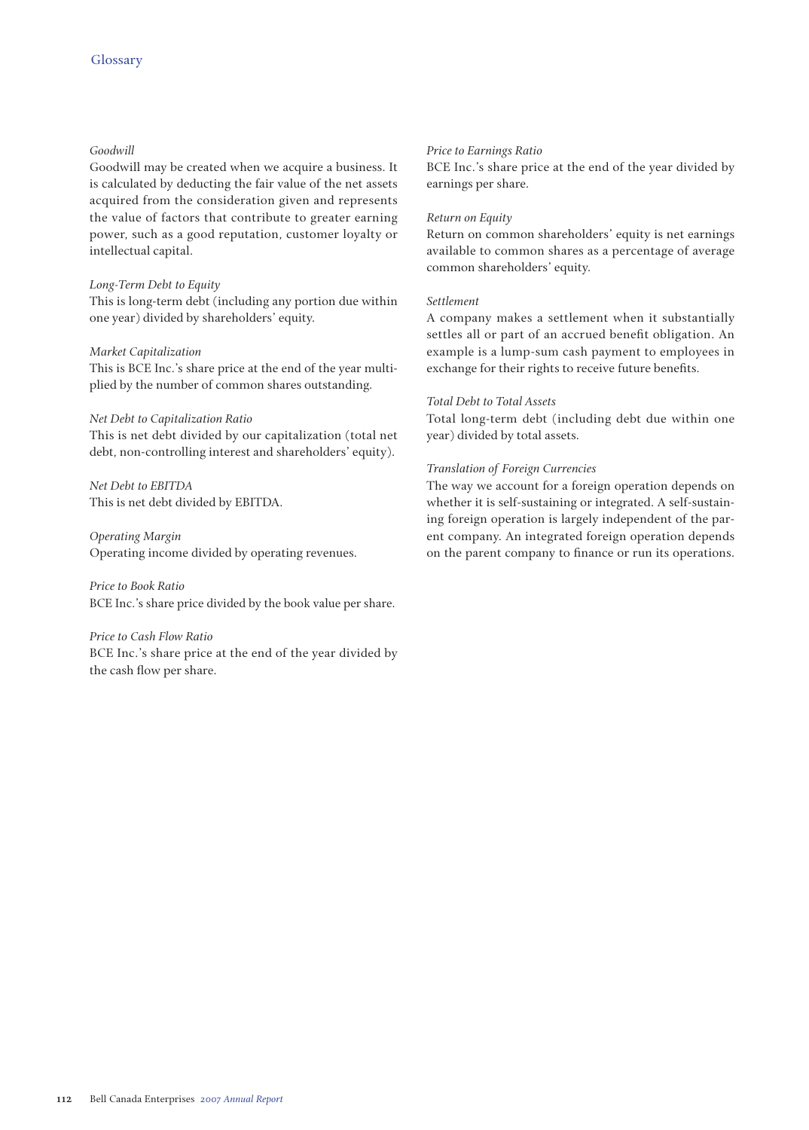#### *Goodwill*

Goodwill may be created when we acquire a business. It is calculated by deducting the fair value of the net assets acquired from the consideration given and represents the value of factors that contribute to greater earning power, such as a good reputation, customer loyalty or intellectual capital.

#### *Long-Term Debt to Equity*

This is long-term debt (including any portion due within one year) divided by shareholders' equity.

# *Market Capitalization*

This is BCE Inc.'s share price at the end of the year multiplied by the number of common shares outstanding.

#### *Net Debt to Capitalization Ratio*

This is net debt divided by our capitalization (total net debt, non-controlling interest and shareholders' equity).

*Net Debt to EBITDA*  This is net debt divided by EBITDA.

#### *Operating Margin*

Operating income divided by operating revenues.

# *Price to Book Ratio*

BCE Inc.'s share price divided by the book value per share.

# *Price to Cash Flow Ratio*

BCE Inc.'s share price at the end of the year divided by the cash flow per share.

#### *Price to Earnings Ratio*

BCE Inc.'s share price at the end of the year divided by earnings per share.

#### *Return on Equity*

Return on common shareholders' equity is net earnings available to common shares as a percentage of average common shareholders' equity.

#### *Settlement*

A company makes a settlement when it substantially settles all or part of an accrued benefit obligation. An example is a lump-sum cash payment to employees in exchange for their rights to receive future benefits.

#### *Total Debt to Total Assets*

Total long-term debt (including debt due within one year) divided by total assets.

#### *Translation of Foreign Currencies*

The way we account for a foreign operation depends on whether it is self-sustaining or integrated. A self-sustaining foreign operation is largely independent of the parent company. An integrated foreign operation depends on the parent company to finance or run its operations.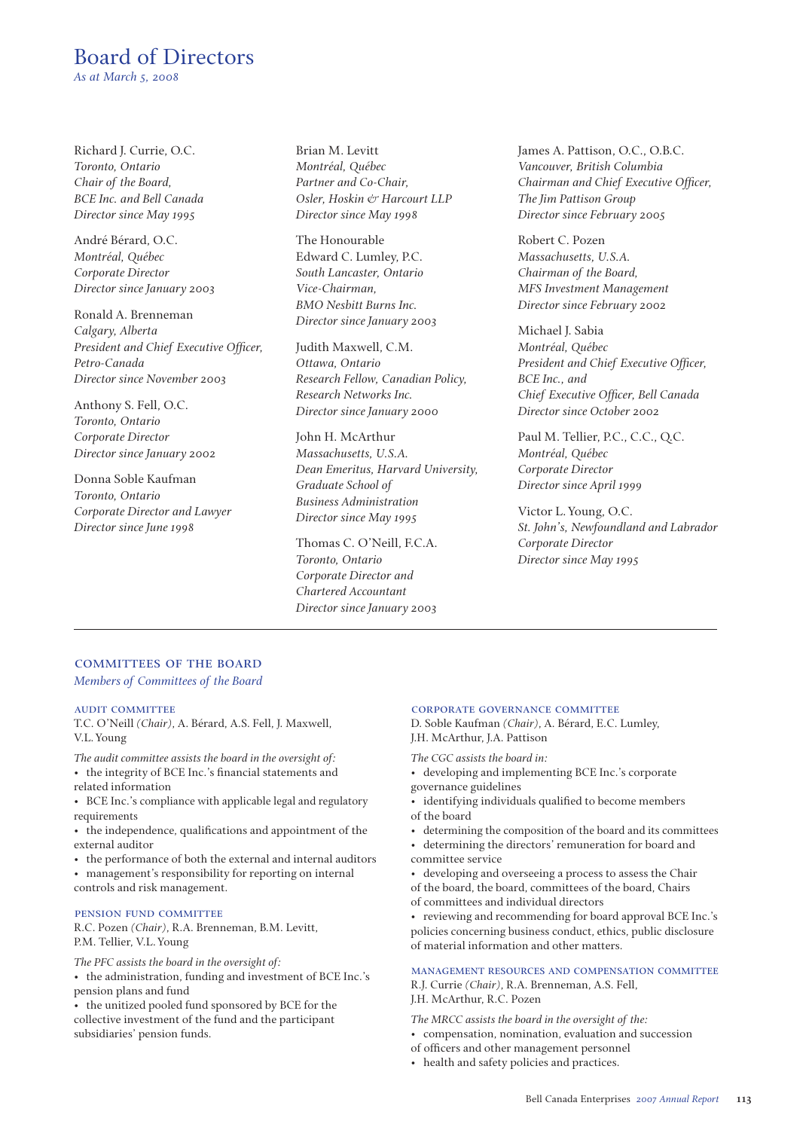# Board of Directors

*As at March 5, 2008*

Richard J. Currie, O.C. *Toronto, Ontario Chair of the Board, BCE Inc. and Bell Canada Director since May 1995*

André Bérard, O.C. *Montréal, Québec Corporate Director Director since January 2003*

Ronald A. Brenneman *Calgary, Alberta President and Chief Executive Officer, Petro-Canada Director since November 2003*

Anthony S. Fell, O.C. *Toronto, Ontario Corporate Director Director since January 2002*

Donna Soble Kaufman *Toronto, Ontario Corporate Director and Lawyer Director since June 1998*

Brian M. Levitt *Montréal, Québec Partner and Co-Chair, Osler, Hoskin & Harcourt LLP Director since May 1998*

The Honourable Edward C. Lumley, P.C. *South Lancaster, Ontario Vice-Chairman, BMO Nesbitt Burns Inc. Director since January 2003*

Judith Maxwell, C.M. *Ottawa, Ontario Research Fellow, Canadian Policy, Research Networks Inc. Director since January 2000*

John H. McArthur *Massachusetts, U.S.A. Dean Emeritus, Harvard University, Graduate School of Business Administration Director since May 1995*

Thomas C. O'Neill, F.C.A. *Toronto, Ontario Corporate Director and Chartered Accountant Director since January 2003*

James A. Pattison, O.C., O.B.C. *Vancouver, British Columbia Chairman and Chief Executive Officer, The Jim Pattison Group Director since February 2005*

Robert C. Pozen *Massachusetts, U.S.A. Chairman of the Board, MFS Investment Management Director since February 2002*

Michael J. Sabia *Montréal, Québec President and Chief Executive Officer, BCE Inc., and Chief Executive Officer, Bell Canada Director since October 2002*

Paul M. Tellier, P.C., C.C., Q.C. *Montréal, Québec Corporate Director Director since April 1999*

Victor L. Young, O.C. *St. John's, Newfoundland and Labrador Corporate Director Director since May 1995*

# committees of the board

*Members of Committees of the Board*

#### audit committee

T.C. O'Neill *(Chair)*, A. Bérard, A.S. Fell, J. Maxwell, V.L. Young

*The audit committee assists the board in the oversight of:*

- the integrity of BCE Inc.'s financial statements and related information
- BCE Inc.'s compliance with applicable legal and regulatory requirements
- the independence, qualifications and appointment of the external auditor
- the performance of both the external and internal auditors • management's responsibility for reporting on internal
- controls and risk management.

#### pension fund committee

R.C. Pozen *(Chair)*, R.A. Brenneman, B.M. Levitt, P.M. Tellier, V.L. Young

*The PFC assists the board in the oversight of:*

• the administration, funding and investment of BCE Inc.'s pension plans and fund

• the unitized pooled fund sponsored by BCE for the collective investment of the fund and the participant subsidiaries' pension funds.

# corporate governance committee

D. Soble Kaufman *(Chair)*, A. Bérard, E.C. Lumley, J.H. McArthur, J.A. Pattison

- *The CGC assists the board in:*
- developing and implementing BCE Inc.'s corporate governance guidelines
- identifying individuals qualified to become members of the board
- determining the composition of the board and its committees
- determining the directors' remuneration for board and committee service
- developing and overseeing a process to assess the Chair of the board, the board, committees of the board, Chairs of committees and individual directors
- reviewing and recommending for board approval BCE Inc.'s policies concerning business conduct, ethics, public disclosure of material information and other matters.

management resources and compensation committee R.J. Currie *(Chair)*, R.A. Brenneman, A.S. Fell,

# J.H. McArthur, R.C. Pozen

*The MRCC assists the board in the oversight of the:*

- compensation, nomination, evaluation and succession
- of officers and other management personnel
- health and safety policies and practices.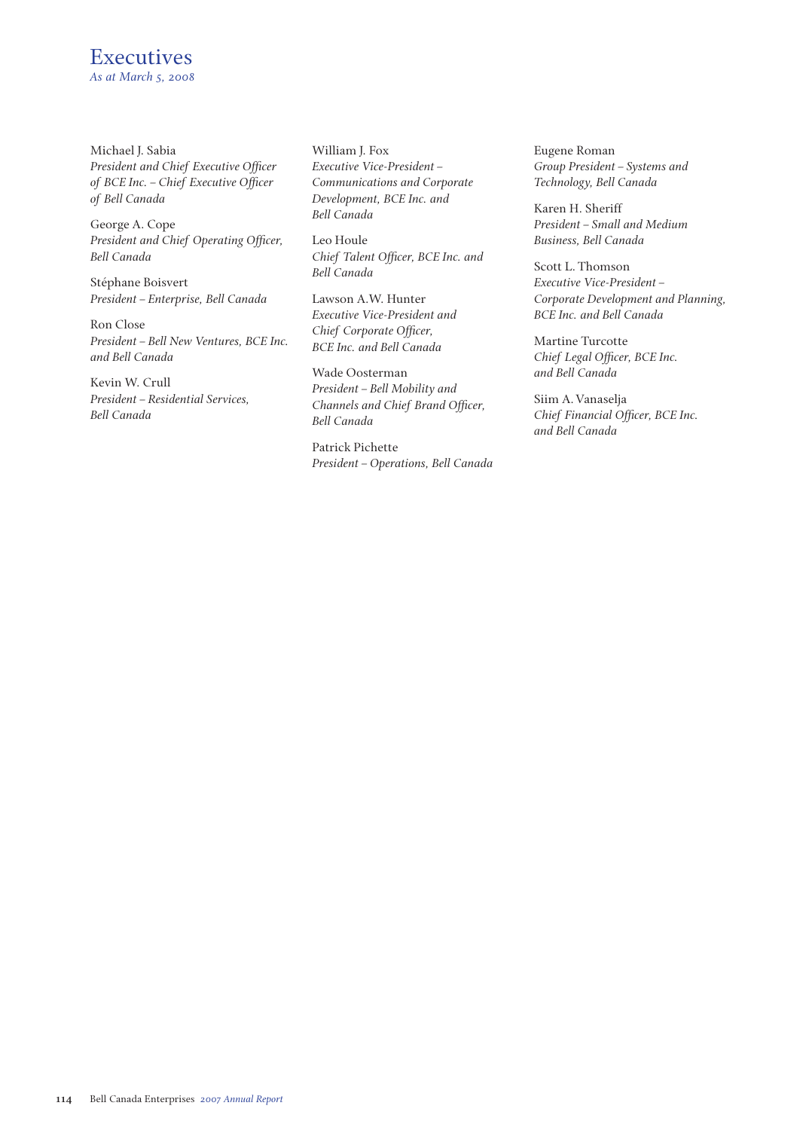# Executives *As at March 5, 2008*

Michael J. Sabia *President and Chief Executive Officer of BCE Inc. – Chief Executive Officer of Bell Canada*

George A. Cope *President and Chief Operating Officer, Bell Canada*

Stéphane Boisvert *President – Enterprise, Bell Canada*

Ron Close *President – Bell New Ventures, BCE Inc. and Bell Canada*

Kevin W. Crull *President – Residential Services, Bell Canada*

William J. Fox *Executive Vice-President – Communications and Corporate Development, BCE Inc. and Bell Canada*

Leo Houle *Chief Talent Officer, BCE Inc. and Bell Canada*

Lawson A.W. Hunter *Executive Vice-President and Chief Corporate Officer, BCE Inc. and Bell Canada*

Wade Oosterman *President – Bell Mobility and Channels and Chief Brand Officer, Bell Canada*

Patrick Pichette *President – Operations, Bell Canada* Eugene Roman *Group President – Systems and Technology, Bell Canada*

Karen H. Sheriff *President – Small and Medium Business, Bell Canada*

Scott L. Thomson *Executive Vice-President – Corporate Development and Planning, BCE Inc. and Bell Canada*

Martine Turcotte *Chief Legal Officer, BCE Inc. and Bell Canada*

Siim A. Vanaselja *Chief Financial Officer, BCE Inc. and Bell Canada*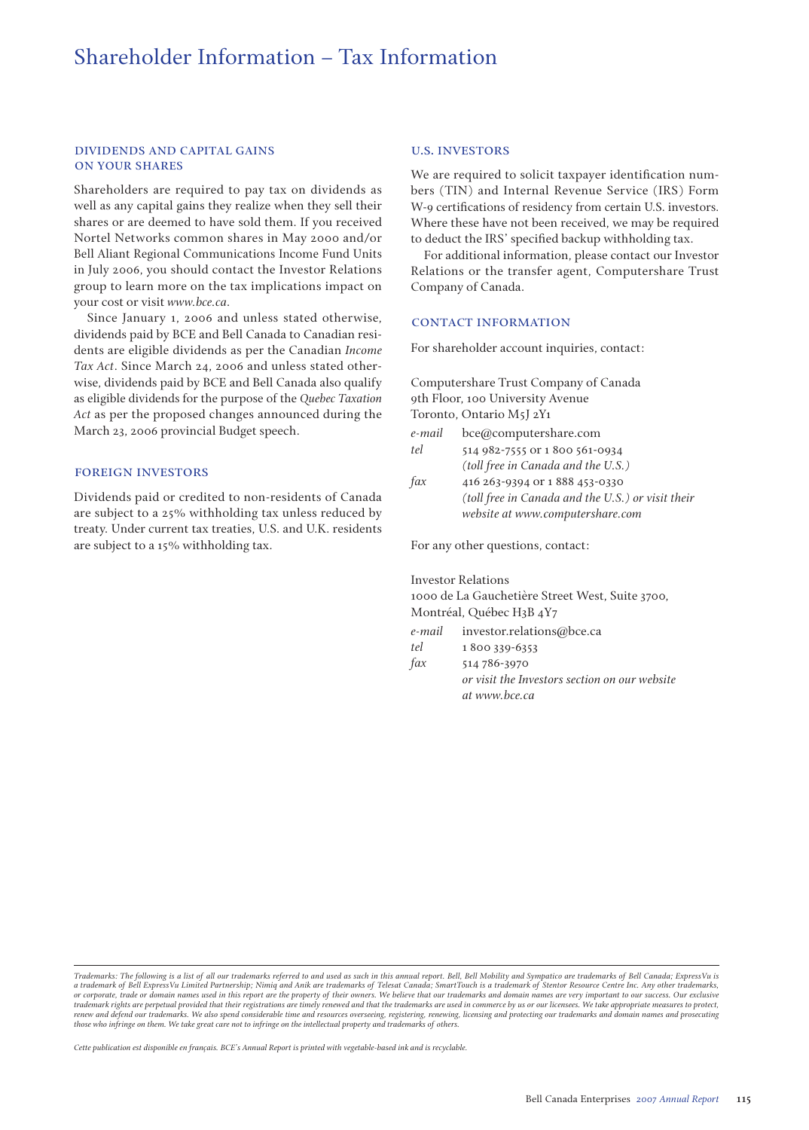# Shareholder Information – Tax Information

#### dividends and capital gains on your shares

Shareholders are required to pay tax on dividends as well as any capital gains they realize when they sell their shares or are deemed to have sold them. If you received Nortel Networks common shares in May 2000 and/or Bell Aliant Regional Communications Income Fund Units in July 2006, you should contact the Investor Relations group to learn more on the tax implications impact on your cost or visit *www.bce.ca*.

Since January 1, 2006 and unless stated otherwise, dividends paid by BCE and Bell Canada to Canadian residents are eligible dividends as per the Canadian *Income Tax Act*. Since March 24, 2006 and unless stated otherwise, dividends paid by BCE and Bell Canada also qualify as eligible dividends for the purpose of the *Quebec Taxation Act* as per the proposed changes announced during the March 23, 2006 provincial Budget speech.

#### foreign investors

Dividends paid or credited to non-residents of Canada are subject to a 25% withholding tax unless reduced by treaty. Under current tax treaties, U.S. and U.K. residents are subject to a 15% withholding tax.

#### u.s. investors

We are required to solicit taxpayer identification numbers (TIN) and Internal Revenue Service (IRS) Form W-9 certifications of residency from certain U.S. investors. Where these have not been received, we may be required to deduct the IRS' specified backup withholding tax.

For additional information, please contact our Investor Relations or the transfer agent, Computershare Trust Company of Canada.

#### contact information

For shareholder account inquiries, contact:

Computershare Trust Company of Canada 9th Floor, 100 University Avenue Toronto, Ontario M5J 2Y1

| e-mail | bce@computershare.com                             |
|--------|---------------------------------------------------|
| tel    | 514 982-7555 or 1800 561-0934                     |
|        | (toll free in Canada and the U.S.)                |
| fax    | 416 263-9394 or 1 888 453-0330                    |
|        | (toll free in Canada and the U.S.) or visit their |
|        | website at www.computershare.com                  |

For any other questions, contact:

Investor Relations

1000 de La Gauchetière Street West, Suite 3700, Montréal, Québec H3B 4Y7

*e-mail* investor.relations@bce.ca

*tel* 1 800 339-6353

*fax* 514 786-3970 *or visit the Investors section on our website at www.bce.ca*

*Cette publication est disponible en français. BCE's Annual Report is printed with vegetable-based ink and is recyclable.*

*Trademarks: The following is a list of all our trademarks referred to and used as such in this annual report. Bell, Bell Mobility and Sympatico are trademarks of Bell Canada; ExpressVu is*  a trademark of Bell ExpressVu Limited Partnership; Nimiq and Anik are trademarks of Telesat Canada; SmartTouch is a trademark of Stentor Resource Centre Inc. Any other trademarks, or corporate, trade or domain names used i